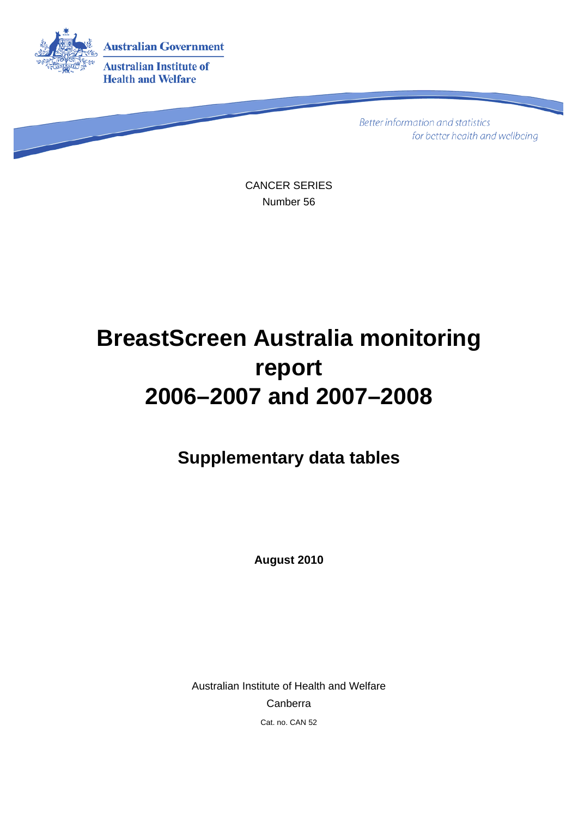

**Better information and statistics** for better health and wellbeing

CANCER SERIES Number 56

# **BreastScreen Australia monitoring report 2006–2007 and 2007–2008**

**Supplementary data tables** 

**August 2010** 

Australian Institute of Health and Welfare Canberra Cat. no. CAN 52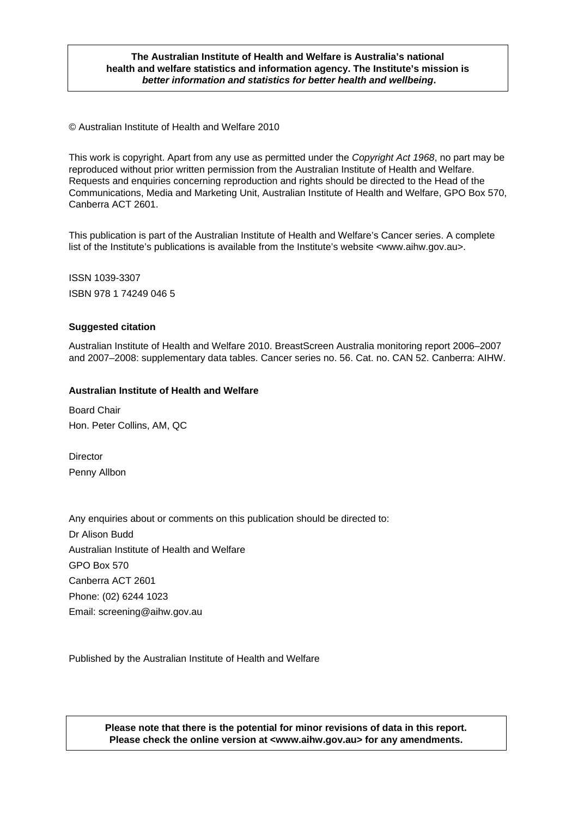#### **The Australian Institute of Health and Welfare is Australia's national health and welfare statistics and information agency. The Institute's mission is**  *better information and statistics for better health and wellbeing***.**

© Australian Institute of Health and Welfare 2010

This work is copyright. Apart from any use as permitted under the *Copyright Act 1968*, no part may be reproduced without prior written permission from the Australian Institute of Health and Welfare. Requests and enquiries concerning reproduction and rights should be directed to the Head of the Communications, Media and Marketing Unit, Australian Institute of Health and Welfare, GPO Box 570, Canberra ACT 2601.

This publication is part of the Australian Institute of Health and Welfare's Cancer series. A complete list of the Institute's publications is available from the Institute's website <www.aihw.gov.au>.

ISSN 1039-3307 ISBN 978 1 74249 046 5

#### **Suggested citation**

Australian Institute of Health and Welfare 2010. BreastScreen Australia monitoring report 2006–2007 and 2007–2008: supplementary data tables. Cancer series no. 56. Cat. no. CAN 52. Canberra: AIHW.

#### **Australian Institute of Health and Welfare**

Board Chair Hon. Peter Collins, AM, QC

**Director** Penny Allbon

Any enquiries about or comments on this publication should be directed to: Dr Alison Budd Australian Institute of Health and Welfare GPO Box 570 Canberra ACT 2601 Phone: (02) 6244 1023 Email: screening@aihw.gov.au

Published by the Australian Institute of Health and Welfare

**Please note that there is the potential for minor revisions of data in this report. Please check the online version at <www.aihw.gov.au> for any amendments.**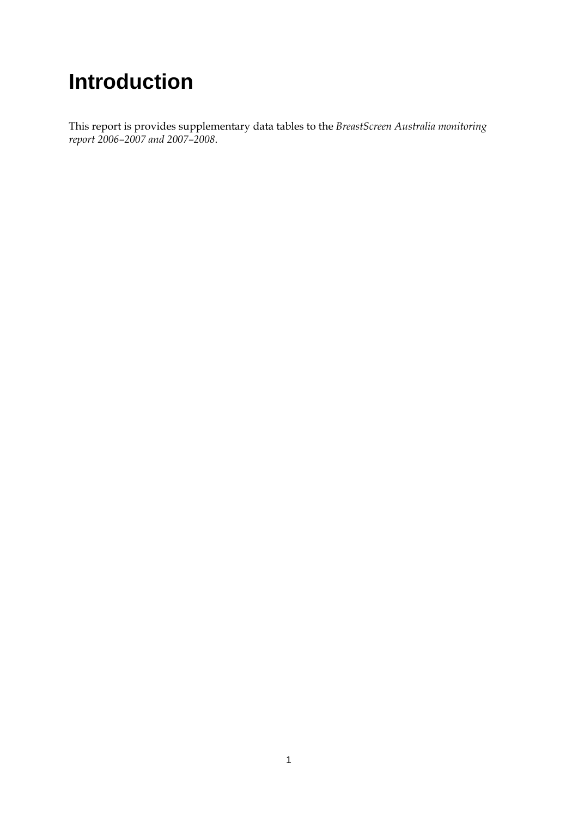# **Introduction**

This report is provides supplementary data tables to the *BreastScreen Australia monitoring report 2006–2007 and 2007–2008*.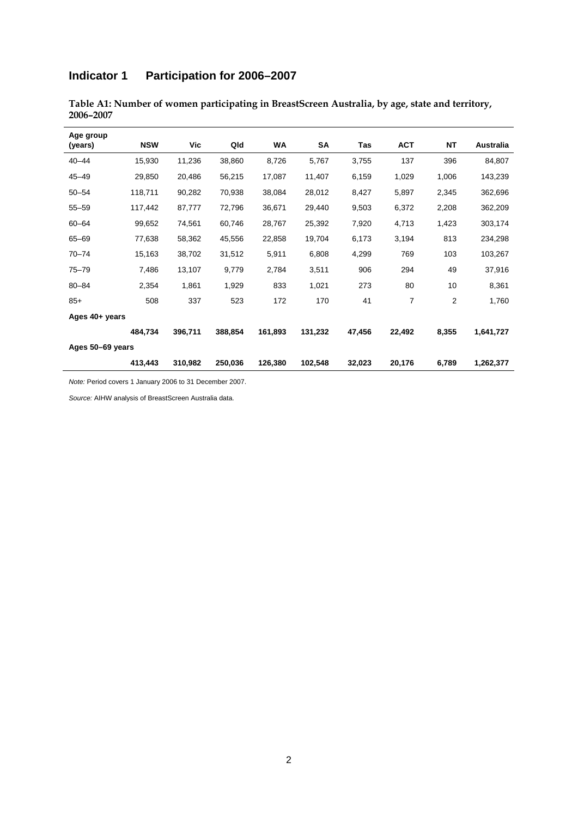# **Indicator 1 Participation for 2006–2007**

| Age group<br>(years) | <b>NSW</b> | Vic     | Qld     | WA      | SA      | Tas    | <b>ACT</b> | <b>NT</b> | Australia |
|----------------------|------------|---------|---------|---------|---------|--------|------------|-----------|-----------|
| $40 - 44$            | 15,930     | 11,236  | 38,860  | 8,726   | 5,767   | 3,755  | 137        | 396       | 84,807    |
| $45 - 49$            | 29,850     | 20,486  | 56,215  | 17,087  | 11,407  | 6,159  | 1,029      | 1,006     | 143,239   |
| $50 - 54$            | 118,711    | 90,282  | 70,938  | 38,084  | 28,012  | 8,427  | 5,897      | 2,345     | 362,696   |
| $55 - 59$            | 117,442    | 87,777  | 72,796  | 36,671  | 29,440  | 9,503  | 6,372      | 2,208     | 362,209   |
| $60 - 64$            | 99,652     | 74,561  | 60,746  | 28,767  | 25,392  | 7,920  | 4,713      | 1,423     | 303,174   |
| 65-69                | 77,638     | 58,362  | 45,556  | 22,858  | 19,704  | 6,173  | 3,194      | 813       | 234,298   |
| $70 - 74$            | 15,163     | 38,702  | 31,512  | 5,911   | 6,808   | 4,299  | 769        | 103       | 103,267   |
| $75 - 79$            | 7,486      | 13,107  | 9,779   | 2,784   | 3,511   | 906    | 294        | 49        | 37,916    |
| $80 - 84$            | 2,354      | 1,861   | 1,929   | 833     | 1,021   | 273    | 80         | 10        | 8,361     |
| $85+$                | 508        | 337     | 523     | 172     | 170     | 41     | 7          | 2         | 1,760     |
| Ages 40+ years       |            |         |         |         |         |        |            |           |           |
|                      | 484,734    | 396,711 | 388,854 | 161,893 | 131,232 | 47,456 | 22,492     | 8,355     | 1,641,727 |
| Ages 50-69 years     |            |         |         |         |         |        |            |           |           |
|                      | 413,443    | 310,982 | 250,036 | 126,380 | 102,548 | 32,023 | 20,176     | 6,789     | 1,262,377 |

**Table A1: Number of women participating in BreastScreen Australia, by age, state and territory, 2006–2007** 

*Note:* Period covers 1 January 2006 to 31 December 2007.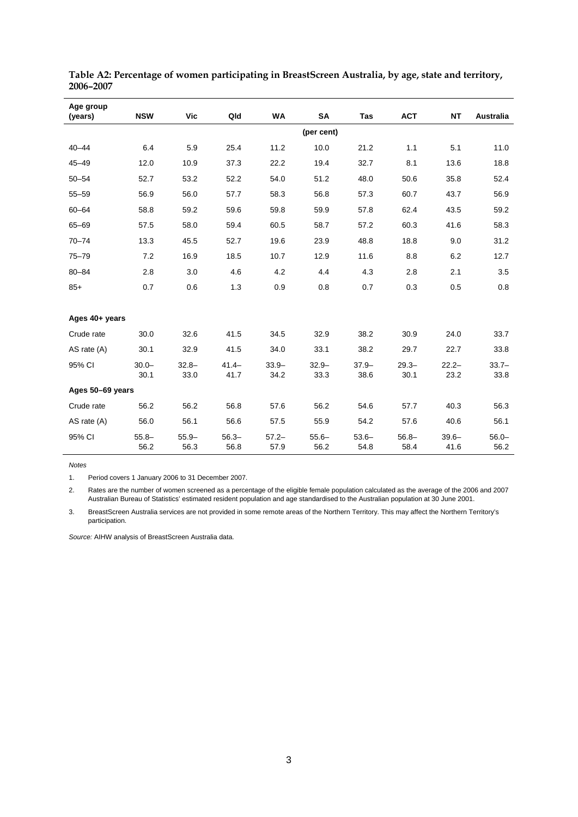| Age group<br>(years) | <b>NSW</b>       | Vic              | Qld              | WA               | SA               | Tas             | <b>ACT</b>       | <b>NT</b>        | Australia        |
|----------------------|------------------|------------------|------------------|------------------|------------------|-----------------|------------------|------------------|------------------|
|                      |                  |                  |                  |                  | (per cent)       |                 |                  |                  |                  |
| $40 - 44$            | 6.4              | 5.9              | 25.4             | 11.2             | 10.0             | 21.2            | 1.1              | 5.1              | 11.0             |
| $45 - 49$            | 12.0             | 10.9             | 37.3             | 22.2             | 19.4             | 32.7            | 8.1              | 13.6             | 18.8             |
| $50 - 54$            | 52.7             | 53.2             | 52.2             | 54.0             | 51.2             | 48.0            | 50.6             | 35.8             | 52.4             |
| $55 - 59$            | 56.9             | 56.0             | 57.7             | 58.3             | 56.8             | 57.3            | 60.7             | 43.7             | 56.9             |
| $60 - 64$            | 58.8             | 59.2             | 59.6             | 59.8             | 59.9             | 57.8            | 62.4             | 43.5             | 59.2             |
| 65-69                | 57.5             | 58.0             | 59.4             | 60.5             | 58.7             | 57.2            | 60.3             | 41.6             | 58.3             |
| $70 - 74$            | 13.3             | 45.5             | 52.7             | 19.6             | 23.9             | 48.8            | 18.8             | 9.0              | 31.2             |
| $75 - 79$            | 7.2              | 16.9             | 18.5             | 10.7             | 12.9             | 11.6            | 8.8              | 6.2              | 12.7             |
| $80 - 84$            | 2.8              | 3.0              | 4.6              | 4.2              | 4.4              | 4.3             | 2.8              | 2.1              | 3.5              |
| $85+$                | 0.7              | 0.6              | 1.3              | 0.9              | 0.8              | 0.7             | 0.3              | 0.5              | 0.8              |
|                      |                  |                  |                  |                  |                  |                 |                  |                  |                  |
| Ages 40+ years       |                  |                  |                  |                  |                  |                 |                  |                  |                  |
| Crude rate           | 30.0             | 32.6             | 41.5             | 34.5             | 32.9             | 38.2            | 30.9             | 24.0             | 33.7             |
| AS rate $(A)$        | 30.1             | 32.9             | 41.5             | 34.0             | 33.1             | 38.2            | 29.7             | 22.7             | 33.8             |
| 95% CI               | $30.0 -$         | $32.8 -$         | $41.4 -$         | $33.9 -$         | $32.9 -$         | $37.9 -$        | $29.3 -$         | $22.2 -$         | $33.7 -$         |
|                      | 30.1             | 33.0             | 41.7             | 34.2             | 33.3             | 38.6            | 30.1             | 23.2             | 33.8             |
| Ages 50-69 years     |                  |                  |                  |                  |                  |                 |                  |                  |                  |
| Crude rate           | 56.2             | 56.2             | 56.8             | 57.6             | 56.2             | 54.6            | 57.7             | 40.3             | 56.3             |
| AS rate (A)          | 56.0             | 56.1             | 56.6             | 57.5             | 55.9             | 54.2            | 57.6             | 40.6             | 56.1             |
| 95% CI               | $55.8 -$<br>56.2 | $55.9 -$<br>56.3 | $56.3 -$<br>56.8 | $57.2 -$<br>57.9 | $55.6 -$<br>56.2 | $53.6-$<br>54.8 | $56.8 -$<br>58.4 | $39.6 -$<br>41.6 | $56.0 -$<br>56.2 |

**Table A2: Percentage of women participating in BreastScreen Australia, by age, state and territory, 2006–2007** 

1. Period covers 1 January 2006 to 31 December 2007.

2. Rates are the number of women screened as a percentage of the eligible female population calculated as the average of the 2006 and 2007 Australian Bureau of Statistics' estimated resident population and age standardised to the Australian population at 30 June 2001.

3. BreastScreen Australia services are not provided in some remote areas of the Northern Territory. This may affect the Northern Territory's participation.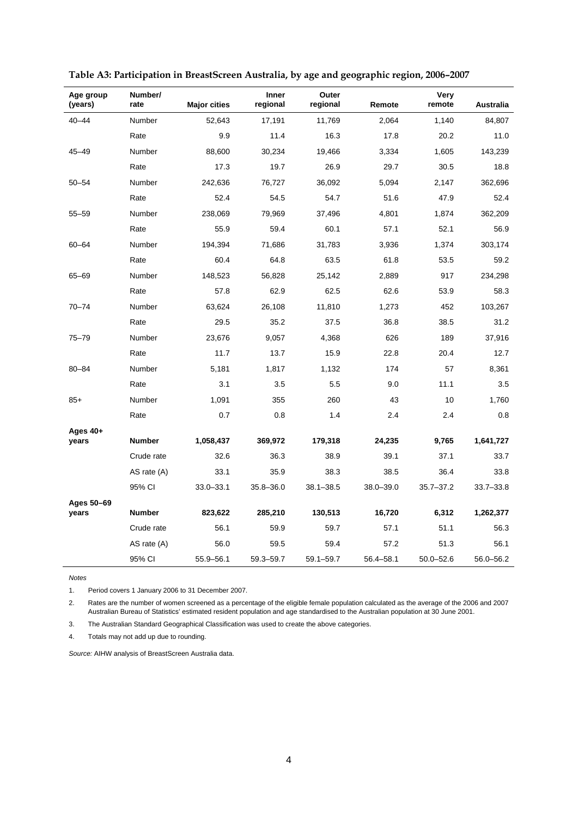| Age group<br>(years) | Number/<br>rate | <b>Major cities</b> | <b>Inner</b><br>regional | Outer<br>regional | Remote        | Very<br>remote | Australia     |
|----------------------|-----------------|---------------------|--------------------------|-------------------|---------------|----------------|---------------|
| $40 - 44$            | Number          | 52,643              | 17,191                   | 11,769            | 2,064         | 1,140          | 84,807        |
|                      | Rate            | 9.9                 | 11.4                     | 16.3              | 17.8          | 20.2           | 11.0          |
| $45 - 49$            | Number          | 88,600              | 30,234                   | 19,466            | 3,334         | 1,605          | 143,239       |
|                      | Rate            | 17.3                | 19.7                     | 26.9              | 29.7          | 30.5           | 18.8          |
| $50 - 54$            | Number          | 242,636             | 76,727                   | 36,092            | 5,094         | 2,147          | 362,696       |
|                      | Rate            | 52.4                | 54.5                     | 54.7              | 51.6          | 47.9           | 52.4          |
| $55 - 59$            | Number          | 238,069             | 79,969                   | 37,496            | 4,801         | 1,874          | 362,209       |
|                      | Rate            | 55.9                | 59.4                     | 60.1              | 57.1          | 52.1           | 56.9          |
| $60 - 64$            | Number          | 194,394             | 71,686                   | 31,783            | 3,936         | 1,374          | 303,174       |
|                      | Rate            | 60.4                | 64.8                     | 63.5              | 61.8          | 53.5           | 59.2          |
| $65 - 69$            | Number          | 148,523             | 56,828                   | 25,142            | 2,889         | 917            | 234,298       |
|                      | Rate            | 57.8                | 62.9                     | 62.5              | 62.6          | 53.9           | 58.3          |
| $70 - 74$            | Number          | 63,624              | 26,108                   | 11,810            | 1,273         | 452            | 103,267       |
|                      | Rate            | 29.5                | 35.2                     | 37.5              | 36.8          | 38.5           | 31.2          |
| 75-79                | Number          | 23,676              | 9,057                    | 4,368             | 626           | 189            | 37,916        |
|                      | Rate            | 11.7                | 13.7                     | 15.9              | 22.8          | 20.4           | 12.7          |
| $80 - 84$            | Number          | 5,181               | 1,817                    | 1,132             | 174           | 57             | 8,361         |
|                      | Rate            | 3.1                 | 3.5                      | 5.5               | 9.0           | 11.1           | 3.5           |
| $85+$                | Number          | 1,091               | 355                      | 260               | 43            | 10             | 1,760         |
|                      | Rate            | 0.7                 | 0.8                      | 1.4               | 2.4           | 2.4            | 0.8           |
| Ages 40+<br>years    | <b>Number</b>   | 1,058,437           | 369,972                  | 179,318           | 24,235        | 9,765          | 1,641,727     |
|                      | Crude rate      | 32.6                | 36.3                     | 38.9              | 39.1          | 37.1           | 33.7          |
|                      | AS rate (A)     | 33.1                | 35.9                     | 38.3              | 38.5          | 36.4           | 33.8          |
|                      | 95% CI          | $33.0 - 33.1$       | 35.8–36.0                | $38.1 - 38.5$     | $38.0 - 39.0$ | $35.7 - 37.2$  | $33.7 - 33.8$ |
| Ages 50-69           |                 |                     |                          |                   |               |                |               |
| years                | <b>Number</b>   | 823,622             | 285,210                  | 130,513           | 16,720        | 6,312          | 1,262,377     |
|                      | Crude rate      | 56.1                | 59.9                     | 59.7              | 57.1          | 51.1           | 56.3          |
|                      | AS rate (A)     | 56.0                | 59.5                     | 59.4              | 57.2          | 51.3           | 56.1          |
|                      | 95% CI          | 55.9-56.1           | 59.3-59.7                | 59.1-59.7         | 56.4-58.1     | $50.0 - 52.6$  | 56.0-56.2     |

1. Period covers 1 January 2006 to 31 December 2007.

2. Rates are the number of women screened as a percentage of the eligible female population calculated as the average of the 2006 and 2007 Australian Bureau of Statistics' estimated resident population and age standardised to the Australian population at 30 June 2001.

3. The Australian Standard Geographical Classification was used to create the above categories.

4. Totals may not add up due to rounding.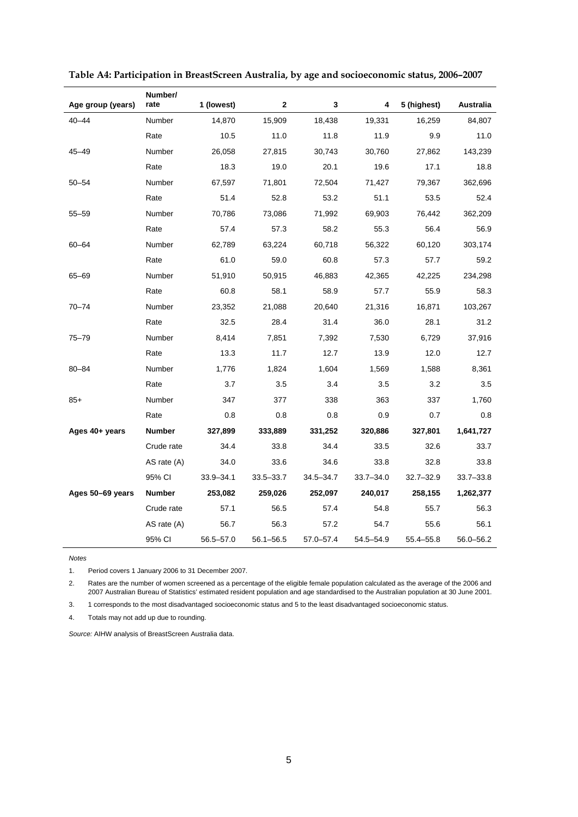| Age group (years) | Number/<br>rate | 1 (lowest)    | 2             | 3             | 4         | 5 (highest)   | <b>Australia</b> |
|-------------------|-----------------|---------------|---------------|---------------|-----------|---------------|------------------|
| $40 - 44$         | Number          | 14,870        | 15,909        | 18,438        | 19,331    | 16,259        | 84,807           |
|                   | Rate            | 10.5          | 11.0          | 11.8          | 11.9      | 9.9           | 11.0             |
| 45-49             | Number          | 26,058        | 27,815        | 30,743        | 30,760    | 27,862        | 143,239          |
|                   | Rate            | 18.3          | 19.0          | 20.1          | 19.6      | 17.1          | 18.8             |
| $50 - 54$         | Number          | 67,597        | 71,801        | 72,504        | 71,427    | 79,367        | 362,696          |
|                   | Rate            | 51.4          | 52.8          | 53.2          | 51.1      | 53.5          | 52.4             |
| $55 - 59$         | Number          | 70,786        | 73,086        | 71,992        | 69,903    | 76,442        | 362,209          |
|                   | Rate            | 57.4          | 57.3          | 58.2          | 55.3      | 56.4          | 56.9             |
| $60 - 64$         | Number          | 62,789        | 63,224        | 60,718        | 56,322    | 60,120        | 303,174          |
|                   | Rate            | 61.0          | 59.0          | 60.8          | 57.3      | 57.7          | 59.2             |
| 65-69             | Number          | 51,910        | 50,915        | 46,883        | 42,365    | 42,225        | 234,298          |
|                   | Rate            | 60.8          | 58.1          | 58.9          | 57.7      | 55.9          | 58.3             |
| $70 - 74$         | Number          | 23,352        | 21,088        | 20,640        | 21,316    | 16,871        | 103,267          |
|                   | Rate            | 32.5          | 28.4          | 31.4          | 36.0      | 28.1          | 31.2             |
| 75-79             | Number          | 8,414         | 7,851         | 7,392         | 7,530     | 6,729         | 37,916           |
|                   | Rate            | 13.3          | 11.7          | 12.7          | 13.9      | 12.0          | 12.7             |
| $80 - 84$         | Number          | 1,776         | 1,824         | 1,604         | 1,569     | 1,588         | 8,361            |
|                   | Rate            | 3.7           | 3.5           | 3.4           | 3.5       | 3.2           | 3.5              |
| $85+$             | Number          | 347           | 377           | 338           | 363       | 337           | 1,760            |
|                   | Rate            | 0.8           | 0.8           | 0.8           | 0.9       | 0.7           | 0.8              |
| Ages 40+ years    | <b>Number</b>   | 327,899       | 333,889       | 331,252       | 320,886   | 327,801       | 1,641,727        |
|                   | Crude rate      | 34.4          | 33.8          | 34.4          | 33.5      | 32.6          | 33.7             |
|                   | AS rate (A)     | 34.0          | 33.6          | 34.6          | 33.8      | 32.8          | 33.8             |
|                   | 95% CI          | $33.9 - 34.1$ | $33.5 - 33.7$ | $34.5 - 34.7$ | 33.7-34.0 | $32.7 - 32.9$ | 33.7-33.8        |
| Ages 50-69 years  | Number          | 253,082       | 259,026       | 252,097       | 240,017   | 258,155       | 1,262,377        |
|                   | Crude rate      | 57.1          | 56.5          | 57.4          | 54.8      | 55.7          | 56.3             |
|                   | AS rate (A)     | 56.7          | 56.3          | 57.2          | 54.7      | 55.6          | 56.1             |
|                   | 95% CI          | 56.5-57.0     | 56.1-56.5     | 57.0-57.4     | 54.5-54.9 | 55.4-55.8     | 56.0-56.2        |

|  |  | Table A4: Participation in BreastScreen Australia, by age and socioeconomic status, 2006-2007 |
|--|--|-----------------------------------------------------------------------------------------------|
|  |  |                                                                                               |

1. Period covers 1 January 2006 to 31 December 2007.

2. Rates are the number of women screened as a percentage of the eligible female population calculated as the average of the 2006 and 2007 Australian Bureau of Statistics' estimated resident population and age standardised to the Australian population at 30 June 2001.

3. 1 corresponds to the most disadvantaged socioeconomic status and 5 to the least disadvantaged socioeconomic status.

4. Totals may not add up due to rounding.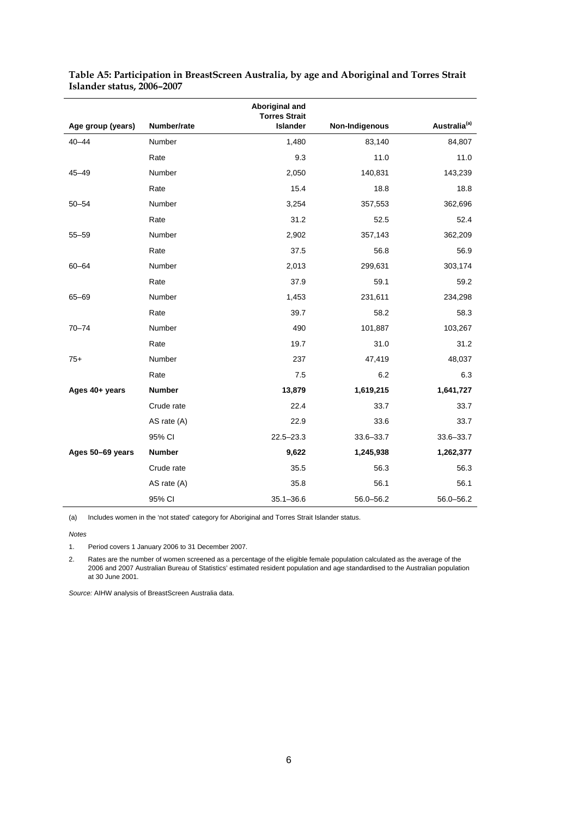|                   |               | Aboriginal and<br><b>Torres Strait</b> |                |                          |
|-------------------|---------------|----------------------------------------|----------------|--------------------------|
| Age group (years) | Number/rate   | <b>Islander</b>                        | Non-Indigenous | Australia <sup>(a)</sup> |
| $40 - 44$         | Number        | 1,480                                  | 83,140         | 84,807                   |
|                   | Rate          | 9.3                                    | 11.0           | 11.0                     |
| $45 - 49$         | Number        | 2,050                                  | 140,831        | 143,239                  |
|                   | Rate          | 15.4                                   | 18.8           | 18.8                     |
| $50 - 54$         | Number        | 3,254                                  | 357,553        | 362,696                  |
|                   | Rate          | 31.2                                   | 52.5           | 52.4                     |
| $55 - 59$         | Number        | 2,902                                  | 357,143        | 362,209                  |
|                   | Rate          | 37.5                                   | 56.8           | 56.9                     |
| $60 - 64$         | Number        | 2,013                                  | 299,631        | 303,174                  |
|                   | Rate          | 37.9                                   | 59.1           | 59.2                     |
| 65-69             | Number        | 1,453                                  | 231,611        | 234,298                  |
|                   | Rate          | 39.7                                   | 58.2           | 58.3                     |
| $70 - 74$         | Number        | 490                                    | 101,887        | 103,267                  |
|                   | Rate          | 19.7                                   | 31.0           | 31.2                     |
| $75+$             | Number        | 237                                    | 47,419         | 48,037                   |
|                   | Rate          | 7.5                                    | 6.2            | 6.3                      |
| Ages 40+ years    | <b>Number</b> | 13,879                                 | 1,619,215      | 1,641,727                |
|                   | Crude rate    | 22.4                                   | 33.7           | 33.7                     |
|                   | AS rate (A)   | 22.9                                   | 33.6           | 33.7                     |
|                   | 95% CI        | $22.5 - 23.3$                          | 33.6-33.7      | 33.6-33.7                |
| Ages 50-69 years  | <b>Number</b> | 9,622                                  | 1,245,938      | 1,262,377                |
|                   | Crude rate    | 35.5                                   | 56.3           | 56.3                     |
|                   | AS rate (A)   | 35.8                                   | 56.1           | 56.1                     |
|                   | 95% CI        | $35.1 - 36.6$                          | 56.0-56.2      | 56.0-56.2                |

| Table A5: Participation in BreastScreen Australia, by age and Aboriginal and Torres Strait |  |  |
|--------------------------------------------------------------------------------------------|--|--|
| Islander status, 2006-2007                                                                 |  |  |

(a) Includes women in the 'not stated' category for Aboriginal and Torres Strait Islander status.

*Notes* 

1. Period covers 1 January 2006 to 31 December 2007.

2. Rates are the number of women screened as a percentage of the eligible female population calculated as the average of the 2006 and 2007 Australian Bureau of Statistics' estimated resident population and age standardised to the Australian population at 30 June 2001.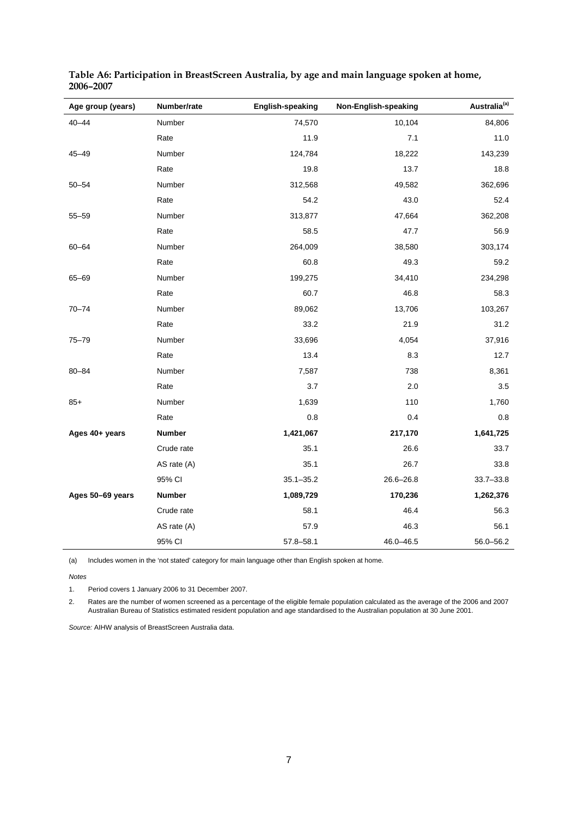| Age group (years) | Number/rate   | <b>English-speaking</b> | Non-English-speaking | Australia <sup>(a)</sup> |
|-------------------|---------------|-------------------------|----------------------|--------------------------|
| $40 - 44$         | Number        | 74,570                  | 10,104               | 84,806                   |
|                   | Rate          | 11.9                    | 7.1                  | 11.0                     |
| $45 - 49$         | Number        | 124,784                 | 18,222               | 143,239                  |
|                   | Rate          | 19.8                    | 13.7                 | 18.8                     |
| $50 - 54$         | Number        | 312,568                 | 49,582               | 362,696                  |
|                   | Rate          | 54.2                    | 43.0                 | 52.4                     |
| $55 - 59$         | Number        | 313,877                 | 47,664               | 362,208                  |
|                   | Rate          | 58.5                    | 47.7                 | 56.9                     |
| $60 - 64$         | Number        | 264,009                 | 38,580               | 303,174                  |
|                   | Rate          | 60.8                    | 49.3                 | 59.2                     |
| 65-69             | Number        | 199,275                 | 34,410               | 234,298                  |
|                   | Rate          | 60.7                    | 46.8                 | 58.3                     |
| $70 - 74$         | Number        | 89,062                  | 13,706               | 103,267                  |
|                   | Rate          | 33.2                    | 21.9                 | 31.2                     |
| $75 - 79$         | Number        | 33,696                  | 4,054                | 37,916                   |
|                   | Rate          | 13.4                    | 8.3                  | 12.7                     |
| $80 - 84$         | Number        | 7,587                   | 738                  | 8,361                    |
|                   | Rate          | 3.7                     | 2.0                  | 3.5                      |
| $85+$             | Number        | 1,639                   | 110                  | 1,760                    |
|                   | Rate          | 0.8                     | 0.4                  | 0.8                      |
| Ages 40+ years    | <b>Number</b> | 1,421,067               | 217,170              | 1,641,725                |
|                   | Crude rate    | 35.1                    | 26.6                 | 33.7                     |
|                   | AS rate $(A)$ | 35.1                    | 26.7                 | 33.8                     |
|                   | 95% CI        | $35.1 - 35.2$           | 26.6-26.8            | $33.7 - 33.8$            |
| Ages 50-69 years  | Number        | 1,089,729               | 170,236              | 1,262,376                |
|                   | Crude rate    | 58.1                    | 46.4                 | 56.3                     |
|                   | AS rate (A)   | 57.9                    | 46.3                 | 56.1                     |
|                   | 95% CI        | $57.8 - 58.1$           | 46.0-46.5            | 56.0-56.2                |

| Table A6: Participation in BreastScreen Australia, by age and main language spoken at home, |  |  |
|---------------------------------------------------------------------------------------------|--|--|
| 2006-2007                                                                                   |  |  |

(a) Includes women in the 'not stated' category for main language other than English spoken at home.

*Notes* 

1. Period covers 1 January 2006 to 31 December 2007.

2. Rates are the number of women screened as a percentage of the eligible female population calculated as the average of the 2006 and 2007 Australian Bureau of Statistics estimated resident population and age standardised to the Australian population at 30 June 2001.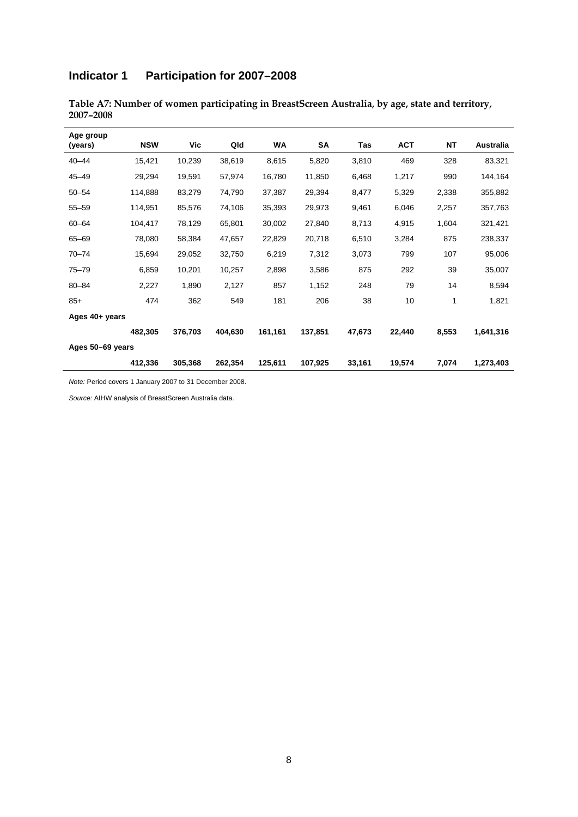# **Indicator 1 Participation for 2007–2008**

| Age group<br>(years) | <b>NSW</b> | Vic     | Qld     | WA      | <b>SA</b> | Tas    | <b>ACT</b> | <b>NT</b> | Australia |
|----------------------|------------|---------|---------|---------|-----------|--------|------------|-----------|-----------|
| $40 - 44$            | 15,421     | 10,239  | 38,619  | 8,615   | 5,820     | 3,810  | 469        | 328       | 83,321    |
| $45 - 49$            | 29,294     | 19,591  | 57,974  | 16,780  | 11,850    | 6,468  | 1,217      | 990       | 144,164   |
| $50 - 54$            | 114,888    | 83,279  | 74,790  | 37,387  | 29,394    | 8,477  | 5,329      | 2,338     | 355,882   |
| $55 - 59$            | 114,951    | 85,576  | 74,106  | 35,393  | 29,973    | 9,461  | 6,046      | 2,257     | 357,763   |
| $60 - 64$            | 104,417    | 78,129  | 65,801  | 30,002  | 27,840    | 8,713  | 4,915      | 1,604     | 321,421   |
| 65-69                | 78,080     | 58,384  | 47,657  | 22,829  | 20,718    | 6,510  | 3,284      | 875       | 238,337   |
| $70 - 74$            | 15,694     | 29,052  | 32,750  | 6,219   | 7,312     | 3,073  | 799        | 107       | 95,006    |
| $75 - 79$            | 6,859      | 10,201  | 10,257  | 2,898   | 3,586     | 875    | 292        | 39        | 35,007    |
| $80 - 84$            | 2,227      | 1,890   | 2,127   | 857     | 1,152     | 248    | 79         | 14        | 8,594     |
| $85+$                | 474        | 362     | 549     | 181     | 206       | 38     | 10         |           | 1,821     |
| Ages 40+ years       |            |         |         |         |           |        |            |           |           |
|                      | 482.305    | 376,703 | 404,630 | 161,161 | 137,851   | 47,673 | 22,440     | 8,553     | 1,641,316 |
| Ages 50-69 years     |            |         |         |         |           |        |            |           |           |
|                      | 412,336    | 305,368 | 262,354 | 125,611 | 107,925   | 33,161 | 19,574     | 7,074     | 1,273,403 |

**Table A7: Number of women participating in BreastScreen Australia, by age, state and territory, 2007–2008** 

*Note:* Period covers 1 January 2007 to 31 December 2008.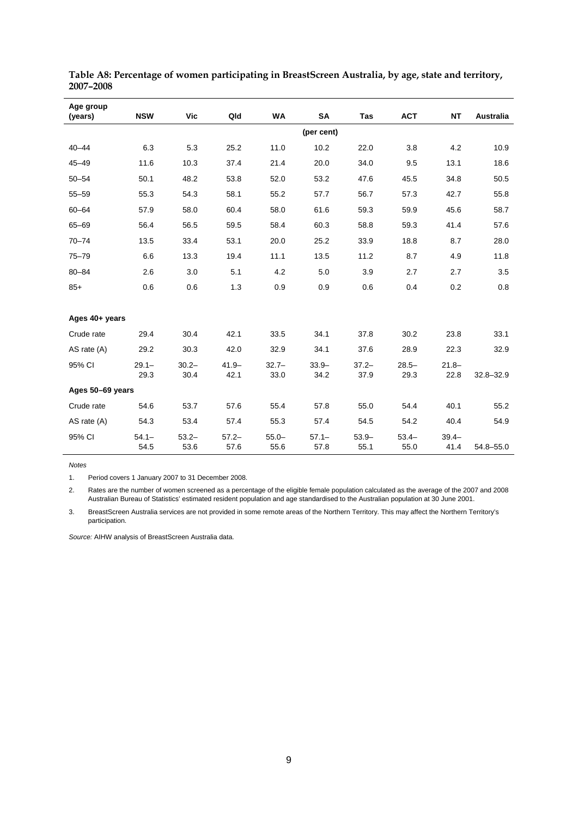| Age group        |                  |                  |                  |                  |                  |                  |                 |                  |                  |
|------------------|------------------|------------------|------------------|------------------|------------------|------------------|-----------------|------------------|------------------|
| (years)          | <b>NSW</b>       | <b>Vic</b>       | Qld              | <b>WA</b>        | <b>SA</b>        | <b>Tas</b>       | <b>ACT</b>      | <b>NT</b>        | <b>Australia</b> |
|                  |                  |                  |                  |                  | (per cent)       |                  |                 |                  |                  |
| $40 - 44$        | 6.3              | 5.3              | 25.2             | 11.0             | 10.2             | 22.0             | 3.8             | 4.2              | 10.9             |
| $45 - 49$        | 11.6             | 10.3             | 37.4             | 21.4             | 20.0             | 34.0             | 9.5             | 13.1             | 18.6             |
| $50 - 54$        | 50.1             | 48.2             | 53.8             | 52.0             | 53.2             | 47.6             | 45.5            | 34.8             | 50.5             |
| $55 - 59$        | 55.3             | 54.3             | 58.1             | 55.2             | 57.7             | 56.7             | 57.3            | 42.7             | 55.8             |
| $60 - 64$        | 57.9             | 58.0             | 60.4             | 58.0             | 61.6             | 59.3             | 59.9            | 45.6             | 58.7             |
| $65 - 69$        | 56.4             | 56.5             | 59.5             | 58.4             | 60.3             | 58.8             | 59.3            | 41.4             | 57.6             |
| $70 - 74$        | 13.5             | 33.4             | 53.1             | 20.0             | 25.2             | 33.9             | 18.8            | 8.7              | 28.0             |
| $75 - 79$        | 6.6              | 13.3             | 19.4             | 11.1             | 13.5             | 11.2             | 8.7             | 4.9              | 11.8             |
| $80 - 84$        | 2.6              | 3.0              | 5.1              | 4.2              | 5.0              | 3.9              | 2.7             | 2.7              | 3.5              |
| $85+$            | 0.6              | 0.6              | 1.3              | 0.9              | 0.9              | 0.6              | 0.4             | 0.2              | 0.8              |
|                  |                  |                  |                  |                  |                  |                  |                 |                  |                  |
| Ages 40+ years   |                  |                  |                  |                  |                  |                  |                 |                  |                  |
| Crude rate       | 29.4             | 30.4             | 42.1             | 33.5             | 34.1             | 37.8             | 30.2            | 23.8             | 33.1             |
| AS rate (A)      | 29.2             | 30.3             | 42.0             | 32.9             | 34.1             | 37.6             | 28.9            | 22.3             | 32.9             |
| 95% CI           | $29.1 -$         | $30.2 -$         | $41.9 -$         | $32.7 -$         | $33.9 -$         | $37.2 -$         | $28.5 -$        | $21.8 -$         |                  |
|                  | 29.3             | 30.4             | 42.1             | 33.0             | 34.2             | 37.9             | 29.3            | 22.8             | $32.8 - 32.9$    |
| Ages 50-69 years |                  |                  |                  |                  |                  |                  |                 |                  |                  |
| Crude rate       | 54.6             | 53.7             | 57.6             | 55.4             | 57.8             | 55.0             | 54.4            | 40.1             | 55.2             |
| AS rate (A)      | 54.3             | 53.4             | 57.4             | 55.3             | 57.4             | 54.5             | 54.2            | 40.4             | 54.9             |
| 95% CI           | $54.1 -$<br>54.5 | $53.2 -$<br>53.6 | $57.2 -$<br>57.6 | $55.0 -$<br>55.6 | $57.1 -$<br>57.8 | $53.9 -$<br>55.1 | $53.4-$<br>55.0 | $39.4 -$<br>41.4 | 54.8-55.0        |

**Table A8: Percentage of women participating in BreastScreen Australia, by age, state and territory, 2007–2008** 

1. Period covers 1 January 2007 to 31 December 2008.

2. Rates are the number of women screened as a percentage of the eligible female population calculated as the average of the 2007 and 2008 Australian Bureau of Statistics' estimated resident population and age standardised to the Australian population at 30 June 2001.

3. BreastScreen Australia services are not provided in some remote areas of the Northern Territory. This may affect the Northern Territory's participation.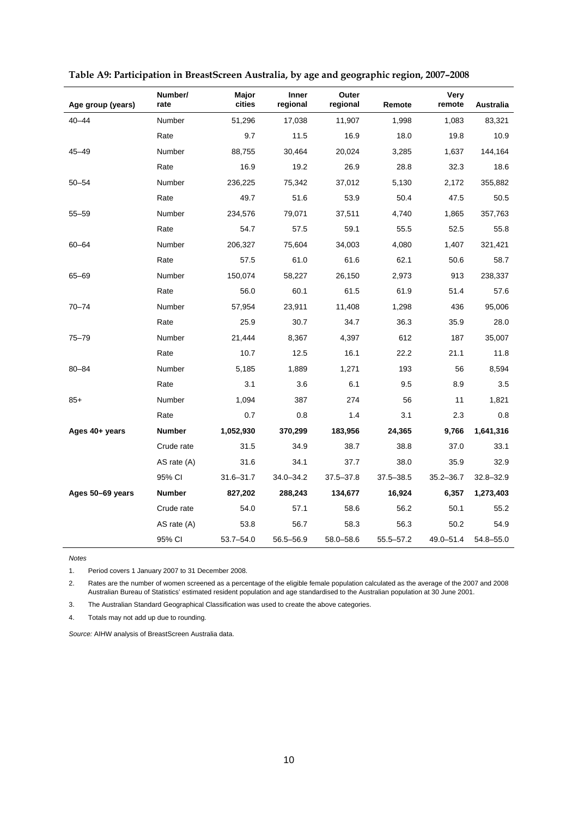| Age group (years) | Number/<br>rate | Major<br>cities | Inner<br>regional | Outer<br>regional | Remote        | Very<br>remote | Australia     |
|-------------------|-----------------|-----------------|-------------------|-------------------|---------------|----------------|---------------|
| $40 - 44$         | Number          | 51,296          | 17,038            | 11,907            | 1,998         | 1,083          | 83,321        |
|                   | Rate            | 9.7             | 11.5              | 16.9              | 18.0          | 19.8           | 10.9          |
| $45 - 49$         | Number          | 88,755          | 30,464            | 20,024            | 3,285         | 1,637          | 144,164       |
|                   | Rate            | 16.9            | 19.2              | 26.9              | 28.8          | 32.3           | 18.6          |
| $50 - 54$         | Number          | 236,225         | 75,342            | 37,012            | 5,130         | 2,172          | 355,882       |
|                   | Rate            | 49.7            | 51.6              | 53.9              | 50.4          | 47.5           | 50.5          |
| $55 - 59$         | Number          | 234,576         | 79,071            | 37,511            | 4,740         | 1,865          | 357,763       |
|                   | Rate            | 54.7            | 57.5              | 59.1              | 55.5          | 52.5           | 55.8          |
| $60 - 64$         | Number          | 206,327         | 75,604            | 34,003            | 4,080         | 1,407          | 321,421       |
|                   | Rate            | 57.5            | 61.0              | 61.6              | 62.1          | 50.6           | 58.7          |
| 65-69             | Number          | 150,074         | 58,227            | 26,150            | 2,973         | 913            | 238,337       |
|                   | Rate            | 56.0            | 60.1              | 61.5              | 61.9          | 51.4           | 57.6          |
| $70 - 74$         | Number          | 57,954          | 23,911            | 11,408            | 1,298         | 436            | 95,006        |
|                   | Rate            | 25.9            | 30.7              | 34.7              | 36.3          | 35.9           | 28.0          |
| $75 - 79$         | Number          | 21,444          | 8,367             | 4,397             | 612           | 187            | 35,007        |
|                   | Rate            | 10.7            | 12.5              | 16.1              | 22.2          | 21.1           | 11.8          |
| 80-84             | Number          | 5,185           | 1,889             | 1,271             | 193           | 56             | 8,594         |
|                   | Rate            | 3.1             | 3.6               | 6.1               | 9.5           | 8.9            | 3.5           |
| $85+$             | Number          | 1,094           | 387               | 274               | 56            | 11             | 1,821         |
|                   | Rate            | 0.7             | 0.8               | 1.4               | 3.1           | 2.3            | 0.8           |
| Ages 40+ years    | <b>Number</b>   | 1,052,930       | 370,299           | 183,956           | 24,365        | 9,766          | 1,641,316     |
|                   | Crude rate      | 31.5            | 34.9              | 38.7              | 38.8          | 37.0           | 33.1          |
|                   | AS rate (A)     | 31.6            | 34.1              | 37.7              | 38.0          | 35.9           | 32.9          |
|                   | 95% CI          | $31.6 - 31.7$   | $34.0 - 34.2$     | $37.5 - 37.8$     | $37.5 - 38.5$ | $35.2 - 36.7$  | $32.8 - 32.9$ |
| Ages 50-69 years  | <b>Number</b>   | 827,202         | 288,243           | 134,677           | 16,924        | 6,357          | 1,273,403     |
|                   | Crude rate      | 54.0            | 57.1              | 58.6              | 56.2          | 50.1           | 55.2          |
|                   | AS rate (A)     | 53.8            | 56.7              | 58.3              | 56.3          | 50.2           | 54.9          |
|                   | 95% CI          | $53.7 - 54.0$   | 56.5-56.9         | 58.0-58.6         | $55.5 - 57.2$ | 49.0-51.4      | 54.8-55.0     |

| Table A9: Participation in BreastScreen Australia, by age and geographic region, 2007-2008 |  |  |
|--------------------------------------------------------------------------------------------|--|--|
|                                                                                            |  |  |

1. Period covers 1 January 2007 to 31 December 2008.

2. Rates are the number of women screened as a percentage of the eligible female population calculated as the average of the 2007 and 2008 Australian Bureau of Statistics' estimated resident population and age standardised to the Australian population at 30 June 2001.

3. The Australian Standard Geographical Classification was used to create the above categories.

4. Totals may not add up due to rounding.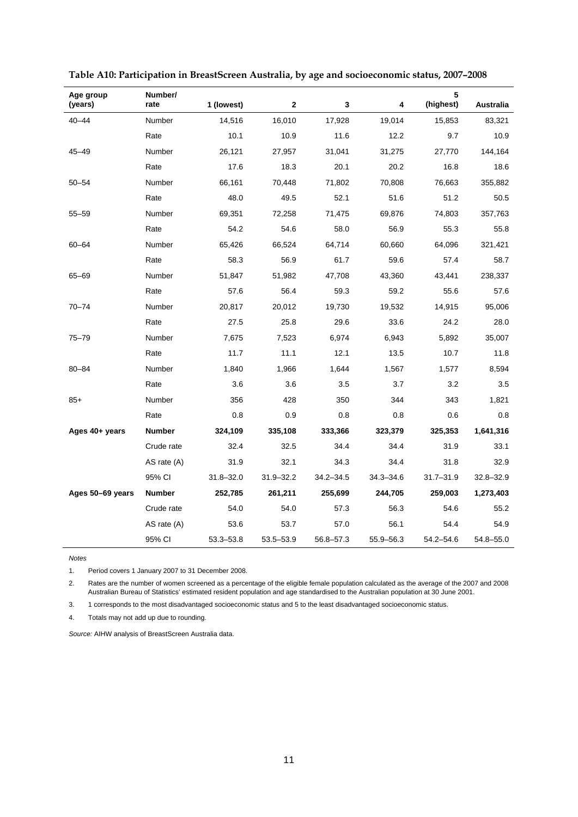| Age group<br>(years) | Number/<br>rate | 1 (lowest)    | $\mathbf{2}$ | 3             | 4             | 5<br>(highest) | <b>Australia</b> |
|----------------------|-----------------|---------------|--------------|---------------|---------------|----------------|------------------|
| $40 - 44$            | Number          | 14,516        | 16,010       | 17,928        | 19,014        | 15,853         | 83,321           |
|                      | Rate            | 10.1          | 10.9         | 11.6          | 12.2          | 9.7            | 10.9             |
| 45-49                | Number          | 26,121        | 27,957       | 31,041        | 31,275        | 27,770         | 144,164          |
|                      | Rate            | 17.6          | 18.3         | 20.1          | 20.2          | 16.8           | 18.6             |
| $50 - 54$            | Number          | 66,161        | 70,448       | 71,802        | 70,808        | 76,663         | 355,882          |
|                      | Rate            | 48.0          | 49.5         | 52.1          | 51.6          | 51.2           | 50.5             |
| $55 - 59$            | Number          | 69,351        | 72,258       | 71,475        | 69,876        | 74,803         | 357,763          |
|                      | Rate            | 54.2          | 54.6         | 58.0          | 56.9          | 55.3           | 55.8             |
| $60 - 64$            | Number          | 65,426        | 66,524       | 64,714        | 60,660        | 64,096         | 321,421          |
|                      | Rate            | 58.3          | 56.9         | 61.7          | 59.6          | 57.4           | 58.7             |
| 65-69                | Number          | 51,847        | 51,982       | 47,708        | 43,360        | 43,441         | 238,337          |
|                      | Rate            | 57.6          | 56.4         | 59.3          | 59.2          | 55.6           | 57.6             |
| $70 - 74$            | Number          | 20,817        | 20,012       | 19,730        | 19,532        | 14,915         | 95,006           |
|                      | Rate            | 27.5          | 25.8         | 29.6          | 33.6          | 24.2           | 28.0             |
| $75 - 79$            | Number          | 7,675         | 7,523        | 6,974         | 6,943         | 5,892          | 35,007           |
|                      | Rate            | 11.7          | 11.1         | 12.1          | 13.5          | 10.7           | 11.8             |
| $80 - 84$            | Number          | 1,840         | 1,966        | 1,644         | 1,567         | 1,577          | 8,594            |
|                      | Rate            | 3.6           | 3.6          | 3.5           | 3.7           | 3.2            | 3.5              |
| $85+$                | Number          | 356           | 428          | 350           | 344           | 343            | 1,821            |
|                      | Rate            | 0.8           | 0.9          | 0.8           | 0.8           | 0.6            | 0.8              |
| Ages 40+ years       | <b>Number</b>   | 324,109       | 335,108      | 333,366       | 323,379       | 325,353        | 1,641,316        |
|                      | Crude rate      | 32.4          | 32.5         | 34.4          | 34.4          | 31.9           | 33.1             |
|                      | AS rate (A)     | 31.9          | 32.1         | 34.3          | 34.4          | 31.8           | 32.9             |
|                      | 95% CI          | $31.8 - 32.0$ | 31.9-32.2    | $34.2 - 34.5$ | $34.3 - 34.6$ | $31.7 - 31.9$  | $32.8 - 32.9$    |
| Ages 50-69 years     | <b>Number</b>   | 252,785       | 261,211      | 255,699       | 244,705       | 259,003        | 1,273,403        |
|                      | Crude rate      | 54.0          | 54.0         | 57.3          | 56.3          | 54.6           | 55.2             |
|                      | AS rate (A)     | 53.6          | 53.7         | 57.0          | 56.1          | 54.4           | 54.9             |
|                      | 95% CI          | 53.3-53.8     | 53.5 - 53.9  | 56.8-57.3     | 55.9 - 56.3   | 54.2-54.6      | 54.8-55.0        |

| Table A10: Participation in BreastScreen Australia, by age and socioeconomic status, 2007-2008 |  |  |
|------------------------------------------------------------------------------------------------|--|--|
|                                                                                                |  |  |

1. Period covers 1 January 2007 to 31 December 2008.

2. Rates are the number of women screened as a percentage of the eligible female population calculated as the average of the 2007 and 2008 Australian Bureau of Statistics' estimated resident population and age standardised to the Australian population at 30 June 2001.

3. 1 corresponds to the most disadvantaged socioeconomic status and 5 to the least disadvantaged socioeconomic status.

4. Totals may not add up due to rounding.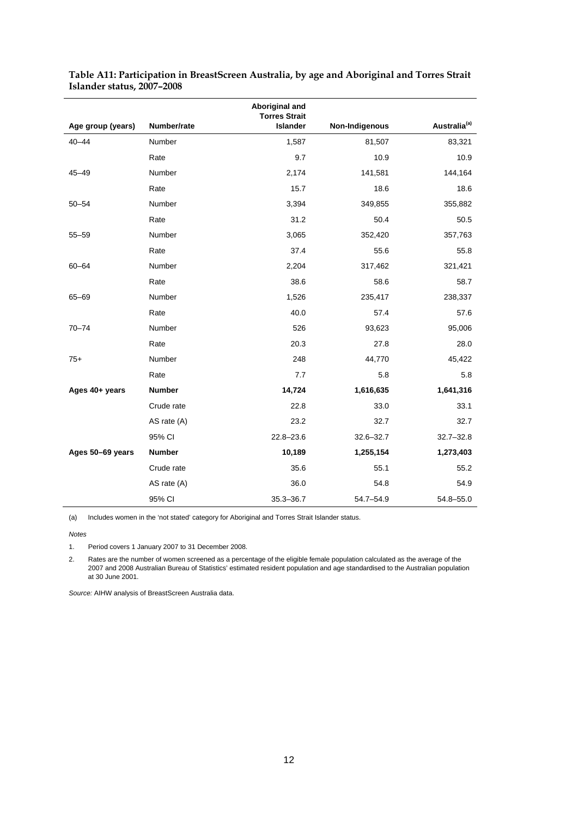|                   |               | Aboriginal and<br><b>Torres Strait</b> |                |                          |
|-------------------|---------------|----------------------------------------|----------------|--------------------------|
| Age group (years) | Number/rate   | <b>Islander</b>                        | Non-Indigenous | Australia <sup>(a)</sup> |
| $40 - 44$         | Number        | 1,587                                  | 81,507         | 83,321                   |
|                   | Rate          | 9.7                                    | 10.9           | 10.9                     |
| $45 - 49$         | Number        | 2,174                                  | 141,581        | 144,164                  |
|                   | Rate          | 15.7                                   | 18.6           | 18.6                     |
| $50 - 54$         | Number        | 3,394                                  | 349,855        | 355,882                  |
|                   | Rate          | 31.2                                   | 50.4           | 50.5                     |
| $55 - 59$         | Number        | 3,065                                  | 352,420        | 357,763                  |
|                   | Rate          | 37.4                                   | 55.6           | 55.8                     |
| $60 - 64$         | Number        | 2,204                                  | 317,462        | 321,421                  |
|                   | Rate          | 38.6                                   | 58.6           | 58.7                     |
| $65 - 69$         | Number        | 1,526                                  | 235,417        | 238,337                  |
|                   | Rate          | 40.0                                   | 57.4           | 57.6                     |
| $70 - 74$         | Number        | 526                                    | 93,623         | 95,006                   |
|                   | Rate          | 20.3                                   | 27.8           | 28.0                     |
| $75+$             | Number        | 248                                    | 44,770         | 45,422                   |
|                   | Rate          | 7.7                                    | 5.8            | 5.8                      |
| Ages 40+ years    | <b>Number</b> | 14,724                                 | 1,616,635      | 1,641,316                |
|                   | Crude rate    | 22.8                                   | 33.0           | 33.1                     |
|                   | AS rate (A)   | 23.2                                   | 32.7           | 32.7                     |
|                   | 95% CI        | $22.8 - 23.6$                          | $32.6 - 32.7$  | $32.7 - 32.8$            |
| Ages 50-69 years  | <b>Number</b> | 10,189                                 | 1,255,154      | 1,273,403                |
|                   | Crude rate    | 35.6                                   | 55.1           | 55.2                     |
|                   | AS rate (A)   | 36.0                                   | 54.8           | 54.9                     |
|                   | 95% CI        | $35.3 - 36.7$                          | 54.7-54.9      | 54.8-55.0                |

| Table A11: Participation in BreastScreen Australia, by age and Aboriginal and Torres Strait |  |
|---------------------------------------------------------------------------------------------|--|
| Islander status, 2007–2008                                                                  |  |

(a) Includes women in the 'not stated' category for Aboriginal and Torres Strait Islander status.

*Notes* 

1. Period covers 1 January 2007 to 31 December 2008.

2. Rates are the number of women screened as a percentage of the eligible female population calculated as the average of the 2007 and 2008 Australian Bureau of Statistics' estimated resident population and age standardised to the Australian population at 30 June 2001.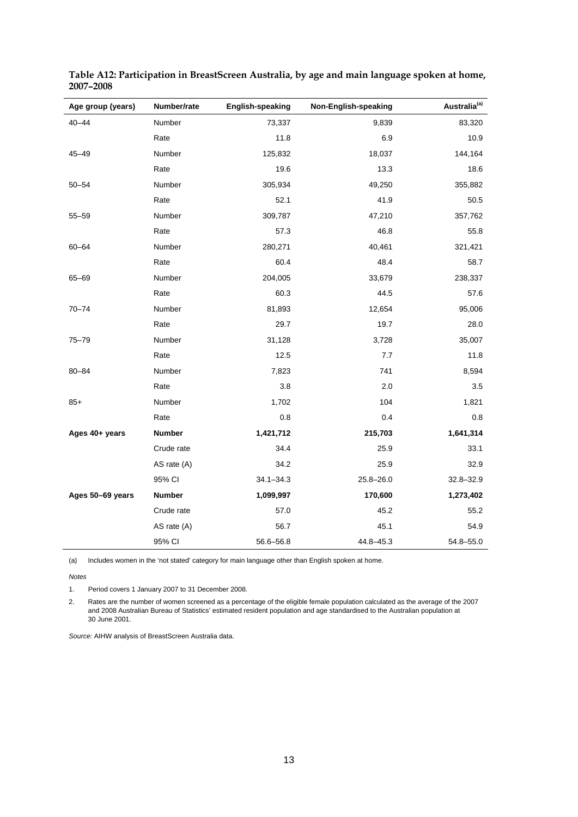| Age group (years) | Number/rate   | <b>English-speaking</b> | Non-English-speaking | Australia <sup>(a)</sup> |
|-------------------|---------------|-------------------------|----------------------|--------------------------|
| $40 - 44$         | Number        | 73,337                  | 9,839                | 83,320                   |
|                   | Rate          | 11.8                    | 6.9                  | 10.9                     |
| $45 - 49$         | Number        | 125,832                 | 18,037               | 144,164                  |
|                   | Rate          | 19.6                    | 13.3                 | 18.6                     |
| $50 - 54$         | Number        | 305,934                 | 49,250               | 355,882                  |
|                   | Rate          | 52.1                    | 41.9                 | 50.5                     |
| $55 - 59$         | Number        | 309,787                 | 47,210               | 357,762                  |
|                   | Rate          | 57.3                    | 46.8                 | 55.8                     |
| $60 - 64$         | Number        | 280,271                 | 40,461               | 321,421                  |
|                   | Rate          | 60.4                    | 48.4                 | 58.7                     |
| 65-69             | Number        | 204,005                 | 33,679               | 238,337                  |
|                   | Rate          | 60.3                    | 44.5                 | 57.6                     |
| $70 - 74$         | Number        | 81,893                  | 12,654               | 95,006                   |
|                   | Rate          | 29.7                    | 19.7                 | 28.0                     |
| $75 - 79$         | Number        | 31,128                  | 3,728                | 35,007                   |
|                   | Rate          | 12.5                    | 7.7                  | 11.8                     |
| $80 - 84$         | Number        | 7,823                   | 741                  | 8,594                    |
|                   | Rate          | 3.8                     | 2.0                  | 3.5                      |
| $85+$             | Number        | 1,702                   | 104                  | 1,821                    |
|                   | Rate          | 0.8                     | 0.4                  | 0.8                      |
| Ages 40+ years    | Number        | 1,421,712               | 215,703              | 1,641,314                |
|                   | Crude rate    | 34.4                    | 25.9                 | 33.1                     |
|                   | AS rate (A)   | 34.2                    | 25.9                 | 32.9                     |
|                   | 95% CI        | $34.1 - 34.3$           | $25.8 - 26.0$        | 32.8-32.9                |
| Ages 50-69 years  | <b>Number</b> | 1,099,997               | 170,600              | 1,273,402                |
|                   | Crude rate    | 57.0                    | 45.2                 | 55.2                     |
|                   | AS rate (A)   | 56.7                    | 45.1                 | 54.9                     |
|                   | 95% CI        | 56.6-56.8               | 44.8-45.3            | 54.8-55.0                |

**Table A12: Participation in BreastScreen Australia, by age and main language spoken at home, 2007–2008** 

(a) Includes women in the 'not stated' category for main language other than English spoken at home.

*Notes* 

1. Period covers 1 January 2007 to 31 December 2008.

2. Rates are the number of women screened as a percentage of the eligible female population calculated as the average of the 2007 and 2008 Australian Bureau of Statistics' estimated resident population and age standardised to the Australian population at 30 June 2001.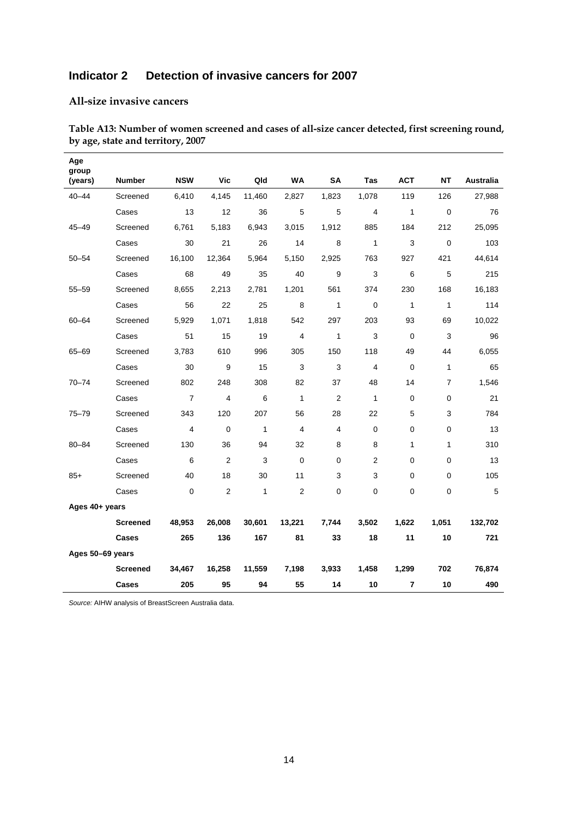## **Indicator 2 Detection of invasive cancers for 2007**

#### **All-size invasive cancers**

| Age              |                 |                |                |              |                |                |                |              |                |                  |
|------------------|-----------------|----------------|----------------|--------------|----------------|----------------|----------------|--------------|----------------|------------------|
| group<br>(years) | <b>Number</b>   | <b>NSW</b>     | Vic            | Qld          | <b>WA</b>      | SA             | Tas            | <b>ACT</b>   | <b>NT</b>      | <b>Australia</b> |
| $40 - 44$        | Screened        | 6,410          | 4,145          | 11,460       | 2,827          | 1,823          | 1,078          | 119          | 126            | 27,988           |
|                  | Cases           | 13             | 12             | 36           | 5              | $\sqrt{5}$     | $\overline{4}$ | $\mathbf{1}$ | $\mathbf 0$    | 76               |
| $45 - 49$        | Screened        | 6,761          | 5,183          | 6,943        | 3,015          | 1,912          | 885            | 184          | 212            | 25,095           |
|                  | Cases           | 30             | 21             | 26           | 14             | 8              | $\mathbf{1}$   | 3            | $\mathbf 0$    | 103              |
| $50 - 54$        | Screened        | 16,100         | 12,364         | 5,964        | 5,150          | 2,925          | 763            | 927          | 421            | 44,614           |
|                  | Cases           | 68             | 49             | 35           | 40             | 9              | 3              | 6            | 5              | 215              |
| $55 - 59$        | Screened        | 8,655          | 2,213          | 2,781        | 1,201          | 561            | 374            | 230          | 168            | 16,183           |
|                  | Cases           | 56             | 22             | 25           | 8              | $\mathbf{1}$   | $\mathbf 0$    | $\mathbf{1}$ | $\mathbf{1}$   | 114              |
| $60 - 64$        | Screened        | 5,929          | 1,071          | 1,818        | 542            | 297            | 203            | 93           | 69             | 10,022           |
|                  | Cases           | 51             | 15             | 19           | 4              | $\mathbf{1}$   | $\mathsf 3$    | $\mathbf 0$  | 3              | 96               |
| 65-69            | Screened        | 3,783          | 610            | 996          | 305            | 150            | 118            | 49           | 44             | 6,055            |
|                  | Cases           | 30             | 9              | 15           | 3              | 3              | $\overline{4}$ | $\Omega$     | $\mathbf{1}$   | 65               |
| $70 - 74$        | Screened        | 802            | 248            | 308          | 82             | 37             | 48             | 14           | $\overline{7}$ | 1,546            |
|                  | Cases           | $\overline{7}$ | $\overline{4}$ | 6            | $\mathbf{1}$   | $\overline{2}$ | $\mathbf{1}$   | $\mathbf 0$  | 0              | 21               |
| $75 - 79$        | Screened        | 343            | 120            | 207          | 56             | 28             | 22             | 5            | 3              | 784              |
|                  | Cases           | $\overline{4}$ | $\Omega$       | $\mathbf{1}$ | $\overline{4}$ | 4              | $\Omega$       | $\mathbf{0}$ | $\Omega$       | 13               |
| $80 - 84$        | Screened        | 130            | 36             | 94           | 32             | 8              | 8              | 1            | $\mathbf{1}$   | 310              |
|                  | Cases           | 6              | 2              | 3            | 0              | 0              | $\overline{2}$ | 0            | 0              | 13               |
| $85+$            | Screened        | 40             | 18             | 30           | 11             | 3              | 3              | $\Omega$     | 0              | 105              |
|                  | Cases           | $\mathbf 0$    | 2              | $\mathbf{1}$ | $\overline{c}$ | $\mathbf 0$    | 0              | 0            | 0              | 5                |
| Ages 40+ years   |                 |                |                |              |                |                |                |              |                |                  |
|                  | <b>Screened</b> | 48,953         | 26,008         | 30,601       | 13,221         | 7,744          | 3,502          | 1,622        | 1,051          | 132,702          |
|                  | Cases           | 265            | 136            | 167          | 81             | 33             | 18             | 11           | 10             | 721              |
| Ages 50-69 years |                 |                |                |              |                |                |                |              |                |                  |
|                  | <b>Screened</b> | 34,467         | 16,258         | 11,559       | 7,198          | 3,933          | 1,458          | 1,299        | 702            | 76,874           |
|                  | Cases           | 205            | 95             | 94           | 55             | 14             | 10             | 7            | 10             | 490              |

**Table A13: Number of women screened and cases of all-size cancer detected, first screening round, by age, state and territory, 2007**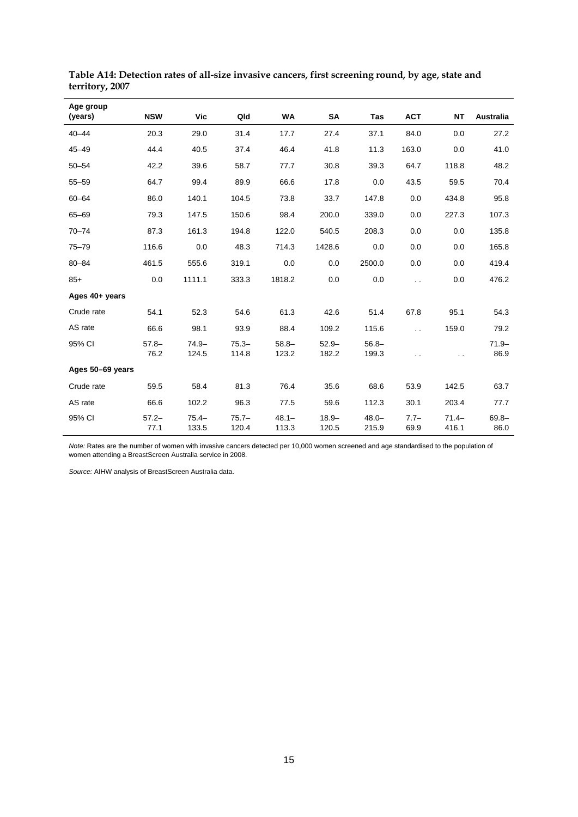| Age group<br>(years) | <b>NSW</b>       | Vic               | Qld               | <b>WA</b>         | SA                | Tas               | <b>ACT</b>           | <b>NT</b>         | Australia        |
|----------------------|------------------|-------------------|-------------------|-------------------|-------------------|-------------------|----------------------|-------------------|------------------|
| $40 - 44$            | 20.3             | 29.0              | 31.4              | 17.7              | 27.4              | 37.1              | 84.0                 | 0.0               | 27.2             |
| $45 - 49$            | 44.4             | 40.5              | 37.4              | 46.4              | 41.8              | 11.3              | 163.0                | 0.0               | 41.0             |
| $50 - 54$            | 42.2             | 39.6              | 58.7              | 77.7              | 30.8              | 39.3              | 64.7                 | 118.8             | 48.2             |
| $55 - 59$            | 64.7             | 99.4              | 89.9              | 66.6              | 17.8              | 0.0               | 43.5                 | 59.5              | 70.4             |
| $60 - 64$            | 86.0             | 140.1             | 104.5             | 73.8              | 33.7              | 147.8             | 0.0                  | 434.8             | 95.8             |
| $65 - 69$            | 79.3             | 147.5             | 150.6             | 98.4              | 200.0             | 339.0             | 0.0                  | 227.3             | 107.3            |
| $70 - 74$            | 87.3             | 161.3             | 194.8             | 122.0             | 540.5             | 208.3             | 0.0                  | 0.0               | 135.8            |
| $75 - 79$            | 116.6            | 0.0               | 48.3              | 714.3             | 1428.6            | 0.0               | 0.0                  | 0.0               | 165.8            |
| $80 - 84$            | 461.5            | 555.6             | 319.1             | 0.0               | 0.0               | 2500.0            | 0.0                  | 0.0               | 419.4            |
| $85+$                | 0.0              | 1111.1            | 333.3             | 1818.2            | 0.0               | 0.0               | $\ddot{\phantom{0}}$ | 0.0               | 476.2            |
| Ages 40+ years       |                  |                   |                   |                   |                   |                   |                      |                   |                  |
| Crude rate           | 54.1             | 52.3              | 54.6              | 61.3              | 42.6              | 51.4              | 67.8                 | 95.1              | 54.3             |
| AS rate              | 66.6             | 98.1              | 93.9              | 88.4              | 109.2             | 115.6             | $\ddot{\phantom{0}}$ | 159.0             | 79.2             |
| 95% CI               | $57.8 -$<br>76.2 | $74.9 -$<br>124.5 | $75.3 -$<br>114.8 | $58.8 -$<br>123.2 | $52.9 -$<br>182.2 | $56.8 -$<br>199.3 | $\ddot{\phantom{a}}$ | $\ddotsc$         | $71.9 -$<br>86.9 |
| Ages 50-69 years     |                  |                   |                   |                   |                   |                   |                      |                   |                  |
| Crude rate           | 59.5             | 58.4              | 81.3              | 76.4              | 35.6              | 68.6              | 53.9                 | 142.5             | 63.7             |
| AS rate              | 66.6             | 102.2             | 96.3              | 77.5              | 59.6              | 112.3             | 30.1                 | 203.4             | 77.7             |
| 95% CI               | $57.2 -$<br>77.1 | $75.4 -$<br>133.5 | $75.7 -$<br>120.4 | $48.1 -$<br>113.3 | $18.9 -$<br>120.5 | $48.0 -$<br>215.9 | $7.7-$<br>69.9       | $71.4 -$<br>416.1 | $69.8 -$<br>86.0 |

**Table A14: Detection rates of all-size invasive cancers, first screening round, by age, state and territory, 2007**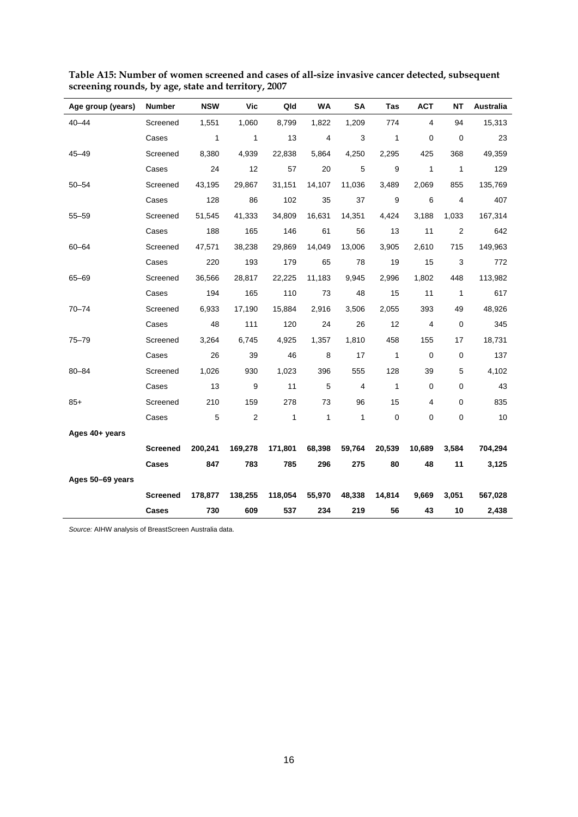| Age group (years) | <b>Number</b>   | <b>NSW</b>   | Vic            | Qld          | WA           | SΑ             | Tas          | <b>ACT</b>   | <b>NT</b>      | Australia |
|-------------------|-----------------|--------------|----------------|--------------|--------------|----------------|--------------|--------------|----------------|-----------|
| $40 - 44$         | Screened        | 1,551        | 1,060          | 8,799        | 1,822        | 1,209          | 774          | 4            | 94             | 15,313    |
|                   | Cases           | $\mathbf{1}$ | $\mathbf{1}$   | 13           | 4            | 3              | $\mathbf{1}$ | 0            | 0              | 23        |
| 45-49             | Screened        | 8,380        | 4,939          | 22,838       | 5,864        | 4,250          | 2,295        | 425          | 368            | 49,359    |
|                   | Cases           | 24           | 12             | 57           | 20           | 5              | 9            | $\mathbf{1}$ | $\mathbf{1}$   | 129       |
| $50 - 54$         | Screened        | 43,195       | 29,867         | 31,151       | 14,107       | 11,036         | 3,489        | 2,069        | 855            | 135,769   |
|                   | Cases           | 128          | 86             | 102          | 35           | 37             | 9            | 6            | 4              | 407       |
| $55 - 59$         | Screened        | 51,545       | 41,333         | 34,809       | 16,631       | 14,351         | 4,424        | 3,188        | 1,033          | 167,314   |
|                   | Cases           | 188          | 165            | 146          | 61           | 56             | 13           | 11           | $\overline{2}$ | 642       |
| 60-64             | Screened        | 47,571       | 38,238         | 29,869       | 14,049       | 13,006         | 3,905        | 2,610        | 715            | 149,963   |
|                   | Cases           | 220          | 193            | 179          | 65           | 78             | 19           | 15           | 3              | 772       |
| $65 - 69$         | Screened        | 36,566       | 28,817         | 22,225       | 11,183       | 9,945          | 2,996        | 1,802        | 448            | 113,982   |
|                   | Cases           | 194          | 165            | 110          | 73           | 48             | 15           | 11           | $\mathbf{1}$   | 617       |
| $70 - 74$         | Screened        | 6,933        | 17,190         | 15,884       | 2,916        | 3,506          | 2,055        | 393          | 49             | 48,926    |
|                   | Cases           | 48           | 111            | 120          | 24           | 26             | 12           | 4            | 0              | 345       |
| $75 - 79$         | Screened        | 3,264        | 6,745          | 4,925        | 1,357        | 1,810          | 458          | 155          | 17             | 18,731    |
|                   | Cases           | 26           | 39             | 46           | 8            | 17             | $\mathbf{1}$ | $\mathbf 0$  | 0              | 137       |
| 80-84             | Screened        | 1,026        | 930            | 1,023        | 396          | 555            | 128          | 39           | 5              | 4,102     |
|                   | Cases           | 13           | 9              | 11           | 5            | $\overline{4}$ | $\mathbf{1}$ | 0            | 0              | 43        |
| $85+$             | Screened        | 210          | 159            | 278          | 73           | 96             | 15           | 4            | 0              | 835       |
|                   | Cases           | 5            | $\overline{c}$ | $\mathbf{1}$ | $\mathbf{1}$ | $\mathbf{1}$   | $\mathbf 0$  | 0            | $\pmb{0}$      | 10        |
| Ages 40+ years    |                 |              |                |              |              |                |              |              |                |           |
|                   | <b>Screened</b> | 200,241      | 169,278        | 171,801      | 68,398       | 59,764         | 20,539       | 10,689       | 3,584          | 704,294   |
|                   | Cases           | 847          | 783            | 785          | 296          | 275            | 80           | 48           | 11             | 3,125     |
| Ages 50-69 years  |                 |              |                |              |              |                |              |              |                |           |
|                   | <b>Screened</b> | 178,877      | 138,255        | 118,054      | 55,970       | 48,338         | 14,814       | 9,669        | 3,051          | 567,028   |
|                   | Cases           | 730          | 609            | 537          | 234          | 219            | 56           | 43           | 10             | 2,438     |

**Table A15: Number of women screened and cases of all-size invasive cancer detected, subsequent screening rounds, by age, state and territory, 2007**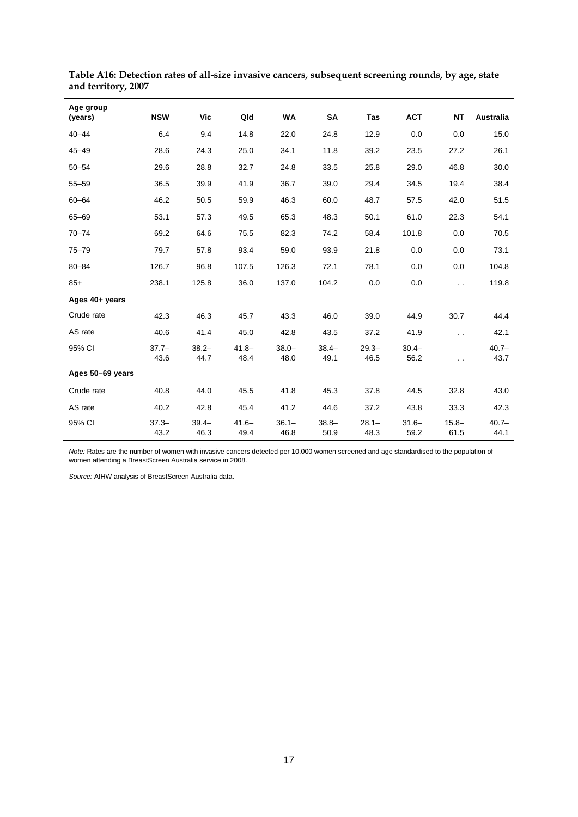| Age group<br>(years) | <b>NSW</b>       | <b>Vic</b>       | Qld              | <b>WA</b>        | <b>SA</b>        | Tas              | <b>ACT</b>       | <b>NT</b>            | Australia        |
|----------------------|------------------|------------------|------------------|------------------|------------------|------------------|------------------|----------------------|------------------|
| $40 - 44$            | 6.4              | 9.4              | 14.8             | 22.0             | 24.8             | 12.9             | 0.0              | 0.0                  | 15.0             |
| $45 - 49$            | 28.6             | 24.3             | 25.0             | 34.1             | 11.8             | 39.2             | 23.5             | 27.2                 | 26.1             |
| $50 - 54$            | 29.6             | 28.8             | 32.7             | 24.8             | 33.5             | 25.8             | 29.0             | 46.8                 | 30.0             |
| $55 - 59$            | 36.5             | 39.9             | 41.9             | 36.7             | 39.0             | 29.4             | 34.5             | 19.4                 | 38.4             |
| $60 - 64$            | 46.2             | 50.5             | 59.9             | 46.3             | 60.0             | 48.7             | 57.5             | 42.0                 | 51.5             |
| 65-69                | 53.1             | 57.3             | 49.5             | 65.3             | 48.3             | 50.1             | 61.0             | 22.3                 | 54.1             |
| $70 - 74$            | 69.2             | 64.6             | 75.5             | 82.3             | 74.2             | 58.4             | 101.8            | 0.0                  | 70.5             |
| $75 - 79$            | 79.7             | 57.8             | 93.4             | 59.0             | 93.9             | 21.8             | 0.0              | 0.0                  | 73.1             |
| $80 - 84$            | 126.7            | 96.8             | 107.5            | 126.3            | 72.1             | 78.1             | 0.0              | 0.0                  | 104.8            |
| $85+$                | 238.1            | 125.8            | 36.0             | 137.0            | 104.2            | 0.0              | 0.0              | $\ddot{\phantom{0}}$ | 119.8            |
| Ages 40+ years       |                  |                  |                  |                  |                  |                  |                  |                      |                  |
| Crude rate           | 42.3             | 46.3             | 45.7             | 43.3             | 46.0             | 39.0             | 44.9             | 30.7                 | 44.4             |
| AS rate              | 40.6             | 41.4             | 45.0             | 42.8             | 43.5             | 37.2             | 41.9             | $\ddot{\phantom{0}}$ | 42.1             |
| 95% CI               | $37.7 -$<br>43.6 | $38.2 -$<br>44.7 | $41.8 -$<br>48.4 | $38.0 -$<br>48.0 | $38.4 -$<br>49.1 | $29.3 -$<br>46.5 | $30.4 -$<br>56.2 | $\ddot{\phantom{0}}$ | $40.7 -$<br>43.7 |
| Ages 50-69 years     |                  |                  |                  |                  |                  |                  |                  |                      |                  |
| Crude rate           | 40.8             | 44.0             | 45.5             | 41.8             | 45.3             | 37.8             | 44.5             | 32.8                 | 43.0             |
| AS rate              | 40.2             | 42.8             | 45.4             | 41.2             | 44.6             | 37.2             | 43.8             | 33.3                 | 42.3             |
| 95% CI               | $37.3 -$<br>43.2 | $39.4 -$<br>46.3 | $41.6 -$<br>49.4 | $36.1 -$<br>46.8 | $38.8 -$<br>50.9 | $28.1 -$<br>48.3 | $31.6 -$<br>59.2 | $15.8 -$<br>61.5     | $40.7 -$<br>44.1 |

**Table A16: Detection rates of all-size invasive cancers, subsequent screening rounds, by age, state and territory, 2007**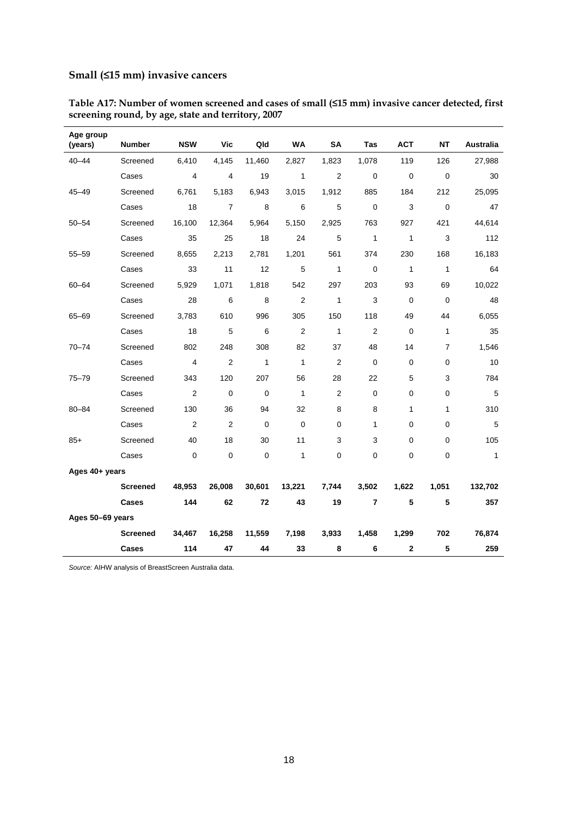### **Small (≤15 mm) invasive cancers**

| Age group<br>(years) | <b>Number</b>   | <b>NSW</b>     | Vic            | Qld          | <b>WA</b>      | <b>SA</b>      | <b>Tas</b>     | <b>ACT</b>   | NΤ             | <b>Australia</b> |
|----------------------|-----------------|----------------|----------------|--------------|----------------|----------------|----------------|--------------|----------------|------------------|
| $40 - 44$            | Screened        | 6,410          | 4,145          | 11,460       | 2,827          | 1,823          | 1,078          | 119          | 126            | 27,988           |
|                      | Cases           | 4              | 4              | 19           | $\mathbf{1}$   | 2              | $\mathbf 0$    | $\mathbf 0$  | $\mathbf 0$    | 30               |
| $45 - 49$            | Screened        | 6,761          | 5,183          | 6,943        | 3,015          | 1,912          | 885            | 184          | 212            | 25,095           |
|                      | Cases           | 18             | $\overline{7}$ | 8            | 6              | 5              | 0              | 3            | $\Omega$       | 47               |
| $50 - 54$            | Screened        | 16,100         | 12,364         | 5,964        | 5,150          | 2,925          | 763            | 927          | 421            | 44,614           |
|                      | Cases           | 35             | 25             | 18           | 24             | 5              | $\mathbf{1}$   | $\mathbf{1}$ | 3              | 112              |
| $55 - 59$            | Screened        | 8,655          | 2,213          | 2,781        | 1,201          | 561            | 374            | 230          | 168            | 16,183           |
|                      | Cases           | 33             | 11             | 12           | 5              | $\mathbf{1}$   | 0              | $\mathbf{1}$ | $\mathbf{1}$   | 64               |
| 60-64                | Screened        | 5,929          | 1,071          | 1,818        | 542            | 297            | 203            | 93           | 69             | 10,022           |
|                      | Cases           | 28             | 6              | 8            | 2              | $\mathbf{1}$   | 3              | $\mathbf 0$  | $\mathbf 0$    | 48               |
| $65 - 69$            | Screened        | 3,783          | 610            | 996          | 305            | 150            | 118            | 49           | 44             | 6,055            |
|                      | Cases           | 18             | 5              | 6            | $\overline{2}$ | $\mathbf{1}$   | $\overline{2}$ | 0            | 1              | 35               |
| $70 - 74$            | Screened        | 802            | 248            | 308          | 82             | 37             | 48             | 14           | $\overline{7}$ | 1,546            |
|                      | Cases           | 4              | $\overline{2}$ | $\mathbf{1}$ | $\mathbf{1}$   | 2              | 0              | 0            | 0              | 10               |
| $75 - 79$            | Screened        | 343            | 120            | 207          | 56             | 28             | 22             | 5            | 3              | 784              |
|                      | Cases           | $\overline{2}$ | $\mathbf 0$    | $\mathbf 0$  | $\mathbf{1}$   | $\overline{2}$ | $\pmb{0}$      | $\pmb{0}$    | 0              | 5                |
| $80 - 84$            | Screened        | 130            | 36             | 94           | 32             | 8              | 8              | $\mathbf{1}$ | 1              | 310              |
|                      | Cases           | $\overline{2}$ | $\overline{2}$ | $\mathbf 0$  | $\mathbf 0$    | $\mathbf 0$    | 1              | 0            | 0              | 5                |
| $85+$                | Screened        | 40             | 18             | 30           | 11             | 3              | 3              | 0            | $\mathbf 0$    | 105              |
|                      | Cases           | $\mathbf 0$    | $\mathbf 0$    | 0            | $\mathbf{1}$   | $\mathbf 0$    | 0              | 0            | 0              | $\mathbf{1}$     |
| Ages 40+ years       |                 |                |                |              |                |                |                |              |                |                  |
|                      | <b>Screened</b> | 48,953         | 26,008         | 30,601       | 13,221         | 7,744          | 3,502          | 1,622        | 1,051          | 132,702          |
|                      | Cases           | 144            | 62             | 72           | 43             | 19             | $\overline{7}$ | 5            | 5              | 357              |
| Ages 50-69 years     |                 |                |                |              |                |                |                |              |                |                  |
|                      | <b>Screened</b> | 34,467         | 16,258         | 11,559       | 7,198          | 3,933          | 1,458          | 1,299        | 702            | 76,874           |
|                      | Cases           | 114            | 47             | 44           | 33             | 8              | 6              | $\mathbf 2$  | 5              | 259              |

**Table A17: Number of women screened and cases of small (≤15 mm) invasive cancer detected, first screening round, by age, state and territory, 2007**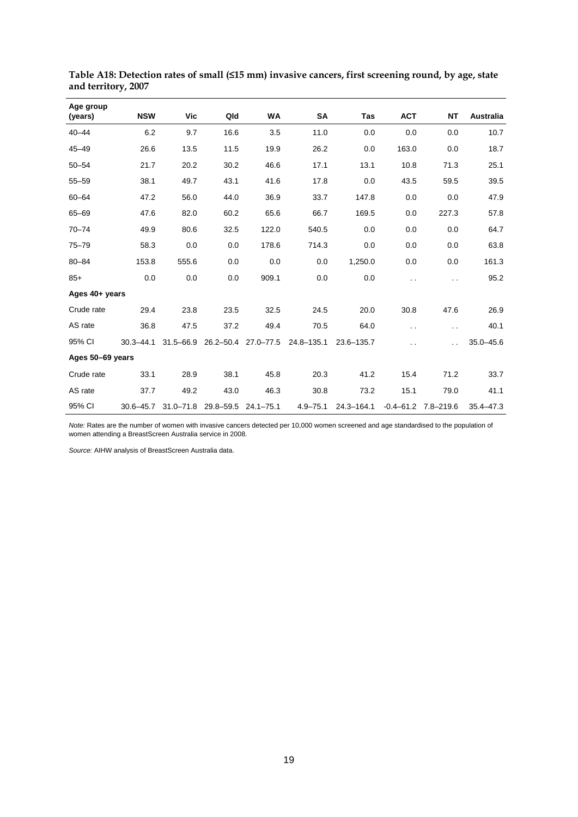| Age group<br>(years) | <b>NSW</b>    | Vic                           | Qld       | WA            | SA             | Tas        | <b>ACT</b>           | <b>NT</b>               | Australia     |
|----------------------|---------------|-------------------------------|-----------|---------------|----------------|------------|----------------------|-------------------------|---------------|
| $40 - 44$            | 6.2           | 9.7                           | 16.6      | 3.5           | 11.0           | 0.0        | 0.0                  | 0.0                     | 10.7          |
| $45 - 49$            | 26.6          | 13.5                          | 11.5      | 19.9          | 26.2           | 0.0        | 163.0                | 0.0                     | 18.7          |
| $50 - 54$            | 21.7          | 20.2                          | 30.2      | 46.6          | 17.1           | 13.1       | 10.8                 | 71.3                    | 25.1          |
| $55 - 59$            | 38.1          | 49.7                          | 43.1      | 41.6          | 17.8           | 0.0        | 43.5                 | 59.5                    | 39.5          |
| $60 - 64$            | 47.2          | 56.0                          | 44.0      | 36.9          | 33.7           | 147.8      | 0.0                  | 0.0                     | 47.9          |
| $65 - 69$            | 47.6          | 82.0                          | 60.2      | 65.6          | 66.7           | 169.5      | 0.0                  | 227.3                   | 57.8          |
| $70 - 74$            | 49.9          | 80.6                          | 32.5      | 122.0         | 540.5          | 0.0        | 0.0                  | 0.0                     | 64.7          |
| $75 - 79$            | 58.3          | 0.0                           | 0.0       | 178.6         | 714.3          | 0.0        | 0.0                  | 0.0                     | 63.8          |
| $80 - 84$            | 153.8         | 555.6                         | 0.0       | 0.0           | 0.0            | 1,250.0    | 0.0                  | 0.0                     | 161.3         |
| $85+$                | 0.0           | 0.0                           | 0.0       | 909.1         | 0.0            | 0.0        | $\ddot{\phantom{0}}$ | . .                     | 95.2          |
| Ages 40+ years       |               |                               |           |               |                |            |                      |                         |               |
| Crude rate           | 29.4          | 23.8                          | 23.5      | 32.5          | 24.5           | 20.0       | 30.8                 | 47.6                    | 26.9          |
| AS rate              | 36.8          | 47.5                          | 37.2      | 49.4          | 70.5           | 64.0       | $\ddot{\phantom{0}}$ | $\ddot{\phantom{0}}$    | 40.1          |
| 95% CI               | $30.3 - 44.1$ | $31.5 - 66.9$                 | 26.2-50.4 | $27.0 - 77.5$ | $24.8 - 135.1$ | 23.6-135.7 | . .                  |                         | $35.0 - 45.6$ |
| Ages 50-69 years     |               |                               |           |               |                |            |                      |                         |               |
| Crude rate           | 33.1          | 28.9                          | 38.1      | 45.8          | 20.3           | 41.2       | 15.4                 | 71.2                    | 33.7          |
| AS rate              | 37.7          | 49.2                          | 43.0      | 46.3          | 30.8           | 73.2       | 15.1                 | 79.0                    | 41.1          |
| 95% CI               |               | 30.6-45.7 31.0-71.8 29.8-59.5 |           | 24.1–75.1     | $4.9 - 75.1$   | 24.3-164.1 |                      | $-0.4 - 61.2$ 7.8-219.6 | $35.4 - 47.3$ |

**Table A18: Detection rates of small (≤15 mm) invasive cancers, first screening round, by age, state and territory, 2007**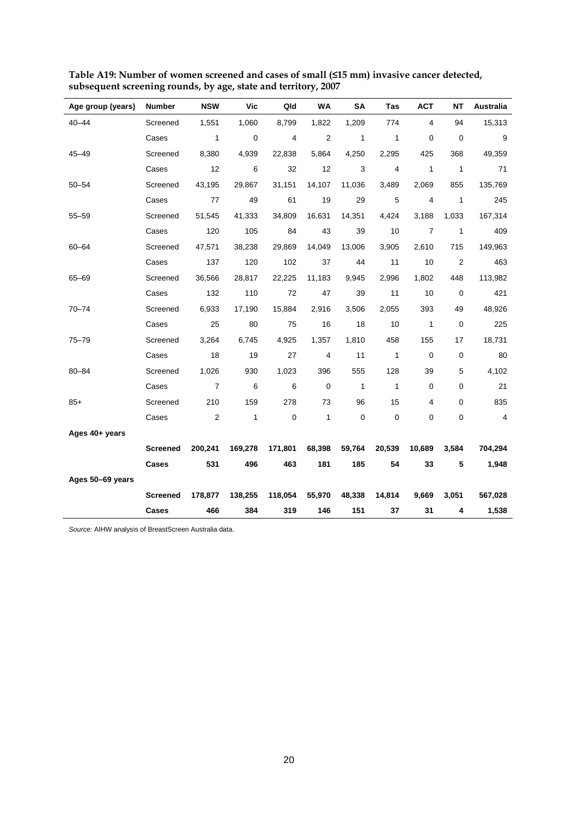| Age group (years) | <b>Number</b>   | <b>NSW</b>     | Vic          | Qld       | WA             | <b>SA</b>      | Tas            | <b>ACT</b>     | <b>NT</b>      | Australia |
|-------------------|-----------------|----------------|--------------|-----------|----------------|----------------|----------------|----------------|----------------|-----------|
| 40-44             | Screened        | 1,551          | 1,060        | 8,799     | 1,822          | 1,209          | 774            | 4              | 94             | 15,313    |
|                   | Cases           | $\mathbf{1}$   | 0            | 4         | $\overline{2}$ | $\mathbf{1}$   | $\mathbf{1}$   | 0              | 0              | 9         |
| $45 - 49$         | Screened        | 8,380          | 4,939        | 22,838    | 5,864          | 4,250          | 2,295          | 425            | 368            | 49,359    |
|                   | Cases           | 12             | 6            | 32        | 12             | 3              | $\overline{4}$ | 1              | $\mathbf{1}$   | 71        |
| $50 - 54$         | Screened        | 43,195         | 29,867       | 31,151    | 14,107         | 11,036         | 3,489          | 2,069          | 855            | 135,769   |
|                   | Cases           | 77             | 49           | 61        | 19             | 29             | 5              | 4              | $\mathbf{1}$   | 245       |
| $55 - 59$         | Screened        | 51,545         | 41,333       | 34,809    | 16,631         | 14,351         | 4,424          | 3,188          | 1,033          | 167,314   |
|                   | Cases           | 120            | 105          | 84        | 43             | 39             | 10             | $\overline{7}$ | $\mathbf{1}$   | 409       |
| 60-64             | Screened        | 47,571         | 38,238       | 29,869    | 14,049         | 13,006         | 3,905          | 2,610          | 715            | 149,963   |
|                   | Cases           | 137            | 120          | 102       | 37             | 44             | 11             | 10             | $\overline{2}$ | 463       |
| $65 - 69$         | Screened        | 36,566         | 28,817       | 22,225    | 11,183         | 9,945          | 2,996          | 1,802          | 448            | 113,982   |
|                   | Cases           | 132            | 110          | 72        | 47             | 39             | 11             | 10             | 0              | 421       |
| $70 - 74$         | Screened        | 6,933          | 17,190       | 15,884    | 2,916          | 3,506          | 2,055          | 393            | 49             | 48,926    |
|                   | Cases           | 25             | 80           | 75        | 16             | 18             | 10             | $\mathbf{1}$   | $\mathbf 0$    | 225       |
| $75 - 79$         | Screened        | 3,264          | 6,745        | 4,925     | 1,357          | 1,810          | 458            | 155            | 17             | 18,731    |
|                   | Cases           | 18             | 19           | 27        | 4              | 11             | $\mathbf{1}$   | $\mathbf 0$    | $\pmb{0}$      | 80        |
| 80-84             | Screened        | 1,026          | 930          | 1,023     | 396            | 555            | 128            | 39             | 5              | 4,102     |
|                   | Cases           | $\overline{7}$ | 6            | 6         | $\mathbf 0$    | $\overline{1}$ | $\mathbf{1}$   | $\mathbf 0$    | 0              | 21        |
| $85+$             | Screened        | 210            | 159          | 278       | 73             | 96             | 15             | 4              | 0              | 835       |
|                   | Cases           | 2              | $\mathbf{1}$ | $\pmb{0}$ | $\mathbf{1}$   | $\mathbf 0$    | $\mathbf 0$    | 0              | 0              | 4         |
| Ages 40+ years    |                 |                |              |           |                |                |                |                |                |           |
|                   | <b>Screened</b> | 200,241        | 169,278      | 171,801   | 68,398         | 59,764         | 20,539         | 10,689         | 3,584          | 704,294   |
|                   | Cases           | 531            | 496          | 463       | 181            | 185            | 54             | 33             | 5              | 1,948     |
| Ages 50-69 years  |                 |                |              |           |                |                |                |                |                |           |
|                   | <b>Screened</b> | 178,877        | 138,255      | 118,054   | 55,970         | 48,338         | 14,814         | 9,669          | 3,051          | 567,028   |
|                   | Cases           | 466            | 384          | 319       | 146            | 151            | 37             | 31             | 4              | 1,538     |

**Table A19: Number of women screened and cases of small (≤15 mm) invasive cancer detected, subsequent screening rounds, by age, state and territory, 2007**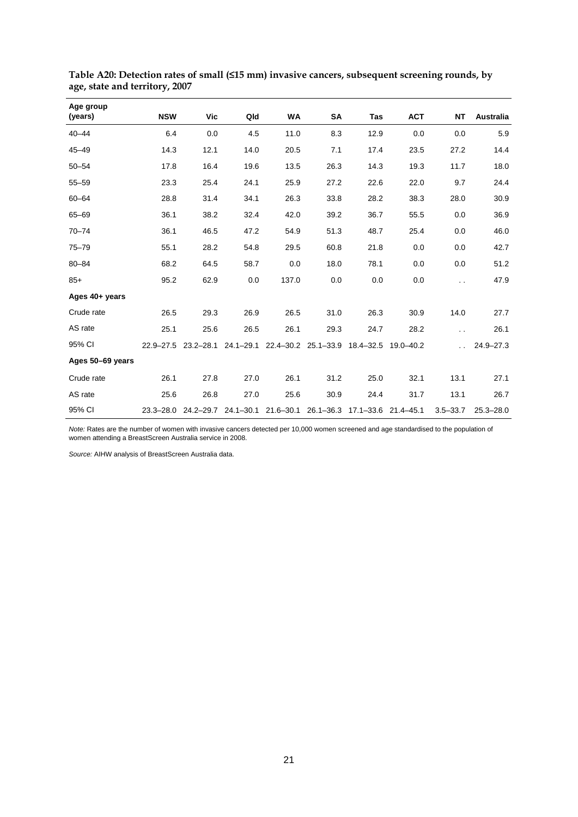| Age group<br>(years) | <b>NSW</b> | Vic                 | Qld  | WA    | SA   | <b>Tas</b>                                                            | <b>ACT</b> | <b>NT</b>            | Australia     |
|----------------------|------------|---------------------|------|-------|------|-----------------------------------------------------------------------|------------|----------------------|---------------|
| $40 - 44$            | 6.4        | 0.0                 | 4.5  | 11.0  | 8.3  | 12.9                                                                  | 0.0        | 0.0                  | 5.9           |
| $45 - 49$            | 14.3       | 12.1                | 14.0 | 20.5  | 7.1  | 17.4                                                                  | 23.5       | 27.2                 | 14.4          |
| $50 - 54$            | 17.8       | 16.4                | 19.6 | 13.5  | 26.3 | 14.3                                                                  | 19.3       | 11.7                 | 18.0          |
| $55 - 59$            | 23.3       | 25.4                | 24.1 | 25.9  | 27.2 | 22.6                                                                  | 22.0       | 9.7                  | 24.4          |
| $60 - 64$            | 28.8       | 31.4                | 34.1 | 26.3  | 33.8 | 28.2                                                                  | 38.3       | 28.0                 | 30.9          |
| $65 - 69$            | 36.1       | 38.2                | 32.4 | 42.0  | 39.2 | 36.7                                                                  | 55.5       | 0.0                  | 36.9          |
| $70 - 74$            | 36.1       | 46.5                | 47.2 | 54.9  | 51.3 | 48.7                                                                  | 25.4       | 0.0                  | 46.0          |
| $75 - 79$            | 55.1       | 28.2                | 54.8 | 29.5  | 60.8 | 21.8                                                                  | 0.0        | 0.0                  | 42.7          |
| $80 - 84$            | 68.2       | 64.5                | 58.7 | 0.0   | 18.0 | 78.1                                                                  | 0.0        | 0.0                  | 51.2          |
| $85+$                | 95.2       | 62.9                | 0.0  | 137.0 | 0.0  | 0.0                                                                   | 0.0        | $\ddot{\phantom{a}}$ | 47.9          |
| Ages 40+ years       |            |                     |      |       |      |                                                                       |            |                      |               |
| Crude rate           | 26.5       | 29.3                | 26.9 | 26.5  | 31.0 | 26.3                                                                  | 30.9       | 14.0                 | 27.7          |
| AS rate              | 25.1       | 25.6                | 26.5 | 26.1  | 29.3 | 24.7                                                                  | 28.2       | $\ddot{\phantom{1}}$ | 26.1          |
| 95% CI               |            | 22.9-27.5 23.2-28.1 |      |       |      | 24.1-29.1 22.4-30.2 25.1-33.9 18.4-32.5 19.0-40.2                     |            |                      | $24.9 - 27.3$ |
| Ages 50-69 years     |            |                     |      |       |      |                                                                       |            |                      |               |
| Crude rate           | 26.1       | 27.8                | 27.0 | 26.1  | 31.2 | 25.0                                                                  | 32.1       | 13.1                 | 27.1          |
| AS rate              | 25.6       | 26.8                | 27.0 | 25.6  | 30.9 | 24.4                                                                  | 31.7       | 13.1                 | 26.7          |
| 95% CI               |            |                     |      |       |      | 23.3-28.0 24.2-29.7 24.1-30.1 21.6-30.1 26.1-36.3 17.1-33.6 21.4-45.1 |            | $3.5 - 33.7$         | $25.3 - 28.0$ |

**Table A20: Detection rates of small (≤15 mm) invasive cancers, subsequent screening rounds, by age, state and territory, 2007**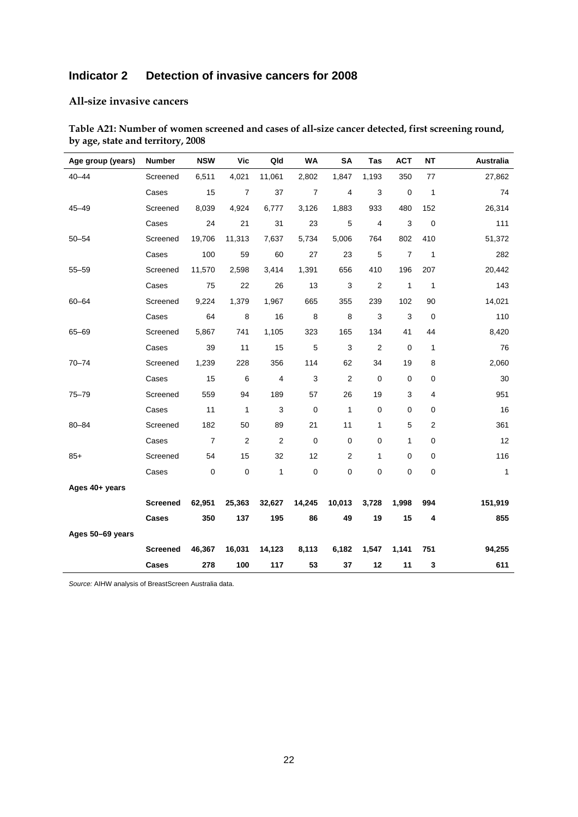# **Indicator 2 Detection of invasive cancers for 2008**

#### **All-size invasive cancers**

| Age group (years) | <b>Number</b>   | <b>NSW</b>     | <b>Vic</b>     | Qld                     | <b>WA</b>      | <b>SA</b>                 | Tas            | <b>ACT</b>     | <b>NT</b>      | Australia    |
|-------------------|-----------------|----------------|----------------|-------------------------|----------------|---------------------------|----------------|----------------|----------------|--------------|
| $40 - 44$         | Screened        | 6,511          | 4,021          | 11,061                  | 2,802          | 1,847                     | 1,193          | 350            | 77             | 27,862       |
|                   | Cases           | 15             | $\overline{7}$ | 37                      | $\overline{7}$ | 4                         | 3              | 0              | $\mathbf{1}$   | 74           |
| $45 - 49$         | Screened        | 8,039          | 4,924          | 6,777                   | 3,126          | 1,883                     | 933            | 480            | 152            | 26,314       |
|                   | Cases           | 24             | 21             | 31                      | 23             | 5                         | $\overline{4}$ | 3              | $\mathbf 0$    | 111          |
| $50 - 54$         | Screened        | 19,706         | 11,313         | 7,637                   | 5,734          | 5,006                     | 764            | 802            | 410            | 51,372       |
|                   | Cases           | 100            | 59             | 60                      | 27             | 23                        | 5              | $\overline{7}$ | $\mathbf{1}$   | 282          |
| $55 - 59$         | Screened        | 11,570         | 2,598          | 3,414                   | 1,391          | 656                       | 410            | 196            | 207            | 20,442       |
|                   | Cases           | 75             | 22             | 26                      | 13             | $\ensuremath{\mathsf{3}}$ | $\overline{2}$ | $\mathbf{1}$   | $\mathbf{1}$   | 143          |
| $60 - 64$         | Screened        | 9,224          | 1,379          | 1,967                   | 665            | 355                       | 239            | 102            | 90             | 14,021       |
|                   | Cases           | 64             | $\bf 8$        | 16                      | $\,8\,$        | 8                         | 3              | 3              | $\mathbf 0$    | 110          |
| 65-69             | Screened        | 5,867          | 741            | 1,105                   | 323            | 165                       | 134            | 41             | 44             | 8,420        |
|                   | Cases           | 39             | 11             | 15                      | $\mathbf 5$    | 3                         | $\sqrt{2}$     | 0              | $\mathbf{1}$   | 76           |
| $70 - 74$         | Screened        | 1,239          | 228            | 356                     | 114            | 62                        | 34             | 19             | 8              | 2,060        |
|                   | Cases           | 15             | 6              | $\overline{\mathbf{4}}$ | 3              | $\overline{2}$            | 0              | $\mathbf 0$    | 0              | 30           |
| $75 - 79$         | Screened        | 559            | 94             | 189                     | 57             | 26                        | 19             | 3              | 4              | 951          |
|                   | Cases           | 11             | $\mathbf{1}$   | 3                       | $\mathbf 0$    | $\mathbf{1}$              | 0              | 0              | 0              | 16           |
| $80 - 84$         | Screened        | 182            | 50             | 89                      | 21             | 11                        | 1              | 5              | $\overline{2}$ | 361          |
|                   | Cases           | $\overline{7}$ | $\overline{2}$ | $\overline{2}$          | $\mathbf 0$    | $\mathbf 0$               | 0              | 1              | 0              | 12           |
| $85+$             | Screened        | 54             | 15             | 32                      | 12             | $\overline{2}$            | 1              | 0              | 0              | 116          |
|                   | Cases           | 0              | 0              | 1                       | $\mathbf 0$    | $\mathbf 0$               | 0              | 0              | 0              | $\mathbf{1}$ |
| Ages 40+ years    |                 |                |                |                         |                |                           |                |                |                |              |
|                   | <b>Screened</b> | 62,951         | 25,363         | 32,627                  | 14,245         | 10,013                    | 3,728          | 1,998          | 994            | 151,919      |
|                   | <b>Cases</b>    | 350            | 137            | 195                     | 86             | 49                        | 19             | 15             | 4              | 855          |
| Ages 50-69 years  |                 |                |                |                         |                |                           |                |                |                |              |
|                   | <b>Screened</b> | 46,367         | 16,031         | 14,123                  | 8,113          | 6,182                     | 1,547          | 1,141          | 751            | 94,255       |
|                   | Cases           | 278            | 100            | 117                     | 53             | 37                        | 12             | 11             | 3              | 611          |

**Table A21: Number of women screened and cases of all-size cancer detected, first screening round, by age, state and territory, 2008**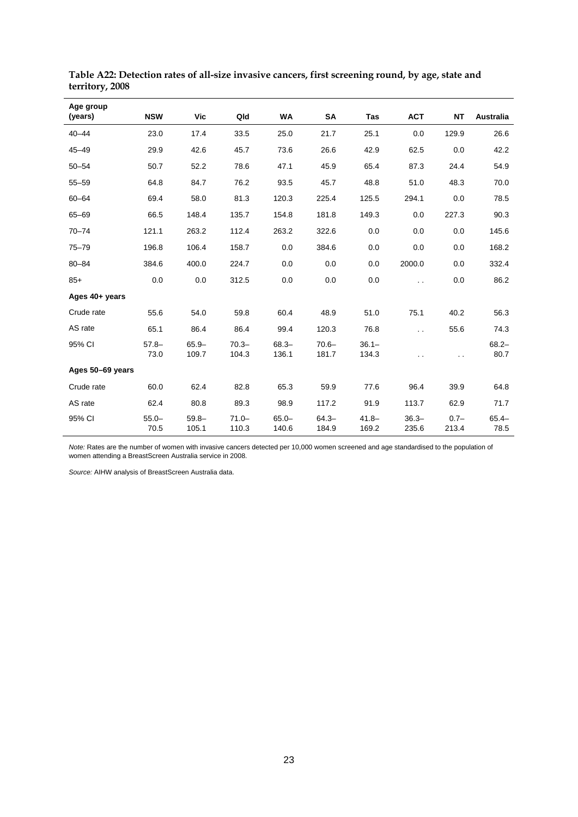| Age group<br>(years) | <b>NSW</b>       | <b>Vic</b>        | Qld               | <b>WA</b>         | SA                | <b>Tas</b>        | <b>ACT</b>           | <b>NT</b>            | Australia        |
|----------------------|------------------|-------------------|-------------------|-------------------|-------------------|-------------------|----------------------|----------------------|------------------|
| $40 - 44$            | 23.0             | 17.4              | 33.5              | 25.0              | 21.7              | 25.1              | 0.0                  | 129.9                | 26.6             |
| $45 - 49$            | 29.9             | 42.6              | 45.7              | 73.6              | 26.6              | 42.9              | 62.5                 | 0.0                  | 42.2             |
| $50 - 54$            | 50.7             | 52.2              | 78.6              | 47.1              | 45.9              | 65.4              | 87.3                 | 24.4                 | 54.9             |
| $55 - 59$            | 64.8             | 84.7              | 76.2              | 93.5              | 45.7              | 48.8              | 51.0                 | 48.3                 | 70.0             |
| $60 - 64$            | 69.4             | 58.0              | 81.3              | 120.3             | 225.4             | 125.5             | 294.1                | 0.0                  | 78.5             |
| $65 - 69$            | 66.5             | 148.4             | 135.7             | 154.8             | 181.8             | 149.3             | 0.0                  | 227.3                | 90.3             |
| $70 - 74$            | 121.1            | 263.2             | 112.4             | 263.2             | 322.6             | 0.0               | 0.0                  | 0.0                  | 145.6            |
| $75 - 79$            | 196.8            | 106.4             | 158.7             | 0.0               | 384.6             | 0.0               | 0.0                  | 0.0                  | 168.2            |
| $80 - 84$            | 384.6            | 400.0             | 224.7             | 0.0               | 0.0               | 0.0               | 2000.0               | 0.0                  | 332.4            |
| $85+$                | 0.0              | 0.0               | 312.5             | 0.0               | 0.0               | 0.0               | $\ddot{\phantom{0}}$ | 0.0                  | 86.2             |
| Ages 40+ years       |                  |                   |                   |                   |                   |                   |                      |                      |                  |
| Crude rate           | 55.6             | 54.0              | 59.8              | 60.4              | 48.9              | 51.0              | 75.1                 | 40.2                 | 56.3             |
| AS rate              | 65.1             | 86.4              | 86.4              | 99.4              | 120.3             | 76.8              | $\ddot{\phantom{a}}$ | 55.6                 | 74.3             |
| 95% CI               | $57.8 -$<br>73.0 | $65.9 -$<br>109.7 | $70.3 -$<br>104.3 | $68.3 -$<br>136.1 | $70.6 -$<br>181.7 | $36.1 -$<br>134.3 | $\ddot{\phantom{a}}$ | $\ddot{\phantom{0}}$ | $68.2 -$<br>80.7 |
| Ages 50-69 years     |                  |                   |                   |                   |                   |                   |                      |                      |                  |
| Crude rate           | 60.0             | 62.4              | 82.8              | 65.3              | 59.9              | 77.6              | 96.4                 | 39.9                 | 64.8             |
| AS rate              | 62.4             | 80.8              | 89.3              | 98.9              | 117.2             | 91.9              | 113.7                | 62.9                 | 71.7             |
| 95% CI               | $55.0 -$<br>70.5 | $59.8 -$<br>105.1 | $71.0 -$<br>110.3 | $65.0 -$<br>140.6 | $64.3 -$<br>184.9 | $41.8 -$<br>169.2 | $36.3 -$<br>235.6    | $0.7 -$<br>213.4     | $65.4 -$<br>78.5 |

**Table A22: Detection rates of all-size invasive cancers, first screening round, by age, state and territory, 2008**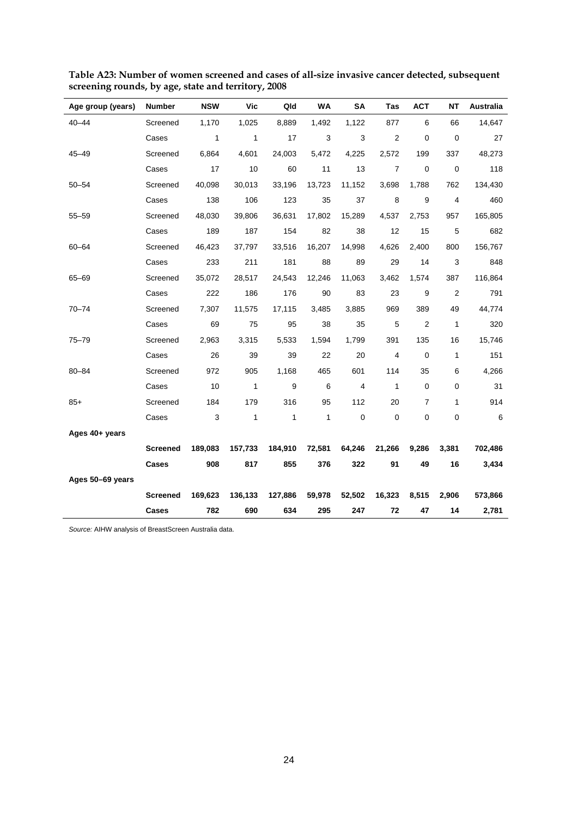| Age group (years) | Number          | <b>NSW</b>   | Vic          | Qld     | WA           | <b>SA</b>      | <b>Tas</b>     | <b>ACT</b>     | <b>NT</b>      | Australia |
|-------------------|-----------------|--------------|--------------|---------|--------------|----------------|----------------|----------------|----------------|-----------|
| $40 - 44$         | Screened        | 1,170        | 1,025        | 8,889   | 1,492        | 1,122          | 877            | 6              | 66             | 14,647    |
|                   | Cases           | $\mathbf{1}$ | $\mathbf{1}$ | 17      | 3            | $\mathsf 3$    | $\overline{2}$ | 0              | $\mathbf 0$    | 27        |
| $45 - 49$         | Screened        | 6,864        | 4,601        | 24,003  | 5,472        | 4,225          | 2,572          | 199            | 337            | 48,273    |
|                   | Cases           | 17           | 10           | 60      | 11           | 13             | $\overline{7}$ | 0              | $\mathbf 0$    | 118       |
| $50 - 54$         | Screened        | 40,098       | 30,013       | 33,196  | 13,723       | 11,152         | 3,698          | 1,788          | 762            | 134,430   |
|                   | Cases           | 138          | 106          | 123     | 35           | 37             | 8              | 9              | 4              | 460       |
| $55 - 59$         | Screened        | 48,030       | 39,806       | 36,631  | 17,802       | 15,289         | 4,537          | 2,753          | 957            | 165,805   |
|                   | Cases           | 189          | 187          | 154     | 82           | 38             | 12             | 15             | 5              | 682       |
| $60 - 64$         | Screened        | 46,423       | 37,797       | 33,516  | 16,207       | 14,998         | 4,626          | 2,400          | 800            | 156,767   |
|                   | Cases           | 233          | 211          | 181     | 88           | 89             | 29             | 14             | 3              | 848       |
| 65-69             | Screened        | 35,072       | 28,517       | 24,543  | 12,246       | 11,063         | 3,462          | 1,574          | 387            | 116,864   |
|                   | Cases           | 222          | 186          | 176     | 90           | 83             | 23             | 9              | $\overline{2}$ | 791       |
| $70 - 74$         | Screened        | 7,307        | 11,575       | 17,115  | 3,485        | 3,885          | 969            | 389            | 49             | 44,774    |
|                   | Cases           | 69           | 75           | 95      | 38           | 35             | $\,$ 5 $\,$    | $\overline{2}$ | 1              | 320       |
| $75 - 79$         | Screened        | 2,963        | 3,315        | 5,533   | 1,594        | 1,799          | 391            | 135            | 16             | 15,746    |
|                   | Cases           | 26           | 39           | 39      | 22           | 20             | $\overline{4}$ | 0              | 1              | 151       |
| $80 - 84$         | Screened        | 972          | 905          | 1,168   | 465          | 601            | 114            | 35             | 6              | 4,266     |
|                   | Cases           | 10           | $\mathbf{1}$ | 9       | 6            | $\overline{4}$ | $\mathbf{1}$   | 0              | 0              | 31        |
| $85+$             | Screened        | 184          | 179          | 316     | 95           | 112            | 20             | $\overline{7}$ | 1              | 914       |
|                   | Cases           | 3            | $\mathbf{1}$ | 1       | $\mathbf{1}$ | $\mathbf 0$    | $\mathbf 0$    | 0              | $\pmb{0}$      | 6         |
| Ages 40+ years    |                 |              |              |         |              |                |                |                |                |           |
|                   | <b>Screened</b> | 189,083      | 157,733      | 184,910 | 72,581       | 64,246         | 21,266         | 9,286          | 3,381          | 702,486   |
|                   | Cases           | 908          | 817          | 855     | 376          | 322            | 91             | 49             | 16             | 3,434     |
| Ages 50-69 years  |                 |              |              |         |              |                |                |                |                |           |
|                   | <b>Screened</b> | 169,623      | 136,133      | 127,886 | 59,978       | 52,502         | 16,323         | 8,515          | 2,906          | 573,866   |
|                   | Cases           | 782          | 690          | 634     | 295          | 247            | 72             | 47             | 14             | 2,781     |

**Table A23: Number of women screened and cases of all-size invasive cancer detected, subsequent screening rounds, by age, state and territory, 2008**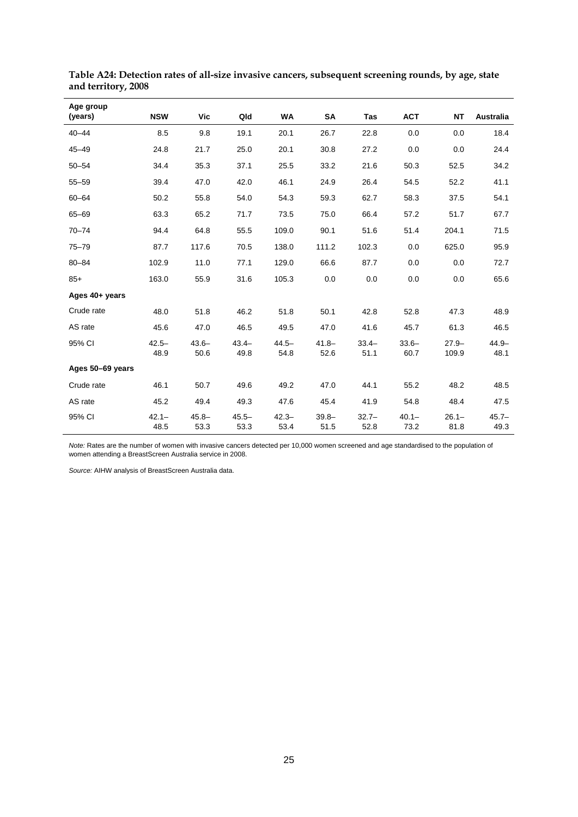| Age group<br>(years) | <b>NSW</b>       | <b>Vic</b>       | Qld              | WA               | SA               | Tas              | <b>ACT</b>       | <b>NT</b>         | Australia        |
|----------------------|------------------|------------------|------------------|------------------|------------------|------------------|------------------|-------------------|------------------|
| $40 - 44$            | 8.5              | 9.8              | 19.1             | 20.1             | 26.7             | 22.8             | 0.0              | 0.0               | 18.4             |
| $45 - 49$            | 24.8             | 21.7             | 25.0             | 20.1             | 30.8             | 27.2             | 0.0              | 0.0               | 24.4             |
| $50 - 54$            | 34.4             | 35.3             | 37.1             | 25.5             | 33.2             | 21.6             | 50.3             | 52.5              | 34.2             |
| $55 - 59$            | 39.4             | 47.0             | 42.0             | 46.1             | 24.9             | 26.4             | 54.5             | 52.2              | 41.1             |
| $60 - 64$            | 50.2             | 55.8             | 54.0             | 54.3             | 59.3             | 62.7             | 58.3             | 37.5              | 54.1             |
| $65 - 69$            | 63.3             | 65.2             | 71.7             | 73.5             | 75.0             | 66.4             | 57.2             | 51.7              | 67.7             |
| $70 - 74$            | 94.4             | 64.8             | 55.5             | 109.0            | 90.1             | 51.6             | 51.4             | 204.1             | 71.5             |
| $75 - 79$            | 87.7             | 117.6            | 70.5             | 138.0            | 111.2            | 102.3            | 0.0              | 625.0             | 95.9             |
| $80 - 84$            | 102.9            | 11.0             | 77.1             | 129.0            | 66.6             | 87.7             | 0.0              | 0.0               | 72.7             |
| $85+$                | 163.0            | 55.9             | 31.6             | 105.3            | 0.0              | 0.0              | 0.0              | 0.0               | 65.6             |
| Ages 40+ years       |                  |                  |                  |                  |                  |                  |                  |                   |                  |
| Crude rate           | 48.0             | 51.8             | 46.2             | 51.8             | 50.1             | 42.8             | 52.8             | 47.3              | 48.9             |
| AS rate              | 45.6             | 47.0             | 46.5             | 49.5             | 47.0             | 41.6             | 45.7             | 61.3              | 46.5             |
| 95% CI               | $42.5 -$<br>48.9 | $43.6 -$<br>50.6 | $43.4 -$<br>49.8 | $44.5 -$<br>54.8 | $41.8 -$<br>52.6 | $33.4-$<br>51.1  | $33.6 -$<br>60.7 | $27.9 -$<br>109.9 | $44.9 -$<br>48.1 |
| Ages 50-69 years     |                  |                  |                  |                  |                  |                  |                  |                   |                  |
| Crude rate           | 46.1             | 50.7             | 49.6             | 49.2             | 47.0             | 44.1             | 55.2             | 48.2              | 48.5             |
| AS rate              | 45.2             | 49.4             | 49.3             | 47.6             | 45.4             | 41.9             | 54.8             | 48.4              | 47.5             |
| 95% CI               | $42.1 -$<br>48.5 | $45.8 -$<br>53.3 | $45.5 -$<br>53.3 | $42.3 -$<br>53.4 | $39.8 -$<br>51.5 | $32.7 -$<br>52.8 | $40.1 -$<br>73.2 | $26.1 -$<br>81.8  | $45.7 -$<br>49.3 |

**Table A24: Detection rates of all-size invasive cancers, subsequent screening rounds, by age, state and territory, 2008**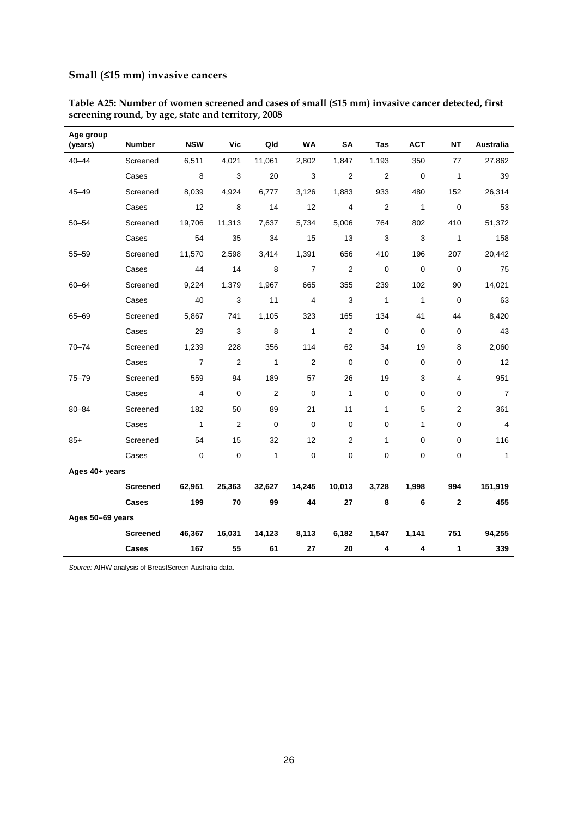### **Small (≤15 mm) invasive cancers**

| Age group<br>(years) | <b>Number</b>   | <b>NSW</b>     | Vic            | Qld            | WA             | <b>SA</b>      | Tas            | <b>ACT</b>   | <b>NT</b>      | <b>Australia</b>        |
|----------------------|-----------------|----------------|----------------|----------------|----------------|----------------|----------------|--------------|----------------|-------------------------|
| $40 - 44$            | Screened        | 6,511          | 4,021          | 11,061         | 2,802          | 1,847          | 1,193          | 350          | 77             | 27,862                  |
|                      | Cases           | 8              | 3              | 20             | 3              | 2              | $\overline{2}$ | $\mathbf 0$  | $\mathbf{1}$   | 39                      |
| $45 - 49$            | Screened        | 8,039          | 4,924          | 6,777          | 3,126          | 1,883          | 933            | 480          | 152            | 26,314                  |
|                      | Cases           | 12             | 8              | 14             | 12             | 4              | $\overline{2}$ | $\mathbf{1}$ | $\mathbf 0$    | 53                      |
| $50 - 54$            | Screened        | 19,706         | 11,313         | 7,637          | 5,734          | 5,006          | 764            | 802          | 410            | 51,372                  |
|                      | Cases           | 54             | 35             | 34             | 15             | 13             | 3              | 3            | $\mathbf{1}$   | 158                     |
| $55 - 59$            | Screened        | 11,570         | 2,598          | 3,414          | 1,391          | 656            | 410            | 196          | 207            | 20,442                  |
|                      | Cases           | 44             | 14             | 8              | $\overline{7}$ | $\overline{2}$ | 0              | $\mathbf 0$  | $\mathbf 0$    | 75                      |
| 60-64                | Screened        | 9,224          | 1,379          | 1,967          | 665            | 355            | 239            | 102          | 90             | 14,021                  |
|                      | Cases           | 40             | 3              | 11             | 4              | 3              | $\mathbf{1}$   | $\mathbf{1}$ | $\mathbf 0$    | 63                      |
| $65 - 69$            | Screened        | 5,867          | 741            | 1,105          | 323            | 165            | 134            | 41           | 44             | 8,420                   |
|                      | Cases           | 29             | 3              | 8              | $\mathbf{1}$   | $\overline{2}$ | $\mathbf 0$    | $\mathbf 0$  | 0              | 43                      |
| 70-74                | Screened        | 1,239          | 228            | 356            | 114            | 62             | 34             | 19           | 8              | 2,060                   |
|                      | Cases           | $\overline{7}$ | $\overline{2}$ | $\mathbf{1}$   | $\overline{c}$ | $\mathbf 0$    | $\mathbf 0$    | $\mathbf 0$  | 0              | 12                      |
| $75 - 79$            | Screened        | 559            | 94             | 189            | 57             | 26             | 19             | 3            | $\overline{4}$ | 951                     |
|                      | Cases           | 4              | $\mathbf 0$    | $\overline{2}$ | $\mathbf 0$    | $\mathbf{1}$   | $\mathbf 0$    | 0            | 0              | $\overline{7}$          |
| $80 - 84$            | Screened        | 182            | 50             | 89             | 21             | 11             | 1              | 5            | 2              | 361                     |
|                      | Cases           | $\mathbf{1}$   | $\overline{2}$ | $\mathbf 0$    | $\mathbf 0$    | $\mathbf 0$    | 0              | 1            | 0              | $\overline{\mathbf{4}}$ |
| $85+$                | Screened        | 54             | 15             | 32             | 12             | 2              | 1              | 0            | 0              | 116                     |
|                      | Cases           | $\mathbf 0$    | $\mathbf 0$    | $\mathbf{1}$   | $\mathbf 0$    | 0              | 0              | 0            | 0              | $\mathbf{1}$            |
| Ages 40+ years       |                 |                |                |                |                |                |                |              |                |                         |
|                      | <b>Screened</b> | 62,951         | 25,363         | 32,627         | 14,245         | 10,013         | 3,728          | 1,998        | 994            | 151,919                 |
|                      | Cases           | 199            | 70             | 99             | 44             | 27             | 8              | 6            | $\mathbf{2}$   | 455                     |
| Ages 50-69 years     |                 |                |                |                |                |                |                |              |                |                         |
|                      | <b>Screened</b> | 46,367         | 16,031         | 14,123         | 8,113          | 6,182          | 1,547          | 1,141        | 751            | 94,255                  |
|                      | Cases           | 167            | 55             | 61             | 27             | 20             | 4              | 4            | 1              | 339                     |

**Table A25: Number of women screened and cases of small (≤15 mm) invasive cancer detected, first screening round, by age, state and territory, 2008**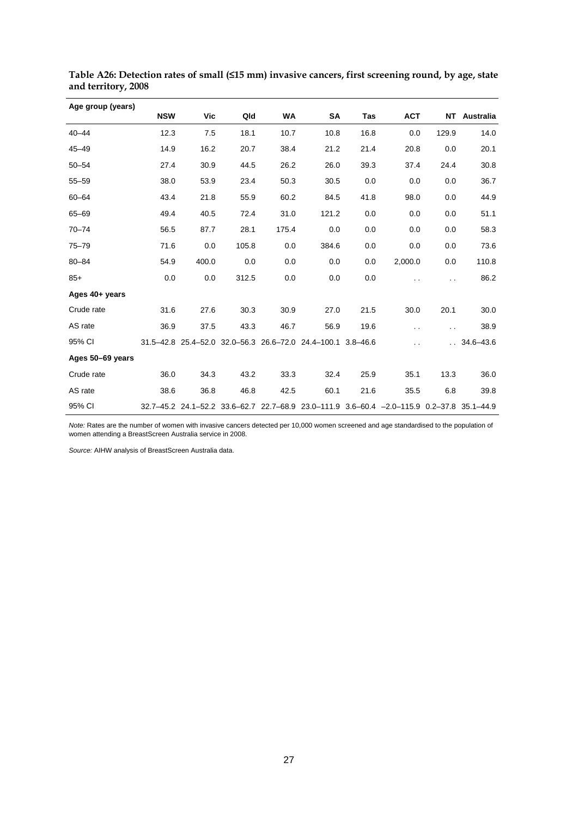| Age group (years) |            |            |       |           |                                                                                           |      |                      |                      |                 |
|-------------------|------------|------------|-------|-----------|-------------------------------------------------------------------------------------------|------|----------------------|----------------------|-----------------|
|                   | <b>NSW</b> | <b>Vic</b> | Qld   | <b>WA</b> | SA                                                                                        | Tas  | <b>ACT</b>           |                      | NT Australia    |
| $40 - 44$         | 12.3       | 7.5        | 18.1  | 10.7      | 10.8                                                                                      | 16.8 | 0.0                  | 129.9                | 14.0            |
| $45 - 49$         | 14.9       | 16.2       | 20.7  | 38.4      | 21.2                                                                                      | 21.4 | 20.8                 | 0.0                  | 20.1            |
| $50 - 54$         | 27.4       | 30.9       | 44.5  | 26.2      | 26.0                                                                                      | 39.3 | 37.4                 | 24.4                 | 30.8            |
| $55 - 59$         | 38.0       | 53.9       | 23.4  | 50.3      | 30.5                                                                                      | 0.0  | 0.0                  | 0.0                  | 36.7            |
| $60 - 64$         | 43.4       | 21.8       | 55.9  | 60.2      | 84.5                                                                                      | 41.8 | 98.0                 | 0.0                  | 44.9            |
| $65 - 69$         | 49.4       | 40.5       | 72.4  | 31.0      | 121.2                                                                                     | 0.0  | 0.0                  | 0.0                  | 51.1            |
| $70 - 74$         | 56.5       | 87.7       | 28.1  | 175.4     | 0.0                                                                                       | 0.0  | 0.0                  | 0.0                  | 58.3            |
| $75 - 79$         | 71.6       | 0.0        | 105.8 | 0.0       | 384.6                                                                                     | 0.0  | 0.0                  | 0.0                  | 73.6            |
| $80 - 84$         | 54.9       | 400.0      | 0.0   | 0.0       | 0.0                                                                                       | 0.0  | 2,000.0              | 0.0                  | 110.8           |
| $85+$             | 0.0        | 0.0        | 312.5 | 0.0       | 0.0                                                                                       | 0.0  |                      |                      | 86.2            |
| Ages 40+ years    |            |            |       |           |                                                                                           |      |                      |                      |                 |
| Crude rate        | 31.6       | 27.6       | 30.3  | 30.9      | 27.0                                                                                      | 21.5 | 30.0                 | 20.1                 | 30.0            |
| AS rate           | 36.9       | 37.5       | 43.3  | 46.7      | 56.9                                                                                      | 19.6 | $\ddot{\phantom{0}}$ | $\ddot{\phantom{0}}$ | 38.9            |
| 95% CI            |            |            |       |           | 31.5-42.8 25.4-52.0 32.0-56.3 26.6-72.0 24.4-100.1 3.8-46.6                               |      | $\ddot{\phantom{0}}$ |                      | $. 34.6 - 43.6$ |
| Ages 50-69 years  |            |            |       |           |                                                                                           |      |                      |                      |                 |
| Crude rate        | 36.0       | 34.3       | 43.2  | 33.3      | 32.4                                                                                      | 25.9 | 35.1                 | 13.3                 | 36.0            |
| AS rate           | 38.6       | 36.8       | 46.8  | 42.5      | 60.1                                                                                      | 21.6 | 35.5                 | 6.8                  | 39.8            |
| 95% CI            |            |            |       |           | 32.7-45.2 24.1-52.2 33.6-62.7 22.7-68.9 23.0-111.9 3.6-60.4 -2.0-115.9 0.2-37.8 35.1-44.9 |      |                      |                      |                 |

**Table A26: Detection rates of small (≤15 mm) invasive cancers, first screening round, by age, state and territory, 2008**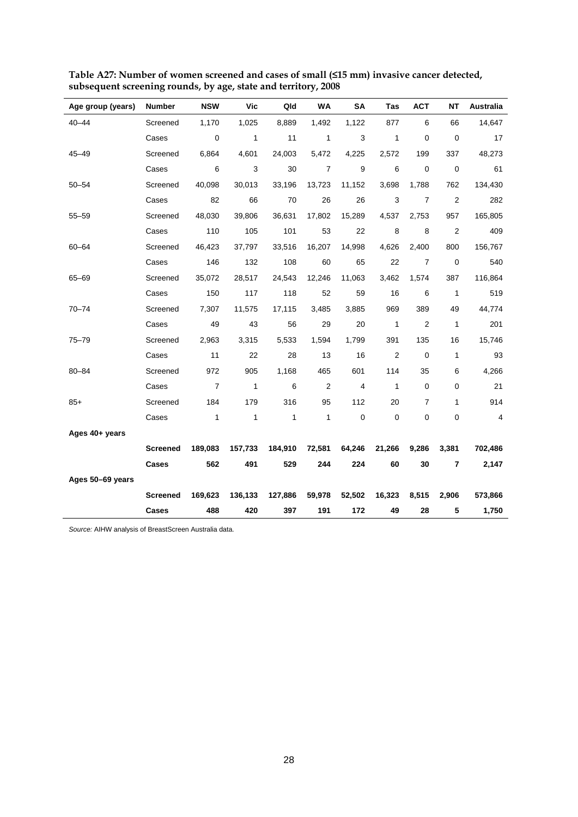| Age group (years) | Number          | <b>NSW</b>     | Vic          | Qld          | <b>WA</b>      | <b>SA</b>      | Tas          | <b>ACT</b>     | <b>NT</b>      | Australia      |
|-------------------|-----------------|----------------|--------------|--------------|----------------|----------------|--------------|----------------|----------------|----------------|
| $40 - 44$         | Screened        | 1,170          | 1,025        | 8,889        | 1,492          | 1,122          | 877          | 6              | 66             | 14,647         |
|                   | Cases           | $\mathbf 0$    | $\mathbf{1}$ | 11           | $\mathbf{1}$   | 3              | $\mathbf{1}$ | 0              | 0              | 17             |
| $45 - 49$         | Screened        | 6,864          | 4,601        | 24,003       | 5,472          | 4,225          | 2,572        | 199            | 337            | 48,273         |
|                   | Cases           | 6              | 3            | 30           | $\overline{7}$ | 9              | 6            | 0              | $\mathbf 0$    | 61             |
| $50 - 54$         | Screened        | 40,098         | 30,013       | 33,196       | 13,723         | 11,152         | 3,698        | 1,788          | 762            | 134,430        |
|                   | Cases           | 82             | 66           | 70           | 26             | 26             | 3            | 7              | $\overline{2}$ | 282            |
| $55 - 59$         | Screened        | 48,030         | 39,806       | 36,631       | 17,802         | 15,289         | 4,537        | 2,753          | 957            | 165,805        |
|                   | Cases           | 110            | 105          | 101          | 53             | 22             | 8            | 8              | $\overline{2}$ | 409            |
| $60 - 64$         | Screened        | 46,423         | 37,797       | 33,516       | 16,207         | 14,998         | 4,626        | 2,400          | 800            | 156,767        |
|                   | Cases           | 146            | 132          | 108          | 60             | 65             | 22           | $\overline{7}$ | 0              | 540            |
| 65-69             | Screened        | 35,072         | 28,517       | 24,543       | 12,246         | 11,063         | 3,462        | 1,574          | 387            | 116,864        |
|                   | Cases           | 150            | 117          | 118          | 52             | 59             | 16           | 6              | 1              | 519            |
| $70 - 74$         | Screened        | 7,307          | 11,575       | 17,115       | 3,485          | 3,885          | 969          | 389            | 49             | 44,774         |
|                   | Cases           | 49             | 43           | 56           | 29             | 20             | $\mathbf{1}$ | $\overline{2}$ | 1              | 201            |
| $75 - 79$         | Screened        | 2,963          | 3,315        | 5,533        | 1,594          | 1,799          | 391          | 135            | 16             | 15,746         |
|                   | Cases           | 11             | 22           | 28           | 13             | 16             | 2            | 0              | 1              | 93             |
| $80 - 84$         | Screened        | 972            | 905          | 1,168        | 465            | 601            | 114          | 35             | 6              | 4,266          |
|                   | Cases           | $\overline{7}$ | $\mathbf{1}$ | 6            | $\overline{2}$ | $\overline{4}$ | $\mathbf{1}$ | 0              | 0              | 21             |
| $85+$             | Screened        | 184            | 179          | 316          | 95             | 112            | 20           | 7              | 1              | 914            |
|                   | Cases           | $\mathbf{1}$   | $\mathbf{1}$ | $\mathbf{1}$ | 1              | $\mathbf 0$    | $\mathbf 0$  | 0              | $\pmb{0}$      | $\overline{4}$ |
| Ages 40+ years    |                 |                |              |              |                |                |              |                |                |                |
|                   | <b>Screened</b> | 189,083        | 157,733      | 184,910      | 72,581         | 64,246         | 21,266       | 9,286          | 3,381          | 702,486        |
|                   | Cases           | 562            | 491          | 529          | 244            | 224            | 60           | 30             | 7              | 2,147          |
| Ages 50-69 years  |                 |                |              |              |                |                |              |                |                |                |
|                   | <b>Screened</b> | 169,623        | 136,133      | 127,886      | 59,978         | 52,502         | 16,323       | 8,515          | 2,906          | 573,866        |
|                   | Cases           | 488            | 420          | 397          | 191            | 172            | 49           | 28             | 5              | 1,750          |

**Table A27: Number of women screened and cases of small (≤15 mm) invasive cancer detected, subsequent screening rounds, by age, state and territory, 2008**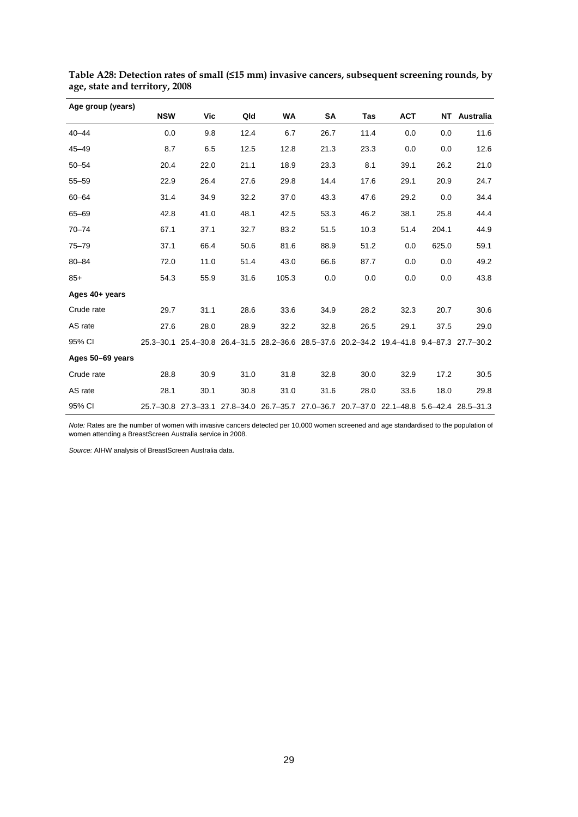| Age group (years) |            |      |                                                                                          |       |      |      |            |       |              |
|-------------------|------------|------|------------------------------------------------------------------------------------------|-------|------|------|------------|-------|--------------|
|                   | <b>NSW</b> | Vic  | Qld                                                                                      | WA    | SA   | Tas  | <b>ACT</b> |       | NT Australia |
| $40 - 44$         | 0.0        | 9.8  | 12.4                                                                                     | 6.7   | 26.7 | 11.4 | 0.0        | 0.0   | 11.6         |
| $45 - 49$         | 8.7        | 6.5  | 12.5                                                                                     | 12.8  | 21.3 | 23.3 | 0.0        | 0.0   | 12.6         |
| $50 - 54$         | 20.4       | 22.0 | 21.1                                                                                     | 18.9  | 23.3 | 8.1  | 39.1       | 26.2  | 21.0         |
| $55 - 59$         | 22.9       | 26.4 | 27.6                                                                                     | 29.8  | 14.4 | 17.6 | 29.1       | 20.9  | 24.7         |
| $60 - 64$         | 31.4       | 34.9 | 32.2                                                                                     | 37.0  | 43.3 | 47.6 | 29.2       | 0.0   | 34.4         |
| $65 - 69$         | 42.8       | 41.0 | 48.1                                                                                     | 42.5  | 53.3 | 46.2 | 38.1       | 25.8  | 44.4         |
| $70 - 74$         | 67.1       | 37.1 | 32.7                                                                                     | 83.2  | 51.5 | 10.3 | 51.4       | 204.1 | 44.9         |
| $75 - 79$         | 37.1       | 66.4 | 50.6                                                                                     | 81.6  | 88.9 | 51.2 | 0.0        | 625.0 | 59.1         |
| $80 - 84$         | 72.0       | 11.0 | 51.4                                                                                     | 43.0  | 66.6 | 87.7 | 0.0        | 0.0   | 49.2         |
| $85+$             | 54.3       | 55.9 | 31.6                                                                                     | 105.3 | 0.0  | 0.0  | 0.0        | 0.0   | 43.8         |
| Ages 40+ years    |            |      |                                                                                          |       |      |      |            |       |              |
| Crude rate        | 29.7       | 31.1 | 28.6                                                                                     | 33.6  | 34.9 | 28.2 | 32.3       | 20.7  | 30.6         |
| AS rate           | 27.6       | 28.0 | 28.9                                                                                     | 32.2  | 32.8 | 26.5 | 29.1       | 37.5  | 29.0         |
| 95% CI            |            |      | 25.3-30.1 25.4-30.8 26.4-31.5 28.2-36.6 28.5-37.6 20.2-34.2 19.4-41.8 9.4-87.3 27.7-30.2 |       |      |      |            |       |              |
| Ages 50-69 years  |            |      |                                                                                          |       |      |      |            |       |              |
| Crude rate        | 28.8       | 30.9 | 31.0                                                                                     | 31.8  | 32.8 | 30.0 | 32.9       | 17.2  | 30.5         |
| AS rate           | 28.1       | 30.1 | 30.8                                                                                     | 31.0  | 31.6 | 28.0 | 33.6       | 18.0  | 29.8         |
| 95% CI            |            |      | 25.7-30.8 27.3-33.1 27.8-34.0 26.7-35.7 27.0-36.7 20.7-37.0 22.1-48.8 5.6-42.4 28.5-31.3 |       |      |      |            |       |              |

**Table A28: Detection rates of small (≤15 mm) invasive cancers, subsequent screening rounds, by age, state and territory, 2008**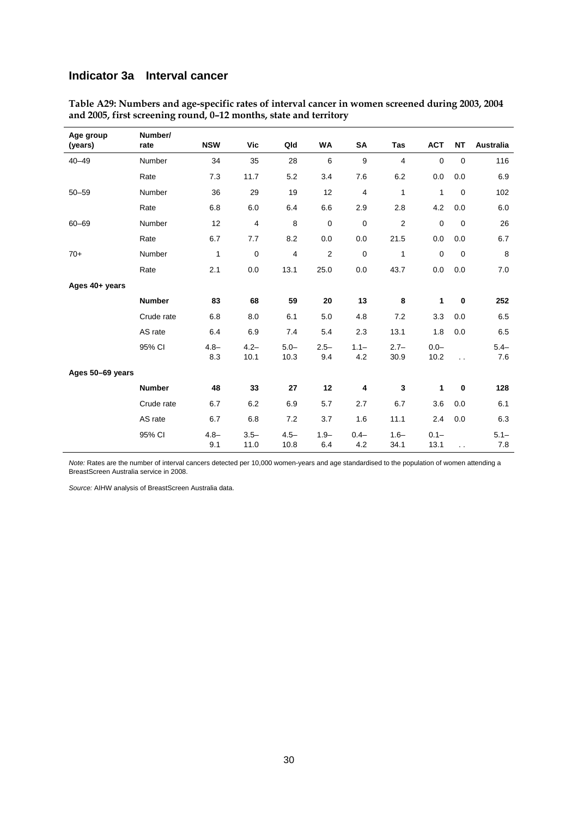#### **Indicator 3a Interval cancer**

| Age group<br>(years) | Number/<br>rate | <b>NSW</b>     | <b>Vic</b>      | Qld                     | <b>WA</b>      | <b>SA</b>      | <b>Tas</b>      | <b>ACT</b>      | <b>NT</b>   | <b>Australia</b> |
|----------------------|-----------------|----------------|-----------------|-------------------------|----------------|----------------|-----------------|-----------------|-------------|------------------|
| $40 - 49$            | Number          | 34             | 35              | 28                      | 6              | 9              | $\overline{4}$  | $\mathbf 0$     | $\mathbf 0$ | 116              |
|                      | Rate            | 7.3            | 11.7            | 5.2                     | 3.4            | 7.6            | 6.2             | 0.0             | 0.0         | 6.9              |
| $50 - 59$            | Number          | 36             | 29              | 19                      | 12             | 4              | 1               | $\mathbf{1}$    | $\mathbf 0$ | 102              |
|                      | Rate            | 6.8            | 6.0             | 6.4                     | 6.6            | 2.9            | 2.8             | 4.2             | 0.0         | 6.0              |
| $60 - 69$            | Number          | 12             | $\overline{4}$  | 8                       | $\pmb{0}$      | $\pmb{0}$      | $\sqrt{2}$      | $\pmb{0}$       | $\mathbf 0$ | 26               |
|                      | Rate            | 6.7            | 7.7             | 8.2                     | 0.0            | 0.0            | 21.5            | 0.0             | 0.0         | 6.7              |
| $70+$                | Number          | 1              | $\mathbf 0$     | $\overline{\mathbf{4}}$ | $\overline{2}$ | $\mathbf 0$    | $\mathbf{1}$    | $\mathbf{0}$    | $\mathbf 0$ | 8                |
|                      | Rate            | 2.1            | 0.0             | 13.1                    | 25.0           | 0.0            | 43.7            | 0.0             | 0.0         | 7.0              |
| Ages 40+ years       |                 |                |                 |                         |                |                |                 |                 |             |                  |
|                      | <b>Number</b>   | 83             | 68              | 59                      | 20             | 13             | 8               | 1               | $\bf{0}$    | 252              |
|                      | Crude rate      | 6.8            | 8.0             | 6.1                     | 5.0            | 4.8            | 7.2             | 3.3             | 0.0         | 6.5              |
|                      | AS rate         | 6.4            | 6.9             | 7.4                     | 5.4            | 2.3            | 13.1            | 1.8             | 0.0         | 6.5              |
|                      | 95% CI          | $4.8 -$<br>8.3 | $4.2 -$<br>10.1 | $5.0 -$<br>10.3         | $2.5 -$<br>9.4 | $1.1 -$<br>4.2 | $2.7 -$<br>30.9 | $0.0 -$<br>10.2 | $\ddotsc$   | $5.4 -$<br>7.6   |
| Ages 50-69 years     |                 |                |                 |                         |                |                |                 |                 |             |                  |
|                      | <b>Number</b>   | 48             | 33              | 27                      | 12             | 4              | 3               | 1               | $\bf{0}$    | 128              |
|                      | Crude rate      | 6.7            | 6.2             | 6.9                     | 5.7            | 2.7            | 6.7             | 3.6             | 0.0         | 6.1              |
|                      | AS rate         | 6.7            | 6.8             | 7.2                     | 3.7            | 1.6            | 11.1            | 2.4             | 0.0         | 6.3              |
|                      | 95% CI          | $4.8 -$<br>9.1 | $3.5 -$<br>11.0 | $4.5 -$<br>10.8         | $1.9 -$<br>6.4 | $0.4 -$<br>4.2 | $1.6 -$<br>34.1 | $0.1 -$<br>13.1 | $\ddotsc$   | $5.1 -$<br>7.8   |

**Table A29: Numbers and age-specific rates of interval cancer in women screened during 2003, 2004 and 2005, first screening round, 0–12 months, state and territory** 

*Note:* Rates are the number of interval cancers detected per 10,000 women-years and age standardised to the population of women attending a BreastScreen Australia service in 2008.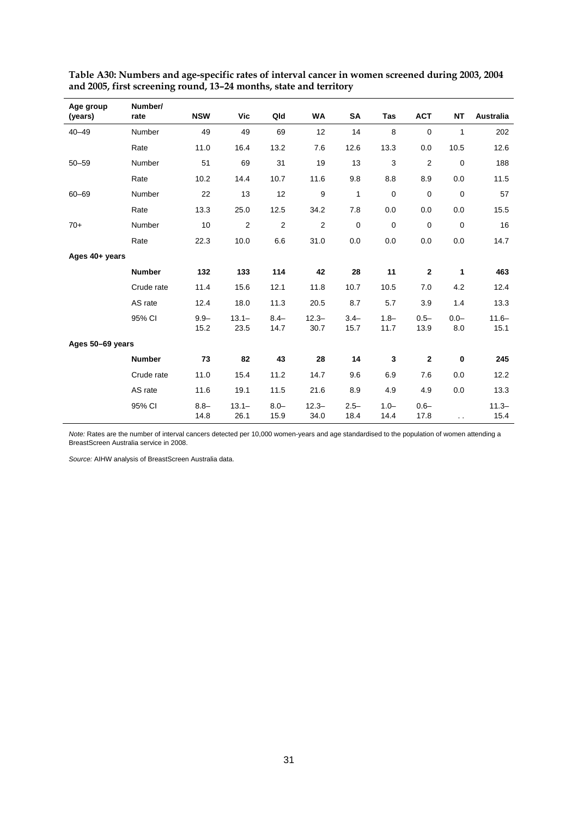| Age group<br>(years) | Number/<br>rate | <b>NSW</b>      | Vic              | Qld             | <b>WA</b>        | <b>SA</b>       | <b>Tas</b>      | <b>ACT</b>      | <b>NT</b>      | Australia        |
|----------------------|-----------------|-----------------|------------------|-----------------|------------------|-----------------|-----------------|-----------------|----------------|------------------|
| $40 - 49$            | Number          | 49              | 49               | 69              | 12               | 14              | 8               | $\mathbf 0$     | 1              | 202              |
|                      | Rate            | 11.0            | 16.4             | 13.2            | 7.6              | 12.6            | 13.3            | 0.0             | 10.5           | 12.6             |
| $50 - 59$            | Number          | 51              | 69               | 31              | 19               | 13              | 3               | 2               | $\pmb{0}$      | 188              |
|                      | Rate            | 10.2            | 14.4             | 10.7            | 11.6             | 9.8             | 8.8             | 8.9             | 0.0            | 11.5             |
| $60 - 69$            | Number          | 22              | 13               | 12              | $\boldsymbol{9}$ | 1               | $\mathbf 0$     | $\mathbf 0$     | $\pmb{0}$      | 57               |
|                      | Rate            | 13.3            | 25.0             | 12.5            | 34.2             | 7.8             | 0.0             | 0.0             | 0.0            | 15.5             |
| $70+$                | Number          | 10              | $\overline{2}$   | $\overline{2}$  | $\overline{2}$   | $\mathbf 0$     | $\mathbf 0$     | $\mathbf 0$     | $\mathbf 0$    | 16               |
|                      | Rate            | 22.3            | 10.0             | 6.6             | 31.0             | 0.0             | 0.0             | 0.0             | 0.0            | 14.7             |
| Ages 40+ years       |                 |                 |                  |                 |                  |                 |                 |                 |                |                  |
|                      | <b>Number</b>   | 132             | 133              | 114             | 42               | 28              | 11              | $\mathbf{2}$    | 1              | 463              |
|                      | Crude rate      | 11.4            | 15.6             | 12.1            | 11.8             | 10.7            | 10.5            | 7.0             | 4.2            | 12.4             |
|                      | AS rate         | 12.4            | 18.0             | 11.3            | 20.5             | 8.7             | 5.7             | 3.9             | 1.4            | 13.3             |
|                      | 95% CI          | $9.9 -$<br>15.2 | $13.1 -$<br>23.5 | $8.4 -$<br>14.7 | $12.3 -$<br>30.7 | $3.4 -$<br>15.7 | $1.8 -$<br>11.7 | $0.5 -$<br>13.9 | $0.0 -$<br>8.0 | $11.6 -$<br>15.1 |
| Ages 50-69 years     |                 |                 |                  |                 |                  |                 |                 |                 |                |                  |
|                      | <b>Number</b>   | 73              | 82               | 43              | 28               | 14              | 3               | $\mathbf 2$     | $\bf{0}$       | 245              |
|                      | Crude rate      | 11.0            | 15.4             | 11.2            | 14.7             | 9.6             | 6.9             | 7.6             | 0.0            | 12.2             |
|                      | AS rate         | 11.6            | 19.1             | 11.5            | 21.6             | 8.9             | 4.9             | 4.9             | 0.0            | 13.3             |
|                      | 95% CI          | $8.8 -$<br>14.8 | $13.1 -$<br>26.1 | $8.0 -$<br>15.9 | $12.3 -$<br>34.0 | $2.5 -$<br>18.4 | $1.0 -$<br>14.4 | $0.6 -$<br>17.8 | $\sim$ $\sim$  | $11.3 -$<br>15.4 |

**Table A30: Numbers and age-specific rates of interval cancer in women screened during 2003, 2004 and 2005, first screening round, 13–24 months, state and territory** 

*Note:* Rates are the number of interval cancers detected per 10,000 women-years and age standardised to the population of women attending a BreastScreen Australia service in 2008.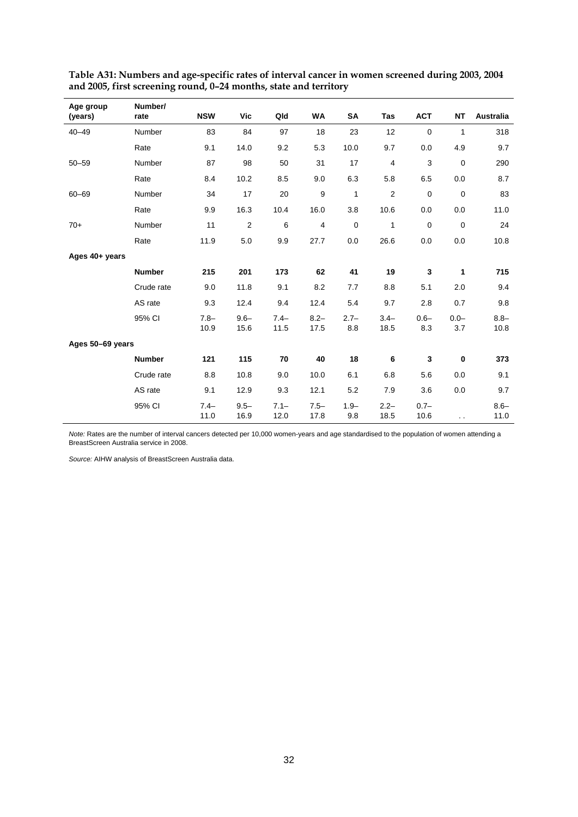| Age group<br>(years) | Number/<br>rate | <b>NSW</b>      | Vic             | Qld             | <b>WA</b>       | SA             | Tas              | <b>ACT</b>      | <b>NT</b>      | Australia       |
|----------------------|-----------------|-----------------|-----------------|-----------------|-----------------|----------------|------------------|-----------------|----------------|-----------------|
| $40 - 49$            | Number          | 83              | 84              | 97              | 18              | 23             | 12               | $\mathbf 0$     | 1              | 318             |
|                      | Rate            | 9.1             | 14.0            | 9.2             | 5.3             | 10.0           | 9.7              | 0.0             | 4.9            | 9.7             |
| $50 - 59$            | Number          | 87              | 98              | 50              | 31              | 17             | 4                | 3               | 0              | 290             |
|                      | Rate            | 8.4             | 10.2            | 8.5             | 9.0             | 6.3            | 5.8              | 6.5             | 0.0            | 8.7             |
| $60 - 69$            | Number          | 34              | 17              | 20              | 9               | $\mathbf{1}$   | $\boldsymbol{2}$ | $\mathbf 0$     | $\pmb{0}$      | 83              |
|                      | Rate            | 9.9             | 16.3            | 10.4            | 16.0            | 3.8            | 10.6             | 0.0             | 0.0            | 11.0            |
| $70+$                | Number          | 11              | $\overline{c}$  | 6               | $\overline{4}$  | $\mathbf 0$    | $\mathbf{1}$     | $\mathbf 0$     | $\mathbf 0$    | 24              |
|                      | Rate            | 11.9            | 5.0             | 9.9             | 27.7            | 0.0            | 26.6             | 0.0             | 0.0            | 10.8            |
| Ages 40+ years       |                 |                 |                 |                 |                 |                |                  |                 |                |                 |
|                      | <b>Number</b>   | 215             | 201             | 173             | 62              | 41             | 19               | 3               | 1              | 715             |
|                      | Crude rate      | 9.0             | 11.8            | 9.1             | 8.2             | 7.7            | 8.8              | 5.1             | 2.0            | 9.4             |
|                      | AS rate         | 9.3             | 12.4            | 9.4             | 12.4            | 5.4            | 9.7              | 2.8             | 0.7            | 9.8             |
|                      | 95% CI          | $7.8 -$<br>10.9 | $9.6 -$<br>15.6 | $7.4-$<br>11.5  | $8.2 -$<br>17.5 | $2.7 -$<br>8.8 | $3.4 -$<br>18.5  | $0.6 -$<br>8.3  | $0.0 -$<br>3.7 | $8.8 -$<br>10.8 |
| Ages 50-69 years     |                 |                 |                 |                 |                 |                |                  |                 |                |                 |
|                      | <b>Number</b>   | 121             | 115             | 70              | 40              | 18             | 6                | 3               | 0              | 373             |
|                      | Crude rate      | 8.8             | 10.8            | 9.0             | 10.0            | 6.1            | 6.8              | 5.6             | 0.0            | 9.1             |
|                      | AS rate         | 9.1             | 12.9            | 9.3             | 12.1            | 5.2            | 7.9              | 3.6             | 0.0            | 9.7             |
|                      | 95% CI          | $7.4 -$<br>11.0 | $9.5 -$<br>16.9 | $7.1 -$<br>12.0 | $7.5 -$<br>17.8 | $1.9 -$<br>9.8 | $2.2 -$<br>18.5  | $0.7 -$<br>10.6 | $\sim$         | $8.6 -$<br>11.0 |

**Table A31: Numbers and age-specific rates of interval cancer in women screened during 2003, 2004 and 2005, first screening round, 0–24 months, state and territory** 

*Note:* Rates are the number of interval cancers detected per 10,000 women-years and age standardised to the population of women attending a BreastScreen Australia service in 2008.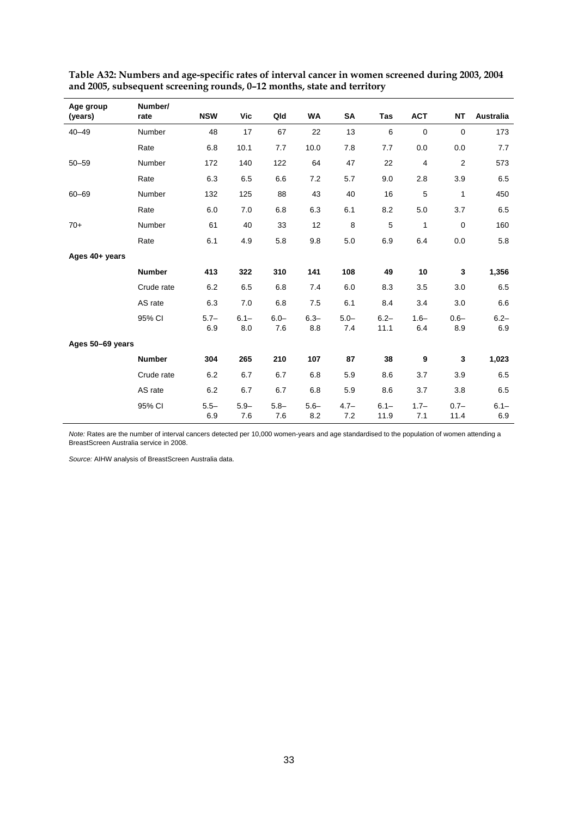| Age group<br>(years) | Number/<br>rate | <b>NSW</b>     | Vic            | Qld            | WA             | <b>SA</b>      | Tas             | <b>ACT</b>     | <b>NT</b>       | Australia      |
|----------------------|-----------------|----------------|----------------|----------------|----------------|----------------|-----------------|----------------|-----------------|----------------|
| $40 - 49$            | <b>Number</b>   | 48             | 17             | 67             | 22             | 13             | 6               | $\mathbf 0$    | $\mathbf 0$     | 173            |
|                      | Rate            | 6.8            | 10.1           | 7.7            | 10.0           | 7.8            | 7.7             | 0.0            | 0.0             | 7.7            |
| $50 - 59$            | Number          | 172            | 140            | 122            | 64             | 47             | 22              | 4              | $\overline{2}$  | 573            |
|                      | Rate            | 6.3            | 6.5            | 6.6            | 7.2            | 5.7            | 9.0             | 2.8            | 3.9             | 6.5            |
| $60 - 69$            | Number          | 132            | 125            | 88             | 43             | 40             | 16              | 5              | 1               | 450            |
|                      | Rate            | 6.0            | 7.0            | 6.8            | 6.3            | 6.1            | 8.2             | 5.0            | 3.7             | 6.5            |
| $70+$                | Number          | 61             | 40             | 33             | 12             | 8              | 5               | 1              | 0               | 160            |
|                      | Rate            | 6.1            | 4.9            | 5.8            | 9.8            | 5.0            | 6.9             | 6.4            | 0.0             | 5.8            |
| Ages 40+ years       |                 |                |                |                |                |                |                 |                |                 |                |
|                      | <b>Number</b>   | 413            | 322            | 310            | 141            | 108            | 49              | 10             | 3               | 1,356          |
|                      | Crude rate      | 6.2            | 6.5            | 6.8            | 7.4            | 6.0            | 8.3             | 3.5            | 3.0             | 6.5            |
|                      | AS rate         | 6.3            | 7.0            | 6.8            | 7.5            | 6.1            | 8.4             | 3.4            | 3.0             | 6.6            |
|                      | 95% CI          | $5.7 -$<br>6.9 | $6.1 -$<br>8.0 | $6.0 -$<br>7.6 | $6.3 -$<br>8.8 | $5.0 -$<br>7.4 | $6.2 -$<br>11.1 | $1.6 -$<br>6.4 | $0.6 -$<br>8.9  | $6.2 -$<br>6.9 |
| Ages 50-69 years     |                 |                |                |                |                |                |                 |                |                 |                |
|                      | <b>Number</b>   | 304            | 265            | 210            | 107            | 87             | 38              | 9              | 3               | 1,023          |
|                      | Crude rate      | 6.2            | 6.7            | 6.7            | 6.8            | 5.9            | 8.6             | 3.7            | 3.9             | 6.5            |
|                      | AS rate         | 6.2            | 6.7            | 6.7            | 6.8            | 5.9            | 8.6             | 3.7            | 3.8             | 6.5            |
|                      | 95% CI          | $5.5 -$<br>6.9 | $5.9 -$<br>7.6 | $5.8 -$<br>7.6 | $5.6 -$<br>8.2 | $4.7 -$<br>7.2 | $6.1 -$<br>11.9 | $1.7 -$<br>7.1 | $0.7 -$<br>11.4 | $6.1 -$<br>6.9 |

**Table A32: Numbers and age-specific rates of interval cancer in women screened during 2003, 2004 and 2005, subsequent screening rounds, 0–12 months, state and territory** 

*Note:* Rates are the number of interval cancers detected per 10,000 women-years and age standardised to the population of women attending a BreastScreen Australia service in 2008.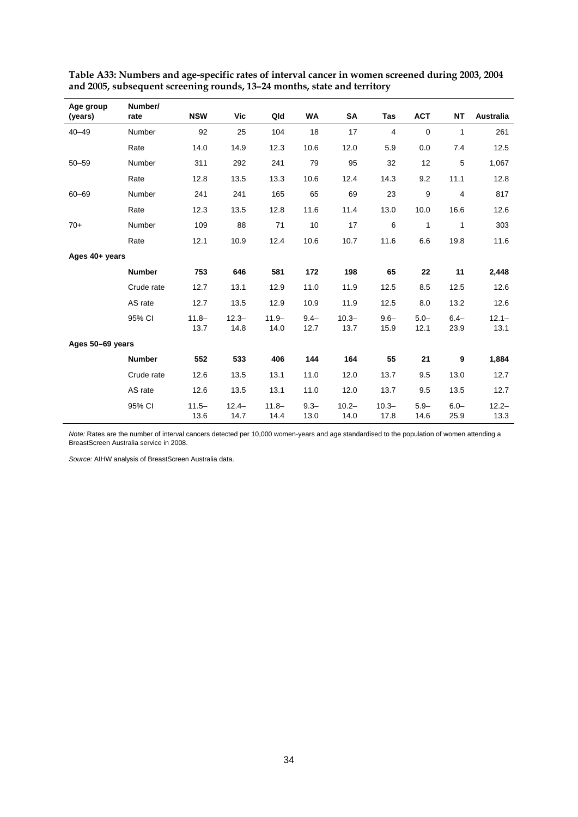| Age group<br>(years) | Number/<br>rate | <b>NSW</b>       | Vic              | Qld              | <b>WA</b>       | SA               | Tas              | <b>ACT</b>      | <b>NT</b>       | <b>Australia</b> |
|----------------------|-----------------|------------------|------------------|------------------|-----------------|------------------|------------------|-----------------|-----------------|------------------|
| $40 - 49$            | Number          | 92               | 25               | 104              | 18              | 17               | 4                | $\mathbf 0$     | 1               | 261              |
|                      | Rate            | 14.0             | 14.9             | 12.3             | 10.6            | 12.0             | 5.9              | 0.0             | 7.4             | 12.5             |
| $50 - 59$            | Number          | 311              | 292              | 241              | 79              | 95               | 32               | 12              | 5               | 1,067            |
|                      | Rate            | 12.8             | 13.5             | 13.3             | 10.6            | 12.4             | 14.3             | 9.2             | 11.1            | 12.8             |
| $60 - 69$            | Number          | 241              | 241              | 165              | 65              | 69               | 23               | 9               | 4               | 817              |
|                      | Rate            | 12.3             | 13.5             | 12.8             | 11.6            | 11.4             | 13.0             | 10.0            | 16.6            | 12.6             |
| $70+$                | Number          | 109              | 88               | 71               | 10              | 17               | 6                | 1               | 1               | 303              |
|                      | Rate            | 12.1             | 10.9             | 12.4             | 10.6            | 10.7             | 11.6             | 6.6             | 19.8            | 11.6             |
| Ages 40+ years       |                 |                  |                  |                  |                 |                  |                  |                 |                 |                  |
|                      | <b>Number</b>   | 753              | 646              | 581              | 172             | 198              | 65               | 22              | 11              | 2,448            |
|                      | Crude rate      | 12.7             | 13.1             | 12.9             | 11.0            | 11.9             | 12.5             | 8.5             | 12.5            | 12.6             |
|                      | AS rate         | 12.7             | 13.5             | 12.9             | 10.9            | 11.9             | 12.5             | 8.0             | 13.2            | 12.6             |
|                      | 95% CI          | $11.8 -$<br>13.7 | $12.3 -$<br>14.8 | $11.9 -$<br>14.0 | $9.4 -$<br>12.7 | $10.3 -$<br>13.7 | $9.6 -$<br>15.9  | $5.0 -$<br>12.1 | $6.4 -$<br>23.9 | $12.1 -$<br>13.1 |
| Ages 50-69 years     |                 |                  |                  |                  |                 |                  |                  |                 |                 |                  |
|                      | <b>Number</b>   | 552              | 533              | 406              | 144             | 164              | 55               | 21              | 9               | 1,884            |
|                      | Crude rate      | 12.6             | 13.5             | 13.1             | 11.0            | 12.0             | 13.7             | 9.5             | 13.0            | 12.7             |
|                      | AS rate         | 12.6             | 13.5             | 13.1             | 11.0            | 12.0             | 13.7             | 9.5             | 13.5            | 12.7             |
|                      | 95% CI          | $11.5 -$<br>13.6 | $12.4 -$<br>14.7 | $11.8 -$<br>14.4 | $9.3 -$<br>13.0 | $10.2 -$<br>14.0 | $10.3 -$<br>17.8 | $5.9 -$<br>14.6 | $6.0 -$<br>25.9 | $12.2 -$<br>13.3 |

**Table A33: Numbers and age-specific rates of interval cancer in women screened during 2003, 2004 and 2005, subsequent screening rounds, 13–24 months, state and territory** 

*Note:* Rates are the number of interval cancers detected per 10,000 women-years and age standardised to the population of women attending a BreastScreen Australia service in 2008.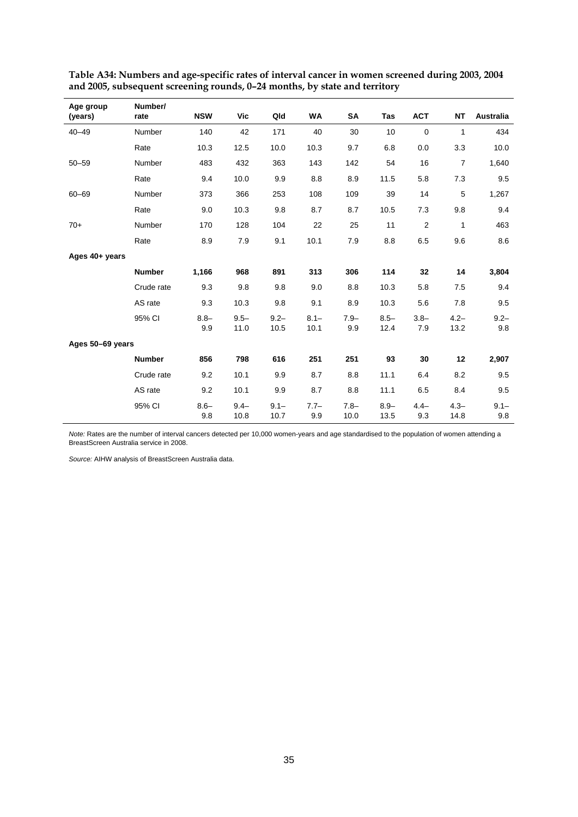| Age group<br>(years) | Number/<br>rate | <b>NSW</b>     | Vic             | Qld             | WA              | SA              | Tas             | <b>ACT</b>     | <b>NT</b>       | Australia      |
|----------------------|-----------------|----------------|-----------------|-----------------|-----------------|-----------------|-----------------|----------------|-----------------|----------------|
| $40 - 49$            | Number          | 140            | 42              | 171             | 40              | 30              | 10              | $\mathbf 0$    | 1               | 434            |
|                      | Rate            | 10.3           | 12.5            | 10.0            | 10.3            | 9.7             | 6.8             | 0.0            | 3.3             | 10.0           |
| $50 - 59$            | Number          | 483            | 432             | 363             | 143             | 142             | 54              | 16             | $\overline{7}$  | 1,640          |
|                      | Rate            | 9.4            | 10.0            | 9.9             | 8.8             | 8.9             | 11.5            | 5.8            | 7.3             | 9.5            |
| $60 - 69$            | Number          | 373            | 366             | 253             | 108             | 109             | 39              | 14             | 5               | 1,267          |
|                      | Rate            | 9.0            | 10.3            | 9.8             | 8.7             | 8.7             | 10.5            | 7.3            | 9.8             | 9.4            |
| $70+$                | Number          | 170            | 128             | 104             | 22              | 25              | 11              | $\overline{2}$ | $\mathbf{1}$    | 463            |
|                      | Rate            | 8.9            | 7.9             | 9.1             | 10.1            | 7.9             | 8.8             | 6.5            | 9.6             | 8.6            |
| Ages 40+ years       |                 |                |                 |                 |                 |                 |                 |                |                 |                |
|                      | <b>Number</b>   | 1,166          | 968             | 891             | 313             | 306             | 114             | 32             | 14              | 3,804          |
|                      | Crude rate      | 9.3            | 9.8             | 9.8             | 9.0             | 8.8             | 10.3            | 5.8            | 7.5             | 9.4            |
|                      | AS rate         | 9.3            | 10.3            | 9.8             | 9.1             | 8.9             | 10.3            | 5.6            | 7.8             | 9.5            |
|                      | 95% CI          | $8.8 -$<br>9.9 | $9.5 -$<br>11.0 | $9.2 -$<br>10.5 | $8.1 -$<br>10.1 | $7.9 -$<br>9.9  | $8.5 -$<br>12.4 | $3.8 -$<br>7.9 | $4.2 -$<br>13.2 | $9.2 -$<br>9.8 |
| Ages 50-69 years     |                 |                |                 |                 |                 |                 |                 |                |                 |                |
|                      | <b>Number</b>   | 856            | 798             | 616             | 251             | 251             | 93              | 30             | 12              | 2,907          |
|                      | Crude rate      | 9.2            | 10.1            | 9.9             | 8.7             | 8.8             | 11.1            | 6.4            | 8.2             | 9.5            |
|                      | AS rate         | 9.2            | 10.1            | 9.9             | 8.7             | 8.8             | 11.1            | 6.5            | 8.4             | 9.5            |
|                      | 95% CI          | $8.6 -$<br>9.8 | $9.4 -$<br>10.8 | $9.1 -$<br>10.7 | $7.7-$<br>9.9   | $7.8 -$<br>10.0 | $8.9 -$<br>13.5 | $4.4-$<br>9.3  | $4.3 -$<br>14.8 | $9.1 -$<br>9.8 |

**Table A34: Numbers and age-specific rates of interval cancer in women screened during 2003, 2004 and 2005, subsequent screening rounds, 0–24 months, by state and territory** 

*Note:* Rates are the number of interval cancers detected per 10,000 women-years and age standardised to the population of women attending a BreastScreen Australia service in 2008.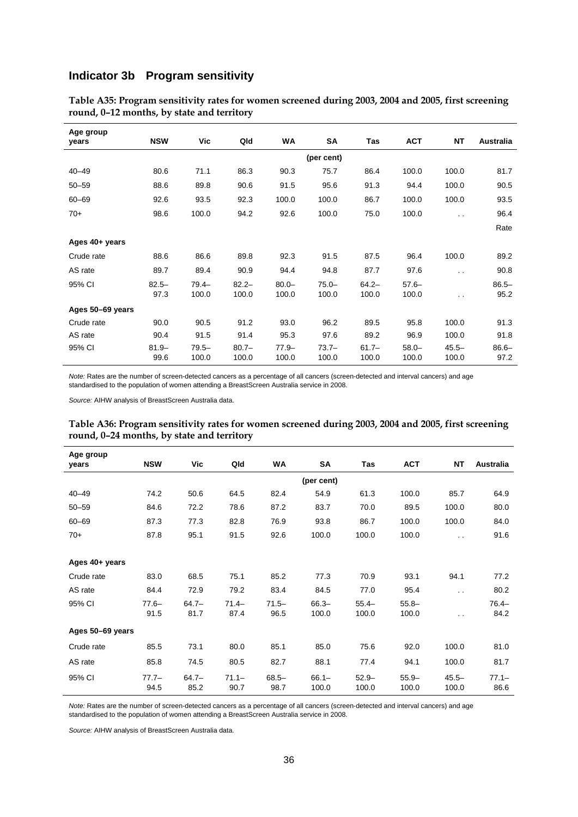# **Indicator 3b Program sensitivity**

| Age group<br>vears | <b>NSW</b>       | Vic               | Qld               | <b>WA</b>         | SA                | Tas               | <b>ACT</b>        | <b>NT</b>            | <b>Australia</b> |
|--------------------|------------------|-------------------|-------------------|-------------------|-------------------|-------------------|-------------------|----------------------|------------------|
|                    |                  |                   |                   |                   | (per cent)        |                   |                   |                      |                  |
| $40 - 49$          | 80.6             | 71.1              | 86.3              | 90.3              | 75.7              | 86.4              | 100.0             | 100.0                | 81.7             |
| $50 - 59$          | 88.6             | 89.8              | 90.6              | 91.5              | 95.6              | 91.3              | 94.4              | 100.0                | 90.5             |
| $60 - 69$          | 92.6             | 93.5              | 92.3              | 100.0             | 100.0             | 86.7              | 100.0             | 100.0                | 93.5             |
| $70+$              | 98.6             | 100.0             | 94.2              | 92.6              | 100.0             | 75.0              | 100.0             | $\ddot{\phantom{a}}$ | 96.4             |
|                    |                  |                   |                   |                   |                   |                   |                   |                      | Rate             |
| Ages 40+ years     |                  |                   |                   |                   |                   |                   |                   |                      |                  |
| Crude rate         | 88.6             | 86.6              | 89.8              | 92.3              | 91.5              | 87.5              | 96.4              | 100.0                | 89.2             |
| AS rate            | 89.7             | 89.4              | 90.9              | 94.4              | 94.8              | 87.7              | 97.6              | $\ddot{\phantom{a}}$ | 90.8             |
| 95% CI             | $82.5 -$<br>97.3 | $79.4 -$<br>100.0 | $82.2 -$<br>100.0 | $80.0 -$<br>100.0 | $75.0 -$<br>100.0 | $64.2 -$<br>100.0 | $57.6 -$<br>100.0 | . .                  | $86.5 -$<br>95.2 |
| Ages 50-69 years   |                  |                   |                   |                   |                   |                   |                   |                      |                  |
| Crude rate         | 90.0             | 90.5              | 91.2              | 93.0              | 96.2              | 89.5              | 95.8              | 100.0                | 91.3             |
| AS rate            | 90.4             | 91.5              | 91.4              | 95.3              | 97.6              | 89.2              | 96.9              | 100.0                | 91.8             |
| 95% CI             | $81.9 -$<br>99.6 | $79.5 -$<br>100.0 | $80.7 -$<br>100.0 | $77.9 -$<br>100.0 | $73.7 -$<br>100.0 | $61.7 -$<br>100.0 | $58.0 -$<br>100.0 | $45.5 -$<br>100.0    | $86.6 -$<br>97.2 |

**Table A35: Program sensitivity rates for women screened during 2003, 2004 and 2005, first screening round, 0–12 months, by state and territory** 

*Note:* Rates are the number of screen-detected cancers as a percentage of all cancers (screen-detected and interval cancers) and age standardised to the population of women attending a BreastScreen Australia service in 2008.

*Source:* AIHW analysis of BreastScreen Australia data.

|                                            | Table A36: Program sensitivity rates for women screened during 2003, 2004 and 2005, first screening |
|--------------------------------------------|-----------------------------------------------------------------------------------------------------|
| round, 0-24 months, by state and territory |                                                                                                     |

| Age group<br>vears | <b>NSW</b>      | Vic              | Qld              | <b>WA</b>        | SA                | Tas               | <b>ACT</b>        | <b>NT</b>            | <b>Australia</b> |
|--------------------|-----------------|------------------|------------------|------------------|-------------------|-------------------|-------------------|----------------------|------------------|
|                    |                 |                  |                  |                  | (per cent)        |                   |                   |                      |                  |
| $40 - 49$          | 74.2            | 50.6             | 64.5             | 82.4             | 54.9              | 61.3              | 100.0             | 85.7                 | 64.9             |
| $50 - 59$          | 84.6            | 72.2             | 78.6             | 87.2             | 83.7              | 70.0              | 89.5              | 100.0                | 80.0             |
| $60 - 69$          | 87.3            | 77.3             | 82.8             | 76.9             | 93.8              | 86.7              | 100.0             | 100.0                | 84.0             |
| $70+$              | 87.8            | 95.1             | 91.5             | 92.6             | 100.0             | 100.0             | 100.0             | . .                  | 91.6             |
|                    |                 |                  |                  |                  |                   |                   |                   |                      |                  |
| Ages 40+ years     |                 |                  |                  |                  |                   |                   |                   |                      |                  |
| Crude rate         | 83.0            | 68.5             | 75.1             | 85.2             | 77.3              | 70.9              | 93.1              | 94.1                 | 77.2             |
| AS rate            | 84.4            | 72.9             | 79.2             | 83.4             | 84.5              | 77.0              | 95.4              | $\ddot{\phantom{0}}$ | 80.2             |
| 95% CI             | $77.6 -$        | $64.7 -$         | $71.4 -$         | $71.5 -$         | $66.3 -$          | $55.4-$           | $55.8 -$          |                      | $76.4 -$         |
|                    | 91.5            | 81.7             | 87.4             | 96.5             | 100.0             | 100.0             | 100.0             | . .                  | 84.2             |
| Ages 50-69 years   |                 |                  |                  |                  |                   |                   |                   |                      |                  |
| Crude rate         | 85.5            | 73.1             | 80.0             | 85.1             | 85.0              | 75.6              | 92.0              | 100.0                | 81.0             |
| AS rate            | 85.8            | 74.5             | 80.5             | 82.7             | 88.1              | 77.4              | 94.1              | 100.0                | 81.7             |
| 95% CI             | $77.7-$<br>94.5 | $64.7 -$<br>85.2 | $71.1 -$<br>90.7 | $68.5 -$<br>98.7 | $66.1 -$<br>100.0 | $52.9 -$<br>100.0 | $55.9 -$<br>100.0 | $45.5 -$<br>100.0    | $77.1 -$<br>86.6 |

*Note:* Rates are the number of screen-detected cancers as a percentage of all cancers (screen-detected and interval cancers) and age standardised to the population of women attending a BreastScreen Australia service in 2008.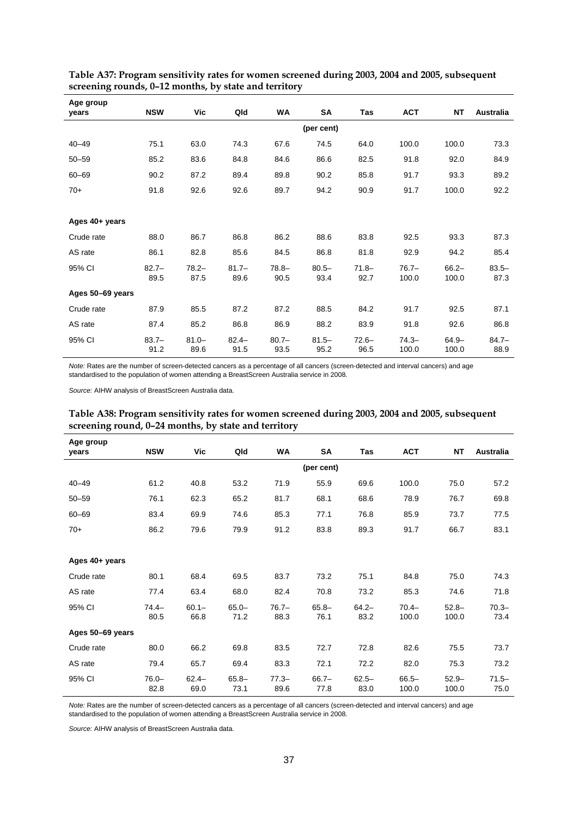| Age group<br>vears | <b>NSW</b>       | Vic              | Qld              | <b>WA</b>        | SA               | Tas              | <b>ACT</b>        | <b>NT</b>         | <b>Australia</b> |
|--------------------|------------------|------------------|------------------|------------------|------------------|------------------|-------------------|-------------------|------------------|
|                    |                  |                  |                  |                  | (per cent)       |                  |                   |                   |                  |
| $40 - 49$          | 75.1             | 63.0             | 74.3             | 67.6             | 74.5             | 64.0             | 100.0             | 100.0             | 73.3             |
| $50 - 59$          | 85.2             | 83.6             | 84.8             | 84.6             | 86.6             | 82.5             | 91.8              | 92.0              | 84.9             |
| $60 - 69$          | 90.2             | 87.2             | 89.4             | 89.8             | 90.2             | 85.8             | 91.7              | 93.3              | 89.2             |
| $70+$              | 91.8             | 92.6             | 92.6             | 89.7             | 94.2             | 90.9             | 91.7              | 100.0             | 92.2             |
|                    |                  |                  |                  |                  |                  |                  |                   |                   |                  |
| Ages 40+ years     |                  |                  |                  |                  |                  |                  |                   |                   |                  |
| Crude rate         | 88.0             | 86.7             | 86.8             | 86.2             | 88.6             | 83.8             | 92.5              | 93.3              | 87.3             |
| AS rate            | 86.1             | 82.8             | 85.6             | 84.5             | 86.8             | 81.8             | 92.9              | 94.2              | 85.4             |
| 95% CI             | $82.7 -$<br>89.5 | $78.2 -$<br>87.5 | $81.7 -$<br>89.6 | $78.8 -$<br>90.5 | $80.5 -$<br>93.4 | $71.8 -$<br>92.7 | $76.7 -$<br>100.0 | $66.2 -$<br>100.0 | $83.5 -$<br>87.3 |
| Ages 50-69 years   |                  |                  |                  |                  |                  |                  |                   |                   |                  |
| Crude rate         | 87.9             | 85.5             | 87.2             | 87.2             | 88.5             | 84.2             | 91.7              | 92.5              | 87.1             |
| AS rate            | 87.4             | 85.2             | 86.8             | 86.9             | 88.2             | 83.9             | 91.8              | 92.6              | 86.8             |
| 95% CI             | $83.7 -$<br>91.2 | $81.0 -$<br>89.6 | $82.4 -$<br>91.5 | $80.7 -$<br>93.5 | $81.5 -$<br>95.2 | $72.6 -$<br>96.5 | $74.3 -$<br>100.0 | $64.9 -$<br>100.0 | $84.7 -$<br>88.9 |

**Table A37: Program sensitivity rates for women screened during 2003, 2004 and 2005, subsequent screening rounds, 0–12 months, by state and territory** 

*Note:* Rates are the number of screen-detected cancers as a percentage of all cancers (screen-detected and interval cancers) and age standardised to the population of women attending a BreastScreen Australia service in 2008.

*Source:* AIHW analysis of BreastScreen Australia data.

| Table A38: Program sensitivity rates for women screened during 2003, 2004 and 2005, subsequent |  |
|------------------------------------------------------------------------------------------------|--|
| screening round, 0-24 months, by state and territory                                           |  |

| Age group<br>years | <b>NSW</b>       | Vic              | Qld              | <b>WA</b>        | SA               | Tas              | <b>ACT</b>        | <b>NT</b>         | <b>Australia</b> |
|--------------------|------------------|------------------|------------------|------------------|------------------|------------------|-------------------|-------------------|------------------|
|                    |                  |                  |                  |                  | (per cent)       |                  |                   |                   |                  |
| $40 - 49$          | 61.2             | 40.8             | 53.2             | 71.9             | 55.9             | 69.6             | 100.0             | 75.0              | 57.2             |
| $50 - 59$          | 76.1             | 62.3             | 65.2             | 81.7             | 68.1             | 68.6             | 78.9              | 76.7              | 69.8             |
| $60 - 69$          | 83.4             | 69.9             | 74.6             | 85.3             | 77.1             | 76.8             | 85.9              | 73.7              | 77.5             |
| $70+$              | 86.2             | 79.6             | 79.9             | 91.2             | 83.8             | 89.3             | 91.7              | 66.7              | 83.1             |
|                    |                  |                  |                  |                  |                  |                  |                   |                   |                  |
| Ages 40+ years     |                  |                  |                  |                  |                  |                  |                   |                   |                  |
| Crude rate         | 80.1             | 68.4             | 69.5             | 83.7             | 73.2             | 75.1             | 84.8              | 75.0              | 74.3             |
| AS rate            | 77.4             | 63.4             | 68.0             | 82.4             | 70.8             | 73.2             | 85.3              | 74.6              | 71.8             |
| 95% CI             | $74.4 -$<br>80.5 | $60.1 -$<br>66.8 | $65.0 -$<br>71.2 | $76.7 -$<br>88.3 | $65.8 -$<br>76.1 | $64.2 -$<br>83.2 | $70.4 -$<br>100.0 | $52.8 -$<br>100.0 | $70.3 -$<br>73.4 |
| Ages 50-69 years   |                  |                  |                  |                  |                  |                  |                   |                   |                  |
| Crude rate         | 80.0             | 66.2             | 69.8             | 83.5             | 72.7             | 72.8             | 82.6              | 75.5              | 73.7             |
| AS rate            | 79.4             | 65.7             | 69.4             | 83.3             | 72.1             | 72.2             | 82.0              | 75.3              | 73.2             |
| 95% CI             | $76.0 -$<br>82.8 | $62.4 -$<br>69.0 | $65.8 -$<br>73.1 | $77.3-$<br>89.6  | $66.7 -$<br>77.8 | $62.5 -$<br>83.0 | $66.5 -$<br>100.0 | $52.9 -$<br>100.0 | $71.5 -$<br>75.0 |

*Note:* Rates are the number of screen-detected cancers as a percentage of all cancers (screen-detected and interval cancers) and age standardised to the population of women attending a BreastScreen Australia service in 2008.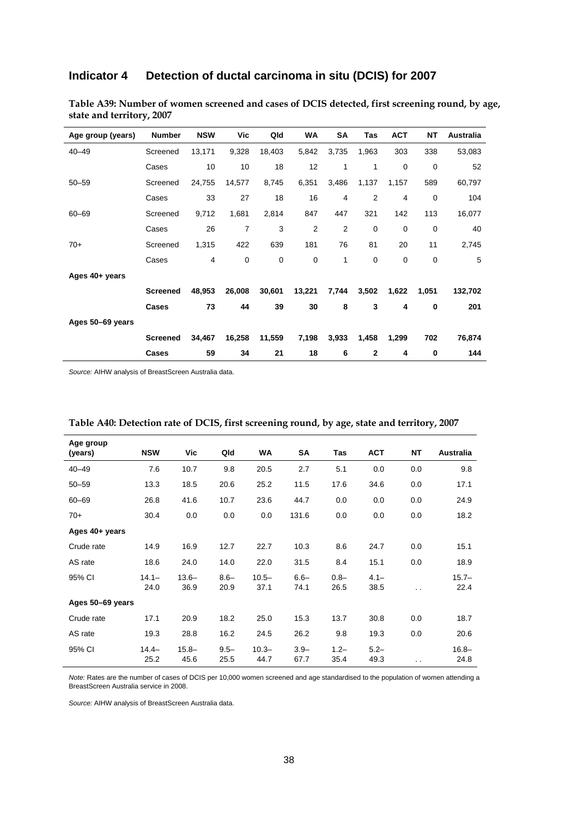# **Indicator 4 Detection of ductal carcinoma in situ (DCIS) for 2007**

| Age group (years) | <b>Number</b>   | <b>NSW</b> | Vic            | Qld         | WA             | SA             | <b>Tas</b>     | <b>ACT</b>     | <b>NT</b>   | <b>Australia</b> |
|-------------------|-----------------|------------|----------------|-------------|----------------|----------------|----------------|----------------|-------------|------------------|
| $40 - 49$         | Screened        | 13,171     | 9,328          | 18,403      | 5,842          | 3,735          | 1,963          | 303            | 338         | 53,083           |
|                   | Cases           | 10         | 10             | 18          | 12             | 1              | 1              | $\mathbf 0$    | $\mathbf 0$ | 52               |
| $50 - 59$         | Screened        | 24,755     | 14,577         | 8,745       | 6,351          | 3,486          | 1,137          | 1,157          | 589         | 60,797           |
|                   | Cases           | 33         | 27             | 18          | 16             | $\overline{4}$ | $\overline{2}$ | $\overline{4}$ | $\mathbf 0$ | 104              |
| $60 - 69$         | Screened        | 9,712      | 1,681          | 2,814       | 847            | 447            | 321            | 142            | 113         | 16,077           |
|                   | Cases           | 26         | $\overline{7}$ | 3           | $\overline{2}$ | 2              | 0              | 0              | $\mathbf 0$ | 40               |
| $70+$             | Screened        | 1,315      | 422            | 639         | 181            | 76             | 81             | 20             | 11          | 2,745            |
|                   | Cases           | 4          | 0              | $\mathbf 0$ | 0              | 1              | 0              | 0              | $\mathbf 0$ | 5                |
| Ages 40+ years    |                 |            |                |             |                |                |                |                |             |                  |
|                   | <b>Screened</b> | 48,953     | 26,008         | 30,601      | 13,221         | 7,744          | 3,502          | 1,622          | 1,051       | 132,702          |
|                   | Cases           | 73         | 44             | 39          | 30             | 8              | 3              | 4              | 0           | 201              |
| Ages 50-69 years  |                 |            |                |             |                |                |                |                |             |                  |
|                   | <b>Screened</b> | 34,467     | 16,258         | 11,559      | 7,198          | 3,933          | 1,458          | 1,299          | 702         | 76,874           |
|                   | Cases           | 59         | 34             | 21          | 18             | 6              | 2              | 4              | 0           | 144              |

**Table A39: Number of women screened and cases of DCIS detected, first screening round, by age, state and territory, 2007** 

*Source:* AIHW analysis of BreastScreen Australia data.

| Age group        |                  |                  |                 |                  |                 |                 |                 |           |                  |
|------------------|------------------|------------------|-----------------|------------------|-----------------|-----------------|-----------------|-----------|------------------|
| (years)          | <b>NSW</b>       | Vic              | Qld             | <b>WA</b>        | <b>SA</b>       | Tas             | <b>ACT</b>      | <b>NT</b> | <b>Australia</b> |
| $40 - 49$        | 7.6              | 10.7             | 9.8             | 20.5             | 2.7             | 5.1             | 0.0             | 0.0       | 9.8              |
| $50 - 59$        | 13.3             | 18.5             | 20.6            | 25.2             | 11.5            | 17.6            | 34.6            | 0.0       | 17.1             |
| $60 - 69$        | 26.8             | 41.6             | 10.7            | 23.6             | 44.7            | 0.0             | 0.0             | 0.0       | 24.9             |
| $70+$            | 30.4             | 0.0              | 0.0             | 0.0              | 131.6           | 0.0             | 0.0             | 0.0       | 18.2             |
| Ages 40+ years   |                  |                  |                 |                  |                 |                 |                 |           |                  |
| Crude rate       | 14.9             | 16.9             | 12.7            | 22.7             | 10.3            | 8.6             | 24.7            | 0.0       | 15.1             |
| AS rate          | 18.6             | 24.0             | 14.0            | 22.0             | 31.5            | 8.4             | 15.1            | 0.0       | 18.9             |
| 95% CI           | $14.1 -$<br>24.0 | $13.6 -$<br>36.9 | $8.6 -$<br>20.9 | $10.5 -$<br>37.1 | $6.6 -$<br>74.1 | $0.8 -$<br>26.5 | $4.1 -$<br>38.5 | . .       | $15.7 -$<br>22.4 |
| Ages 50-69 years |                  |                  |                 |                  |                 |                 |                 |           |                  |
| Crude rate       | 17.1             | 20.9             | 18.2            | 25.0             | 15.3            | 13.7            | 30.8            | 0.0       | 18.7             |
| AS rate          | 19.3             | 28.8             | 16.2            | 24.5             | 26.2            | 9.8             | 19.3            | 0.0       | 20.6             |
| 95% CI           | $14.4 -$<br>25.2 | $15.8 -$<br>45.6 | $9.5 -$<br>25.5 | $10.3 -$<br>44.7 | $3.9 -$<br>67.7 | $1.2 -$<br>35.4 | $5.2 -$<br>49.3 | . .       | $16.8 -$<br>24.8 |

| Table A40: Detection rate of DCIS, first screening round, by age, state and territory, 2007 |  |
|---------------------------------------------------------------------------------------------|--|
|                                                                                             |  |

*Note:* Rates are the number of cases of DCIS per 10,000 women screened and age standardised to the population of women attending a BreastScreen Australia service in 2008.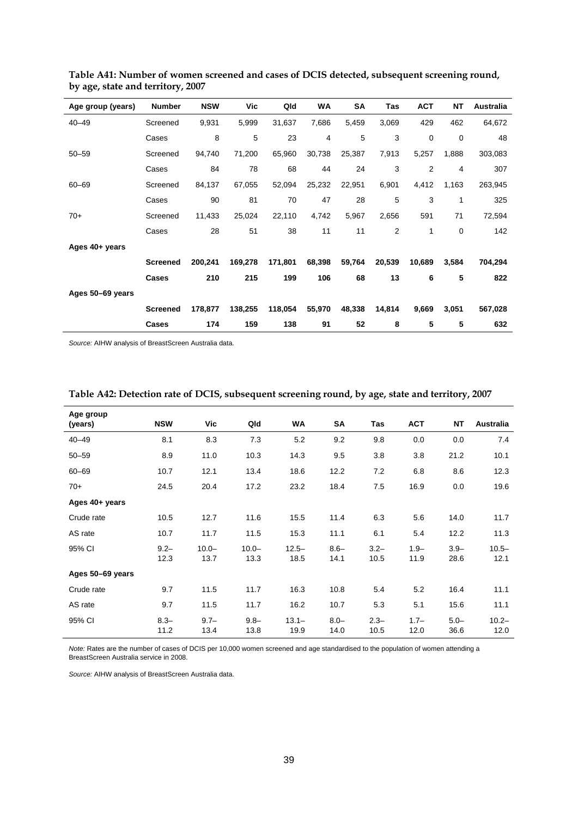| Age group (years) | <b>Number</b>   | <b>NSW</b> | Vic     | Qld     | WA     | SA     | Tas            | <b>ACT</b>     | <b>NT</b>   | Australia |
|-------------------|-----------------|------------|---------|---------|--------|--------|----------------|----------------|-------------|-----------|
| $40 - 49$         | Screened        | 9,931      | 5,999   | 31,637  | 7,686  | 5,459  | 3,069          | 429            | 462         | 64,672    |
|                   | Cases           | 8          | 5       | 23      | 4      | 5      | 3              | $\mathbf 0$    | $\mathbf 0$ | 48        |
| $50 - 59$         | Screened        | 94,740     | 71,200  | 65,960  | 30,738 | 25,387 | 7,913          | 5,257          | 1,888       | 303,083   |
|                   | Cases           | 84         | 78      | 68      | 44     | 24     | 3              | $\overline{2}$ | 4           | 307       |
| $60 - 69$         | Screened        | 84,137     | 67,055  | 52,094  | 25,232 | 22,951 | 6,901          | 4,412          | 1,163       | 263,945   |
|                   | Cases           | 90         | 81      | 70      | 47     | 28     | 5              | 3              | 1           | 325       |
| $70+$             | Screened        | 11,433     | 25,024  | 22,110  | 4,742  | 5,967  | 2,656          | 591            | 71          | 72,594    |
|                   | Cases           | 28         | 51      | 38      | 11     | 11     | $\overline{2}$ | 1              | $\mathbf 0$ | 142       |
| Ages 40+ years    |                 |            |         |         |        |        |                |                |             |           |
|                   | <b>Screened</b> | 200,241    | 169,278 | 171,801 | 68,398 | 59,764 | 20,539         | 10,689         | 3,584       | 704,294   |
|                   | Cases           | 210        | 215     | 199     | 106    | 68     | 13             | 6              | 5           | 822       |
| Ages 50-69 years  |                 |            |         |         |        |        |                |                |             |           |
|                   | <b>Screened</b> | 178,877    | 138,255 | 118,054 | 55,970 | 48,338 | 14,814         | 9,669          | 3,051       | 567,028   |
|                   | Cases           | 174        | 159     | 138     | 91     | 52     | 8              | 5              | 5           | 632       |

**Table A41: Number of women screened and cases of DCIS detected, subsequent screening round, by age, state and territory, 2007** 

| Age group<br>(years) | <b>NSW</b>      | Vic              | Qld              | WA               | SA              | Tas             | <b>ACT</b>      | NT              | <b>Australia</b> |
|----------------------|-----------------|------------------|------------------|------------------|-----------------|-----------------|-----------------|-----------------|------------------|
| $40 - 49$            | 8.1             | 8.3              | 7.3              | 5.2              | 9.2             | 9.8             | 0.0             | 0.0             | 7.4              |
| $50 - 59$            | 8.9             | 11.0             | 10.3             | 14.3             | 9.5             | 3.8             | 3.8             | 21.2            | 10.1             |
| $60 - 69$            | 10.7            | 12.1             | 13.4             | 18.6             | 12.2            | 7.2             | 6.8             | 8.6             | 12.3             |
| $70+$                | 24.5            | 20.4             | 17.2             | 23.2             | 18.4            | 7.5             | 16.9            | 0.0             | 19.6             |
| Ages 40+ years       |                 |                  |                  |                  |                 |                 |                 |                 |                  |
| Crude rate           | 10.5            | 12.7             | 11.6             | 15.5             | 11.4            | 6.3             | 5.6             | 14.0            | 11.7             |
| AS rate              | 10.7            | 11.7             | 11.5             | 15.3             | 11.1            | 6.1             | 5.4             | 12.2            | 11.3             |
| 95% CI               | $9.2 -$<br>12.3 | $10.0 -$<br>13.7 | $10.0 -$<br>13.3 | $12.5 -$<br>18.5 | $8.6 -$<br>14.1 | $3.2 -$<br>10.5 | $1.9 -$<br>11.9 | $3.9 -$<br>28.6 | $10.5 -$<br>12.1 |
| Ages 50-69 years     |                 |                  |                  |                  |                 |                 |                 |                 |                  |
| Crude rate           | 9.7             | 11.5             | 11.7             | 16.3             | 10.8            | 5.4             | 5.2             | 16.4            | 11.1             |
| AS rate              | 9.7             | 11.5             | 11.7             | 16.2             | 10.7            | 5.3             | 5.1             | 15.6            | 11.1             |
| 95% CI               | $8.3 -$<br>11.2 | $9.7 -$<br>13.4  | $9.8 -$<br>13.8  | $13.1 -$<br>19.9 | $8.0 -$<br>14.0 | $2.3 -$<br>10.5 | $1.7 -$<br>12.0 | $5.0 -$<br>36.6 | $10.2 -$<br>12.0 |

#### **Table A42: Detection rate of DCIS, subsequent screening round, by age, state and territory, 2007**

*Note:* Rates are the number of cases of DCIS per 10,000 women screened and age standardised to the population of women attending a BreastScreen Australia service in 2008.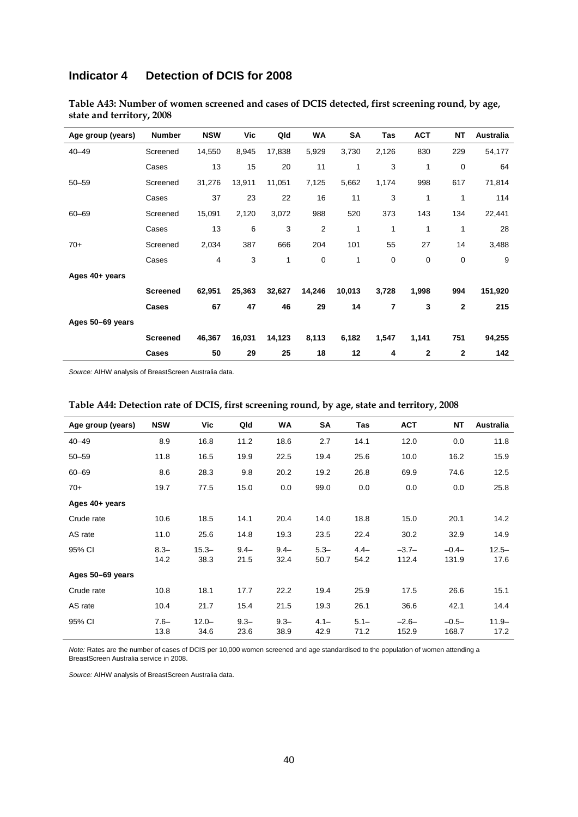### **Indicator 4 Detection of DCIS for 2008**

| Age group (years) | <b>Number</b>   | <b>NSW</b> | Vic    | Qld    | <b>WA</b> | <b>SA</b> | Tas   | <b>ACT</b>   | <b>NT</b>    | <b>Australia</b> |
|-------------------|-----------------|------------|--------|--------|-----------|-----------|-------|--------------|--------------|------------------|
| $40 - 49$         | Screened        | 14,550     | 8,945  | 17,838 | 5,929     | 3,730     | 2,126 | 830          | 229          | 54,177           |
|                   | Cases           | 13         | 15     | 20     | 11        | 1         | 3     | 1            | 0            | 64               |
| $50 - 59$         | Screened        | 31,276     | 13,911 | 11,051 | 7,125     | 5,662     | 1,174 | 998          | 617          | 71,814           |
|                   | Cases           | 37         | 23     | 22     | 16        | 11        | 3     | 1            | 1            | 114              |
| $60 - 69$         | Screened        | 15,091     | 2,120  | 3,072  | 988       | 520       | 373   | 143          | 134          | 22,441           |
|                   | Cases           | 13         | 6      | 3      | 2         | 1         | 1     | 1            | 1            | 28               |
| $70+$             | Screened        | 2,034      | 387    | 666    | 204       | 101       | 55    | 27           | 14           | 3,488            |
|                   | Cases           | 4          | 3      | 1      | 0         | 1         | 0     | 0            | 0            | 9                |
| Ages 40+ years    |                 |            |        |        |           |           |       |              |              |                  |
|                   | <b>Screened</b> | 62,951     | 25,363 | 32,627 | 14,246    | 10,013    | 3,728 | 1,998        | 994          | 151,920          |
|                   | Cases           | 67         | 47     | 46     | 29        | 14        | 7     | 3            | $\mathbf{2}$ | 215              |
| Ages 50-69 years  |                 |            |        |        |           |           |       |              |              |                  |
|                   | <b>Screened</b> | 46,367     | 16,031 | 14,123 | 8,113     | 6,182     | 1,547 | 1,141        | 751          | 94,255           |
|                   | Cases           | 50         | 29     | 25     | 18        | 12        | 4     | $\mathbf{2}$ | 2            | 142              |

**Table A43: Number of women screened and cases of DCIS detected, first screening round, by age, state and territory, 2008** 

*Source:* AIHW analysis of BreastScreen Australia data.

| Age group (years) | <b>NSW</b>      | Vic              | Qld             | WA              | <b>SA</b>       | Tas             | <b>ACT</b>       | <b>NT</b>        | <b>Australia</b> |
|-------------------|-----------------|------------------|-----------------|-----------------|-----------------|-----------------|------------------|------------------|------------------|
| $40 - 49$         | 8.9             | 16.8             | 11.2            | 18.6            | 2.7             | 14.1            | 12.0             | 0.0              | 11.8             |
| $50 - 59$         | 11.8            | 16.5             | 19.9            | 22.5            | 19.4            | 25.6            | 10.0             | 16.2             | 15.9             |
| $60 - 69$         | 8.6             | 28.3             | 9.8             | 20.2            | 19.2            | 26.8            | 69.9             | 74.6             | 12.5             |
| $70+$             | 19.7            | 77.5             | 15.0            | 0.0             | 99.0            | 0.0             | 0.0              | 0.0              | 25.8             |
| Ages 40+ years    |                 |                  |                 |                 |                 |                 |                  |                  |                  |
| Crude rate        | 10.6            | 18.5             | 14.1            | 20.4            | 14.0            | 18.8            | 15.0             | 20.1             | 14.2             |
| AS rate           | 11.0            | 25.6             | 14.8            | 19.3            | 23.5            | 22.4            | 30.2             | 32.9             | 14.9             |
| 95% CI            | $8.3 -$<br>14.2 | $15.3 -$<br>38.3 | $9.4 -$<br>21.5 | $9.4 -$<br>32.4 | $5.3 -$<br>50.7 | $4.4-$<br>54.2  | $-3.7-$<br>112.4 | $-0.4-$<br>131.9 | $12.5 -$<br>17.6 |
| Ages 50-69 years  |                 |                  |                 |                 |                 |                 |                  |                  |                  |
| Crude rate        | 10.8            | 18.1             | 17.7            | 22.2            | 19.4            | 25.9            | 17.5             | 26.6             | 15.1             |
| AS rate           | 10.4            | 21.7             | 15.4            | 21.5            | 19.3            | 26.1            | 36.6             | 42.1             | 14.4             |
| 95% CI            | $7.6 -$<br>13.8 | $12.0 -$<br>34.6 | $9.3 -$<br>23.6 | $9.3 -$<br>38.9 | $4.1 -$<br>42.9 | $5.1 -$<br>71.2 | $-2.6-$<br>152.9 | $-0.5-$<br>168.7 | $11.9 -$<br>17.2 |

#### **Table A44: Detection rate of DCIS, first screening round, by age, state and territory, 2008**

*Note:* Rates are the number of cases of DCIS per 10,000 women screened and age standardised to the population of women attending a BreastScreen Australia service in 2008.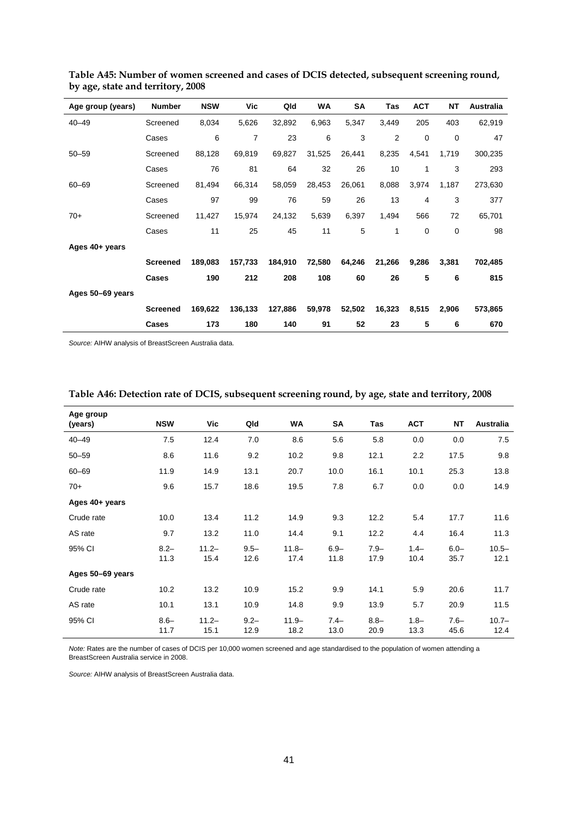| Age group (years) | <b>Number</b>   | <b>NSW</b> | Vic     | Qld     | WA     | SA     | Tas    | <b>ACT</b>  | <b>NT</b>   | Australia |
|-------------------|-----------------|------------|---------|---------|--------|--------|--------|-------------|-------------|-----------|
| $40 - 49$         | Screened        | 8,034      | 5,626   | 32,892  | 6,963  | 5,347  | 3,449  | 205         | 403         | 62,919    |
|                   | Cases           | 6          | 7       | 23      | 6      | 3      | 2      | $\mathbf 0$ | $\mathbf 0$ | 47        |
| $50 - 59$         | Screened        | 88,128     | 69,819  | 69,827  | 31,525 | 26,441 | 8,235  | 4,541       | 1,719       | 300,235   |
|                   | Cases           | 76         | 81      | 64      | 32     | 26     | 10     | 1           | 3           | 293       |
| $60 - 69$         | Screened        | 81,494     | 66,314  | 58,059  | 28,453 | 26,061 | 8,088  | 3,974       | 1,187       | 273,630   |
|                   | Cases           | 97         | 99      | 76      | 59     | 26     | 13     | 4           | 3           | 377       |
| $70+$             | Screened        | 11,427     | 15,974  | 24,132  | 5,639  | 6,397  | 1,494  | 566         | 72          | 65,701    |
|                   | Cases           | 11         | 25      | 45      | 11     | 5      | 1      | $\mathbf 0$ | $\mathbf 0$ | 98        |
| Ages 40+ years    |                 |            |         |         |        |        |        |             |             |           |
|                   | <b>Screened</b> | 189,083    | 157,733 | 184,910 | 72,580 | 64,246 | 21,266 | 9,286       | 3,381       | 702,485   |
|                   | Cases           | 190        | 212     | 208     | 108    | 60     | 26     | 5           | 6           | 815       |
| Ages 50-69 years  |                 |            |         |         |        |        |        |             |             |           |
|                   | <b>Screened</b> | 169,622    | 136,133 | 127,886 | 59,978 | 52,502 | 16,323 | 8,515       | 2,906       | 573,865   |
|                   | Cases           | 173        | 180     | 140     | 91     | 52     | 23     | 5           | 6           | 670       |

**Table A45: Number of women screened and cases of DCIS detected, subsequent screening round, by age, state and territory, 2008** 

| Age group        |                 |                  |                 |                  |                 |                 |                 |                 |                  |
|------------------|-----------------|------------------|-----------------|------------------|-----------------|-----------------|-----------------|-----------------|------------------|
| (years)          | <b>NSW</b>      | Vic              | Qld             | WA               | SA              | Tas             | <b>ACT</b>      | <b>NT</b>       | Australia        |
| $40 - 49$        | 7.5             | 12.4             | 7.0             | 8.6              | 5.6             | 5.8             | 0.0             | 0.0             | 7.5              |
| $50 - 59$        | 8.6             | 11.6             | 9.2             | 10.2             | 9.8             | 12.1            | 2.2             | 17.5            | 9.8              |
| $60 - 69$        | 11.9            | 14.9             | 13.1            | 20.7             | 10.0            | 16.1            | 10.1            | 25.3            | 13.8             |
| $70+$            | 9.6             | 15.7             | 18.6            | 19.5             | 7.8             | 6.7             | 0.0             | 0.0             | 14.9             |
| Ages 40+ years   |                 |                  |                 |                  |                 |                 |                 |                 |                  |
| Crude rate       | 10.0            | 13.4             | 11.2            | 14.9             | 9.3             | 12.2            | 5.4             | 17.7            | 11.6             |
| AS rate          | 9.7             | 13.2             | 11.0            | 14.4             | 9.1             | 12.2            | 4.4             | 16.4            | 11.3             |
| 95% CI           | $8.2 -$<br>11.3 | $11.2 -$<br>15.4 | $9.5 -$<br>12.6 | $11.8 -$<br>17.4 | $6.9 -$<br>11.8 | $7.9 -$<br>17.9 | $1.4 -$<br>10.4 | $6.0 -$<br>35.7 | $10.5 -$<br>12.1 |
| Ages 50-69 years |                 |                  |                 |                  |                 |                 |                 |                 |                  |
| Crude rate       | 10.2            | 13.2             | 10.9            | 15.2             | 9.9             | 14.1            | 5.9             | 20.6            | 11.7             |
| AS rate          | 10.1            | 13.1             | 10.9            | 14.8             | 9.9             | 13.9            | 5.7             | 20.9            | 11.5             |
| 95% CI           | $8.6 -$<br>11.7 | $11.2 -$<br>15.1 | $9.2 -$<br>12.9 | $11.9 -$<br>18.2 | $7.4-$<br>13.0  | $8.8 -$<br>20.9 | $1.8 -$<br>13.3 | $7.6 -$<br>45.6 | $10.7 -$<br>12.4 |

#### **Table A46: Detection rate of DCIS, subsequent screening round, by age, state and territory, 2008**

*Note:* Rates are the number of cases of DCIS per 10,000 women screened and age standardised to the population of women attending a BreastScreen Australia service in 2008.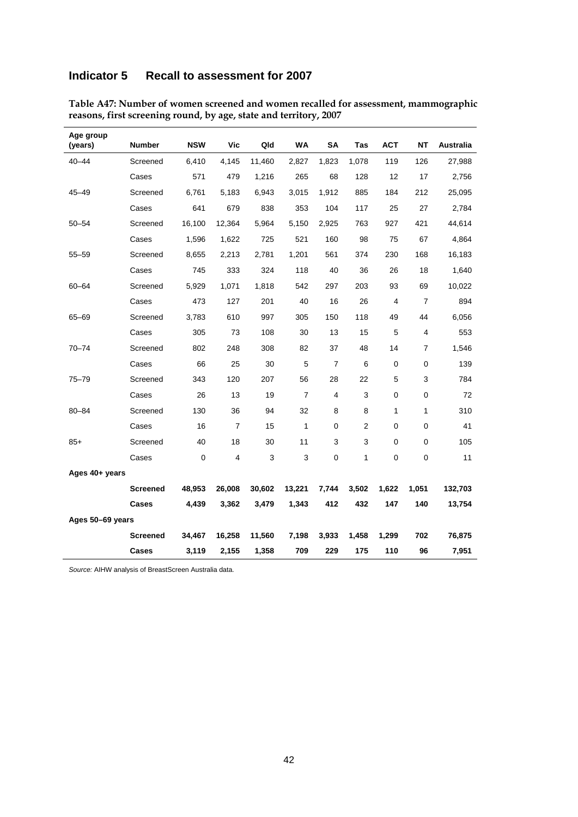### **Indicator 5 Recall to assessment for 2007**

| Age group<br>(years) | <b>Number</b>   | <b>NSW</b> | <b>Vic</b>     | Qld    | WA             | SΑ             | Tas   | <b>ACT</b>  | NΤ             | Australia |
|----------------------|-----------------|------------|----------------|--------|----------------|----------------|-------|-------------|----------------|-----------|
| $40 - 44$            | Screened        | 6,410      | 4,145          | 11,460 | 2,827          | 1,823          | 1,078 | 119         | 126            | 27,988    |
|                      | Cases           | 571        | 479            | 1,216  | 265            | 68             | 128   | 12          | 17             | 2,756     |
| $45 - 49$            | Screened        | 6,761      | 5,183          | 6,943  | 3,015          | 1,912          | 885   | 184         | 212            | 25,095    |
|                      | Cases           | 641        | 679            | 838    | 353            | 104            | 117   | 25          | 27             | 2,784     |
| $50 - 54$            | Screened        | 16,100     | 12,364         | 5,964  | 5,150          | 2,925          | 763   | 927         | 421            | 44,614    |
|                      | Cases           | 1,596      | 1,622          | 725    | 521            | 160            | 98    | 75          | 67             | 4,864     |
| $55 - 59$            | Screened        | 8,655      | 2,213          | 2,781  | 1,201          | 561            | 374   | 230         | 168            | 16,183    |
|                      | Cases           | 745        | 333            | 324    | 118            | 40             | 36    | 26          | 18             | 1,640     |
| $60 - 64$            | Screened        | 5,929      | 1,071          | 1,818  | 542            | 297            | 203   | 93          | 69             | 10,022    |
|                      | Cases           | 473        | 127            | 201    | 40             | 16             | 26    | 4           | $\overline{7}$ | 894       |
| 65-69                | Screened        | 3,783      | 610            | 997    | 305            | 150            | 118   | 49          | 44             | 6,056     |
|                      | Cases           | 305        | 73             | 108    | 30             | 13             | 15    | 5           | 4              | 553       |
| 70-74                | Screened        | 802        | 248            | 308    | 82             | 37             | 48    | 14          | 7              | 1,546     |
|                      | Cases           | 66         | 25             | 30     | 5              | $\overline{7}$ | 6     | 0           | 0              | 139       |
| $75 - 79$            | Screened        | 343        | 120            | 207    | 56             | 28             | 22    | 5           | 3              | 784       |
|                      | Cases           | 26         | 13             | 19     | $\overline{7}$ | 4              | 3     | 0           | 0              | 72        |
| $80 - 84$            | Screened        | 130        | 36             | 94     | 32             | 8              | 8     | 1           | 1              | 310       |
|                      | Cases           | 16         | $\overline{7}$ | 15     | 1              | 0              | 2     | 0           | 0              | 41        |
| $85+$                | Screened        | 40         | 18             | 30     | 11             | 3              | 3     | $\mathbf 0$ | $\mathbf 0$    | 105       |
|                      | Cases           | 0          | 4              | 3      | 3              | 0              | 1     | 0           | 0              | 11        |
| Ages 40+ years       |                 |            |                |        |                |                |       |             |                |           |
|                      | <b>Screened</b> | 48,953     | 26,008         | 30,602 | 13,221         | 7,744          | 3,502 | 1,622       | 1,051          | 132,703   |
|                      | Cases           | 4.439      | 3,362          | 3,479  | 1,343          | 412            | 432   | 147         | 140            | 13,754    |
| Ages 50-69 years     |                 |            |                |        |                |                |       |             |                |           |
|                      | Screened        | 34,467     | 16,258         | 11,560 | 7,198          | 3,933          | 1,458 | 1,299       | 702            | 76,875    |
|                      | <b>Cases</b>    | 3,119      | 2,155          | 1,358  | 709            | 229            | 175   | 110         | 96             | 7,951     |

**Table A47: Number of women screened and women recalled for assessment, mammographic reasons, first screening round, by age, state and territory, 2007**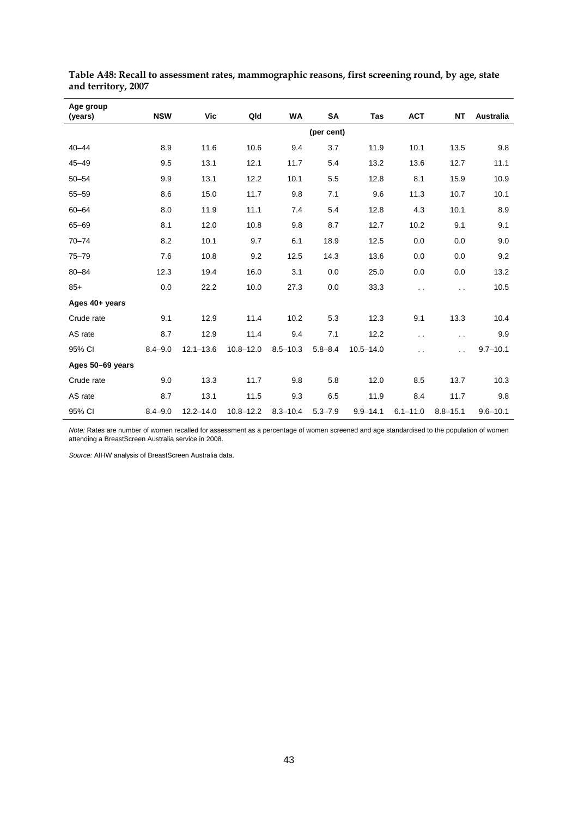| Age group<br>(years) | <b>NSW</b>  | Vic           | Qld           | <b>WA</b>    | SA          | Tas           | <b>ACT</b>           | <b>NT</b>            | <b>Australia</b> |
|----------------------|-------------|---------------|---------------|--------------|-------------|---------------|----------------------|----------------------|------------------|
|                      |             |               |               |              | (per cent)  |               |                      |                      |                  |
| $40 - 44$            | 8.9         | 11.6          | 10.6          | 9.4          | 3.7         | 11.9          | 10.1                 | 13.5                 | 9.8              |
| $45 - 49$            | 9.5         | 13.1          | 12.1          | 11.7         | 5.4         | 13.2          | 13.6                 | 12.7                 | 11.1             |
| $50 - 54$            | 9.9         | 13.1          | 12.2          | 10.1         | 5.5         | 12.8          | 8.1                  | 15.9                 | 10.9             |
| $55 - 59$            | 8.6         | 15.0          | 11.7          | 9.8          | 7.1         | 9.6           | 11.3                 | 10.7                 | 10.1             |
| $60 - 64$            | 8.0         | 11.9          | 11.1          | 7.4          | 5.4         | 12.8          | 4.3                  | 10.1                 | 8.9              |
| $65 - 69$            | 8.1         | 12.0          | 10.8          | 9.8          | 8.7         | 12.7          | 10.2                 | 9.1                  | 9.1              |
| $70 - 74$            | 8.2         | 10.1          | 9.7           | 6.1          | 18.9        | 12.5          | 0.0                  | 0.0                  | 9.0              |
| $75 - 79$            | 7.6         | 10.8          | 9.2           | 12.5         | 14.3        | 13.6          | 0.0                  | 0.0                  | 9.2              |
| $80 - 84$            | 12.3        | 19.4          | 16.0          | 3.1          | 0.0         | 25.0          | 0.0                  | 0.0                  | 13.2             |
| $85+$                | 0.0         | 22.2          | 10.0          | 27.3         | 0.0         | 33.3          | $\ddot{\phantom{a}}$ | $\ddot{\phantom{a}}$ | 10.5             |
| Ages 40+ years       |             |               |               |              |             |               |                      |                      |                  |
| Crude rate           | 9.1         | 12.9          | 11.4          | 10.2         | 5.3         | 12.3          | 9.1                  | 13.3                 | 10.4             |
| AS rate              | 8.7         | 12.9          | 11.4          | 9.4          | 7.1         | 12.2          | $\ddot{\phantom{0}}$ | $\ddot{\phantom{0}}$ | 9.9              |
| 95% CI               | $8.4 - 9.0$ | $12.1 - 13.6$ | $10.8 - 12.0$ | $8.5 - 10.3$ | $5.8 - 8.4$ | $10.5 - 14.0$ | . .                  | . .                  | $9.7 - 10.1$     |
| Ages 50-69 years     |             |               |               |              |             |               |                      |                      |                  |
| Crude rate           | 9.0         | 13.3          | 11.7          | 9.8          | 5.8         | 12.0          | 8.5                  | 13.7                 | 10.3             |
| AS rate              | 8.7         | 13.1          | 11.5          | 9.3          | 6.5         | 11.9          | 8.4                  | 11.7                 | 9.8              |
| 95% CI               | $8.4 - 9.0$ | $12.2 - 14.0$ | $10.8 - 12.2$ | $8.3 - 10.4$ | $5.3 - 7.9$ | $9.9 - 14.1$  | $6.1 - 11.0$         | $8.8 - 15.1$         | $9.6 - 10.1$     |

**Table A48: Recall to assessment rates, mammographic reasons, first screening round, by age, state and territory, 2007** 

*Note:* Rates are number of women recalled for assessment as a percentage of women screened and age standardised to the population of women attending a BreastScreen Australia service in 2008.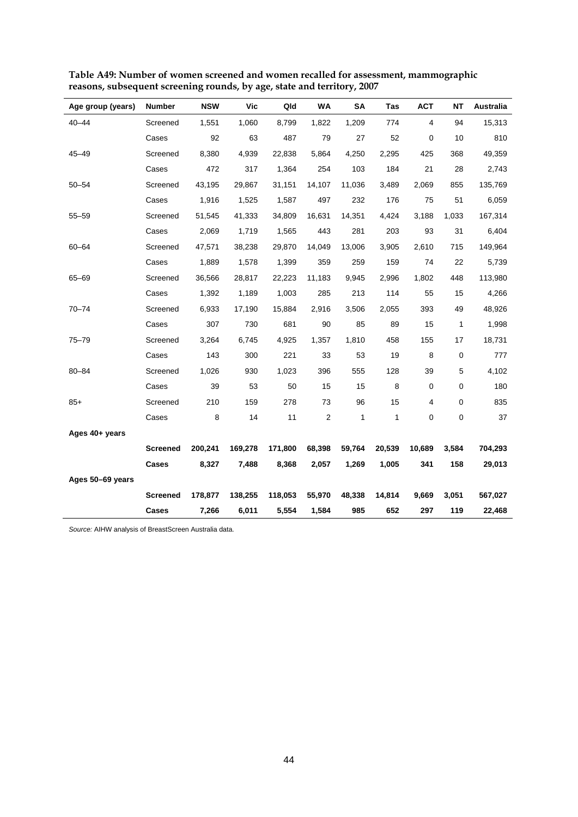| Age group (years) | <b>Number</b>   | <b>NSW</b> | Vic     | Qld     | WA                      | <b>SA</b> | Tas          | <b>ACT</b> | NΤ        | <b>Australia</b> |
|-------------------|-----------------|------------|---------|---------|-------------------------|-----------|--------------|------------|-----------|------------------|
| $40 - 44$         | Screened        | 1,551      | 1,060   | 8,799   | 1,822                   | 1,209     | 774          | 4          | 94        | 15,313           |
|                   | Cases           | 92         | 63      | 487     | 79                      | 27        | 52           | 0          | 10        | 810              |
| $45 - 49$         | Screened        | 8,380      | 4,939   | 22,838  | 5,864                   | 4,250     | 2,295        | 425        | 368       | 49,359           |
|                   | Cases           | 472        | 317     | 1,364   | 254                     | 103       | 184          | 21         | 28        | 2,743            |
| $50 - 54$         | Screened        | 43,195     | 29,867  | 31,151  | 14,107                  | 11,036    | 3,489        | 2,069      | 855       | 135,769          |
|                   | Cases           | 1,916      | 1,525   | 1,587   | 497                     | 232       | 176          | 75         | 51        | 6,059            |
| $55 - 59$         | Screened        | 51,545     | 41,333  | 34,809  | 16,631                  | 14,351    | 4,424        | 3,188      | 1,033     | 167,314          |
|                   | Cases           | 2,069      | 1,719   | 1,565   | 443                     | 281       | 203          | 93         | 31        | 6,404            |
| $60 - 64$         | Screened        | 47,571     | 38,238  | 29,870  | 14,049                  | 13,006    | 3,905        | 2,610      | 715       | 149,964          |
|                   | Cases           | 1,889      | 1,578   | 1,399   | 359                     | 259       | 159          | 74         | 22        | 5,739            |
| 65-69             | Screened        | 36,566     | 28,817  | 22,223  | 11,183                  | 9,945     | 2,996        | 1,802      | 448       | 113,980          |
|                   | Cases           | 1,392      | 1,189   | 1,003   | 285                     | 213       | 114          | 55         | 15        | 4,266            |
| $70 - 74$         | Screened        | 6,933      | 17,190  | 15,884  | 2,916                   | 3,506     | 2,055        | 393        | 49        | 48,926           |
|                   | Cases           | 307        | 730     | 681     | 90                      | 85        | 89           | 15         | 1         | 1,998            |
| $75 - 79$         | Screened        | 3,264      | 6,745   | 4,925   | 1,357                   | 1,810     | 458          | 155        | 17        | 18,731           |
|                   | Cases           | 143        | 300     | 221     | 33                      | 53        | 19           | 8          | 0         | 777              |
| $80 - 84$         | Screened        | 1,026      | 930     | 1,023   | 396                     | 555       | 128          | 39         | 5         | 4,102            |
|                   | Cases           | 39         | 53      | 50      | 15                      | 15        | 8            | 0          | 0         | 180              |
| $85+$             | Screened        | 210        | 159     | 278     | 73                      | 96        | 15           | 4          | 0         | 835              |
|                   | Cases           | 8          | 14      | 11      | $\overline{\mathbf{c}}$ | 1         | $\mathbf{1}$ | 0          | $\pmb{0}$ | 37               |
| Ages 40+ years    |                 |            |         |         |                         |           |              |            |           |                  |
|                   | <b>Screened</b> | 200,241    | 169,278 | 171,800 | 68,398                  | 59,764    | 20,539       | 10,689     | 3,584     | 704,293          |
|                   | Cases           | 8,327      | 7,488   | 8,368   | 2,057                   | 1,269     | 1,005        | 341        | 158       | 29,013           |
| Ages 50-69 years  |                 |            |         |         |                         |           |              |            |           |                  |
|                   | <b>Screened</b> | 178,877    | 138,255 | 118,053 | 55,970                  | 48,338    | 14,814       | 9,669      | 3,051     | 567,027          |
|                   | Cases           | 7,266      | 6,011   | 5,554   | 1,584                   | 985       | 652          | 297        | 119       | 22,468           |

**Table A49: Number of women screened and women recalled for assessment, mammographic reasons, subsequent screening rounds, by age, state and territory, 2007**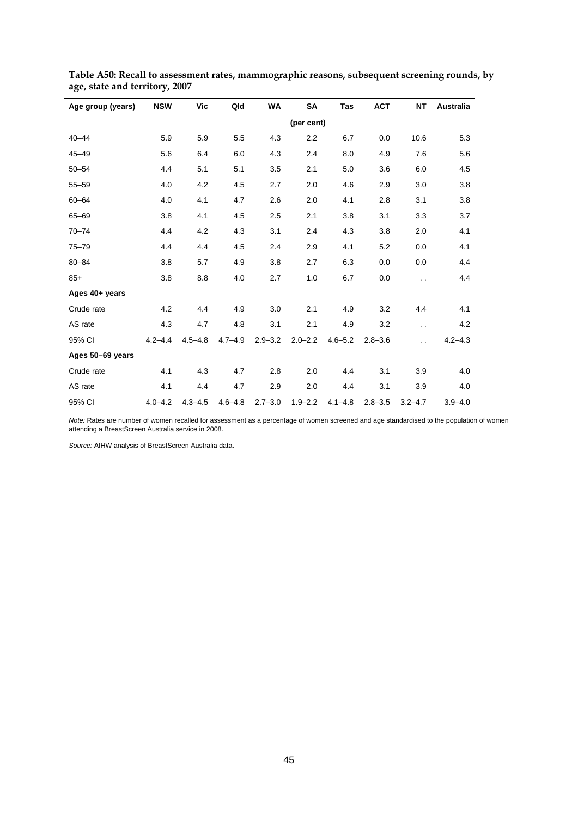| Age group (years) | <b>NSW</b>  | Vic         | Qld         | <b>WA</b>   | <b>SA</b>   | Tas         | <b>ACT</b>  | <b>NT</b>            | Australia   |
|-------------------|-------------|-------------|-------------|-------------|-------------|-------------|-------------|----------------------|-------------|
|                   |             |             |             |             | (per cent)  |             |             |                      |             |
| $40 - 44$         | 5.9         | 5.9         | 5.5         | 4.3         | 2.2         | 6.7         | 0.0         | 10.6                 | 5.3         |
| $45 - 49$         | 5.6         | 6.4         | 6.0         | 4.3         | 2.4         | 8.0         | 4.9         | 7.6                  | 5.6         |
| $50 - 54$         | 4.4         | 5.1         | 5.1         | 3.5         | 2.1         | 5.0         | 3.6         | 6.0                  | 4.5         |
| $55 - 59$         | 4.0         | 4.2         | 4.5         | 2.7         | 2.0         | 4.6         | 2.9         | 3.0                  | 3.8         |
| $60 - 64$         | 4.0         | 4.1         | 4.7         | 2.6         | 2.0         | 4.1         | 2.8         | 3.1                  | 3.8         |
| $65 - 69$         | 3.8         | 4.1         | 4.5         | 2.5         | 2.1         | 3.8         | 3.1         | 3.3                  | 3.7         |
| $70 - 74$         | 4.4         | 4.2         | 4.3         | 3.1         | 2.4         | 4.3         | 3.8         | 2.0                  | 4.1         |
| $75 - 79$         | 4.4         | 4.4         | 4.5         | 2.4         | 2.9         | 4.1         | 5.2         | 0.0                  | 4.1         |
| $80 - 84$         | 3.8         | 5.7         | 4.9         | 3.8         | 2.7         | 6.3         | 0.0         | 0.0                  | 4.4         |
| $85+$             | 3.8         | 8.8         | 4.0         | 2.7         | 1.0         | 6.7         | 0.0         | $\ddot{\phantom{0}}$ | 4.4         |
| Ages 40+ years    |             |             |             |             |             |             |             |                      |             |
| Crude rate        | 4.2         | 4.4         | 4.9         | 3.0         | 2.1         | 4.9         | 3.2         | 4.4                  | 4.1         |
| AS rate           | 4.3         | 4.7         | 4.8         | 3.1         | 2.1         | 4.9         | 3.2         | $\ddot{\phantom{0}}$ | 4.2         |
| 95% CI            | $4.2 - 4.4$ | $4.5 - 4.8$ | $4.7 - 4.9$ | $2.9 - 3.2$ | $2.0 - 2.2$ | $4.6 - 5.2$ | $2.8 - 3.6$ | $\ddot{\phantom{0}}$ | $4.2 - 4.3$ |
| Ages 50-69 years  |             |             |             |             |             |             |             |                      |             |
| Crude rate        | 4.1         | 4.3         | 4.7         | 2.8         | 2.0         | 4.4         | 3.1         | 3.9                  | 4.0         |
| AS rate           | 4.1         | 4.4         | 4.7         | 2.9         | 2.0         | 4.4         | 3.1         | 3.9                  | 4.0         |
| 95% CI            | $4.0 - 4.2$ | $4.3 - 4.5$ | $4.6 - 4.8$ | $2.7 - 3.0$ | $1.9 - 2.2$ | $4.1 - 4.8$ | $2.8 - 3.5$ | $3.2 - 4.7$          | $3.9 - 4.0$ |

**Table A50: Recall to assessment rates, mammographic reasons, subsequent screening rounds, by age, state and territory, 2007** 

*Note:* Rates are number of women recalled for assessment as a percentage of women screened and age standardised to the population of women attending a BreastScreen Australia service in 2008.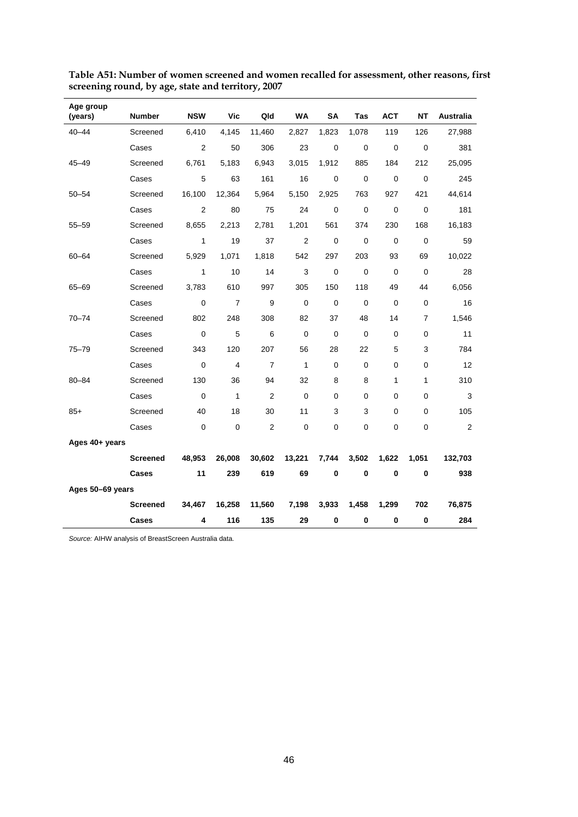| Age group<br>(years) | <b>Number</b>   | <b>NSW</b>   | Vic            | Qld              | WA             | <b>SA</b>   | Tas         | <b>ACT</b>  | NΤ          | <b>Australia</b> |
|----------------------|-----------------|--------------|----------------|------------------|----------------|-------------|-------------|-------------|-------------|------------------|
| $40 - 44$            | Screened        | 6,410        | 4,145          | 11,460           | 2,827          | 1,823       | 1,078       | 119         | 126         | 27,988           |
|                      | Cases           | 2            | 50             | 306              | 23             | $\mathbf 0$ | $\mathbf 0$ | $\mathbf 0$ | $\mathbf 0$ | 381              |
| $45 - 49$            | Screened        | 6,761        | 5,183          | 6,943            | 3,015          | 1,912       | 885         | 184         | 212         | 25,095           |
|                      | Cases           | 5            | 63             | 161              | 16             | 0           | $\mathbf 0$ | $\mathbf 0$ | 0           | 245              |
| 50–54                | Screened        | 16,100       | 12,364         | 5,964            | 5,150          | 2,925       | 763         | 927         | 421         | 44,614           |
|                      | Cases           | 2            | 80             | 75               | 24             | 0           | $\mathbf 0$ | $\mathbf 0$ | 0           | 181              |
| $55 - 59$            | Screened        | 8,655        | 2,213          | 2,781            | 1,201          | 561         | 374         | 230         | 168         | 16,183           |
|                      | Cases           | $\mathbf{1}$ | 19             | 37               | $\overline{2}$ | $\mathbf 0$ | $\mathbf 0$ | $\mathbf 0$ | $\mathbf 0$ | 59               |
| 60-64                | Screened        | 5,929        | 1,071          | 1,818            | 542            | 297         | 203         | 93          | 69          | 10,022           |
|                      | Cases           | $\mathbf{1}$ | 10             | 14               | 3              | $\mathbf 0$ | $\mathbf 0$ | $\mathbf 0$ | $\mathbf 0$ | 28               |
| 65-69                | Screened        | 3,783        | 610            | 997              | 305            | 150         | 118         | 49          | 44          | 6,056            |
|                      | Cases           | $\mathbf 0$  | $\overline{7}$ | 9                | 0              | 0           | 0           | $\mathbf 0$ | 0           | 16               |
| $70 - 74$            | Screened        | 802          | 248            | 308              | 82             | 37          | 48          | 14          | 7           | 1,546            |
|                      | Cases           | $\mathbf 0$  | 5              | 6                | $\mathbf 0$    | $\mathbf 0$ | 0           | $\pmb{0}$   | 0           | 11               |
| $75 - 79$            | Screened        | 343          | 120            | 207              | 56             | 28          | 22          | 5           | 3           | 784              |
|                      | Cases           | $\mathbf 0$  | 4              | $\overline{7}$   | 1              | $\Omega$    | $\mathbf 0$ | 0           | 0           | 12               |
| $80 - 84$            | Screened        | 130          | 36             | 94               | 32             | 8           | 8           | 1           | 1           | 310              |
|                      | Cases           | 0            | 1              | $\overline{2}$   | $\mathbf 0$    | 0           | 0           | 0           | 0           | 3                |
| $85+$                | Screened        | 40           | 18             | 30               | 11             | 3           | 3           | 0           | 0           | 105              |
|                      | Cases           | $\mathbf 0$  | $\mathbf 0$    | $\boldsymbol{2}$ | $\mathbf 0$    | $\mathbf 0$ | 0           | $\mathbf 0$ | 0           | $\overline{2}$   |
| Ages 40+ years       |                 |              |                |                  |                |             |             |             |             |                  |
|                      | <b>Screened</b> | 48,953       | 26,008         | 30,602           | 13,221         | 7,744       | 3,502       | 1,622       | 1,051       | 132,703          |
|                      | Cases           | 11           | 239            | 619              | 69             | 0           | 0           | 0           | 0           | 938              |
| Ages 50-69 years     |                 |              |                |                  |                |             |             |             |             |                  |
|                      | <b>Screened</b> | 34,467       | 16,258         | 11,560           | 7,198          | 3,933       | 1,458       | 1,299       | 702         | 76,875           |
|                      | Cases           | 4            | 116            | 135              | 29             | $\bf{0}$    | 0           | $\bf{0}$    | $\pmb{0}$   | 284              |

**Table A51: Number of women screened and women recalled for assessment, other reasons, first screening round, by age, state and territory, 2007**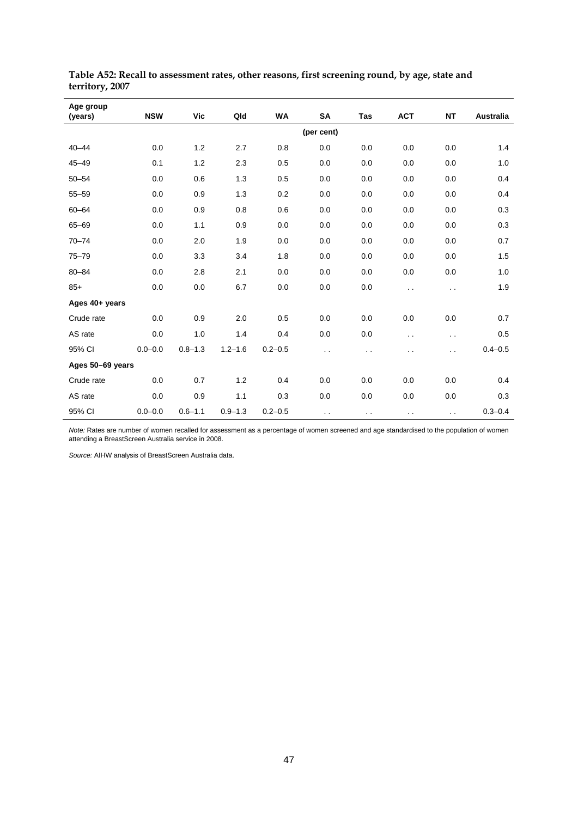| Age group        |             |             |             |             |            |                      |                      |           |                  |
|------------------|-------------|-------------|-------------|-------------|------------|----------------------|----------------------|-----------|------------------|
| (years)          | <b>NSW</b>  | <b>Vic</b>  | Qld         | <b>WA</b>   | <b>SA</b>  | Tas                  | <b>ACT</b>           | <b>NT</b> | <b>Australia</b> |
|                  |             |             |             |             | (per cent) |                      |                      |           |                  |
| $40 - 44$        | 0.0         | 1.2         | 2.7         | 0.8         | 0.0        | 0.0                  | 0.0                  | 0.0       | 1.4              |
| $45 - 49$        | 0.1         | 1.2         | 2.3         | 0.5         | 0.0        | 0.0                  | 0.0                  | 0.0       | 1.0              |
| $50 - 54$        | 0.0         | 0.6         | $1.3$       | 0.5         | 0.0        | 0.0                  | 0.0                  | 0.0       | 0.4              |
| $55 - 59$        | 0.0         | 0.9         | 1.3         | 0.2         | 0.0        | 0.0                  | 0.0                  | 0.0       | 0.4              |
| $60 - 64$        | 0.0         | 0.9         | 0.8         | 0.6         | 0.0        | 0.0                  | 0.0                  | 0.0       | 0.3              |
| 65-69            | 0.0         | 1.1         | 0.9         | 0.0         | 0.0        | 0.0                  | 0.0                  | 0.0       | 0.3              |
| $70 - 74$        | 0.0         | 2.0         | 1.9         | 0.0         | 0.0        | 0.0                  | 0.0                  | 0.0       | 0.7              |
| $75 - 79$        | 0.0         | 3.3         | 3.4         | 1.8         | 0.0        | 0.0                  | 0.0                  | 0.0       | 1.5              |
| $80 - 84$        | 0.0         | 2.8         | 2.1         | 0.0         | 0.0        | 0.0                  | 0.0                  | 0.0       | 1.0              |
| $85+$            | 0.0         | 0.0         | 6.7         | 0.0         | 0.0        | 0.0                  | $\ddot{\phantom{0}}$ | . .       | 1.9              |
| Ages 40+ years   |             |             |             |             |            |                      |                      |           |                  |
| Crude rate       | 0.0         | 0.9         | 2.0         | 0.5         | 0.0        | 0.0                  | 0.0                  | 0.0       | 0.7              |
| AS rate          | 0.0         | 1.0         | 1.4         | 0.4         | 0.0        | 0.0                  | $\ddot{\phantom{0}}$ | . .       | 0.5              |
| 95% CI           | $0.0 - 0.0$ | $0.8 - 1.3$ | $1.2 - 1.6$ | $0.2 - 0.5$ | $\sim$     | $\ddot{\phantom{0}}$ | . .                  | . .       | $0.4 - 0.5$      |
| Ages 50-69 years |             |             |             |             |            |                      |                      |           |                  |
| Crude rate       | 0.0         | 0.7         | 1.2         | 0.4         | 0.0        | 0.0                  | 0.0                  | 0.0       | 0.4              |
| AS rate          | 0.0         | 0.9         | 1.1         | 0.3         | 0.0        | 0.0                  | 0.0                  | 0.0       | 0.3              |
| 95% CI           | $0.0 - 0.0$ | $0.6 - 1.1$ | $0.9 - 1.3$ | $0.2 - 0.5$ | $\sim$     | $\sim$               | $\sim$ $\sim$        | $\sim$    | $0.3 - 0.4$      |

**Table A52: Recall to assessment rates, other reasons, first screening round, by age, state and territory, 2007** 

*Note:* Rates are number of women recalled for assessment as a percentage of women screened and age standardised to the population of women attending a BreastScreen Australia service in 2008.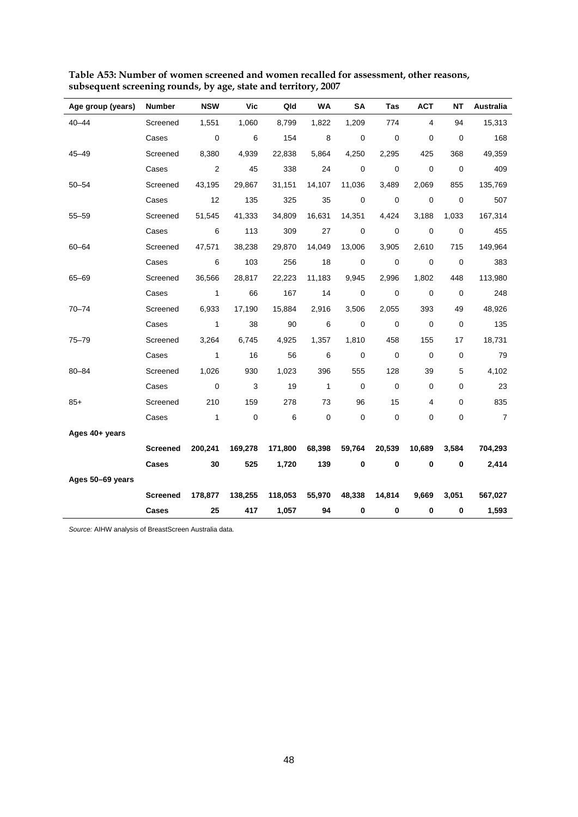| Age group (years) | <b>Number</b>   | <b>NSW</b>     | Vic        | Qld     | WA                       | <b>SA</b>   | Tas         | <b>ACT</b>  | <b>NT</b>   | Australia      |
|-------------------|-----------------|----------------|------------|---------|--------------------------|-------------|-------------|-------------|-------------|----------------|
| $40 - 44$         | Screened        | 1,551          | 1,060      | 8,799   | 1,822                    | 1,209       | 774         | 4           | 94          | 15,313         |
|                   | Cases           | 0              | 6          | 154     | 8                        | 0           | $\mathbf 0$ | 0           | 0           | 168            |
| $45 - 49$         | Screened        | 8,380          | 4,939      | 22,838  | 5,864                    | 4,250       | 2,295       | 425         | 368         | 49,359         |
|                   | Cases           | 2              | 45         | 338     | 24                       | $\mathbf 0$ | $\mathbf 0$ | $\mathbf 0$ | $\mathbf 0$ | 409            |
| $50 - 54$         | Screened        | 43,195         | 29,867     | 31,151  | 14,107                   | 11,036      | 3,489       | 2,069       | 855         | 135,769        |
|                   | Cases           | 12             | 135        | 325     | 35                       | $\mathbf 0$ | $\mathbf 0$ | $\mathbf 0$ | $\mathbf 0$ | 507            |
| $55 - 59$         | Screened        | 51,545         | 41,333     | 34,809  | 16,631                   | 14,351      | 4,424       | 3,188       | 1,033       | 167,314        |
|                   | Cases           | 6              | 113        | 309     | 27                       | 0           | $\mathbf 0$ | $\mathbf 0$ | $\mathbf 0$ | 455            |
| $60 - 64$         | Screened        | 47,571         | 38,238     | 29,870  | 14,049                   | 13,006      | 3,905       | 2,610       | 715         | 149,964        |
|                   | Cases           | 6              | 103        | 256     | 18                       | $\pmb{0}$   | $\mathbf 0$ | $\mathbf 0$ | $\mathbf 0$ | 383            |
| $65 - 69$         | Screened        | 36,566         | 28,817     | 22,223  | 11,183                   | 9,945       | 2,996       | 1,802       | 448         | 113,980        |
|                   | Cases           | $\mathbf{1}$   | 66         | 167     | 14                       | $\mathbf 0$ | $\mathbf 0$ | $\mathbf 0$ | $\mathbf 0$ | 248            |
| $70 - 74$         | Screened        | 6,933          | 17,190     | 15,884  | 2,916                    | 3,506       | 2,055       | 393         | 49          | 48,926         |
|                   | Cases           | $\mathbf{1}$   | 38         | 90      | 6                        | $\pmb{0}$   | $\pmb{0}$   | $\mathbf 0$ | $\pmb{0}$   | 135            |
| $75 - 79$         | Screened        | 3,264          | 6,745      | 4,925   | 1,357                    | 1,810       | 458         | 155         | 17          | 18,731         |
|                   | Cases           | $\overline{1}$ | 16         | 56      | 6                        | $\mathbf 0$ | $\mathbf 0$ | $\mathbf 0$ | 0           | 79             |
| 80-84             | Screened        | 1,026          | 930        | 1,023   | 396                      | 555         | 128         | 39          | 5           | 4,102          |
|                   | Cases           | $\mathbf 0$    | $\sqrt{3}$ | 19      | $\overline{\phantom{a}}$ | $\mathbf 0$ | $\mathbf 0$ | 0           | 0           | 23             |
| $85+$             | Screened        | 210            | 159        | 278     | 73                       | 96          | 15          | 4           | 0           | 835            |
|                   | Cases           | $\mathbf{1}$   | $\pmb{0}$  | 6       | $\pmb{0}$                | $\pmb{0}$   | $\mathbf 0$ | $\pmb{0}$   | 0           | $\overline{7}$ |
| Ages 40+ years    |                 |                |            |         |                          |             |             |             |             |                |
|                   | <b>Screened</b> | 200,241        | 169,278    | 171,800 | 68,398                   | 59,764      | 20,539      | 10,689      | 3,584       | 704,293        |
|                   | Cases           | 30             | 525        | 1,720   | 139                      | $\bf{0}$    | $\bf{0}$    | $\bf{0}$    | 0           | 2,414          |
| Ages 50-69 years  |                 |                |            |         |                          |             |             |             |             |                |
|                   | <b>Screened</b> | 178,877        | 138,255    | 118,053 | 55,970                   | 48,338      | 14,814      | 9,669       | 3,051       | 567,027        |
|                   | Cases           | 25             | 417        | 1,057   | 94                       | $\bf{0}$    | 0           | 0           | 0           | 1,593          |

**Table A53: Number of women screened and women recalled for assessment, other reasons, subsequent screening rounds, by age, state and territory, 2007**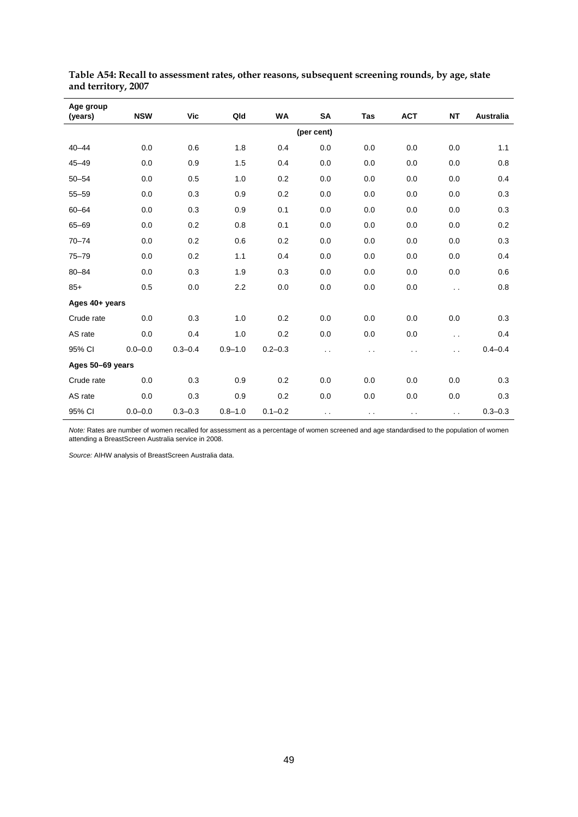| Age group<br>(years) | <b>NSW</b>  | Vic         | Qld         | WA          | SA            | Tas    | <b>ACT</b> | <b>NT</b>            | Australia   |
|----------------------|-------------|-------------|-------------|-------------|---------------|--------|------------|----------------------|-------------|
|                      |             |             |             |             | (per cent)    |        |            |                      |             |
| $40 - 44$            | 0.0         | 0.6         | 1.8         | 0.4         | 0.0           | 0.0    | 0.0        | 0.0                  | 1.1         |
| $45 - 49$            | 0.0         | 0.9         | 1.5         | 0.4         | 0.0           | 0.0    | 0.0        | 0.0                  | 0.8         |
| $50 - 54$            | 0.0         | 0.5         | 1.0         | 0.2         | 0.0           | 0.0    | 0.0        | 0.0                  | 0.4         |
| $55 - 59$            | 0.0         | 0.3         | 0.9         | 0.2         | 0.0           | 0.0    | 0.0        | 0.0                  | 0.3         |
| $60 - 64$            | 0.0         | 0.3         | 0.9         | 0.1         | 0.0           | 0.0    | 0.0        | 0.0                  | 0.3         |
| $65 - 69$            | 0.0         | 0.2         | 0.8         | 0.1         | 0.0           | 0.0    | 0.0        | 0.0                  | 0.2         |
| $70 - 74$            | 0.0         | 0.2         | 0.6         | 0.2         | 0.0           | 0.0    | 0.0        | 0.0                  | 0.3         |
| $75 - 79$            | 0.0         | 0.2         | 1.1         | 0.4         | 0.0           | 0.0    | 0.0        | 0.0                  | 0.4         |
| $80 - 84$            | 0.0         | 0.3         | 1.9         | 0.3         | 0.0           | 0.0    | 0.0        | 0.0                  | 0.6         |
| $85+$                | 0.5         | 0.0         | 2.2         | 0.0         | 0.0           | 0.0    | 0.0        | $\ddot{\phantom{a}}$ | 0.8         |
| Ages 40+ years       |             |             |             |             |               |        |            |                      |             |
| Crude rate           | 0.0         | 0.3         | 1.0         | 0.2         | 0.0           | 0.0    | 0.0        | 0.0                  | 0.3         |
| AS rate              | 0.0         | 0.4         | 1.0         | 0.2         | 0.0           | 0.0    | 0.0        | $\ddotsc$            | 0.4         |
| 95% CI               | $0.0 - 0.0$ | $0.3 - 0.4$ | $0.9 - 1.0$ | $0.2 - 0.3$ | . .           | . .    | . .        | $\ddot{\phantom{0}}$ | $0.4 - 0.4$ |
| Ages 50-69 years     |             |             |             |             |               |        |            |                      |             |
| Crude rate           | 0.0         | 0.3         | 0.9         | 0.2         | 0.0           | 0.0    | 0.0        | 0.0                  | 0.3         |
| AS rate              | 0.0         | 0.3         | 0.9         | 0.2         | 0.0           | 0.0    | 0.0        | 0.0                  | 0.3         |
| 95% CI               | $0.0 - 0.0$ | $0.3 - 0.3$ | $0.8 - 1.0$ | $0.1 - 0.2$ | $\sim$ $\sim$ | $\sim$ | $\sim$     | $\sim$ $\sim$        | $0.3 - 0.3$ |

**Table A54: Recall to assessment rates, other reasons, subsequent screening rounds, by age, state and territory, 2007** 

*Note:* Rates are number of women recalled for assessment as a percentage of women screened and age standardised to the population of women attending a BreastScreen Australia service in 2008.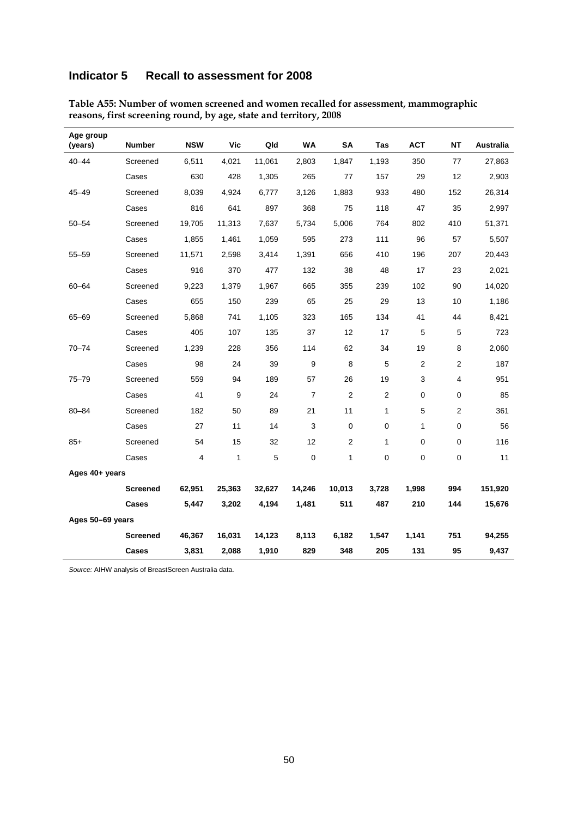### **Indicator 5 Recall to assessment for 2008**

| Age group<br>(years) | <b>Number</b>   | <b>NSW</b> | <b>Vic</b> | Qld    | <b>WA</b>      | <b>SA</b>      | <b>Tas</b>     | <b>ACT</b> | <b>NT</b>      | <b>Australia</b> |
|----------------------|-----------------|------------|------------|--------|----------------|----------------|----------------|------------|----------------|------------------|
| $40 - 44$            | Screened        | 6,511      | 4,021      | 11,061 | 2,803          | 1,847          | 1,193          | 350        | 77             | 27,863           |
|                      | Cases           | 630        | 428        | 1,305  | 265            | 77             | 157            | 29         | 12             | 2,903            |
| $45 - 49$            | Screened        | 8,039      | 4,924      | 6,777  | 3,126          | 1,883          | 933            | 480        | 152            | 26,314           |
|                      | Cases           | 816        | 641        | 897    | 368            | 75             | 118            | 47         | 35             | 2,997            |
| $50 - 54$            | Screened        | 19,705     | 11,313     | 7,637  | 5,734          | 5,006          | 764            | 802        | 410            | 51,371           |
|                      | Cases           | 1,855      | 1,461      | 1,059  | 595            | 273            | 111            | 96         | 57             | 5,507            |
| $55 - 59$            | Screened        | 11,571     | 2,598      | 3,414  | 1,391          | 656            | 410            | 196        | 207            | 20,443           |
|                      | Cases           | 916        | 370        | 477    | 132            | 38             | 48             | 17         | 23             | 2,021            |
| $60 - 64$            | Screened        | 9,223      | 1,379      | 1,967  | 665            | 355            | 239            | 102        | 90             | 14,020           |
|                      | Cases           | 655        | 150        | 239    | 65             | 25             | 29             | 13         | 10             | 1,186            |
| 65-69                | Screened        | 5,868      | 741        | 1,105  | 323            | 165            | 134            | 41         | 44             | 8,421            |
|                      | Cases           | 405        | 107        | 135    | 37             | 12             | 17             | 5          | 5              | 723              |
| $70 - 74$            | Screened        | 1,239      | 228        | 356    | 114            | 62             | 34             | 19         | 8              | 2,060            |
|                      | Cases           | 98         | 24         | 39     | 9              | 8              | 5              | 2          | 2              | 187              |
| $75 - 79$            | Screened        | 559        | 94         | 189    | 57             | 26             | 19             | 3          | 4              | 951              |
|                      | Cases           | 41         | 9          | 24     | $\overline{7}$ | $\overline{2}$ | $\overline{2}$ | 0          | 0              | 85               |
| $80 - 84$            | Screened        | 182        | 50         | 89     | 21             | 11             | 1              | 5          | $\overline{2}$ | 361              |
|                      | Cases           | 27         | 11         | 14     | 3              | $\mathbf 0$    | 0              | 1          | 0              | 56               |
| $85+$                | Screened        | 54         | 15         | 32     | 12             | $\overline{2}$ | 1              | 0          | $\mathbf 0$    | 116              |
|                      | Cases           | 4          | 1          | 5      | 0              | 1              | 0              | 0          | 0              | 11               |
| Ages 40+ years       |                 |            |            |        |                |                |                |            |                |                  |
|                      | <b>Screened</b> | 62,951     | 25,363     | 32,627 | 14,246         | 10,013         | 3,728          | 1,998      | 994            | 151,920          |
|                      | Cases           | 5,447      | 3,202      | 4,194  | 1,481          | 511            | 487            | 210        | 144            | 15,676           |
| Ages 50-69 years     |                 |            |            |        |                |                |                |            |                |                  |
|                      | Screened        | 46,367     | 16,031     | 14,123 | 8,113          | 6,182          | 1,547          | 1,141      | 751            | 94,255           |
|                      | Cases           | 3,831      | 2,088      | 1,910  | 829            | 348            | 205            | 131        | 95             | 9,437            |

**Table A55: Number of women screened and women recalled for assessment, mammographic reasons, first screening round, by age, state and territory, 2008**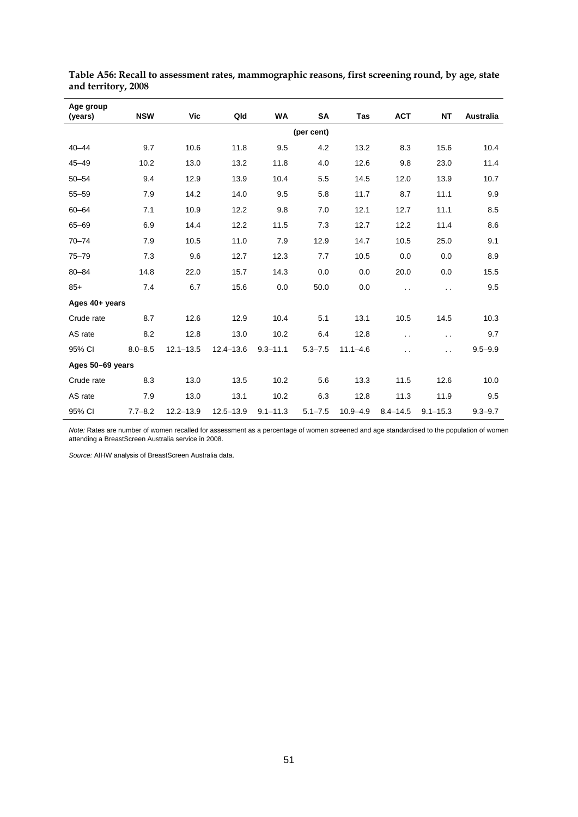| Age group<br>(years) | <b>NSW</b>  | Vic           | Qld           | <b>WA</b>    | SA          | Tas          | <b>ACT</b>           | <b>NT</b>            | Australia   |
|----------------------|-------------|---------------|---------------|--------------|-------------|--------------|----------------------|----------------------|-------------|
|                      |             |               |               |              | (per cent)  |              |                      |                      |             |
| $40 - 44$            | 9.7         | 10.6          | 11.8          | 9.5          | 4.2         | 13.2         | 8.3                  | 15.6                 | 10.4        |
| $45 - 49$            | 10.2        | 13.0          | 13.2          | 11.8         | 4.0         | 12.6         | 9.8                  | 23.0                 | 11.4        |
| $50 - 54$            | 9.4         | 12.9          | 13.9          | 10.4         | 5.5         | 14.5         | 12.0                 | 13.9                 | 10.7        |
| $55 - 59$            | 7.9         | 14.2          | 14.0          | 9.5          | 5.8         | 11.7         | 8.7                  | 11.1                 | 9.9         |
| $60 - 64$            | 7.1         | 10.9          | 12.2          | 9.8          | 7.0         | 12.1         | 12.7                 | 11.1                 | 8.5         |
| $65 - 69$            | 6.9         | 14.4          | 12.2          | 11.5         | 7.3         | 12.7         | 12.2                 | 11.4                 | 8.6         |
| $70 - 74$            | 7.9         | 10.5          | 11.0          | 7.9          | 12.9        | 14.7         | 10.5                 | 25.0                 | 9.1         |
| $75 - 79$            | 7.3         | 9.6           | 12.7          | 12.3         | 7.7         | 10.5         | 0.0                  | 0.0                  | 8.9         |
| $80 - 84$            | 14.8        | 22.0          | 15.7          | 14.3         | 0.0         | 0.0          | 20.0                 | 0.0                  | 15.5        |
| $85+$                | 7.4         | 6.7           | 15.6          | 0.0          | 50.0        | 0.0          | $\ddot{\phantom{0}}$ | $\ddot{\phantom{a}}$ | 9.5         |
| Ages 40+ years       |             |               |               |              |             |              |                      |                      |             |
| Crude rate           | 8.7         | 12.6          | 12.9          | 10.4         | 5.1         | 13.1         | 10.5                 | 14.5                 | 10.3        |
| AS rate              | 8.2         | 12.8          | 13.0          | 10.2         | 6.4         | 12.8         | $\ddot{\phantom{0}}$ | $\ddot{\phantom{0}}$ | 9.7         |
| 95% CI               | $8.0 - 8.5$ | $12.1 - 13.5$ | $12.4 - 13.6$ | $9.3 - 11.1$ | $5.3 - 7.5$ | $11.1 - 4.6$ | . .                  | $\ddot{\phantom{0}}$ | $9.5 - 9.9$ |
| Ages 50-69 years     |             |               |               |              |             |              |                      |                      |             |
| Crude rate           | 8.3         | 13.0          | 13.5          | 10.2         | 5.6         | 13.3         | 11.5                 | 12.6                 | 10.0        |
| AS rate              | 7.9         | 13.0          | 13.1          | 10.2         | 6.3         | 12.8         | 11.3                 | 11.9                 | 9.5         |
| 95% CI               | $7.7 - 8.2$ | $12.2 - 13.9$ | $12.5 - 13.9$ | $9.1 - 11.3$ | $5.1 - 7.5$ | $10.9 - 4.9$ | $8.4 - 14.5$         | $9.1 - 15.3$         | $9.3 - 9.7$ |

**Table A56: Recall to assessment rates, mammographic reasons, first screening round, by age, state and territory, 2008** 

*Note:* Rates are number of women recalled for assessment as a percentage of women screened and age standardised to the population of women attending a BreastScreen Australia service in 2008.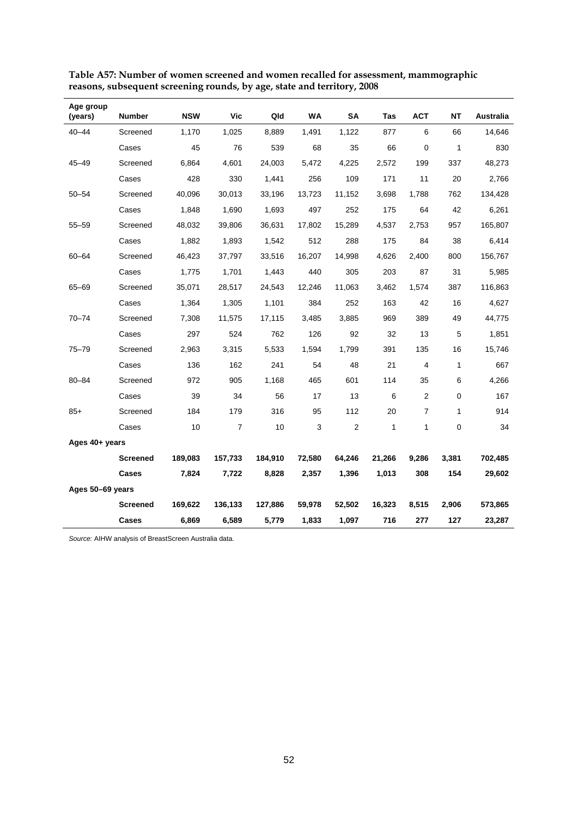| Age group<br>(years) | <b>Number</b>   | <b>NSW</b> | <b>Vic</b>     | Qld     | WA     | <b>SA</b>      | Tas    | <b>ACT</b>     | NΤ           | Australia |
|----------------------|-----------------|------------|----------------|---------|--------|----------------|--------|----------------|--------------|-----------|
| $40 - 44$            | Screened        | 1,170      | 1,025          | 8,889   | 1,491  | 1,122          | 877    | 6              | 66           | 14,646    |
|                      | Cases           | 45         | 76             | 539     | 68     | 35             | 66     | 0              | $\mathbf{1}$ | 830       |
| $45 - 49$            | Screened        | 6,864      | 4,601          | 24,003  | 5,472  | 4,225          | 2,572  | 199            | 337          | 48,273    |
|                      | Cases           | 428        | 330            | 1,441   | 256    | 109            | 171    | 11             | 20           | 2,766     |
| $50 - 54$            | Screened        | 40,096     | 30,013         | 33,196  | 13,723 | 11,152         | 3,698  | 1,788          | 762          | 134,428   |
|                      | Cases           | 1,848      | 1,690          | 1,693   | 497    | 252            | 175    | 64             | 42           | 6,261     |
| $55 - 59$            | Screened        | 48,032     | 39,806         | 36,631  | 17,802 | 15,289         | 4,537  | 2,753          | 957          | 165,807   |
|                      | Cases           | 1,882      | 1,893          | 1,542   | 512    | 288            | 175    | 84             | 38           | 6,414     |
| $60 - 64$            | Screened        | 46,423     | 37,797         | 33,516  | 16,207 | 14,998         | 4,626  | 2,400          | 800          | 156,767   |
|                      | Cases           | 1,775      | 1,701          | 1,443   | 440    | 305            | 203    | 87             | 31           | 5,985     |
| $65 - 69$            | Screened        | 35,071     | 28,517         | 24,543  | 12,246 | 11,063         | 3,462  | 1,574          | 387          | 116,863   |
|                      | Cases           | 1,364      | 1,305          | 1,101   | 384    | 252            | 163    | 42             | 16           | 4,627     |
| $70 - 74$            | Screened        | 7,308      | 11,575         | 17,115  | 3,485  | 3,885          | 969    | 389            | 49           | 44,775    |
|                      | Cases           | 297        | 524            | 762     | 126    | 92             | 32     | 13             | 5            | 1,851     |
| $75 - 79$            | Screened        | 2,963      | 3,315          | 5,533   | 1,594  | 1,799          | 391    | 135            | 16           | 15,746    |
|                      | Cases           | 136        | 162            | 241     | 54     | 48             | 21     | 4              | $\mathbf{1}$ | 667       |
| $80 - 84$            | Screened        | 972        | 905            | 1,168   | 465    | 601            | 114    | 35             | 6            | 4,266     |
|                      | Cases           | 39         | 34             | 56      | 17     | 13             | 6      | $\overline{2}$ | 0            | 167       |
| $85+$                | Screened        | 184        | 179            | 316     | 95     | 112            | 20     | $\overline{7}$ | 1            | 914       |
|                      | Cases           | 10         | $\overline{7}$ | 10      | 3      | $\overline{2}$ | 1      | 1              | 0            | 34        |
| Ages 40+ years       |                 |            |                |         |        |                |        |                |              |           |
|                      | <b>Screened</b> | 189,083    | 157,733        | 184,910 | 72,580 | 64,246         | 21,266 | 9,286          | 3,381        | 702,485   |
|                      | Cases           | 7,824      | 7,722          | 8,828   | 2,357  | 1,396          | 1,013  | 308            | 154          | 29,602    |
| Ages 50-69 years     |                 |            |                |         |        |                |        |                |              |           |
|                      | <b>Screened</b> | 169,622    | 136,133        | 127,886 | 59,978 | 52,502         | 16,323 | 8,515          | 2,906        | 573,865   |
|                      | Cases           | 6,869      | 6,589          | 5,779   | 1,833  | 1,097          | 716    | 277            | 127          | 23,287    |

| Table A57: Number of women screened and women recalled for assessment, mammographic |
|-------------------------------------------------------------------------------------|
| reasons, subsequent screening rounds, by age, state and territory, 2008             |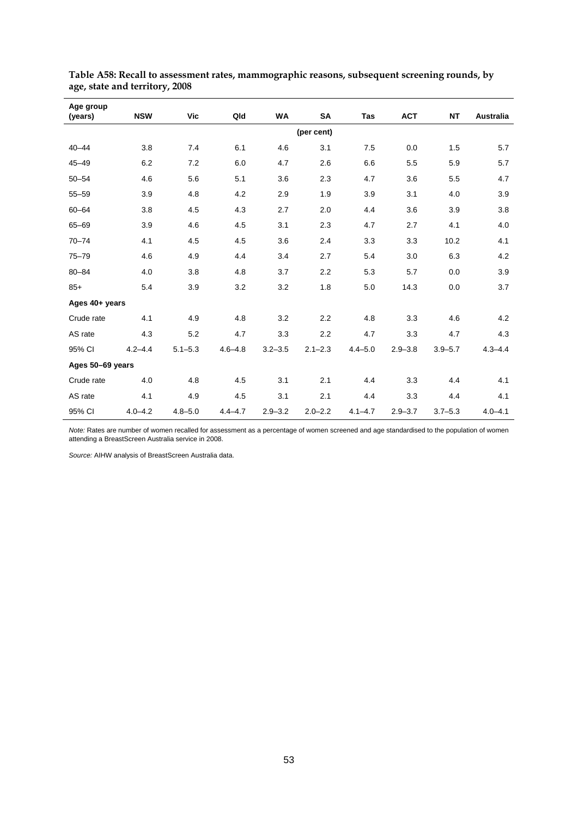| Age group<br>(years) | <b>NSW</b>  | Vic         | Qld         | <b>WA</b>   | SA          | <b>Tas</b>  | <b>ACT</b>  | <b>NT</b>   | <b>Australia</b> |
|----------------------|-------------|-------------|-------------|-------------|-------------|-------------|-------------|-------------|------------------|
|                      |             |             |             |             | (per cent)  |             |             |             |                  |
| $40 - 44$            | 3.8         | 7.4         | 6.1         | 4.6         | 3.1         | 7.5         | 0.0         | 1.5         | 5.7              |
| $45 - 49$            | 6.2         | 7.2         | 6.0         | 4.7         | 2.6         | 6.6         | 5.5         | 5.9         | 5.7              |
| $50 - 54$            | 4.6         | 5.6         | 5.1         | 3.6         | 2.3         | 4.7         | 3.6         | 5.5         | 4.7              |
| $55 - 59$            | 3.9         | 4.8         | 4.2         | 2.9         | 1.9         | 3.9         | 3.1         | 4.0         | 3.9              |
| $60 - 64$            | 3.8         | 4.5         | 4.3         | 2.7         | 2.0         | 4.4         | 3.6         | 3.9         | 3.8              |
| $65 - 69$            | 3.9         | 4.6         | 4.5         | 3.1         | 2.3         | 4.7         | 2.7         | 4.1         | 4.0              |
| $70 - 74$            | 4.1         | 4.5         | 4.5         | 3.6         | 2.4         | 3.3         | 3.3         | 10.2        | 4.1              |
| $75 - 79$            | 4.6         | 4.9         | 4.4         | 3.4         | 2.7         | 5.4         | 3.0         | 6.3         | 4.2              |
| $80 - 84$            | 4.0         | 3.8         | 4.8         | 3.7         | 2.2         | 5.3         | 5.7         | 0.0         | 3.9              |
| $85+$                | 5.4         | 3.9         | 3.2         | 3.2         | 1.8         | 5.0         | 14.3        | 0.0         | 3.7              |
| Ages 40+ years       |             |             |             |             |             |             |             |             |                  |
| Crude rate           | 4.1         | 4.9         | 4.8         | 3.2         | 2.2         | 4.8         | 3.3         | 4.6         | 4.2              |
| AS rate              | 4.3         | 5.2         | 4.7         | 3.3         | 2.2         | 4.7         | 3.3         | 4.7         | 4.3              |
| 95% CI               | $4.2 - 4.4$ | $5.1 - 5.3$ | $4.6 - 4.8$ | $3.2 - 3.5$ | $2.1 - 2.3$ | $4.4 - 5.0$ | $2.9 - 3.8$ | $3.9 - 5.7$ | $4.3 - 4.4$      |
| Ages 50-69 years     |             |             |             |             |             |             |             |             |                  |
| Crude rate           | 4.0         | 4.8         | 4.5         | 3.1         | 2.1         | 4.4         | 3.3         | 4.4         | 4.1              |
| AS rate              | 4.1         | 4.9         | 4.5         | 3.1         | 2.1         | 4.4         | 3.3         | 4.4         | 4.1              |
| 95% CI               | $4.0 - 4.2$ | $4.8 - 5.0$ | $4.4 - 4.7$ | $2.9 - 3.2$ | $2.0 - 2.2$ | $4.1 - 4.7$ | $2.9 - 3.7$ | $3.7 - 5.3$ | $4.0 - 4.1$      |

**Table A58: Recall to assessment rates, mammographic reasons, subsequent screening rounds, by age, state and territory, 2008** 

*Note:* Rates are number of women recalled for assessment as a percentage of women screened and age standardised to the population of women attending a BreastScreen Australia service in 2008.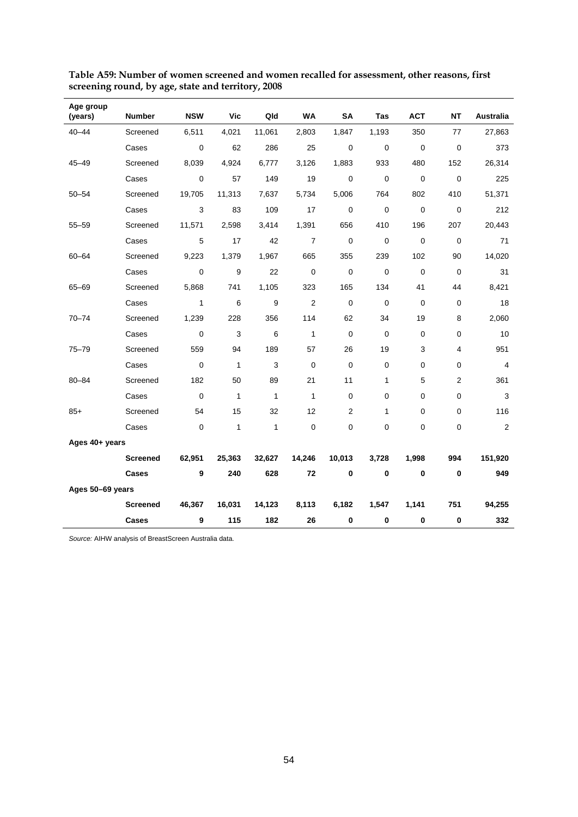| Age group<br>(years) | <b>Number</b>   | <b>NSW</b>   | Vic          | Qld          | WA             | SA          | Tas         | <b>ACT</b>  | <b>NT</b>      | Australia      |
|----------------------|-----------------|--------------|--------------|--------------|----------------|-------------|-------------|-------------|----------------|----------------|
| $40 - 44$            | Screened        | 6,511        | 4,021        | 11,061       | 2,803          | 1,847       | 1,193       | 350         | 77             | 27,863         |
|                      | Cases           | 0            | 62           | 286          | 25             | $\mathbf 0$ | $\mathbf 0$ | $\pmb{0}$   | $\mathbf 0$    | 373            |
| $45 - 49$            | Screened        | 8,039        | 4,924        | 6,777        | 3,126          | 1,883       | 933         | 480         | 152            | 26,314         |
|                      | Cases           | 0            | 57           | 149          | 19             | $\mathbf 0$ | $\mathbf 0$ | $\mathbf 0$ | $\mathbf 0$    | 225            |
| $50 - 54$            | Screened        | 19,705       | 11,313       | 7,637        | 5,734          | 5,006       | 764         | 802         | 410            | 51,371         |
|                      | Cases           | 3            | 83           | 109          | 17             | $\mathbf 0$ | $\mathbf 0$ | $\mathbf 0$ | $\mathbf 0$    | 212            |
| $55 - 59$            | Screened        | 11,571       | 2,598        | 3,414        | 1,391          | 656         | 410         | 196         | 207            | 20,443         |
|                      | Cases           | 5            | 17           | 42           | $\overline{7}$ | $\mathbf 0$ | $\mathbf 0$ | $\mathbf 0$ | $\mathbf 0$    | 71             |
| 60-64                | Screened        | 9,223        | 1,379        | 1,967        | 665            | 355         | 239         | 102         | 90             | 14,020         |
|                      | Cases           | 0            | 9            | 22           | $\mathbf 0$    | $\mathbf 0$ | $\mathbf 0$ | $\mathbf 0$ | 0              | 31             |
| $65 - 69$            | Screened        | 5,868        | 741          | 1,105        | 323            | 165         | 134         | 41          | 44             | 8,421          |
|                      | Cases           | $\mathbf{1}$ | 6            | 9            | $\overline{2}$ | $\mathbf 0$ | $\mathbf 0$ | $\mathbf 0$ | $\pmb{0}$      | 18             |
| $70 - 74$            | Screened        | 1,239        | 228          | 356          | 114            | 62          | 34          | 19          | 8              | 2,060          |
|                      | Cases           | $\mathbf 0$  | 3            | 6            | $\mathbf{1}$   | 0           | $\mathbf 0$ | $\mathbf 0$ | 0              | 10             |
| $75 - 79$            | Screened        | 559          | 94           | 189          | 57             | 26          | 19          | 3           | 4              | 951            |
|                      | Cases           | $\mathbf 0$  | $\mathbf{1}$ | 3            | $\mathbf 0$    | $\mathbf 0$ | $\mathbf 0$ | 0           | 0              | $\overline{4}$ |
| $80 - 84$            | Screened        | 182          | 50           | 89           | 21             | 11          | 1           | 5           | $\overline{2}$ | 361            |
|                      | Cases           | $\mathbf 0$  | $\mathbf{1}$ | $\mathbf{1}$ | $\mathbf{1}$   | $\mathbf 0$ | 0           | 0           | 0              | $\sqrt{3}$     |
| $85+$                | Screened        | 54           | 15           | 32           | 12             | 2           | 1           | 0           | 0              | 116            |
|                      | Cases           | $\mathbf 0$  | 1            | $\mathbf{1}$ | $\mathbf 0$    | 0           | 0           | 0           | 0              | $\sqrt{2}$     |
| Ages 40+ years       |                 |              |              |              |                |             |             |             |                |                |
|                      | <b>Screened</b> | 62,951       | 25,363       | 32,627       | 14,246         | 10,013      | 3,728       | 1,998       | 994            | 151,920        |
|                      | Cases           | 9            | 240          | 628          | 72             | $\pmb{0}$   | 0           | $\bf{0}$    | $\pmb{0}$      | 949            |
| Ages 50-69 years     |                 |              |              |              |                |             |             |             |                |                |
|                      | <b>Screened</b> | 46,367       | 16,031       | 14,123       | 8,113          | 6,182       | 1,547       | 1,141       | 751            | 94,255         |
|                      | Cases           | 9            | 115          | 182          | 26             | $\pmb{0}$   | $\mathbf 0$ | $\bf{0}$    | $\pmb{0}$      | 332            |

**Table A59: Number of women screened and women recalled for assessment, other reasons, first screening round, by age, state and territory, 2008**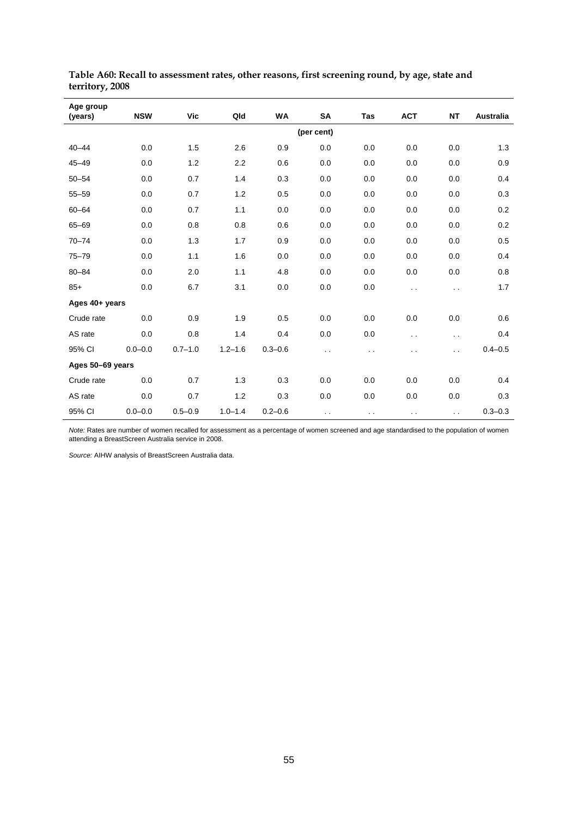| Age group<br>(years) | <b>NSW</b>  | <b>Vic</b>  | Qld         | WA          | SA            | Tas    | <b>ACT</b>           | <b>NT</b>            | Australia   |
|----------------------|-------------|-------------|-------------|-------------|---------------|--------|----------------------|----------------------|-------------|
|                      |             |             |             |             | (per cent)    |        |                      |                      |             |
| $40 - 44$            | 0.0         | 1.5         | 2.6         | 0.9         | 0.0           | 0.0    | 0.0                  | 0.0                  | 1.3         |
| $45 - 49$            | 0.0         | 1.2         | 2.2         | 0.6         | 0.0           | 0.0    | 0.0                  | 0.0                  | 0.9         |
| $50 - 54$            | 0.0         | 0.7         | 1.4         | 0.3         | 0.0           | 0.0    | 0.0                  | 0.0                  | 0.4         |
| $55 - 59$            | 0.0         | 0.7         | 1.2         | 0.5         | 0.0           | 0.0    | 0.0                  | 0.0                  | 0.3         |
| $60 - 64$            | 0.0         | 0.7         | 1.1         | 0.0         | 0.0           | 0.0    | 0.0                  | 0.0                  | 0.2         |
| $65 - 69$            | 0.0         | 0.8         | 0.8         | 0.6         | 0.0           | 0.0    | 0.0                  | 0.0                  | 0.2         |
| $70 - 74$            | 0.0         | 1.3         | 1.7         | 0.9         | 0.0           | 0.0    | 0.0                  | 0.0                  | 0.5         |
| $75 - 79$            | 0.0         | 1.1         | 1.6         | 0.0         | 0.0           | 0.0    | 0.0                  | 0.0                  | 0.4         |
| $80 - 84$            | 0.0         | 2.0         | 1.1         | 4.8         | 0.0           | 0.0    | 0.0                  | 0.0                  | 0.8         |
| $85+$                | 0.0         | 6.7         | 3.1         | 0.0         | 0.0           | 0.0    | . .                  | $\ddotsc$            | 1.7         |
| Ages 40+ years       |             |             |             |             |               |        |                      |                      |             |
| Crude rate           | 0.0         | 0.9         | 1.9         | 0.5         | 0.0           | 0.0    | 0.0                  | 0.0                  | 0.6         |
| AS rate              | 0.0         | 0.8         | 1.4         | 0.4         | 0.0           | 0.0    | $\ddot{\phantom{0}}$ | $\ddot{\phantom{0}}$ | 0.4         |
| 95% CI               | $0.0 - 0.0$ | $0.7 - 1.0$ | $1.2 - 1.6$ | $0.3 - 0.6$ | . .           | . .    | . .                  | $\ddotsc$            | $0.4 - 0.5$ |
| Ages 50-69 years     |             |             |             |             |               |        |                      |                      |             |
| Crude rate           | 0.0         | 0.7         | 1.3         | 0.3         | 0.0           | 0.0    | 0.0                  | 0.0                  | 0.4         |
| AS rate              | 0.0         | 0.7         | 1.2         | 0.3         | 0.0           | 0.0    | 0.0                  | 0.0                  | 0.3         |
| 95% CI               | $0.0 - 0.0$ | $0.5 - 0.9$ | $1.0 - 1.4$ | $0.2 - 0.6$ | $\sim$ $\sim$ | $\sim$ | $\sim$               | $\sim$ $\sim$        | $0.3 - 0.3$ |

**Table A60: Recall to assessment rates, other reasons, first screening round, by age, state and territory, 2008** 

*Note:* Rates are number of women recalled for assessment as a percentage of women screened and age standardised to the population of women attending a BreastScreen Australia service in 2008.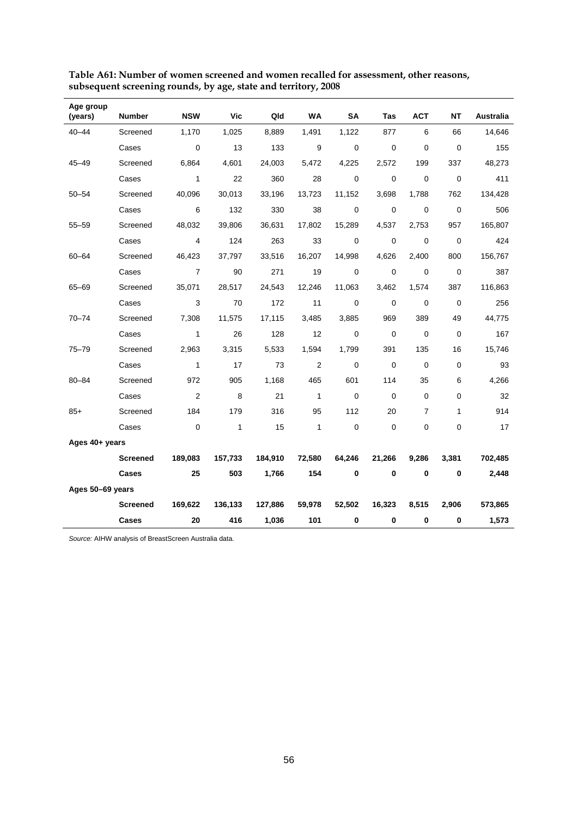| Age group<br>(years) | <b>Number</b>   | <b>NSW</b>     | <b>Vic</b>   | Qld     | <b>WA</b>    | <b>SA</b>   | <b>Tas</b>  | <b>ACT</b>  | NΤ          | Australia |
|----------------------|-----------------|----------------|--------------|---------|--------------|-------------|-------------|-------------|-------------|-----------|
| $40 - 44$            | Screened        | 1,170          | 1,025        | 8,889   | 1,491        | 1,122       | 877         | 6           | 66          | 14,646    |
|                      | Cases           | 0              | 13           | 133     | 9            | 0           | 0           | 0           | $\mathbf 0$ | 155       |
| $45 - 49$            | Screened        | 6,864          | 4,601        | 24,003  | 5,472        | 4,225       | 2,572       | 199         | 337         | 48,273    |
|                      | Cases           | $\mathbf{1}$   | 22           | 360     | 28           | $\mathbf 0$ | $\mathbf 0$ | $\mathbf 0$ | $\mathbf 0$ | 411       |
| $50 - 54$            | Screened        | 40,096         | 30,013       | 33,196  | 13,723       | 11,152      | 3,698       | 1,788       | 762         | 134,428   |
|                      | Cases           | 6              | 132          | 330     | 38           | $\mathbf 0$ | $\mathbf 0$ | $\mathbf 0$ | $\pmb{0}$   | 506       |
| $55 - 59$            | Screened        | 48,032         | 39,806       | 36,631  | 17,802       | 15,289      | 4,537       | 2,753       | 957         | 165,807   |
|                      | Cases           | 4              | 124          | 263     | 33           | 0           | $\mathbf 0$ | $\mathbf 0$ | $\mathbf 0$ | 424       |
| $60 - 64$            | Screened        | 46,423         | 37,797       | 33,516  | 16,207       | 14,998      | 4,626       | 2,400       | 800         | 156,767   |
|                      | Cases           | $\overline{7}$ | 90           | 271     | 19           | $\mathbf 0$ | $\mathbf 0$ | $\mathbf 0$ | $\mathbf 0$ | 387       |
| $65 - 69$            | Screened        | 35,071         | 28,517       | 24,543  | 12,246       | 11,063      | 3,462       | 1,574       | 387         | 116,863   |
|                      | Cases           | 3              | 70           | 172     | 11           | $\mathbf 0$ | $\Omega$    | 0           | $\mathbf 0$ | 256       |
| $70 - 74$            | Screened        | 7,308          | 11,575       | 17,115  | 3,485        | 3,885       | 969         | 389         | 49          | 44,775    |
|                      | Cases           | $\mathbf{1}$   | 26           | 128     | 12           | 0           | $\mathbf 0$ | $\mathbf 0$ | 0           | 167       |
| $75 - 79$            | Screened        | 2,963          | 3,315        | 5,533   | 1,594        | 1,799       | 391         | 135         | 16          | 15,746    |
|                      | Cases           | $\mathbf{1}$   | 17           | 73      | 2            | 0           | $\Omega$    | 0           | 0           | 93        |
| 80-84                | Screened        | 972            | 905          | 1,168   | 465          | 601         | 114         | 35          | 6           | 4,266     |
|                      | Cases           | 2              | 8            | 21      | $\mathbf{1}$ | 0           | $\Omega$    | 0           | 0           | 32        |
| $85+$                | Screened        | 184            | 179          | 316     | 95           | 112         | 20          | 7           | 1           | 914       |
|                      | Cases           | $\mathbf 0$    | $\mathbf{1}$ | 15      | $\mathbf{1}$ | 0           | $\mathbf 0$ | 0           | 0           | 17        |
| Ages 40+ years       |                 |                |              |         |              |             |             |             |             |           |
|                      | <b>Screened</b> | 189,083        | 157,733      | 184,910 | 72,580       | 64,246      | 21,266      | 9,286       | 3,381       | 702,485   |
|                      | Cases           | 25             | 503          | 1,766   | 154          | $\bf{0}$    | $\bf{0}$    | $\mathbf 0$ | $\mathbf 0$ | 2,448     |
| Ages 50-69 years     |                 |                |              |         |              |             |             |             |             |           |
|                      | <b>Screened</b> | 169,622        | 136,133      | 127,886 | 59,978       | 52,502      | 16,323      | 8,515       | 2,906       | 573,865   |
|                      | Cases           | 20             | 416          | 1,036   | 101          | $\pmb{0}$   | $\bf{0}$    | 0           | $\bf{0}$    | 1,573     |

**Table A61: Number of women screened and women recalled for assessment, other reasons, subsequent screening rounds, by age, state and territory, 2008** 

l,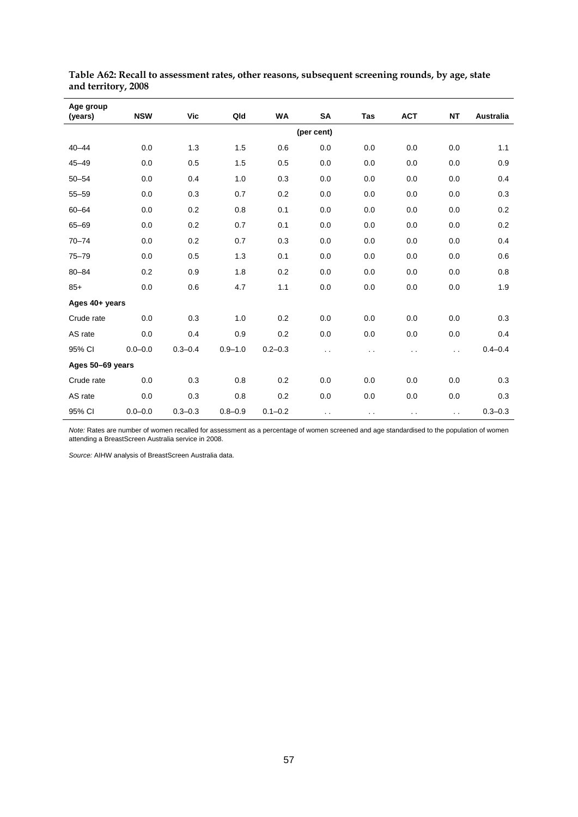| Age group<br>(years) | <b>NSW</b>  | Vic         | Qld         | WA          | SA            | <b>Tas</b> | <b>ACT</b>           | <b>NT</b>            | Australia   |
|----------------------|-------------|-------------|-------------|-------------|---------------|------------|----------------------|----------------------|-------------|
|                      |             |             |             |             | (per cent)    |            |                      |                      |             |
| $40 - 44$            | 0.0         | 1.3         | 1.5         | 0.6         | 0.0           | 0.0        | 0.0                  | 0.0                  | 1.1         |
| $45 - 49$            | 0.0         | 0.5         | 1.5         | 0.5         | 0.0           | 0.0        | 0.0                  | 0.0                  | 0.9         |
| $50 - 54$            | 0.0         | 0.4         | 1.0         | 0.3         | 0.0           | 0.0        | 0.0                  | 0.0                  | 0.4         |
| $55 - 59$            | 0.0         | 0.3         | 0.7         | 0.2         | 0.0           | 0.0        | 0.0                  | 0.0                  | 0.3         |
| $60 - 64$            | 0.0         | 0.2         | 0.8         | 0.1         | 0.0           | 0.0        | 0.0                  | 0.0                  | 0.2         |
| $65 - 69$            | 0.0         | $0.2\,$     | 0.7         | 0.1         | 0.0           | 0.0        | 0.0                  | 0.0                  | 0.2         |
| $70 - 74$            | 0.0         | 0.2         | 0.7         | 0.3         | 0.0           | 0.0        | 0.0                  | 0.0                  | 0.4         |
| $75 - 79$            | 0.0         | 0.5         | 1.3         | 0.1         | 0.0           | 0.0        | 0.0                  | 0.0                  | 0.6         |
| $80 - 84$            | 0.2         | 0.9         | 1.8         | 0.2         | 0.0           | 0.0        | 0.0                  | 0.0                  | 0.8         |
| $85+$                | 0.0         | 0.6         | 4.7         | 1.1         | 0.0           | 0.0        | 0.0                  | 0.0                  | 1.9         |
| Ages 40+ years       |             |             |             |             |               |            |                      |                      |             |
| Crude rate           | 0.0         | 0.3         | 1.0         | 0.2         | 0.0           | 0.0        | 0.0                  | 0.0                  | 0.3         |
| AS rate              | 0.0         | 0.4         | 0.9         | 0.2         | 0.0           | 0.0        | 0.0                  | 0.0                  | 0.4         |
| 95% CI               | $0.0 - 0.0$ | $0.3 - 0.4$ | $0.9 - 1.0$ | $0.2 - 0.3$ | . .           | . .        | $\ddot{\phantom{0}}$ | $\ddot{\phantom{0}}$ | $0.4 - 0.4$ |
| Ages 50-69 years     |             |             |             |             |               |            |                      |                      |             |
| Crude rate           | 0.0         | 0.3         | 0.8         | 0.2         | 0.0           | 0.0        | 0.0                  | 0.0                  | 0.3         |
| AS rate              | 0.0         | 0.3         | 0.8         | 0.2         | 0.0           | 0.0        | 0.0                  | 0.0                  | 0.3         |
| 95% CI               | $0.0 - 0.0$ | $0.3 - 0.3$ | $0.8 - 0.9$ | $0.1 - 0.2$ | $\sim$ $\sim$ | $\sim$     | $\sim$               | $\sim$ $\sim$        | $0.3 - 0.3$ |

**Table A62: Recall to assessment rates, other reasons, subsequent screening rounds, by age, state and territory, 2008** 

*Note:* Rates are number of women recalled for assessment as a percentage of women screened and age standardised to the population of women attending a BreastScreen Australia service in 2008.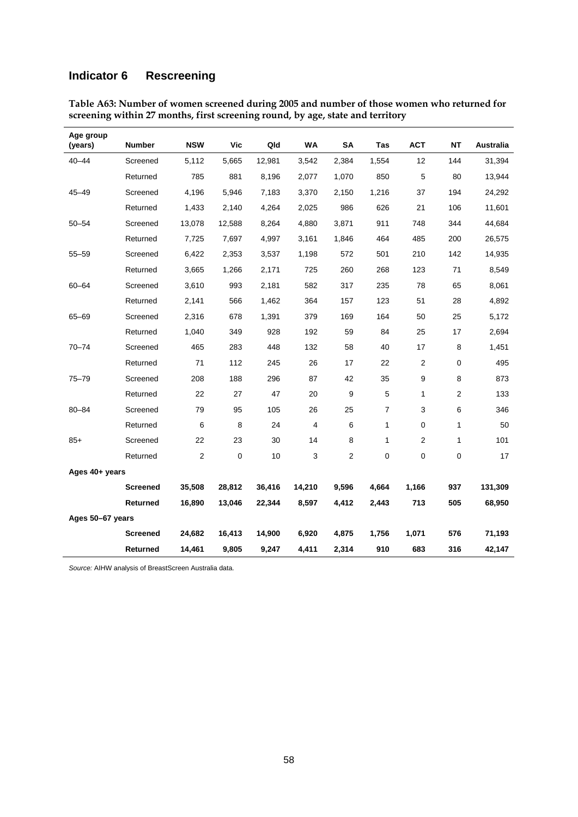# **Indicator 6 Rescreening**

| Age group<br>(years) | Number          | <b>NSW</b>     | Vic       | Qld    | WA             | <b>SA</b>        | <b>Tas</b>     | <b>ACT</b>     | <b>NT</b>      | <b>Australia</b> |
|----------------------|-----------------|----------------|-----------|--------|----------------|------------------|----------------|----------------|----------------|------------------|
| $40 - 44$            | Screened        | 5,112          | 5,665     | 12,981 | 3,542          | 2,384            | 1,554          | 12             | 144            | 31,394           |
|                      | Returned        | 785            | 881       | 8,196  | 2,077          | 1,070            | 850            | 5              | 80             | 13,944           |
| $45 - 49$            | Screened        | 4,196          | 5,946     | 7,183  | 3,370          | 2,150            | 1,216          | 37             | 194            | 24,292           |
|                      | Returned        | 1,433          | 2,140     | 4,264  | 2,025          | 986              | 626            | 21             | 106            | 11,601           |
| $50 - 54$            | Screened        | 13,078         | 12,588    | 8,264  | 4,880          | 3,871            | 911            | 748            | 344            | 44,684           |
|                      | Returned        | 7,725          | 7,697     | 4,997  | 3,161          | 1,846            | 464            | 485            | 200            | 26,575           |
| $55 - 59$            | Screened        | 6,422          | 2,353     | 3,537  | 1,198          | 572              | 501            | 210            | 142            | 14,935           |
|                      | Returned        | 3,665          | 1,266     | 2,171  | 725            | 260              | 268            | 123            | 71             | 8,549            |
| 60-64                | Screened        | 3,610          | 993       | 2,181  | 582            | 317              | 235            | 78             | 65             | 8,061            |
|                      | Returned        | 2,141          | 566       | 1,462  | 364            | 157              | 123            | 51             | 28             | 4,892            |
| 65-69                | Screened        | 2,316          | 678       | 1,391  | 379            | 169              | 164            | 50             | 25             | 5,172            |
|                      | Returned        | 1,040          | 349       | 928    | 192            | 59               | 84             | 25             | 17             | 2,694            |
| 70-74                | Screened        | 465            | 283       | 448    | 132            | 58               | 40             | 17             | 8              | 1,451            |
|                      | Returned        | 71             | 112       | 245    | 26             | 17               | 22             | $\overline{c}$ | 0              | 495              |
| $75 - 79$            | Screened        | 208            | 188       | 296    | 87             | 42               | 35             | 9              | 8              | 873              |
|                      | Returned        | 22             | 27        | 47     | 20             | $\boldsymbol{9}$ | $\overline{5}$ | 1              | $\overline{2}$ | 133              |
| $80 - 84$            | Screened        | 79             | 95        | 105    | 26             | 25               | $\overline{7}$ | 3              | 6              | 346              |
|                      | Returned        | 6              | 8         | 24     | $\overline{4}$ | 6                | 1              | 0              | 1              | 50               |
| $85+$                | Screened        | 22             | 23        | 30     | 14             | 8                | 1              | $\overline{c}$ | 1              | 101              |
|                      | Returned        | $\overline{2}$ | $\pmb{0}$ | 10     | 3              | 2                | 0              | 0              | 0              | 17               |
| Ages 40+ years       |                 |                |           |        |                |                  |                |                |                |                  |
|                      | <b>Screened</b> | 35,508         | 28,812    | 36,416 | 14,210         | 9,596            | 4,664          | 1,166          | 937            | 131,309          |
|                      | Returned        | 16,890         | 13,046    | 22,344 | 8,597          | 4,412            | 2,443          | 713            | 505            | 68,950           |
| Ages 50-67 years     |                 |                |           |        |                |                  |                |                |                |                  |
|                      | <b>Screened</b> | 24,682         | 16,413    | 14,900 | 6,920          | 4,875            | 1,756          | 1,071          | 576            | 71,193           |
|                      | Returned        | 14,461         | 9,805     | 9,247  | 4,411          | 2,314            | 910            | 683            | 316            | 42,147           |

**Table A63: Number of women screened during 2005 and number of those women who returned for screening within 27 months, first screening round, by age, state and territory**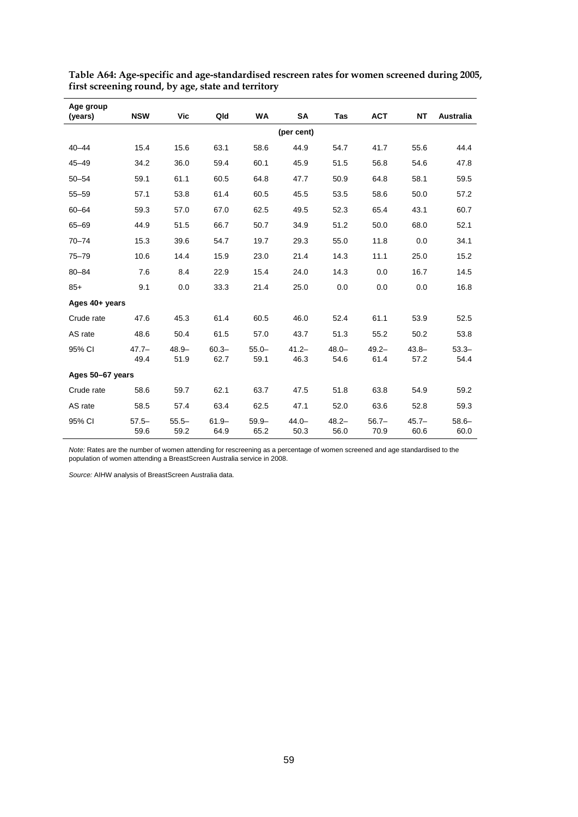| Age group<br>(years) | <b>NSW</b>       | Vic              | Qld              | WA               | SA               | Tas              | <b>ACT</b>       | <b>NT</b>        | Australia        |
|----------------------|------------------|------------------|------------------|------------------|------------------|------------------|------------------|------------------|------------------|
|                      |                  |                  |                  |                  | (per cent)       |                  |                  |                  |                  |
| $40 - 44$            | 15.4             | 15.6             | 63.1             | 58.6             | 44.9             | 54.7             | 41.7             | 55.6             | 44.4             |
| $45 - 49$            | 34.2             | 36.0             | 59.4             | 60.1             | 45.9             | 51.5             | 56.8             | 54.6             | 47.8             |
| $50 - 54$            | 59.1             | 61.1             | 60.5             | 64.8             | 47.7             | 50.9             | 64.8             | 58.1             | 59.5             |
| $55 - 59$            | 57.1             | 53.8             | 61.4             | 60.5             | 45.5             | 53.5             | 58.6             | 50.0             | 57.2             |
| $60 - 64$            | 59.3             | 57.0             | 67.0             | 62.5             | 49.5             | 52.3             | 65.4             | 43.1             | 60.7             |
| 65-69                | 44.9             | 51.5             | 66.7             | 50.7             | 34.9             | 51.2             | 50.0             | 68.0             | 52.1             |
| $70 - 74$            | 15.3             | 39.6             | 54.7             | 19.7             | 29.3             | 55.0             | 11.8             | 0.0              | 34.1             |
| $75 - 79$            | 10.6             | 14.4             | 15.9             | 23.0             | 21.4             | 14.3             | 11.1             | 25.0             | 15.2             |
| $80 - 84$            | 7.6              | 8.4              | 22.9             | 15.4             | 24.0             | 14.3             | 0.0              | 16.7             | 14.5             |
| $85+$                | 9.1              | 0.0              | 33.3             | 21.4             | 25.0             | 0.0              | 0.0              | 0.0              | 16.8             |
| Ages 40+ years       |                  |                  |                  |                  |                  |                  |                  |                  |                  |
| Crude rate           | 47.6             | 45.3             | 61.4             | 60.5             | 46.0             | 52.4             | 61.1             | 53.9             | 52.5             |
| AS rate              | 48.6             | 50.4             | 61.5             | 57.0             | 43.7             | 51.3             | 55.2             | 50.2             | 53.8             |
| 95% CI               | $47.7 -$<br>49.4 | $48.9 -$<br>51.9 | $60.3 -$<br>62.7 | $55.0 -$<br>59.1 | $41.2 -$<br>46.3 | $48.0 -$<br>54.6 | $49.2 -$<br>61.4 | $43.8 -$<br>57.2 | $53.3 -$<br>54.4 |
| Ages 50-67 years     |                  |                  |                  |                  |                  |                  |                  |                  |                  |
| Crude rate           | 58.6             | 59.7             | 62.1             | 63.7             | 47.5             | 51.8             | 63.8             | 54.9             | 59.2             |
| AS rate              | 58.5             | 57.4             | 63.4             | 62.5             | 47.1             | 52.0             | 63.6             | 52.8             | 59.3             |
| 95% CI               | $57.5 -$<br>59.6 | $55.5 -$<br>59.2 | $61.9 -$<br>64.9 | $59.9 -$<br>65.2 | $44.0 -$<br>50.3 | $48.2 -$<br>56.0 | $56.7 -$<br>70.9 | $45.7 -$<br>60.6 | $58.6 -$<br>60.0 |

**Table A64: Age-specific and age-standardised rescreen rates for women screened during 2005, first screening round, by age, state and territory** 

*Note:* Rates are the number of women attending for rescreening as a percentage of women screened and age standardised to the population of women attending a BreastScreen Australia service in 2008.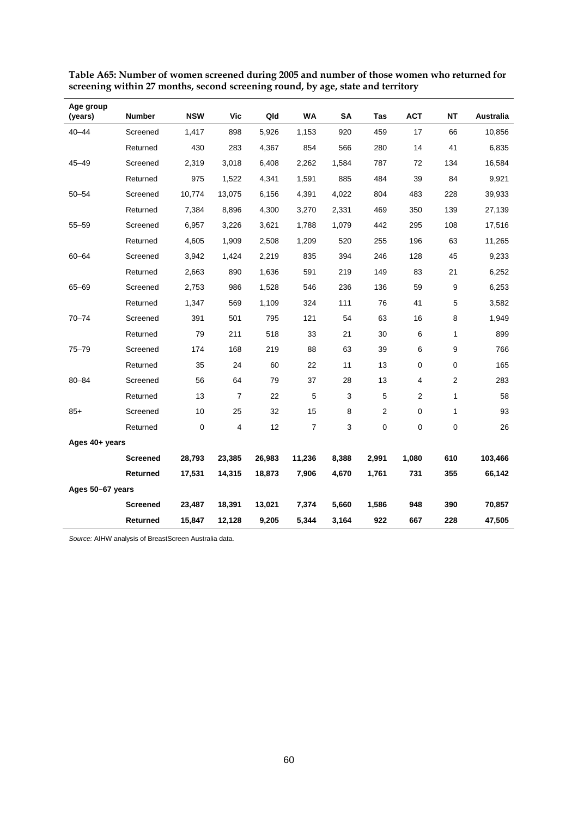| Age group<br>(years) | <b>Number</b>   | <b>NSW</b>  | <b>Vic</b> | Qld    | <b>WA</b>      | <b>SA</b> | Tas            | <b>ACT</b>     | <b>NT</b>        | Australia |
|----------------------|-----------------|-------------|------------|--------|----------------|-----------|----------------|----------------|------------------|-----------|
| $40 - 44$            | Screened        | 1,417       | 898        | 5,926  | 1,153          | 920       | 459            | 17             | 66               | 10,856    |
|                      | Returned        | 430         | 283        | 4,367  | 854            | 566       | 280            | 14             | 41               | 6,835     |
| $45 - 49$            | Screened        | 2,319       | 3,018      | 6,408  | 2,262          | 1,584     | 787            | 72             | 134              | 16,584    |
|                      | Returned        | 975         | 1,522      | 4,341  | 1,591          | 885       | 484            | 39             | 84               | 9,921     |
| $50 - 54$            | Screened        | 10,774      | 13,075     | 6,156  | 4,391          | 4,022     | 804            | 483            | 228              | 39,933    |
|                      | Returned        | 7,384       | 8,896      | 4,300  | 3,270          | 2,331     | 469            | 350            | 139              | 27,139    |
| $55 - 59$            | Screened        | 6,957       | 3,226      | 3,621  | 1,788          | 1,079     | 442            | 295            | 108              | 17,516    |
|                      | Returned        | 4,605       | 1,909      | 2,508  | 1,209          | 520       | 255            | 196            | 63               | 11,265    |
| 60-64                | Screened        | 3,942       | 1,424      | 2,219  | 835            | 394       | 246            | 128            | 45               | 9,233     |
|                      | Returned        | 2,663       | 890        | 1,636  | 591            | 219       | 149            | 83             | 21               | 6,252     |
| 65-69                | Screened        | 2,753       | 986        | 1,528  | 546            | 236       | 136            | 59             | 9                | 6,253     |
|                      | Returned        | 1,347       | 569        | 1,109  | 324            | 111       | 76             | 41             | 5                | 3,582     |
| $70 - 74$            | Screened        | 391         | 501        | 795    | 121            | 54        | 63             | 16             | 8                | 1,949     |
|                      | Returned        | 79          | 211        | 518    | 33             | 21        | 30             | 6              | $\mathbf{1}$     | 899       |
| $75 - 79$            | Screened        | 174         | 168        | 219    | 88             | 63        | 39             | 6              | 9                | 766       |
|                      | Returned        | 35          | 24         | 60     | 22             | 11        | 13             | 0              | 0                | 165       |
| $80 - 84$            | Screened        | 56          | 64         | 79     | 37             | 28        | 13             | 4              | $\boldsymbol{2}$ | 283       |
|                      | Returned        | 13          | 7          | 22     | $\mathbf 5$    | 3         | 5              | $\overline{2}$ | $\mathbf{1}$     | 58        |
| $85+$                | Screened        | 10          | 25         | 32     | 15             | 8         | $\overline{2}$ | 0              | 1                | 93        |
|                      | Returned        | $\mathbf 0$ | 4          | 12     | $\overline{7}$ | 3         | $\mathbf 0$    | 0              | 0                | 26        |
| Ages 40+ years       |                 |             |            |        |                |           |                |                |                  |           |
|                      | <b>Screened</b> | 28,793      | 23,385     | 26,983 | 11,236         | 8,388     | 2,991          | 1,080          | 610              | 103,466   |
|                      | Returned        | 17,531      | 14,315     | 18,873 | 7,906          | 4,670     | 1,761          | 731            | 355              | 66,142    |
| Ages 50-67 years     |                 |             |            |        |                |           |                |                |                  |           |
|                      | <b>Screened</b> | 23,487      | 18,391     | 13,021 | 7,374          | 5,660     | 1,586          | 948            | 390              | 70,857    |
|                      | Returned        | 15,847      | 12,128     | 9,205  | 5,344          | 3,164     | 922            | 667            | 228              | 47,505    |

**Table A65: Number of women screened during 2005 and number of those women who returned for screening within 27 months, second screening round, by age, state and territory**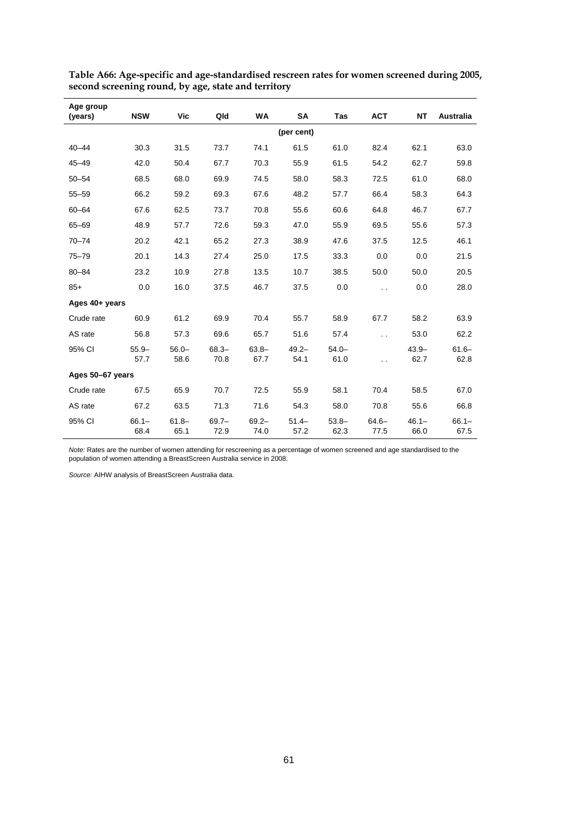| Age group<br>(years) | <b>NSW</b>       | Vic              | Qld              | WA               | SA               | Tas              | <b>ACT</b>           | NT               | Australia        |
|----------------------|------------------|------------------|------------------|------------------|------------------|------------------|----------------------|------------------|------------------|
|                      |                  |                  |                  |                  | (per cent)       |                  |                      |                  |                  |
| $40 - 44$            | 30.3             | 31.5             | 73.7             | 74.1             | 61.5             | 61.0             | 82.4                 | 62.1             | 63.0             |
| $45 - 49$            | 42.0             | 50.4             | 67.7             | 70.3             | 55.9             | 61.5             | 54.2                 | 62.7             | 59.8             |
| $50 - 54$            | 68.5             | 68.0             | 69.9             | 74.5             | 58.0             | 58.3             | 72.5                 | 61.0             | 68.0             |
| $55 - 59$            | 66.2             | 59.2             | 69.3             | 67.6             | 48.2             | 57.7             | 66.4                 | 58.3             | 64.3             |
| $60 - 64$            | 67.6             | 62.5             | 73.7             | 70.8             | 55.6             | 60.6             | 64.8                 | 46.7             | 67.7             |
| $65 - 69$            | 48.9             | 57.7             | 72.6             | 59.3             | 47.0             | 55.9             | 69.5                 | 55.6             | 57.3             |
| $70 - 74$            | 20.2             | 42.1             | 65.2             | 27.3             | 38.9             | 47.6             | 37.5                 | 12.5             | 46.1             |
| $75 - 79$            | 20.1             | 14.3             | 27.4             | 25.0             | 17.5             | 33.3             | 0.0                  | 0.0              | 21.5             |
| $80 - 84$            | 23.2             | 10.9             | 27.8             | 13.5             | 10.7             | 38.5             | 50.0                 | 50.0             | 20.5             |
| $85+$                | 0.0              | 16.0             | 37.5             | 46.7             | 37.5             | 0.0              | $\ddot{\phantom{0}}$ | 0.0              | 28.0             |
| Ages 40+ years       |                  |                  |                  |                  |                  |                  |                      |                  |                  |
| Crude rate           | 60.9             | 61.2             | 69.9             | 70.4             | 55.7             | 58.9             | 67.7                 | 58.2             | 63.9             |
| AS rate              | 56.8             | 57.3             | 69.6             | 65.7             | 51.6             | 57.4             | $\ddot{\phantom{0}}$ | 53.0             | 62.2             |
| 95% CI               | $55.9 -$<br>57.7 | $56.0 -$<br>58.6 | $68.3 -$<br>70.8 | $63.8 -$<br>67.7 | $49.2 -$<br>54.1 | $54.0 -$<br>61.0 | . .                  | $43.9 -$<br>62.7 | $61.6 -$<br>62.8 |
| Ages 50-67 years     |                  |                  |                  |                  |                  |                  |                      |                  |                  |
| Crude rate           | 67.5             | 65.9             | 70.7             | 72.5             | 55.9             | 58.1             | 70.4                 | 58.5             | 67.0             |
| AS rate              | 67.2             | 63.5             | 71.3             | 71.6             | 54.3             | 58.0             | 70.8                 | 55.6             | 66.8             |
| 95% CI               | $66.1 -$<br>68.4 | $61.8 -$<br>65.1 | $69.7 -$<br>72.9 | $69.2 -$<br>74.0 | $51.4 -$<br>57.2 | $53.8 -$<br>62.3 | $64.6 -$<br>77.5     | $46.1 -$<br>66.0 | $66.1 -$<br>67.5 |

**Table A66: Age-specific and age-standardised rescreen rates for women screened during 2005, second screening round, by age, state and territory** 

*Note:* Rates are the number of women attending for rescreening as a percentage of women screened and age standardised to the population of women attending a BreastScreen Australia service in 2008.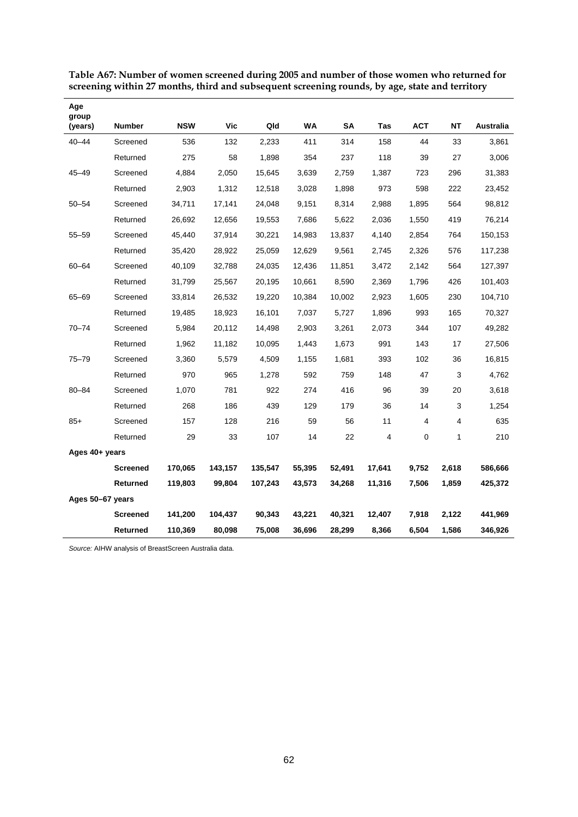| Age<br>group     |                 |            |            |         |           |        |        |            |           |           |
|------------------|-----------------|------------|------------|---------|-----------|--------|--------|------------|-----------|-----------|
| (years)          | <b>Number</b>   | <b>NSW</b> | <b>Vic</b> | Qld     | <b>WA</b> | SΑ     | Tas    | <b>ACT</b> | <b>NT</b> | Australia |
| $40 - 44$        | Screened        | 536        | 132        | 2,233   | 411       | 314    | 158    | 44         | 33        | 3,861     |
|                  | Returned        | 275        | 58         | 1,898   | 354       | 237    | 118    | 39         | 27        | 3,006     |
| 45-49            | Screened        | 4,884      | 2,050      | 15,645  | 3,639     | 2,759  | 1,387  | 723        | 296       | 31,383    |
|                  | Returned        | 2,903      | 1,312      | 12,518  | 3,028     | 1,898  | 973    | 598        | 222       | 23,452    |
| $50 - 54$        | Screened        | 34,711     | 17,141     | 24,048  | 9,151     | 8,314  | 2,988  | 1,895      | 564       | 98,812    |
|                  | Returned        | 26,692     | 12,656     | 19,553  | 7,686     | 5,622  | 2,036  | 1,550      | 419       | 76,214    |
| $55 - 59$        | Screened        | 45,440     | 37,914     | 30,221  | 14,983    | 13,837 | 4,140  | 2,854      | 764       | 150,153   |
|                  | Returned        | 35,420     | 28,922     | 25,059  | 12,629    | 9,561  | 2,745  | 2,326      | 576       | 117,238   |
| $60 - 64$        | Screened        | 40,109     | 32,788     | 24,035  | 12,436    | 11,851 | 3,472  | 2,142      | 564       | 127,397   |
|                  | Returned        | 31,799     | 25,567     | 20,195  | 10,661    | 8,590  | 2,369  | 1,796      | 426       | 101,403   |
| 65-69            | Screened        | 33,814     | 26,532     | 19,220  | 10,384    | 10,002 | 2,923  | 1,605      | 230       | 104,710   |
|                  | Returned        | 19,485     | 18,923     | 16,101  | 7,037     | 5,727  | 1,896  | 993        | 165       | 70,327    |
| 70-74            | Screened        | 5,984      | 20,112     | 14,498  | 2,903     | 3,261  | 2,073  | 344        | 107       | 49,282    |
|                  | Returned        | 1,962      | 11,182     | 10,095  | 1,443     | 1,673  | 991    | 143        | 17        | 27,506    |
| 75-79            | Screened        | 3,360      | 5,579      | 4,509   | 1,155     | 1,681  | 393    | 102        | 36        | 16,815    |
|                  | Returned        | 970        | 965        | 1,278   | 592       | 759    | 148    | 47         | 3         | 4,762     |
| $80 - 84$        | Screened        | 1,070      | 781        | 922     | 274       | 416    | 96     | 39         | 20        | 3,618     |
|                  | Returned        | 268        | 186        | 439     | 129       | 179    | 36     | 14         | 3         | 1,254     |
| $85+$            | Screened        | 157        | 128        | 216     | 59        | 56     | 11     | 4          | 4         | 635       |
|                  | Returned        | 29         | 33         | 107     | 14        | 22     | 4      | 0          | 1         | 210       |
| Ages 40+ years   |                 |            |            |         |           |        |        |            |           |           |
|                  | <b>Screened</b> | 170,065    | 143,157    | 135,547 | 55,395    | 52,491 | 17,641 | 9,752      | 2,618     | 586,666   |
|                  | Returned        | 119,803    | 99,804     | 107,243 | 43,573    | 34,268 | 11,316 | 7,506      | 1,859     | 425,372   |
| Ages 50-67 years |                 |            |            |         |           |        |        |            |           |           |
|                  | <b>Screened</b> | 141,200    | 104,437    | 90,343  | 43,221    | 40,321 | 12,407 | 7,918      | 2,122     | 441,969   |
|                  | <b>Returned</b> | 110,369    | 80,098     | 75,008  | 36,696    | 28,299 | 8,366  | 6,504      | 1,586     | 346,926   |

**Table A67: Number of women screened during 2005 and number of those women who returned for screening within 27 months, third and subsequent screening rounds, by age, state and territory**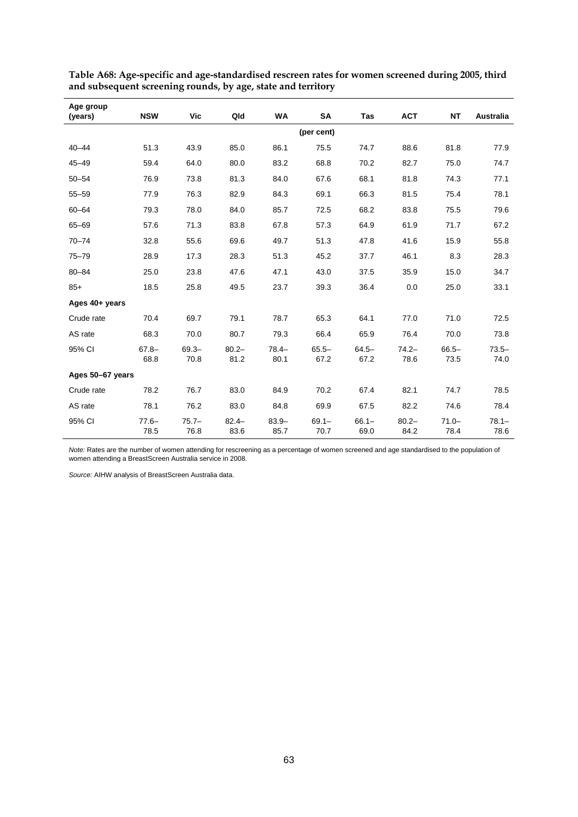| Age group<br>(years) | <b>NSW</b>       | Vic              | Qld              | WA               | SA               | Tas              | <b>ACT</b>       | <b>NT</b>        | Australia        |
|----------------------|------------------|------------------|------------------|------------------|------------------|------------------|------------------|------------------|------------------|
|                      |                  |                  |                  |                  | (per cent)       |                  |                  |                  |                  |
| $40 - 44$            | 51.3             | 43.9             | 85.0             | 86.1             | 75.5             | 74.7             | 88.6             | 81.8             | 77.9             |
| $45 - 49$            | 59.4             | 64.0             | 80.0             | 83.2             | 68.8             | 70.2             | 82.7             | 75.0             | 74.7             |
| $50 - 54$            | 76.9             | 73.8             | 81.3             | 84.0             | 67.6             | 68.1             | 81.8             | 74.3             | 77.1             |
| $55 - 59$            | 77.9             | 76.3             | 82.9             | 84.3             | 69.1             | 66.3             | 81.5             | 75.4             | 78.1             |
| $60 - 64$            | 79.3             | 78.0             | 84.0             | 85.7             | 72.5             | 68.2             | 83.8             | 75.5             | 79.6             |
| $65 - 69$            | 57.6             | 71.3             | 83.8             | 67.8             | 57.3             | 64.9             | 61.9             | 71.7             | 67.2             |
| $70 - 74$            | 32.8             | 55.6             | 69.6             | 49.7             | 51.3             | 47.8             | 41.6             | 15.9             | 55.8             |
| $75 - 79$            | 28.9             | 17.3             | 28.3             | 51.3             | 45.2             | 37.7             | 46.1             | 8.3              | 28.3             |
| $80 - 84$            | 25.0             | 23.8             | 47.6             | 47.1             | 43.0             | 37.5             | 35.9             | 15.0             | 34.7             |
| $85+$                | 18.5             | 25.8             | 49.5             | 23.7             | 39.3             | 36.4             | 0.0              | 25.0             | 33.1             |
| Ages 40+ years       |                  |                  |                  |                  |                  |                  |                  |                  |                  |
| Crude rate           | 70.4             | 69.7             | 79.1             | 78.7             | 65.3             | 64.1             | 77.0             | 71.0             | 72.5             |
| AS rate              | 68.3             | 70.0             | 80.7             | 79.3             | 66.4             | 65.9             | 76.4             | 70.0             | 73.8             |
| 95% CI               | $67.8 -$<br>68.8 | $69.3 -$<br>70.8 | $80.2 -$<br>81.2 | $78.4 -$<br>80.1 | $65.5 -$<br>67.2 | $64.5 -$<br>67.2 | $74.2 -$<br>78.6 | $66.5 -$<br>73.5 | $73.5 -$<br>74.0 |
| Ages 50-67 years     |                  |                  |                  |                  |                  |                  |                  |                  |                  |
| Crude rate           | 78.2             | 76.7             | 83.0             | 84.9             | 70.2             | 67.4             | 82.1             | 74.7             | 78.5             |
| AS rate              | 78.1             | 76.2             | 83.0             | 84.8             | 69.9             | 67.5             | 82.2             | 74.6             | 78.4             |
| 95% CI               | $77.6 -$<br>78.5 | $75.7 -$<br>76.8 | $82.4 -$<br>83.6 | $83.9 -$<br>85.7 | $69.1 -$<br>70.7 | $66.1 -$<br>69.0 | $80.2 -$<br>84.2 | $71.0 -$<br>78.4 | $78.1 -$<br>78.6 |

**Table A68: Age-specific and age-standardised rescreen rates for women screened during 2005, third and subsequent screening rounds, by age, state and territory** 

*Note:* Rates are the number of women attending for rescreening as a percentage of women screened and age standardised to the population of women attending a BreastScreen Australia service in 2008.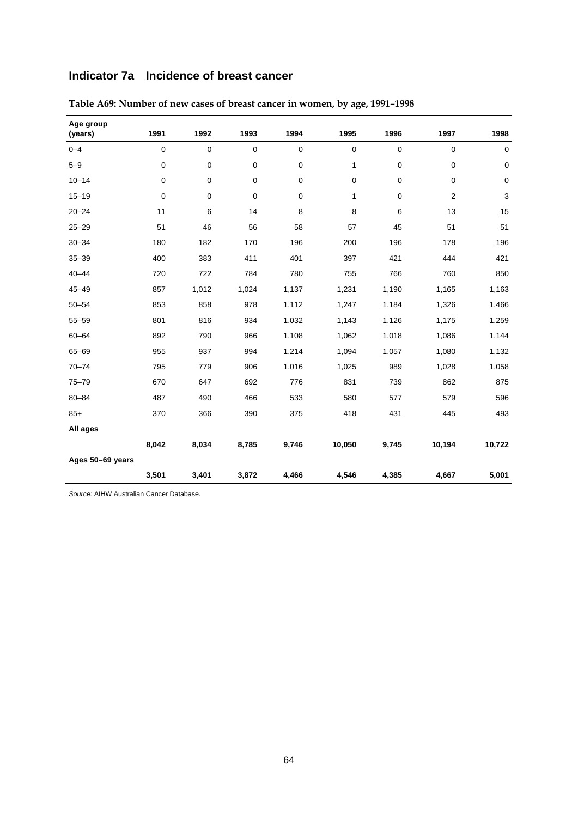## **Indicator 7a Incidence of breast cancer**

| Age group<br>(years) | 1991        | 1992        | 1993  | 1994        | 1995         | 1996        | 1997           | 1998        |
|----------------------|-------------|-------------|-------|-------------|--------------|-------------|----------------|-------------|
| $0 - 4$              | 0           | $\mathbf 0$ | 0     | $\mathbf 0$ | 0            | $\mathbf 0$ | 0              | $\mathbf 0$ |
| $5 - 9$              | $\pmb{0}$   | 0           | 0     | $\mathbf 0$ | 1            | $\pmb{0}$   | $\mathbf 0$    | $\pmb{0}$   |
| $10 - 14$            | 0           | 0           | 0     | $\pmb{0}$   | $\mathbf 0$  | $\pmb{0}$   | $\pmb{0}$      | $\pmb{0}$   |
| $15 - 19$            | $\mathbf 0$ | $\mathbf 0$ | 0     | $\pmb{0}$   | $\mathbf{1}$ | $\mathbf 0$ | $\overline{2}$ | 3           |
| $20 - 24$            | 11          | 6           | 14    | 8           | 8            | 6           | 13             | 15          |
| $25 - 29$            | 51          | 46          | 56    | 58          | 57           | 45          | 51             | 51          |
| $30 - 34$            | 180         | 182         | 170   | 196         | 200          | 196         | 178            | 196         |
| $35 - 39$            | 400         | 383         | 411   | 401         | 397          | 421         | 444            | 421         |
| $40 - 44$            | 720         | 722         | 784   | 780         | 755          | 766         | 760            | 850         |
| $45 - 49$            | 857         | 1,012       | 1,024 | 1,137       | 1,231        | 1,190       | 1,165          | 1,163       |
| $50 - 54$            | 853         | 858         | 978   | 1,112       | 1,247        | 1,184       | 1,326          | 1,466       |
| $55 - 59$            | 801         | 816         | 934   | 1,032       | 1,143        | 1,126       | 1,175          | 1,259       |
| $60 - 64$            | 892         | 790         | 966   | 1,108       | 1,062        | 1,018       | 1,086          | 1,144       |
| 65-69                | 955         | 937         | 994   | 1,214       | 1,094        | 1,057       | 1,080          | 1,132       |
| $70 - 74$            | 795         | 779         | 906   | 1,016       | 1,025        | 989         | 1,028          | 1,058       |
| $75 - 79$            | 670         | 647         | 692   | 776         | 831          | 739         | 862            | 875         |
| $80 - 84$            | 487         | 490         | 466   | 533         | 580          | 577         | 579            | 596         |
| $85+$                | 370         | 366         | 390   | 375         | 418          | 431         | 445            | 493         |
| All ages             |             |             |       |             |              |             |                |             |
|                      | 8,042       | 8,034       | 8,785 | 9,746       | 10,050       | 9,745       | 10,194         | 10,722      |
| Ages 50-69 years     |             |             |       |             |              |             |                |             |
|                      | 3,501       | 3,401       | 3,872 | 4,466       | 4,546        | 4,385       | 4,667          | 5,001       |

**Table A69: Number of new cases of breast cancer in women, by age, 1991–1998**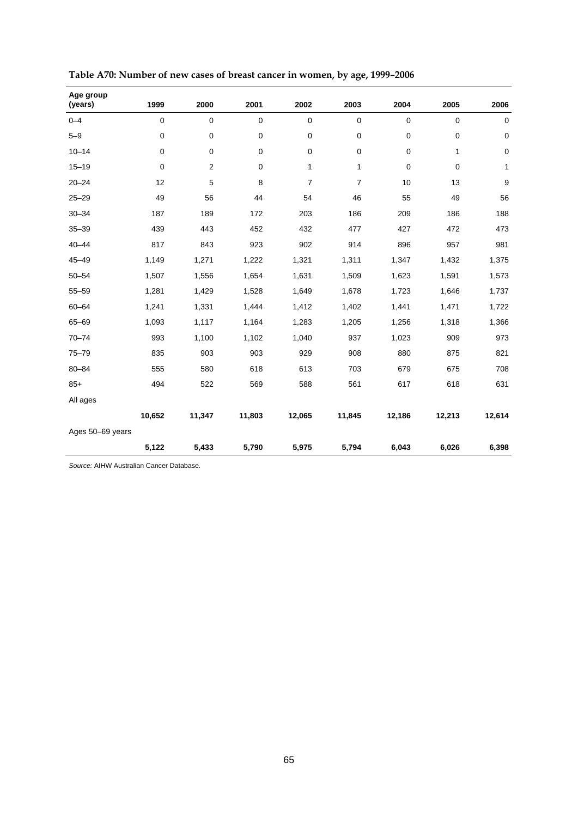| Age group<br>(years) | 1999      | 2000                    | 2001        | 2002           | 2003           | 2004        | 2005      | 2006        |
|----------------------|-----------|-------------------------|-------------|----------------|----------------|-------------|-----------|-------------|
| $0 - 4$              | $\pmb{0}$ | $\pmb{0}$               | $\mathbf 0$ | $\pmb{0}$      | 0              | $\mathbf 0$ | $\pmb{0}$ | $\mathbf 0$ |
| $5 - 9$              | $\pmb{0}$ | $\pmb{0}$               | $\mathbf 0$ | $\pmb{0}$      | 0              | $\mathbf 0$ | 0         | $\mathsf 0$ |
| $10 - 14$            | 0         | $\pmb{0}$               | 0           | 0              | 0              | 0           | 1         | 0           |
| $15 - 19$            | $\pmb{0}$ | $\overline{\mathbf{c}}$ | 0           | 1              | $\mathbf{1}$   | 0           | 0         | 1           |
| $20 - 24$            | 12        | 5                       | 8           | $\overline{7}$ | $\overline{7}$ | 10          | 13        | 9           |
| $25 - 29$            | 49        | 56                      | 44          | 54             | 46             | 55          | 49        | 56          |
| $30 - 34$            | 187       | 189                     | 172         | 203            | 186            | 209         | 186       | 188         |
| $35 - 39$            | 439       | 443                     | 452         | 432            | 477            | 427         | 472       | 473         |
| $40 - 44$            | 817       | 843                     | 923         | 902            | 914            | 896         | 957       | 981         |
| $45 - 49$            | 1,149     | 1,271                   | 1,222       | 1,321          | 1,311          | 1,347       | 1,432     | 1,375       |
| $50 - 54$            | 1,507     | 1,556                   | 1,654       | 1,631          | 1,509          | 1,623       | 1,591     | 1,573       |
| $55 - 59$            | 1,281     | 1,429                   | 1,528       | 1,649          | 1,678          | 1,723       | 1,646     | 1,737       |
| $60 - 64$            | 1,241     | 1,331                   | 1,444       | 1,412          | 1,402          | 1,441       | 1,471     | 1,722       |
| $65 - 69$            | 1,093     | 1,117                   | 1,164       | 1,283          | 1,205          | 1,256       | 1,318     | 1,366       |
| $70 - 74$            | 993       | 1,100                   | 1,102       | 1,040          | 937            | 1,023       | 909       | 973         |
| $75 - 79$            | 835       | 903                     | 903         | 929            | 908            | 880         | 875       | 821         |
| $80 - 84$            | 555       | 580                     | 618         | 613            | 703            | 679         | 675       | 708         |
| $85+$                | 494       | 522                     | 569         | 588            | 561            | 617         | 618       | 631         |
| All ages             |           |                         |             |                |                |             |           |             |
|                      | 10,652    | 11,347                  | 11,803      | 12,065         | 11,845         | 12,186      | 12,213    | 12,614      |
| Ages 50-69 years     |           |                         |             |                |                |             |           |             |
|                      | 5,122     | 5,433                   | 5,790       | 5,975          | 5,794          | 6,043       | 6,026     | 6,398       |

| Table A70: Number of new cases of breast cancer in women, by age, 1999-2006 |  |  |
|-----------------------------------------------------------------------------|--|--|
|-----------------------------------------------------------------------------|--|--|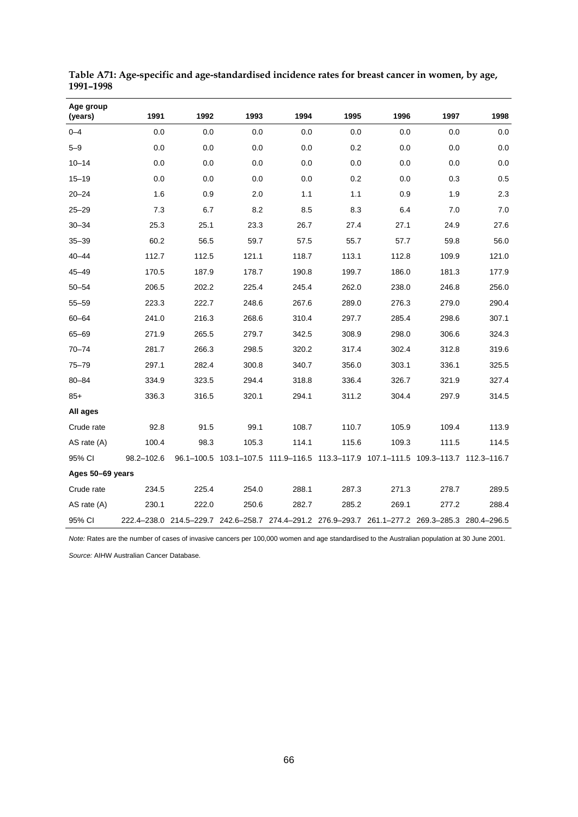| Age group<br>(years) | 1991       | 1992                                                                                            | 1993  | 1994                                                                               | 1995  | 1996  | 1997  | 1998  |
|----------------------|------------|-------------------------------------------------------------------------------------------------|-------|------------------------------------------------------------------------------------|-------|-------|-------|-------|
| $0 - 4$              | 0.0        | 0.0                                                                                             | 0.0   | 0.0                                                                                | 0.0   | 0.0   | 0.0   | 0.0   |
| $5 - 9$              | 0.0        | 0.0                                                                                             | 0.0   | 0.0                                                                                | 0.2   | 0.0   | 0.0   | 0.0   |
| $10 - 14$            | 0.0        | 0.0                                                                                             | 0.0   | 0.0                                                                                | 0.0   | 0.0   | 0.0   | 0.0   |
| $15 - 19$            | 0.0        | 0.0                                                                                             | 0.0   | 0.0                                                                                | 0.2   | 0.0   | 0.3   | 0.5   |
| $20 - 24$            | 1.6        | 0.9                                                                                             | 2.0   | 1.1                                                                                | 1.1   | 0.9   | 1.9   | 2.3   |
| $25 - 29$            | 7.3        | 6.7                                                                                             | 8.2   | 8.5                                                                                | 8.3   | 6.4   | 7.0   | 7.0   |
| $30 - 34$            | 25.3       | 25.1                                                                                            | 23.3  | 26.7                                                                               | 27.4  | 27.1  | 24.9  | 27.6  |
| $35 - 39$            | 60.2       | 56.5                                                                                            | 59.7  | 57.5                                                                               | 55.7  | 57.7  | 59.8  | 56.0  |
| $40 - 44$            | 112.7      | 112.5                                                                                           | 121.1 | 118.7                                                                              | 113.1 | 112.8 | 109.9 | 121.0 |
| $45 - 49$            | 170.5      | 187.9                                                                                           | 178.7 | 190.8                                                                              | 199.7 | 186.0 | 181.3 | 177.9 |
| $50 - 54$            | 206.5      | 202.2                                                                                           | 225.4 | 245.4                                                                              | 262.0 | 238.0 | 246.8 | 256.0 |
| $55 - 59$            | 223.3      | 222.7                                                                                           | 248.6 | 267.6                                                                              | 289.0 | 276.3 | 279.0 | 290.4 |
| $60 - 64$            | 241.0      | 216.3                                                                                           | 268.6 | 310.4                                                                              | 297.7 | 285.4 | 298.6 | 307.1 |
| $65 - 69$            | 271.9      | 265.5                                                                                           | 279.7 | 342.5                                                                              | 308.9 | 298.0 | 306.6 | 324.3 |
| $70 - 74$            | 281.7      | 266.3                                                                                           | 298.5 | 320.2                                                                              | 317.4 | 302.4 | 312.8 | 319.6 |
| $75 - 79$            | 297.1      | 282.4                                                                                           | 300.8 | 340.7                                                                              | 356.0 | 303.1 | 336.1 | 325.5 |
| $80 - 84$            | 334.9      | 323.5                                                                                           | 294.4 | 318.8                                                                              | 336.4 | 326.7 | 321.9 | 327.4 |
| $85+$                | 336.3      | 316.5                                                                                           | 320.1 | 294.1                                                                              | 311.2 | 304.4 | 297.9 | 314.5 |
| All ages             |            |                                                                                                 |       |                                                                                    |       |       |       |       |
| Crude rate           | 92.8       | 91.5                                                                                            | 99.1  | 108.7                                                                              | 110.7 | 105.9 | 109.4 | 113.9 |
| AS rate $(A)$        | 100.4      | 98.3                                                                                            | 105.3 | 114.1                                                                              | 115.6 | 109.3 | 111.5 | 114.5 |
| 95% CI               | 98.2-102.6 |                                                                                                 |       | 96.1–100.5 103.1–107.5 111.9–116.5 113.3–117.9 107.1–111.5 109.3–113.7 112.3–116.7 |       |       |       |       |
| Ages 50-69 years     |            |                                                                                                 |       |                                                                                    |       |       |       |       |
| Crude rate           | 234.5      | 225.4                                                                                           | 254.0 | 288.1                                                                              | 287.3 | 271.3 | 278.7 | 289.5 |
| AS rate (A)          | 230.1      | 222.0                                                                                           | 250.6 | 282.7                                                                              | 285.2 | 269.1 | 277.2 | 288.4 |
| 95% CI               |            | 222.4-238.0 214.5-229.7 242.6-258.7 274.4-291.2 276.9-293.7 261.1-277.2 269.3-285.3 280.4-296.5 |       |                                                                                    |       |       |       |       |

**Table A71: Age-specific and age-standardised incidence rates for breast cancer in women, by age, 1991–1998** 

*Note:* Rates are the number of cases of invasive cancers per 100,000 women and age standardised to the Australian population at 30 June 2001.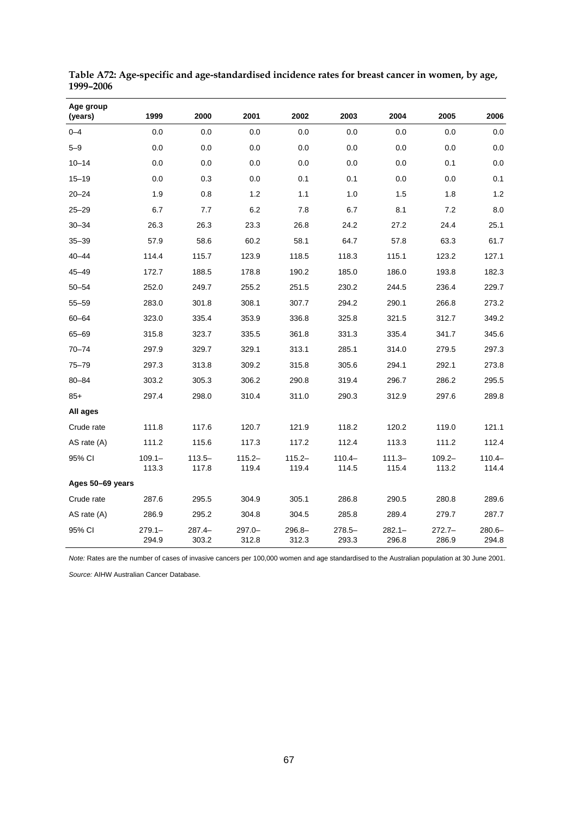| Age group<br>(years) | 1999               | 2000               | 2001               | 2002               | 2003               | 2004               | 2005               | 2006               |
|----------------------|--------------------|--------------------|--------------------|--------------------|--------------------|--------------------|--------------------|--------------------|
| $0 - 4$              | 0.0                | 0.0                | 0.0                | 0.0                | 0.0                | 0.0                | 0.0                | 0.0                |
| $5 - 9$              | 0.0                | 0.0                | 0.0                | 0.0                | 0.0                | 0.0                | 0.0                | 0.0                |
| $10 - 14$            | 0.0                | 0.0                | 0.0                | 0.0                | 0.0                | 0.0                | 0.1                | 0.0                |
| $15 - 19$            | 0.0                | 0.3                | 0.0                | 0.1                | 0.1                | 0.0                | 0.0                | 0.1                |
| $20 - 24$            | 1.9                | 0.8                | 1.2                | 1.1                | 1.0                | 1.5                | 1.8                | 1.2                |
| $25 - 29$            | 6.7                | 7.7                | 6.2                | 7.8                | 6.7                | 8.1                | 7.2                | 8.0                |
| $30 - 34$            | 26.3               | 26.3               | 23.3               | 26.8               | 24.2               | 27.2               | 24.4               | 25.1               |
| $35 - 39$            | 57.9               | 58.6               | 60.2               | 58.1               | 64.7               | 57.8               | 63.3               | 61.7               |
| $40 - 44$            | 114.4              | 115.7              | 123.9              | 118.5              | 118.3              | 115.1              | 123.2              | 127.1              |
| $45 - 49$            | 172.7              | 188.5              | 178.8              | 190.2              | 185.0              | 186.0              | 193.8              | 182.3              |
| $50 - 54$            | 252.0              | 249.7              | 255.2              | 251.5              | 230.2              | 244.5              | 236.4              | 229.7              |
| $55 - 59$            | 283.0              | 301.8              | 308.1              | 307.7              | 294.2              | 290.1              | 266.8              | 273.2              |
| $60 - 64$            | 323.0              | 335.4              | 353.9              | 336.8              | 325.8              | 321.5              | 312.7              | 349.2              |
| $65 - 69$            | 315.8              | 323.7              | 335.5              | 361.8              | 331.3              | 335.4              | 341.7              | 345.6              |
| $70 - 74$            | 297.9              | 329.7              | 329.1              | 313.1              | 285.1              | 314.0              | 279.5              | 297.3              |
| $75 - 79$            | 297.3              | 313.8              | 309.2              | 315.8              | 305.6              | 294.1              | 292.1              | 273.8              |
| 80-84                | 303.2              | 305.3              | 306.2              | 290.8              | 319.4              | 296.7              | 286.2              | 295.5              |
| $85+$                | 297.4              | 298.0              | 310.4              | 311.0              | 290.3              | 312.9              | 297.6              | 289.8              |
| All ages             |                    |                    |                    |                    |                    |                    |                    |                    |
| Crude rate           | 111.8              | 117.6              | 120.7              | 121.9              | 118.2              | 120.2              | 119.0              | 121.1              |
| AS rate (A)          | 111.2              | 115.6              | 117.3              | 117.2              | 112.4              | 113.3              | 111.2              | 112.4              |
| 95% CI               | $109.1 -$<br>113.3 | $113.5 -$<br>117.8 | $115.2 -$<br>119.4 | $115.2 -$<br>119.4 | $110.4 -$<br>114.5 | $111.3 -$<br>115.4 | $109.2 -$<br>113.2 | $110.4 -$<br>114.4 |
| Ages 50-69 years     |                    |                    |                    |                    |                    |                    |                    |                    |
| Crude rate           | 287.6              | 295.5              | 304.9              | 305.1              | 286.8              | 290.5              | 280.8              | 289.6              |
| AS rate (A)          | 286.9              | 295.2              | 304.8              | 304.5              | 285.8              | 289.4              | 279.7              | 287.7              |
| 95% CI               | $279.1 -$<br>294.9 | $287.4 -$<br>303.2 | $297.0 -$<br>312.8 | $296.8 -$<br>312.3 | $278.5 -$<br>293.3 | $282.1 -$<br>296.8 | $272.7-$<br>286.9  | $280.6 -$<br>294.8 |

**Table A72: Age-specific and age-standardised incidence rates for breast cancer in women, by age, 1999–2006** 

*Note:* Rates are the number of cases of invasive cancers per 100,000 women and age standardised to the Australian population at 30 June 2001.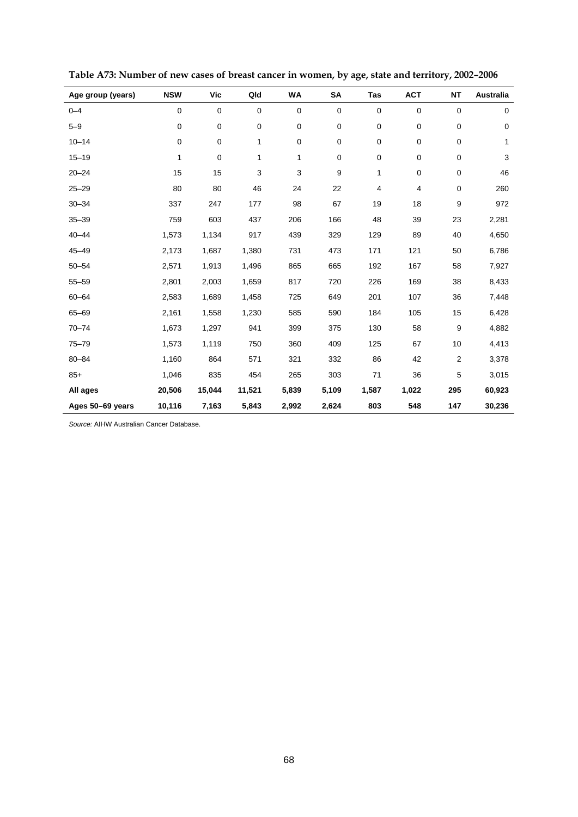| Age group (years) | <b>NSW</b> | <b>Vic</b>  | Qld         | <b>WA</b> | SA          | Tas         | <b>ACT</b> | <b>NT</b>      | Australia |
|-------------------|------------|-------------|-------------|-----------|-------------|-------------|------------|----------------|-----------|
| $0 - 4$           | 0          | $\mathbf 0$ | $\mathbf 0$ | 0         | 0           | $\mathbf 0$ | 0          | 0              | 0         |
| $5 - 9$           | 0          | 0           | 0           | 0         | 0           | $\mathbf 0$ | 0          | 0              | 0         |
| $10 - 14$         | 0          | $\mathbf 0$ | 1           | 0         | $\mathbf 0$ | $\pmb{0}$   | 0          | 0              | 1         |
| $15 - 19$         | 1          | 0           | 1           | 1         | 0           | $\mathbf 0$ | 0          | 0              | 3         |
| $20 - 24$         | 15         | 15          | 3           | 3         | 9           | 1           | 0          | 0              | 46        |
| $25 - 29$         | 80         | 80          | 46          | 24        | 22          | 4           | 4          | 0              | 260       |
| $30 - 34$         | 337        | 247         | 177         | 98        | 67          | 19          | 18         | 9              | 972       |
| $35 - 39$         | 759        | 603         | 437         | 206       | 166         | 48          | 39         | 23             | 2,281     |
| $40 - 44$         | 1,573      | 1,134       | 917         | 439       | 329         | 129         | 89         | 40             | 4,650     |
| $45 - 49$         | 2,173      | 1,687       | 1,380       | 731       | 473         | 171         | 121        | 50             | 6,786     |
| $50 - 54$         | 2,571      | 1,913       | 1,496       | 865       | 665         | 192         | 167        | 58             | 7,927     |
| $55 - 59$         | 2,801      | 2,003       | 1,659       | 817       | 720         | 226         | 169        | 38             | 8,433     |
| $60 - 64$         | 2,583      | 1,689       | 1,458       | 725       | 649         | 201         | 107        | 36             | 7,448     |
| $65 - 69$         | 2,161      | 1,558       | 1,230       | 585       | 590         | 184         | 105        | 15             | 6,428     |
| $70 - 74$         | 1,673      | 1,297       | 941         | 399       | 375         | 130         | 58         | 9              | 4,882     |
| $75 - 79$         | 1,573      | 1,119       | 750         | 360       | 409         | 125         | 67         | 10             | 4,413     |
| $80 - 84$         | 1,160      | 864         | 571         | 321       | 332         | 86          | 42         | $\overline{2}$ | 3,378     |
| $85+$             | 1,046      | 835         | 454         | 265       | 303         | 71          | 36         | 5              | 3,015     |
| All ages          | 20,506     | 15,044      | 11,521      | 5,839     | 5,109       | 1,587       | 1,022      | 295            | 60,923    |
| Ages 50-69 years  | 10,116     | 7,163       | 5,843       | 2,992     | 2,624       | 803         | 548        | 147            | 30,236    |

**Table A73: Number of new cases of breast cancer in women, by age, state and territory, 2002–2006**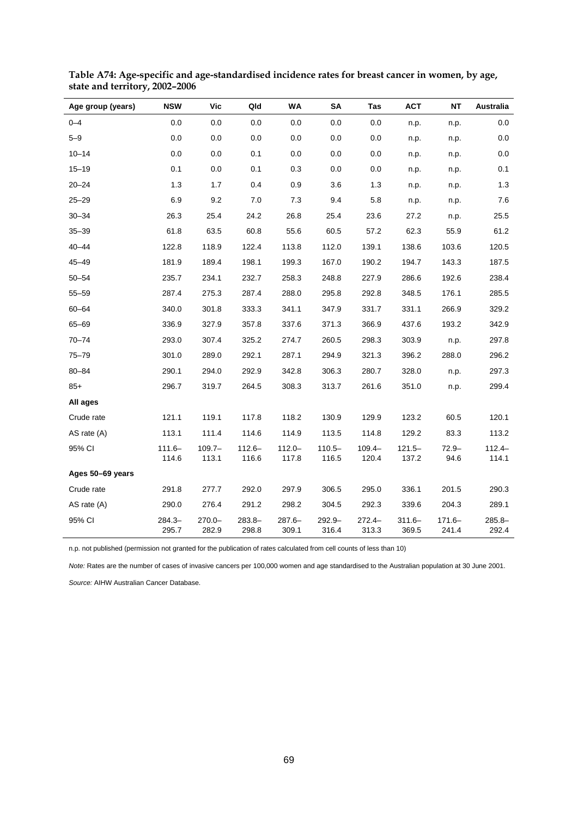| Age group (years) | <b>NSW</b>         | Vic                | Qld                | <b>WA</b>          | SΑ                 | Tas                | <b>ACT</b>         | NΤ                 | Australia          |
|-------------------|--------------------|--------------------|--------------------|--------------------|--------------------|--------------------|--------------------|--------------------|--------------------|
| $0 - 4$           | 0.0                | 0.0                | 0.0                | 0.0                | 0.0                | 0.0                | n.p.               | n.p.               | 0.0                |
| $5 - 9$           | 0.0                | 0.0                | 0.0                | 0.0                | 0.0                | 0.0                | n.p.               | n.p.               | 0.0                |
| $10 - 14$         | 0.0                | 0.0                | 0.1                | 0.0                | 0.0                | 0.0                | n.p.               | n.p.               | 0.0                |
| $15 - 19$         | 0.1                | 0.0                | 0.1                | 0.3                | 0.0                | 0.0                | n.p.               | n.p.               | 0.1                |
| $20 - 24$         | 1.3                | 1.7                | 0.4                | 0.9                | 3.6                | 1.3                | n.p.               | n.p.               | 1.3                |
| $25 - 29$         | 6.9                | 9.2                | 7.0                | 7.3                | 9.4                | 5.8                | n.p.               | n.p.               | 7.6                |
| $30 - 34$         | 26.3               | 25.4               | 24.2               | 26.8               | 25.4               | 23.6               | 27.2               | n.p.               | 25.5               |
| $35 - 39$         | 61.8               | 63.5               | 60.8               | 55.6               | 60.5               | 57.2               | 62.3               | 55.9               | 61.2               |
| $40 - 44$         | 122.8              | 118.9              | 122.4              | 113.8              | 112.0              | 139.1              | 138.6              | 103.6              | 120.5              |
| $45 - 49$         | 181.9              | 189.4              | 198.1              | 199.3              | 167.0              | 190.2              | 194.7              | 143.3              | 187.5              |
| $50 - 54$         | 235.7              | 234.1              | 232.7              | 258.3              | 248.8              | 227.9              | 286.6              | 192.6              | 238.4              |
| $55 - 59$         | 287.4              | 275.3              | 287.4              | 288.0              | 295.8              | 292.8              | 348.5              | 176.1              | 285.5              |
| $60 - 64$         | 340.0              | 301.8              | 333.3              | 341.1              | 347.9              | 331.7              | 331.1              | 266.9              | 329.2              |
| 65-69             | 336.9              | 327.9              | 357.8              | 337.6              | 371.3              | 366.9              | 437.6              | 193.2              | 342.9              |
| $70 - 74$         | 293.0              | 307.4              | 325.2              | 274.7              | 260.5              | 298.3              | 303.9              | n.p.               | 297.8              |
| $75 - 79$         | 301.0              | 289.0              | 292.1              | 287.1              | 294.9              | 321.3              | 396.2              | 288.0              | 296.2              |
| $80 - 84$         | 290.1              | 294.0              | 292.9              | 342.8              | 306.3              | 280.7              | 328.0              | n.p.               | 297.3              |
| $85+$             | 296.7              | 319.7              | 264.5              | 308.3              | 313.7              | 261.6              | 351.0              | n.p.               | 299.4              |
| All ages          |                    |                    |                    |                    |                    |                    |                    |                    |                    |
| Crude rate        | 121.1              | 119.1              | 117.8              | 118.2              | 130.9              | 129.9              | 123.2              | 60.5               | 120.1              |
| AS rate (A)       | 113.1              | 111.4              | 114.6              | 114.9              | 113.5              | 114.8              | 129.2              | 83.3               | 113.2              |
| 95% CI            | $111.6 -$<br>114.6 | $109.7 -$<br>113.1 | $112.6 -$<br>116.6 | $112.0 -$<br>117.8 | $110.5 -$<br>116.5 | $109.4 -$<br>120.4 | $121.5 -$<br>137.2 | $72.9 -$<br>94.6   | $112.4 -$<br>114.1 |
| Ages 50-69 years  |                    |                    |                    |                    |                    |                    |                    |                    |                    |
| Crude rate        | 291.8              | 277.7              | 292.0              | 297.9              | 306.5              | 295.0              | 336.1              | 201.5              | 290.3              |
| AS rate (A)       | 290.0              | 276.4              | 291.2              | 298.2              | 304.5              | 292.3              | 339.6              | 204.3              | 289.1              |
| 95% CI            | $284.3 -$<br>295.7 | $270.0 -$<br>282.9 | $283.8 -$<br>298.8 | $287.6 -$<br>309.1 | $292.9 -$<br>316.4 | $272.4 -$<br>313.3 | $311.6 -$<br>369.5 | $171.6 -$<br>241.4 | $285.8 -$<br>292.4 |

**Table A74: Age-specific and age-standardised incidence rates for breast cancer in women, by age, state and territory, 2002–2006** 

n.p. not published (permission not granted for the publication of rates calculated from cell counts of less than 10)

*Note:* Rates are the number of cases of invasive cancers per 100,000 women and age standardised to the Australian population at 30 June 2001.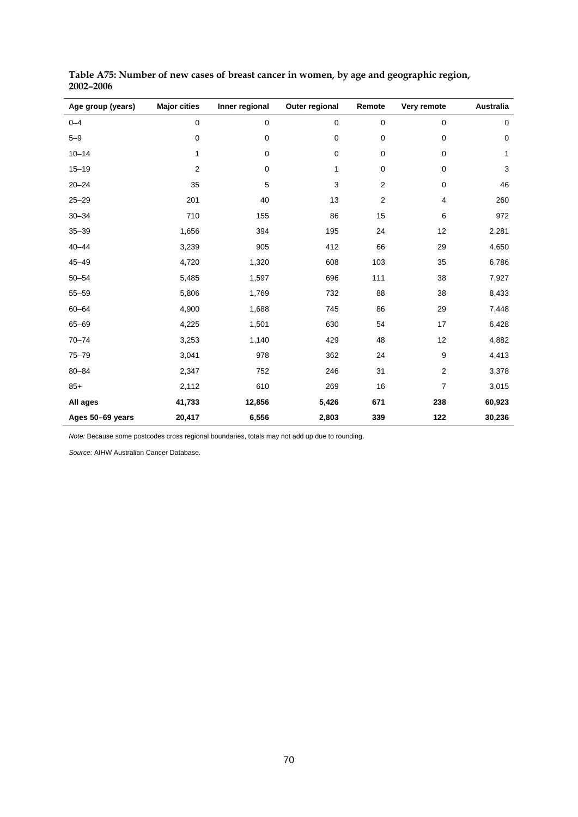| Age group (years) | <b>Major cities</b> | Inner regional | Outer regional | Remote         | Very remote    | <b>Australia</b> |
|-------------------|---------------------|----------------|----------------|----------------|----------------|------------------|
| $0 - 4$           | $\pmb{0}$           | 0              | $\pmb{0}$      | 0              | 0              | $\mathbf 0$      |
| $5 - 9$           | $\pmb{0}$           | 0              | 0              | 0              | 0              | $\mathbf 0$      |
| $10 - 14$         | 1                   | $\pmb{0}$      | $\pmb{0}$      | 0              | 0              | 1                |
| $15 - 19$         | $\overline{2}$      | $\mathbf 0$    | 1              | 0              | 0              | 3                |
| $20 - 24$         | 35                  | 5              | 3              | $\overline{2}$ | 0              | 46               |
| $25 - 29$         | 201                 | 40             | 13             | 2              | 4              | 260              |
| $30 - 34$         | 710                 | 155            | 86             | 15             | 6              | 972              |
| $35 - 39$         | 1,656               | 394            | 195            | 24             | 12             | 2,281            |
| $40 - 44$         | 3,239               | 905            | 412            | 66             | 29             | 4,650            |
| $45 - 49$         | 4,720               | 1,320          | 608            | 103            | 35             | 6,786            |
| $50 - 54$         | 5,485               | 1,597          | 696            | 111            | 38             | 7,927            |
| $55 - 59$         | 5,806               | 1,769          | 732            | 88             | 38             | 8,433            |
| $60 - 64$         | 4,900               | 1,688          | 745            | 86             | 29             | 7,448            |
| $65 - 69$         | 4,225               | 1,501          | 630            | 54             | 17             | 6,428            |
| $70 - 74$         | 3,253               | 1,140          | 429            | 48             | 12             | 4,882            |
| $75 - 79$         | 3,041               | 978            | 362            | 24             | 9              | 4,413            |
| $80 - 84$         | 2,347               | 752            | 246            | 31             | $\overline{2}$ | 3,378            |
| $85+$             | 2,112               | 610            | 269            | 16             | $\overline{7}$ | 3,015            |
| All ages          | 41,733              | 12,856         | 5,426          | 671            | 238            | 60,923           |
| Ages 50-69 years  | 20,417              | 6,556          | 2,803          | 339            | 122            | 30,236           |

**Table A75: Number of new cases of breast cancer in women, by age and geographic region, 2002–2006** 

*Note:* Because some postcodes cross regional boundaries, totals may not add up due to rounding.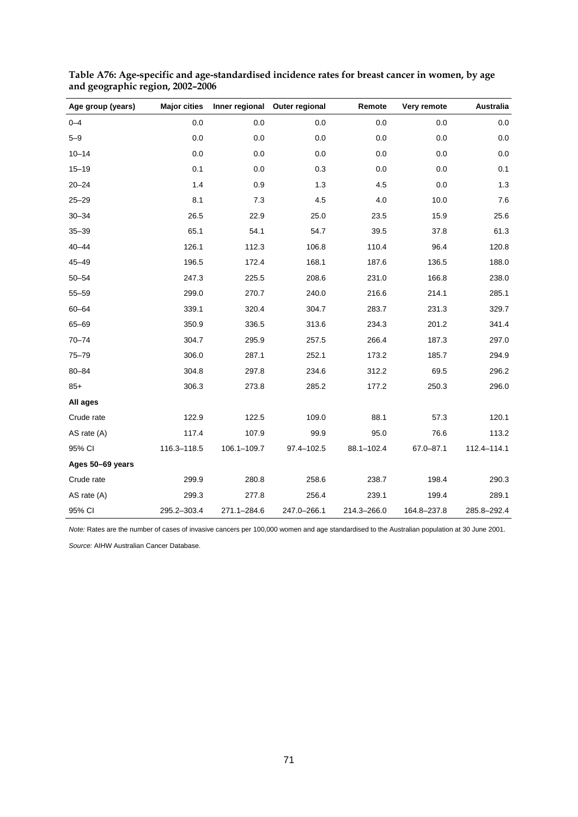| Age group (years) | <b>Major cities</b> |             | Inner regional Outer regional | Remote      | Very remote | <b>Australia</b> |
|-------------------|---------------------|-------------|-------------------------------|-------------|-------------|------------------|
| $0 - 4$           | 0.0                 | 0.0         | 0.0                           | 0.0         | 0.0         | 0.0              |
| $5 - 9$           | 0.0                 | 0.0         | 0.0                           | 0.0         | 0.0         | 0.0              |
| $10 - 14$         | 0.0                 | 0.0         | 0.0                           | 0.0         | 0.0         | 0.0              |
| $15 - 19$         | 0.1                 | 0.0         | 0.3                           | 0.0         | 0.0         | 0.1              |
| $20 - 24$         | 1.4                 | 0.9         | 1.3                           | 4.5         | 0.0         | $1.3$            |
| $25 - 29$         | 8.1                 | 7.3         | 4.5                           | 4.0         | 10.0        | 7.6              |
| $30 - 34$         | 26.5                | 22.9        | 25.0                          | 23.5        | 15.9        | 25.6             |
| $35 - 39$         | 65.1                | 54.1        | 54.7                          | 39.5        | 37.8        | 61.3             |
| $40 - 44$         | 126.1               | 112.3       | 106.8                         | 110.4       | 96.4        | 120.8            |
| $45 - 49$         | 196.5               | 172.4       | 168.1                         | 187.6       | 136.5       | 188.0            |
| $50 - 54$         | 247.3               | 225.5       | 208.6                         | 231.0       | 166.8       | 238.0            |
| $55 - 59$         | 299.0               | 270.7       | 240.0                         | 216.6       | 214.1       | 285.1            |
| $60 - 64$         | 339.1               | 320.4       | 304.7                         | 283.7       | 231.3       | 329.7            |
| 65-69             | 350.9               | 336.5       | 313.6                         | 234.3       | 201.2       | 341.4            |
| $70 - 74$         | 304.7               | 295.9       | 257.5                         | 266.4       | 187.3       | 297.0            |
| $75 - 79$         | 306.0               | 287.1       | 252.1                         | 173.2       | 185.7       | 294.9            |
| $80 - 84$         | 304.8               | 297.8       | 234.6                         | 312.2       | 69.5        | 296.2            |
| $85+$             | 306.3               | 273.8       | 285.2                         | 177.2       | 250.3       | 296.0            |
| All ages          |                     |             |                               |             |             |                  |
| Crude rate        | 122.9               | 122.5       | 109.0                         | 88.1        | 57.3        | 120.1            |
| AS rate (A)       | 117.4               | 107.9       | 99.9                          | 95.0        | 76.6        | 113.2            |
| 95% CI            | 116.3-118.5         | 106.1-109.7 | 97.4-102.5                    | 88.1-102.4  | 67.0-87.1   | 112.4-114.1      |
| Ages 50-69 years  |                     |             |                               |             |             |                  |
| Crude rate        | 299.9               | 280.8       | 258.6                         | 238.7       | 198.4       | 290.3            |
| AS rate (A)       | 299.3               | 277.8       | 256.4                         | 239.1       | 199.4       | 289.1            |
| 95% CI            | 295.2-303.4         | 271.1-284.6 | 247.0-266.1                   | 214.3-266.0 | 164.8-237.8 | 285.8-292.4      |

<span id="page-72-0"></span>**Table A76: Age-specific and age-standardised incidence rates for breast cancer in women, by age and geographic region, 2002–2006** 

*Note:* Rates are the number of cases of invasive cancers per 100,000 women and age standardised to the Australian population at 30 June 2001.

*Source:* AIHW Australian Cancer Database.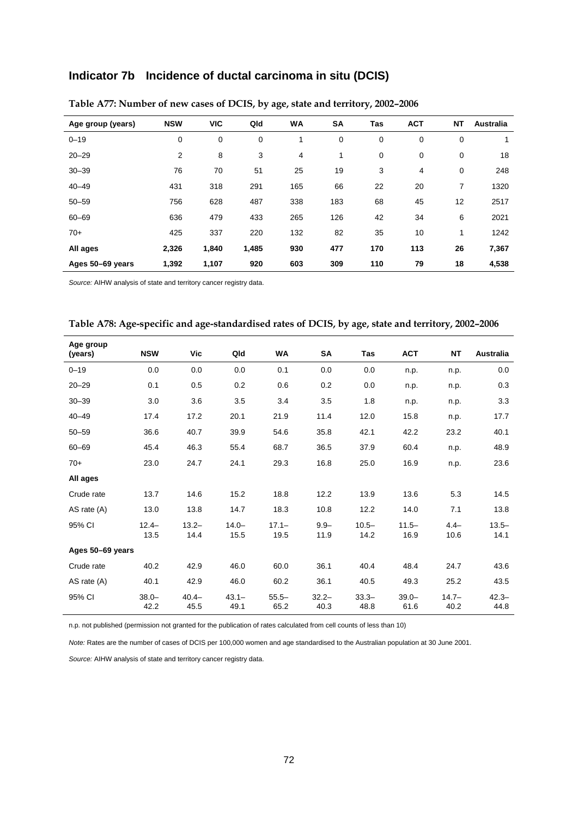## **Indicator 7b Incidence of ductal carcinoma in situ (DCIS)**

<span id="page-73-0"></span>

| Age group (years) | <b>NSW</b> | <b>VIC</b>  | Qld   | <b>WA</b> | SA  | <b>Tas</b>  | <b>ACT</b> | <b>NT</b> | <b>Australia</b> |
|-------------------|------------|-------------|-------|-----------|-----|-------------|------------|-----------|------------------|
| $0 - 19$          | 0          | $\mathbf 0$ | 0     | 1         | 0   | $\mathbf 0$ | 0          | 0         |                  |
| $20 - 29$         | 2          | 8           | 3     | 4         | 1   | 0           | 0          | 0         | 18               |
| $30 - 39$         | 76         | 70          | 51    | 25        | 19  | 3           | 4          | 0         | 248              |
| $40 - 49$         | 431        | 318         | 291   | 165       | 66  | 22          | 20         | 7         | 1320             |
| $50 - 59$         | 756        | 628         | 487   | 338       | 183 | 68          | 45         | 12        | 2517             |
| $60 - 69$         | 636        | 479         | 433   | 265       | 126 | 42          | 34         | 6         | 2021             |
| $70+$             | 425        | 337         | 220   | 132       | 82  | 35          | 10         | 1         | 1242             |
| All ages          | 2,326      | 1,840       | 1,485 | 930       | 477 | 170         | 113        | 26        | 7,367            |
| Ages 50-69 years  | 1,392      | 1,107       | 920   | 603       | 309 | 110         | 79         | 18        | 4,538            |

## **Table A77: Number of new cases of DCIS, by age, state and territory, 2002–2006**

*Source:* AIHW analysis of state and territory cancer registry data.

<span id="page-73-1"></span>

|  |  | Table A78: Age-specific and age-standardised rates of DCIS, by age, state and territory, 2002-2006 |
|--|--|----------------------------------------------------------------------------------------------------|
|  |  |                                                                                                    |

| Age group        | <b>NSW</b>       | Vic              |                  | <b>WA</b>        |                  | Tas              |                  | <b>NT</b>        | Australia        |
|------------------|------------------|------------------|------------------|------------------|------------------|------------------|------------------|------------------|------------------|
| (years)          |                  |                  | Qld              |                  | SA               |                  | <b>ACT</b>       |                  |                  |
| $0 - 19$         | 0.0              | 0.0              | 0.0              | 0.1              | 0.0              | 0.0              | n.p.             | n.p.             | 0.0              |
| $20 - 29$        | 0.1              | 0.5              | 0.2              | 0.6              | 0.2              | 0.0              | n.p.             | n.p.             | 0.3              |
| $30 - 39$        | 3.0              | 3.6              | 3.5              | 3.4              | 3.5              | 1.8              | n.p.             | n.p.             | 3.3              |
| $40 - 49$        | 17.4             | 17.2             | 20.1             | 21.9             | 11.4             | 12.0             | 15.8             | n.p.             | 17.7             |
| $50 - 59$        | 36.6             | 40.7             | 39.9             | 54.6             | 35.8             | 42.1             | 42.2             | 23.2             | 40.1             |
| $60 - 69$        | 45.4             | 46.3             | 55.4             | 68.7             | 36.5             | 37.9             | 60.4             | n.p.             | 48.9             |
| $70+$            | 23.0             | 24.7             | 24.1             | 29.3             | 16.8             | 25.0             | 16.9             | n.p.             | 23.6             |
| All ages         |                  |                  |                  |                  |                  |                  |                  |                  |                  |
| Crude rate       | 13.7             | 14.6             | 15.2             | 18.8             | 12.2             | 13.9             | 13.6             | 5.3              | 14.5             |
| AS rate $(A)$    | 13.0             | 13.8             | 14.7             | 18.3             | 10.8             | 12.2             | 14.0             | 7.1              | 13.8             |
| 95% CI           | $12.4 -$<br>13.5 | $13.2 -$<br>14.4 | $14.0 -$<br>15.5 | $17.1 -$<br>19.5 | $9.9 -$<br>11.9  | $10.5 -$<br>14.2 | $11.5 -$<br>16.9 | $4.4-$<br>10.6   | $13.5 -$<br>14.1 |
| Ages 50-69 years |                  |                  |                  |                  |                  |                  |                  |                  |                  |
| Crude rate       | 40.2             | 42.9             | 46.0             | 60.0             | 36.1             | 40.4             | 48.4             | 24.7             | 43.6             |
| AS rate (A)      | 40.1             | 42.9             | 46.0             | 60.2             | 36.1             | 40.5             | 49.3             | 25.2             | 43.5             |
| 95% CI           | $38.0 -$<br>42.2 | $40.4 -$<br>45.5 | $43.1 -$<br>49.1 | $55.5-$<br>65.2  | $32.2 -$<br>40.3 | $33.3 -$<br>48.8 | $39.0 -$<br>61.6 | $14.7 -$<br>40.2 | $42.3 -$<br>44.8 |

n.p. not published (permission not granted for the publication of rates calculated from cell counts of less than 10)

*Note:* Rates are the number of cases of DCIS per 100,000 women and age standardised to the Australian population at 30 June 2001.

*Source:* AIHW analysis of state and territory cancer registry data.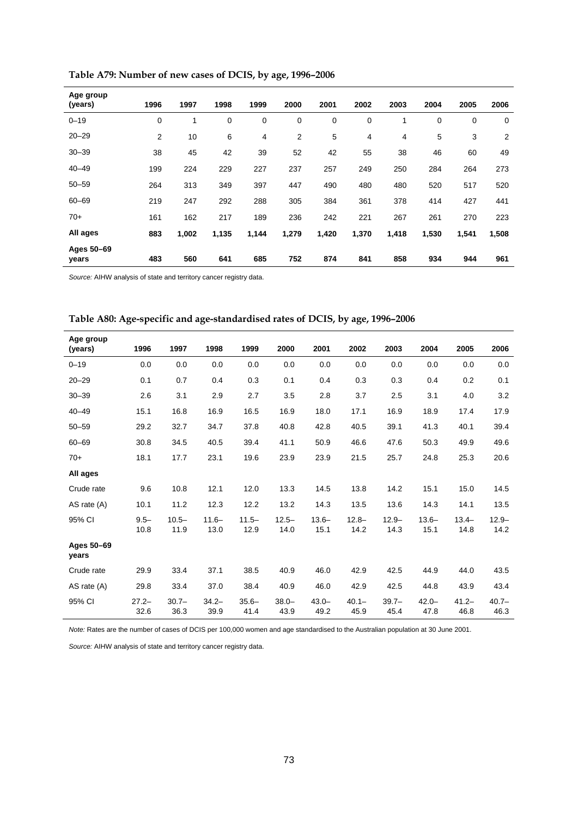<span id="page-74-0"></span>

| Age group<br>(years) | 1996 | 1997  | 1998  | 1999  | 2000           | 2001  | 2002        | 2003  | 2004  | 2005  | 2006           |
|----------------------|------|-------|-------|-------|----------------|-------|-------------|-------|-------|-------|----------------|
| $0 - 19$             | 0    |       | 0     | 0     | 0              | 0     | $\mathbf 0$ | 1     | 0     | 0     | $\mathbf 0$    |
| $20 - 29$            | 2    | 10    | 6     | 4     | $\overline{2}$ | 5     | 4           | 4     | 5     | 3     | $\overline{2}$ |
| $30 - 39$            | 38   | 45    | 42    | 39    | 52             | 42    | 55          | 38    | 46    | 60    | 49             |
| $40 - 49$            | 199  | 224   | 229   | 227   | 237            | 257   | 249         | 250   | 284   | 264   | 273            |
| $50 - 59$            | 264  | 313   | 349   | 397   | 447            | 490   | 480         | 480   | 520   | 517   | 520            |
| $60 - 69$            | 219  | 247   | 292   | 288   | 305            | 384   | 361         | 378   | 414   | 427   | 441            |
| $70+$                | 161  | 162   | 217   | 189   | 236            | 242   | 221         | 267   | 261   | 270   | 223            |
| All ages             | 883  | 1,002 | 1,135 | 1,144 | 1,279          | 1,420 | 1,370       | 1,418 | 1,530 | 1,541 | 1,508          |
| Ages 50-69<br>years  | 483  | 560   | 641   | 685   | 752            | 874   | 841         | 858   | 934   | 944   | 961            |

**Table A79: Number of new cases of DCIS, by age, 1996–2006** 

*Source:* AIHW analysis of state and territory cancer registry data.

| Table A80: Age-specific and age-standardised rates of DCIS, by age, 1996-2006 |  |
|-------------------------------------------------------------------------------|--|
|-------------------------------------------------------------------------------|--|

<span id="page-74-1"></span>

| Age group<br>(years) | 1996             | 1997             | 1998             | 1999             | 2000             | 2001             | 2002             | 2003             | 2004             | 2005             | 2006             |
|----------------------|------------------|------------------|------------------|------------------|------------------|------------------|------------------|------------------|------------------|------------------|------------------|
| $0 - 19$             | 0.0              | 0.0              | 0.0              | 0.0              | 0.0              | 0.0              | 0.0              | 0.0              | 0.0              | 0.0              | 0.0              |
| $20 - 29$            | 0.1              | 0.7              | 0.4              | 0.3              | 0.1              | 0.4              | 0.3              | 0.3              | 0.4              | 0.2              | 0.1              |
| $30 - 39$            | 2.6              | 3.1              | 2.9              | 2.7              | 3.5              | 2.8              | 3.7              | 2.5              | 3.1              | 4.0              | 3.2              |
| $40 - 49$            | 15.1             | 16.8             | 16.9             | 16.5             | 16.9             | 18.0             | 17.1             | 16.9             | 18.9             | 17.4             | 17.9             |
| $50 - 59$            | 29.2             | 32.7             | 34.7             | 37.8             | 40.8             | 42.8             | 40.5             | 39.1             | 41.3             | 40.1             | 39.4             |
| $60 - 69$            | 30.8             | 34.5             | 40.5             | 39.4             | 41.1             | 50.9             | 46.6             | 47.6             | 50.3             | 49.9             | 49.6             |
| $70+$                | 18.1             | 17.7             | 23.1             | 19.6             | 23.9             | 23.9             | 21.5             | 25.7             | 24.8             | 25.3             | 20.6             |
| All ages             |                  |                  |                  |                  |                  |                  |                  |                  |                  |                  |                  |
| Crude rate           | 9.6              | 10.8             | 12.1             | 12.0             | 13.3             | 14.5             | 13.8             | 14.2             | 15.1             | 15.0             | 14.5             |
| AS rate (A)          | 10.1             | 11.2             | 12.3             | 12.2             | 13.2             | 14.3             | 13.5             | 13.6             | 14.3             | 14.1             | 13.5             |
| 95% CI               | $9.5 -$<br>10.8  | $10.5 -$<br>11.9 | $11.6 -$<br>13.0 | $11.5 -$<br>12.9 | $12.5 -$<br>14.0 | $13.6 -$<br>15.1 | $12.8 -$<br>14.2 | $12.9 -$<br>14.3 | $13.6 -$<br>15.1 | $13.4 -$<br>14.8 | $12.9 -$<br>14.2 |
| Ages 50-69<br>years  |                  |                  |                  |                  |                  |                  |                  |                  |                  |                  |                  |
| Crude rate           | 29.9             | 33.4             | 37.1             | 38.5             | 40.9             | 46.0             | 42.9             | 42.5             | 44.9             | 44.0             | 43.5             |
| AS rate (A)          | 29.8             | 33.4             | 37.0             | 38.4             | 40.9             | 46.0             | 42.9             | 42.5             | 44.8             | 43.9             | 43.4             |
| 95% CI               | $27.2 -$<br>32.6 | $30.7 -$<br>36.3 | $34.2 -$<br>39.9 | $35.6 -$<br>41.4 | $38.0 -$<br>43.9 | $43.0 -$<br>49.2 | $40.1 -$<br>45.9 | $39.7 -$<br>45.4 | $42.0 -$<br>47.8 | $41.2 -$<br>46.8 | $40.7 -$<br>46.3 |

*Note:* Rates are the number of cases of DCIS per 100,000 women and age standardised to the Australian population at 30 June 2001.

*Source:* AIHW analysis of state and territory cancer registry data.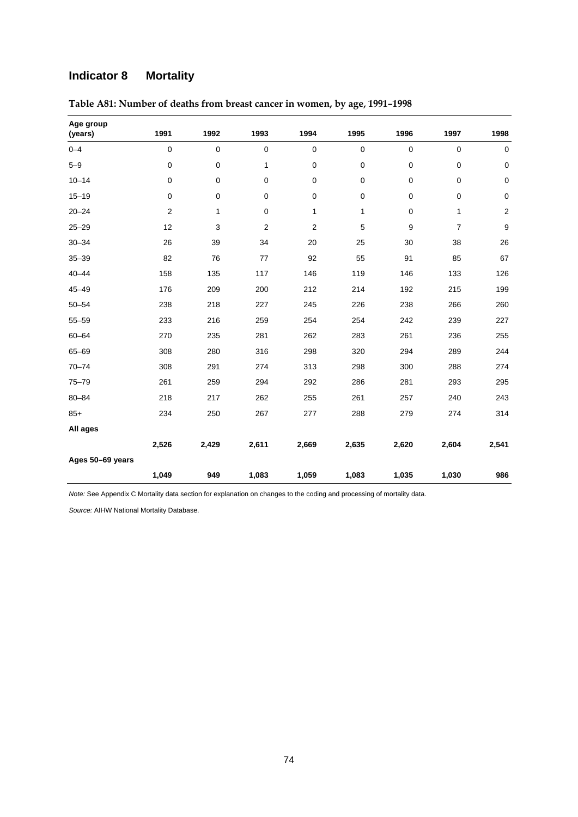## **Indicator 8 Mortality**

| Age group<br>(years) | 1991        | 1992         | 1993                    | 1994        | 1995         | 1996        | 1997           | 1998             |
|----------------------|-------------|--------------|-------------------------|-------------|--------------|-------------|----------------|------------------|
| $0 - 4$              | $\mathbf 0$ | $\pmb{0}$    | $\mathbf 0$             | $\mathbf 0$ | $\mathbf 0$  | $\pmb{0}$   | $\mathbf 0$    | $\pmb{0}$        |
| $5 - 9$              | $\mathbf 0$ | $\pmb{0}$    | 1                       | 0           | $\pmb{0}$    | 0           | $\pmb{0}$      | $\mathbf 0$      |
| $10 - 14$            | $\mathbf 0$ | 0            | 0                       | 0           | 0            | 0           | $\mathbf 0$    | $\pmb{0}$        |
| $15 - 19$            | $\mathbf 0$ | $\mathbf 0$  | 0                       | $\mathbf 0$ | 0            | $\mathbf 0$ | $\pmb{0}$      | $\pmb{0}$        |
| $20 - 24$            | $\sqrt{2}$  | $\mathbf{1}$ | 0                       | 1           | $\mathbf{1}$ | 0           | $\mathbf{1}$   | $\boldsymbol{2}$ |
| $25 - 29$            | 12          | 3            | $\overline{\mathbf{c}}$ | $\sqrt{2}$  | 5            | 9           | $\overline{7}$ | 9                |
| $30 - 34$            | 26          | 39           | 34                      | 20          | 25           | 30          | 38             | 26               |
| $35 - 39$            | 82          | 76           | 77                      | 92          | 55           | 91          | 85             | 67               |
| $40 - 44$            | 158         | 135          | 117                     | 146         | 119          | 146         | 133            | 126              |
| $45 - 49$            | 176         | 209          | 200                     | 212         | 214          | 192         | 215            | 199              |
| $50 - 54$            | 238         | 218          | 227                     | 245         | 226          | 238         | 266            | 260              |
| $55 - 59$            | 233         | 216          | 259                     | 254         | 254          | 242         | 239            | 227              |
| $60 - 64$            | 270         | 235          | 281                     | 262         | 283          | 261         | 236            | 255              |
| $65 - 69$            | 308         | 280          | 316                     | 298         | 320          | 294         | 289            | 244              |
| $70 - 74$            | 308         | 291          | 274                     | 313         | 298          | 300         | 288            | 274              |
| $75 - 79$            | 261         | 259          | 294                     | 292         | 286          | 281         | 293            | 295              |
| $80 - 84$            | 218         | 217          | 262                     | 255         | 261          | 257         | 240            | 243              |
| $85+$                | 234         | 250          | 267                     | 277         | 288          | 279         | 274            | 314              |
| All ages             |             |              |                         |             |              |             |                |                  |
|                      | 2,526       | 2,429        | 2,611                   | 2,669       | 2,635        | 2,620       | 2,604          | 2,541            |
| Ages 50-69 years     |             |              |                         |             |              |             |                |                  |
|                      | 1,049       | 949          | 1,083                   | 1,059       | 1,083        | 1,035       | 1,030          | 986              |

<span id="page-75-0"></span>**Table A81: Number of deaths from breast cancer in women, by age, 1991–1998** 

*Note:* See Appendix C Mortality data section for explanation on changes to the coding and processing of mortality data.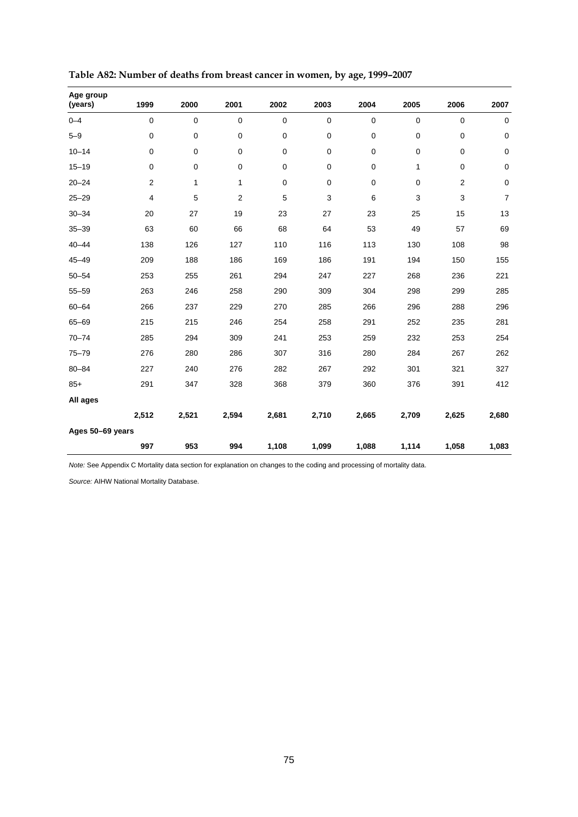| Age group<br>(years) | 1999           | 2000        | 2001           | 2002        | 2003        | 2004        | 2005        | 2006           | 2007           |
|----------------------|----------------|-------------|----------------|-------------|-------------|-------------|-------------|----------------|----------------|
| $0 - 4$              | 0              | $\mathbf 0$ | $\mathbf 0$    | $\mathbf 0$ | $\pmb{0}$   | $\mathbf 0$ | $\mathbf 0$ | $\mathbf 0$    | $\pmb{0}$      |
| $5 - 9$              | 0              | $\mathbf 0$ | $\pmb{0}$      | $\mathbf 0$ | $\pmb{0}$   | 0           | $\mathbf 0$ | 0              | $\mathsf 0$    |
| $10 - 14$            | 0              | 0           | $\pmb{0}$      | $\mathbf 0$ | $\pmb{0}$   | $\pmb{0}$   | $\mathbf 0$ | 0              | 0              |
| $15 - 19$            | 0              | 0           | $\pmb{0}$      | $\mathbf 0$ | 0           | $\pmb{0}$   | 1           | 0              | 0              |
| $20 - 24$            | $\overline{2}$ | 1           | 1              | $\mathbf 0$ | $\mathbf 0$ | $\pmb{0}$   | $\mathbf 0$ | $\overline{2}$ | $\pmb{0}$      |
| $25 - 29$            | 4              | 5           | $\overline{2}$ | 5           | 3           | 6           | 3           | 3              | $\overline{7}$ |
| $30 - 34$            | 20             | 27          | 19             | 23          | 27          | 23          | 25          | 15             | 13             |
| $35 - 39$            | 63             | 60          | 66             | 68          | 64          | 53          | 49          | 57             | 69             |
| $40 - 44$            | 138            | 126         | 127            | 110         | 116         | 113         | 130         | 108            | 98             |
| $45 - 49$            | 209            | 188         | 186            | 169         | 186         | 191         | 194         | 150            | 155            |
| $50 - 54$            | 253            | 255         | 261            | 294         | 247         | 227         | 268         | 236            | 221            |
| $55 - 59$            | 263            | 246         | 258            | 290         | 309         | 304         | 298         | 299            | 285            |
| $60 - 64$            | 266            | 237         | 229            | 270         | 285         | 266         | 296         | 288            | 296            |
| $65 - 69$            | 215            | 215         | 246            | 254         | 258         | 291         | 252         | 235            | 281            |
| $70 - 74$            | 285            | 294         | 309            | 241         | 253         | 259         | 232         | 253            | 254            |
| $75 - 79$            | 276            | 280         | 286            | 307         | 316         | 280         | 284         | 267            | 262            |
| $80 - 84$            | 227            | 240         | 276            | 282         | 267         | 292         | 301         | 321            | 327            |
| $85+$                | 291            | 347         | 328            | 368         | 379         | 360         | 376         | 391            | 412            |
| All ages             |                |             |                |             |             |             |             |                |                |
|                      | 2,512          | 2,521       | 2,594          | 2,681       | 2,710       | 2,665       | 2,709       | 2,625          | 2,680          |
| Ages 50-69 years     |                |             |                |             |             |             |             |                |                |
|                      | 997            | 953         | 994            | 1,108       | 1,099       | 1,088       | 1,114       | 1,058          | 1,083          |

<span id="page-76-0"></span>**Table A82: Number of deaths from breast cancer in women, by age, 1999–2007** 

*Note:* See Appendix C Mortality data section for explanation on changes to the coding and processing of mortality data.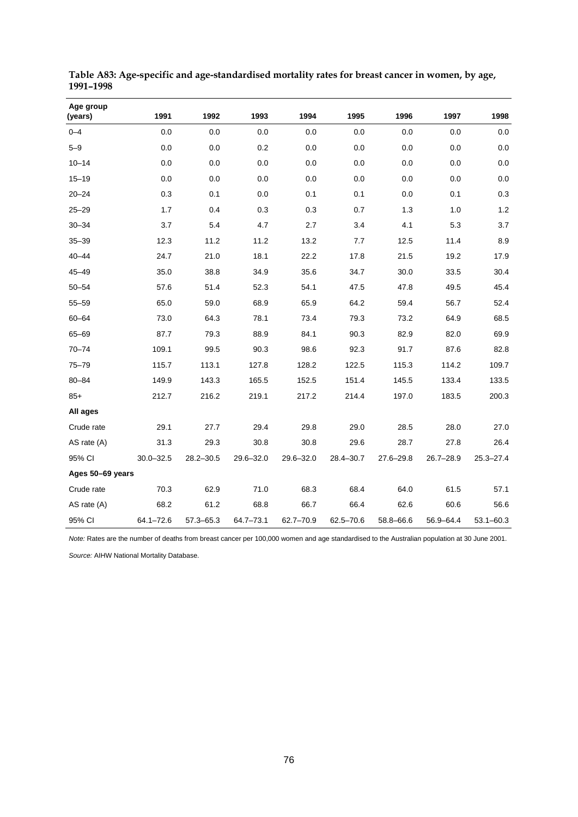| Age group<br>(years) | 1991          | 1992          | 1993          | 1994      | 1995          | 1996          | 1997          | 1998          |
|----------------------|---------------|---------------|---------------|-----------|---------------|---------------|---------------|---------------|
| $0 - 4$              | 0.0           | 0.0           | 0.0           | 0.0       | 0.0           | 0.0           | 0.0           | 0.0           |
| $5 - 9$              | 0.0           | 0.0           | 0.2           | 0.0       | 0.0           | 0.0           | 0.0           | 0.0           |
| $10 - 14$            | 0.0           | 0.0           | 0.0           | 0.0       | 0.0           | 0.0           | 0.0           | 0.0           |
| $15 - 19$            | 0.0           | 0.0           | 0.0           | 0.0       | 0.0           | 0.0           | 0.0           | 0.0           |
| $20 - 24$            | 0.3           | 0.1           | 0.0           | 0.1       | 0.1           | 0.0           | 0.1           | 0.3           |
| $25 - 29$            | 1.7           | 0.4           | 0.3           | 0.3       | 0.7           | 1.3           | 1.0           | 1.2           |
| $30 - 34$            | 3.7           | 5.4           | 4.7           | 2.7       | 3.4           | 4.1           | 5.3           | 3.7           |
| $35 - 39$            | 12.3          | 11.2          | 11.2          | 13.2      | 7.7           | 12.5          | 11.4          | 8.9           |
| $40 - 44$            | 24.7          | 21.0          | 18.1          | 22.2      | 17.8          | 21.5          | 19.2          | 17.9          |
| $45 - 49$            | 35.0          | 38.8          | 34.9          | 35.6      | 34.7          | 30.0          | 33.5          | 30.4          |
| $50 - 54$            | 57.6          | 51.4          | 52.3          | 54.1      | 47.5          | 47.8          | 49.5          | 45.4          |
| $55 - 59$            | 65.0          | 59.0          | 68.9          | 65.9      | 64.2          | 59.4          | 56.7          | 52.4          |
| $60 - 64$            | 73.0          | 64.3          | 78.1          | 73.4      | 79.3          | 73.2          | 64.9          | 68.5          |
| $65 - 69$            | 87.7          | 79.3          | 88.9          | 84.1      | 90.3          | 82.9          | 82.0          | 69.9          |
| $70 - 74$            | 109.1         | 99.5          | 90.3          | 98.6      | 92.3          | 91.7          | 87.6          | 82.8          |
| $75 - 79$            | 115.7         | 113.1         | 127.8         | 128.2     | 122.5         | 115.3         | 114.2         | 109.7         |
| $80 - 84$            | 149.9         | 143.3         | 165.5         | 152.5     | 151.4         | 145.5         | 133.4         | 133.5         |
| $85+$                | 212.7         | 216.2         | 219.1         | 217.2     | 214.4         | 197.0         | 183.5         | 200.3         |
| All ages             |               |               |               |           |               |               |               |               |
| Crude rate           | 29.1          | 27.7          | 29.4          | 29.8      | 29.0          | 28.5          | 28.0          | 27.0          |
| AS rate $(A)$        | 31.3          | 29.3          | 30.8          | 30.8      | 29.6          | 28.7          | 27.8          | 26.4          |
| 95% CI               | $30.0 - 32.5$ | $28.2 - 30.5$ | $29.6 - 32.0$ | 29.6-32.0 | $28.4 - 30.7$ | $27.6 - 29.8$ | $26.7 - 28.9$ | $25.3 - 27.4$ |
| Ages 50-69 years     |               |               |               |           |               |               |               |               |
| Crude rate           | 70.3          | 62.9          | 71.0          | 68.3      | 68.4          | 64.0          | 61.5          | 57.1          |
| AS rate (A)          | 68.2          | 61.2          | 68.8          | 66.7      | 66.4          | 62.6          | 60.6          | 56.6          |
| 95% CI               | $64.1 - 72.6$ | 57.3-65.3     | 64.7-73.1     | 62.7-70.9 | $62.5 - 70.6$ | 58.8-66.6     | 56.9-64.4     | $53.1 - 60.3$ |

<span id="page-77-0"></span>**Table A83: Age-specific and age-standardised mortality rates for breast cancer in women, by age, 1991–1998** 

*Note:* Rates are the number of deaths from breast cancer per 100,000 women and age standardised to the Australian population at 30 June 2001.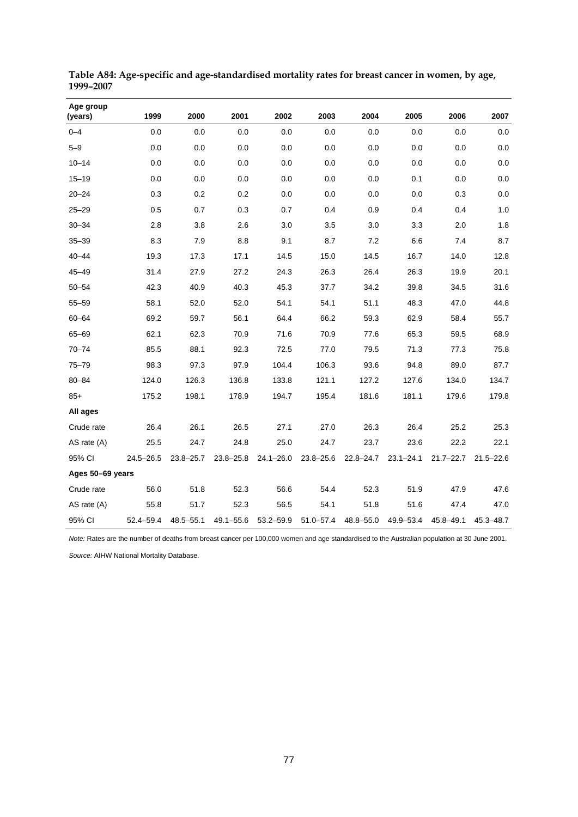| Age group<br>(years) | 1999          | 2000          | 2001          | 2002          | 2003          | 2004          | 2005          | 2006          | 2007          |
|----------------------|---------------|---------------|---------------|---------------|---------------|---------------|---------------|---------------|---------------|
| $0 - 4$              | 0.0           | 0.0           | 0.0           | 0.0           | 0.0           | 0.0           | 0.0           | 0.0           | 0.0           |
| $5 - 9$              | 0.0           | 0.0           | 0.0           | 0.0           | 0.0           | 0.0           | 0.0           | 0.0           | 0.0           |
| $10 - 14$            | 0.0           | 0.0           | 0.0           | 0.0           | 0.0           | 0.0           | 0.0           | 0.0           | 0.0           |
| $15 - 19$            | 0.0           | 0.0           | 0.0           | 0.0           | 0.0           | 0.0           | 0.1           | 0.0           | 0.0           |
| $20 - 24$            | 0.3           | 0.2           | 0.2           | 0.0           | 0.0           | 0.0           | 0.0           | 0.3           | 0.0           |
| $25 - 29$            | 0.5           | 0.7           | 0.3           | 0.7           | 0.4           | 0.9           | 0.4           | 0.4           | 1.0           |
| $30 - 34$            | 2.8           | 3.8           | 2.6           | 3.0           | 3.5           | 3.0           | 3.3           | 2.0           | 1.8           |
| $35 - 39$            | 8.3           | 7.9           | 8.8           | 9.1           | 8.7           | 7.2           | 6.6           | 7.4           | 8.7           |
| $40 - 44$            | 19.3          | 17.3          | 17.1          | 14.5          | 15.0          | 14.5          | 16.7          | 14.0          | 12.8          |
| $45 - 49$            | 31.4          | 27.9          | 27.2          | 24.3          | 26.3          | 26.4          | 26.3          | 19.9          | 20.1          |
| $50 - 54$            | 42.3          | 40.9          | 40.3          | 45.3          | 37.7          | 34.2          | 39.8          | 34.5          | 31.6          |
| $55 - 59$            | 58.1          | 52.0          | 52.0          | 54.1          | 54.1          | 51.1          | 48.3          | 47.0          | 44.8          |
| $60 - 64$            | 69.2          | 59.7          | 56.1          | 64.4          | 66.2          | 59.3          | 62.9          | 58.4          | 55.7          |
| 65-69                | 62.1          | 62.3          | 70.9          | 71.6          | 70.9          | 77.6          | 65.3          | 59.5          | 68.9          |
| $70 - 74$            | 85.5          | 88.1          | 92.3          | 72.5          | 77.0          | 79.5          | 71.3          | 77.3          | 75.8          |
| $75 - 79$            | 98.3          | 97.3          | 97.9          | 104.4         | 106.3         | 93.6          | 94.8          | 89.0          | 87.7          |
| $80 - 84$            | 124.0         | 126.3         | 136.8         | 133.8         | 121.1         | 127.2         | 127.6         | 134.0         | 134.7         |
| $85+$                | 175.2         | 198.1         | 178.9         | 194.7         | 195.4         | 181.6         | 181.1         | 179.6         | 179.8         |
| All ages             |               |               |               |               |               |               |               |               |               |
| Crude rate           | 26.4          | 26.1          | 26.5          | 27.1          | 27.0          | 26.3          | 26.4          | 25.2          | 25.3          |
| AS rate (A)          | 25.5          | 24.7          | 24.8          | 25.0          | 24.7          | 23.7          | 23.6          | 22.2          | 22.1          |
| 95% CI               | $24.5 - 26.5$ | $23.8 - 25.7$ | $23.8 - 25.8$ | $24.1 - 26.0$ | $23.8 - 25.6$ | $22.8 - 24.7$ | $23.1 - 24.1$ | $21.7 - 22.7$ | $21.5 - 22.6$ |
| Ages 50-69 years     |               |               |               |               |               |               |               |               |               |
| Crude rate           | 56.0          | 51.8          | 52.3          | 56.6          | 54.4          | 52.3          | 51.9          | 47.9          | 47.6          |
| AS rate (A)          | 55.8          | 51.7          | 52.3          | 56.5          | 54.1          | 51.8          | 51.6          | 47.4          | 47.0          |
| 95% CI               | 52.4-59.4     | $48.5 - 55.1$ | $49.1 - 55.6$ | 53.2-59.9     | $51.0 - 57.4$ | 48.8-55.0     | 49.9-53.4     | 45.8-49.1     | 45.3-48.7     |

<span id="page-78-0"></span>**Table A84: Age-specific and age-standardised mortality rates for breast cancer in women, by age, 1999–2007** 

*Note:* Rates are the number of deaths from breast cancer per 100,000 women and age standardised to the Australian population at 30 June 2001.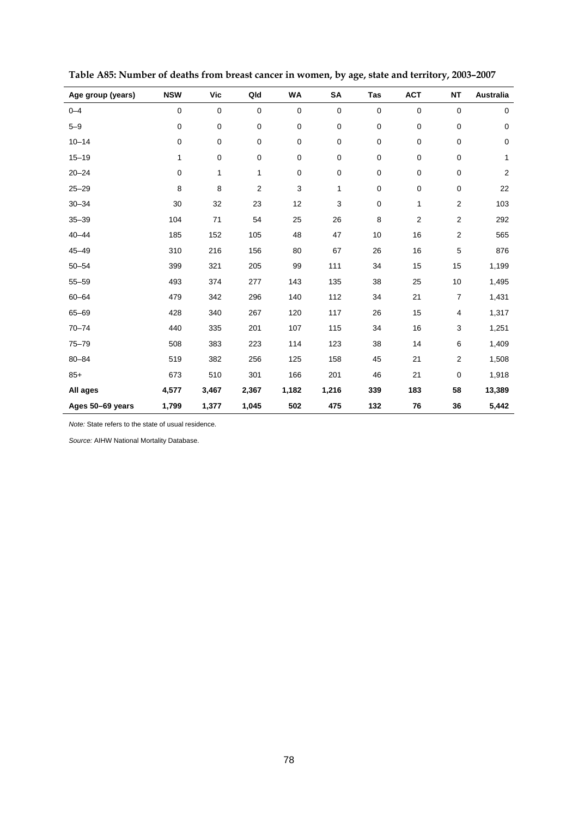<span id="page-79-0"></span>

| Age group (years) | <b>NSW</b>  | <b>Vic</b>  | Qld         | WA    | SA          | Tas         | <b>ACT</b>     | <b>NT</b>        | Australia      |
|-------------------|-------------|-------------|-------------|-------|-------------|-------------|----------------|------------------|----------------|
| $0 - 4$           | $\mathbf 0$ | $\mathbf 0$ | $\mathbf 0$ | 0     | $\pmb{0}$   | $\mathbf 0$ | 0              | $\pmb{0}$        | $\mathbf 0$    |
| $5 - 9$           | 0           | $\pmb{0}$   | 0           | 0     | $\pmb{0}$   | $\pmb{0}$   | $\mathbf 0$    | $\mathbf 0$      | $\pmb{0}$      |
| $10 - 14$         | 0           | $\pmb{0}$   | $\mathbf 0$ | 0     | $\mathbf 0$ | $\mathbf 0$ | 0              | $\mathbf 0$      | $\mathbf 0$    |
| $15 - 19$         | 1           | $\pmb{0}$   | 0           | 0     | $\pmb{0}$   | $\pmb{0}$   | 0              | 0                | 1              |
| $20 - 24$         | 0           | 1           | 1           | 0     | $\mathbf 0$ | $\mathbf 0$ | 0              | 0                | $\overline{2}$ |
| $25 - 29$         | 8           | 8           | 2           | 3     | 1           | $\pmb{0}$   | $\mathbf 0$    | $\pmb{0}$        | 22             |
| $30 - 34$         | 30          | 32          | 23          | 12    | 3           | $\pmb{0}$   | 1              | $\boldsymbol{2}$ | 103            |
| $35 - 39$         | 104         | 71          | 54          | 25    | 26          | 8           | $\overline{2}$ | $\overline{2}$   | 292            |
| $40 - 44$         | 185         | 152         | 105         | 48    | 47          | 10          | 16             | $\overline{2}$   | 565            |
| $45 - 49$         | 310         | 216         | 156         | 80    | 67          | 26          | 16             | 5                | 876            |
| $50 - 54$         | 399         | 321         | 205         | 99    | 111         | 34          | 15             | 15               | 1,199          |
| $55 - 59$         | 493         | 374         | 277         | 143   | 135         | 38          | 25             | 10               | 1,495          |
| $60 - 64$         | 479         | 342         | 296         | 140   | 112         | 34          | 21             | $\overline{7}$   | 1,431          |
| 65-69             | 428         | 340         | 267         | 120   | 117         | 26          | 15             | 4                | 1,317          |
| $70 - 74$         | 440         | 335         | 201         | 107   | 115         | 34          | 16             | 3                | 1,251          |
| $75 - 79$         | 508         | 383         | 223         | 114   | 123         | 38          | 14             | 6                | 1,409          |
| $80 - 84$         | 519         | 382         | 256         | 125   | 158         | 45          | 21             | 2                | 1,508          |
| $85+$             | 673         | 510         | 301         | 166   | 201         | 46          | 21             | 0                | 1,918          |
| All ages          | 4,577       | 3,467       | 2,367       | 1,182 | 1,216       | 339         | 183            | 58               | 13,389         |
| Ages 50-69 years  | 1,799       | 1,377       | 1,045       | 502   | 475         | 132         | 76             | 36               | 5,442          |

**Table A85: Number of deaths from breast cancer in women, by age, state and territory, 2003–2007** 

*Note:* State refers to the state of usual residence.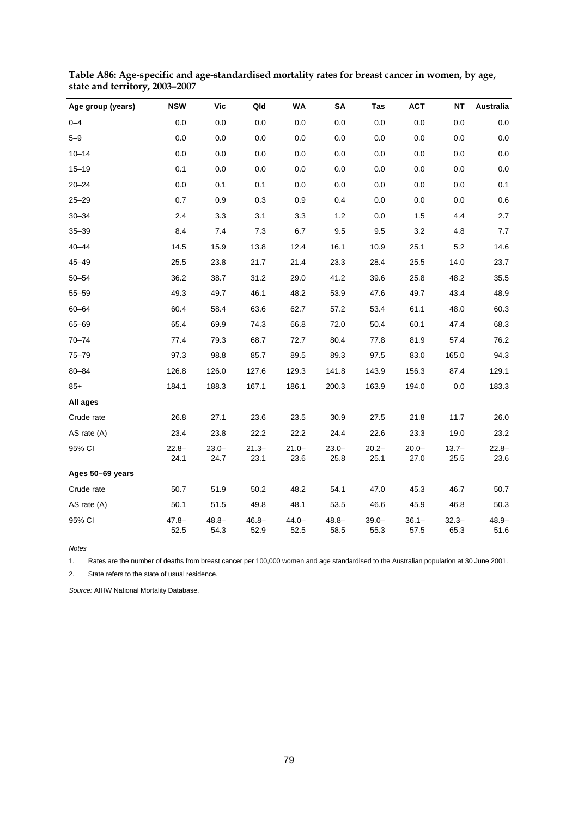| Age group (years) | <b>NSW</b>       | Vic              | Qld              | <b>WA</b>        | <b>SA</b>        | Tas              | <b>ACT</b>       | <b>NT</b>        | <b>Australia</b> |
|-------------------|------------------|------------------|------------------|------------------|------------------|------------------|------------------|------------------|------------------|
| $0 - 4$           | $0.0\,$          | 0.0              | 0.0              | 0.0              | 0.0              | 0.0              | 0.0              | 0.0              | 0.0              |
| $5 - 9$           | 0.0              | 0.0              | 0.0              | 0.0              | 0.0              | 0.0              | 0.0              | 0.0              | 0.0              |
| $10 - 14$         | 0.0              | 0.0              | 0.0              | 0.0              | 0.0              | 0.0              | 0.0              | 0.0              | 0.0              |
| $15 - 19$         | 0.1              | 0.0              | 0.0              | 0.0              | 0.0              | 0.0              | 0.0              | 0.0              | 0.0              |
| $20 - 24$         | 0.0              | 0.1              | 0.1              | 0.0              | 0.0              | 0.0              | 0.0              | 0.0              | 0.1              |
| $25 - 29$         | 0.7              | 0.9              | 0.3              | 0.9              | 0.4              | 0.0              | 0.0              | 0.0              | 0.6              |
| $30 - 34$         | 2.4              | 3.3              | 3.1              | 3.3              | 1.2              | 0.0              | 1.5              | 4.4              | 2.7              |
| $35 - 39$         | 8.4              | 7.4              | 7.3              | 6.7              | 9.5              | 9.5              | 3.2              | 4.8              | 7.7              |
| $40 - 44$         | 14.5             | 15.9             | 13.8             | 12.4             | 16.1             | 10.9             | 25.1             | 5.2              | 14.6             |
| $45 - 49$         | 25.5             | 23.8             | 21.7             | 21.4             | 23.3             | 28.4             | 25.5             | 14.0             | 23.7             |
| $50 - 54$         | 36.2             | 38.7             | 31.2             | 29.0             | 41.2             | 39.6             | 25.8             | 48.2             | 35.5             |
| $55 - 59$         | 49.3             | 49.7             | 46.1             | 48.2             | 53.9             | 47.6             | 49.7             | 43.4             | 48.9             |
| $60 - 64$         | 60.4             | 58.4             | 63.6             | 62.7             | 57.2             | 53.4             | 61.1             | 48.0             | 60.3             |
| 65-69             | 65.4             | 69.9             | 74.3             | 66.8             | 72.0             | 50.4             | 60.1             | 47.4             | 68.3             |
| $70 - 74$         | 77.4             | 79.3             | 68.7             | 72.7             | 80.4             | 77.8             | 81.9             | 57.4             | 76.2             |
| $75 - 79$         | 97.3             | 98.8             | 85.7             | 89.5             | 89.3             | 97.5             | 83.0             | 165.0            | 94.3             |
| $80 - 84$         | 126.8            | 126.0            | 127.6            | 129.3            | 141.8            | 143.9            | 156.3            | 87.4             | 129.1            |
| $85+$             | 184.1            | 188.3            | 167.1            | 186.1            | 200.3            | 163.9            | 194.0            | 0.0              | 183.3            |
| All ages          |                  |                  |                  |                  |                  |                  |                  |                  |                  |
| Crude rate        | 26.8             | 27.1             | 23.6             | 23.5             | 30.9             | 27.5             | 21.8             | 11.7             | 26.0             |
| AS rate (A)       | 23.4             | 23.8             | 22.2             | 22.2             | 24.4             | 22.6             | 23.3             | 19.0             | 23.2             |
| 95% CI            | $22.8 -$<br>24.1 | $23.0 -$<br>24.7 | $21.3 -$<br>23.1 | $21.0 -$<br>23.6 | $23.0 -$<br>25.8 | $20.2 -$<br>25.1 | $20.0 -$<br>27.0 | $13.7 -$<br>25.5 | $22.8 -$<br>23.6 |
| Ages 50-69 years  |                  |                  |                  |                  |                  |                  |                  |                  |                  |
| Crude rate        | 50.7             | 51.9             | 50.2             | 48.2             | 54.1             | 47.0             | 45.3             | 46.7             | 50.7             |
| AS rate (A)       | 50.1             | 51.5             | 49.8             | 48.1             | 53.5             | 46.6             | 45.9             | 46.8             | 50.3             |
| 95% CI            | $47.8 -$<br>52.5 | $48.8 -$<br>54.3 | $46.8 -$<br>52.9 | $44.0 -$<br>52.5 | $48.8 -$<br>58.5 | $39.0 -$<br>55.3 | $36.1 -$<br>57.5 | $32.3 -$<br>65.3 | $48.9 -$<br>51.6 |

<span id="page-80-0"></span>**Table A86: Age-specific and age-standardised mortality rates for breast cancer in women, by age, state and territory, 2003–2007** 

*Notes*

1. Rates are the number of deaths from breast cancer per 100,000 women and age standardised to the Australian population at 30 June 2001.

2. State refers to the state of usual residence.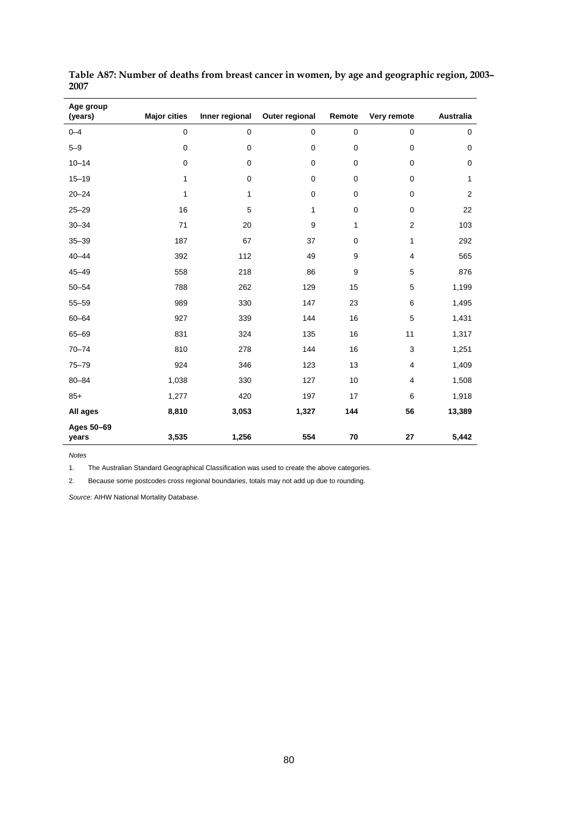| Age group<br>(years) | <b>Major cities</b> | Inner regional | Outer regional | Remote      | Very remote    | <b>Australia</b> |
|----------------------|---------------------|----------------|----------------|-------------|----------------|------------------|
| $0 - 4$              | $\pmb{0}$           | $\mathbf 0$    | $\mathbf 0$    | $\pmb{0}$   | $\mathbf 0$    | 0                |
| $5 - 9$              | 0                   | $\mathbf 0$    | 0              | $\mathbf 0$ | $\mathbf 0$    | 0                |
| $10 - 14$            | $\pmb{0}$           | $\mathbf 0$    | 0              | 0           | $\mathbf 0$    | $\pmb{0}$        |
| $15 - 19$            | 1                   | $\mathbf 0$    | $\mathbf 0$    | $\mathbf 0$ | $\mathbf 0$    | 1                |
| $20 - 24$            | 1                   | 1              | 0              | 0           | $\mathbf 0$    | $\overline{2}$   |
| $25 - 29$            | 16                  | 5              | $\mathbf{1}$   | 0           | $\mathbf 0$    | 22               |
| $30 - 34$            | 71                  | 20             | 9              | 1           | $\overline{2}$ | 103              |
| $35 - 39$            | 187                 | 67             | 37             | 0           | 1              | 292              |
| $40 - 44$            | 392                 | 112            | 49             | 9           | 4              | 565              |
| $45 - 49$            | 558                 | 218            | 86             | 9           | 5              | 876              |
| $50 - 54$            | 788                 | 262            | 129            | 15          | 5              | 1,199            |
| $55 - 59$            | 989                 | 330            | 147            | 23          | 6              | 1,495            |
| $60 - 64$            | 927                 | 339            | 144            | 16          | 5              | 1,431            |
| $65 - 69$            | 831                 | 324            | 135            | 16          | 11             | 1,317            |
| $70 - 74$            | 810                 | 278            | 144            | 16          | 3              | 1,251            |
| $75 - 79$            | 924                 | 346            | 123            | 13          | 4              | 1,409            |
| $80 - 84$            | 1,038               | 330            | 127            | 10          | 4              | 1,508            |
| $85+$                | 1,277               | 420            | 197            | 17          | 6              | 1,918            |
| All ages             | 8,810               | 3,053          | 1,327          | 144         | 56             | 13,389           |
| Ages 50-69<br>years  | 3,535               | 1,256          | 554            | 70          | 27             | 5,442            |

<span id="page-81-0"></span>**Table A87: Number of deaths from breast cancer in women, by age and geographic region, 2003– 2007** 

*Notes* 

1. The Australian Standard Geographical Classification was used to create the above categories.

2. Because some postcodes cross regional boundaries, totals may not add up due to rounding.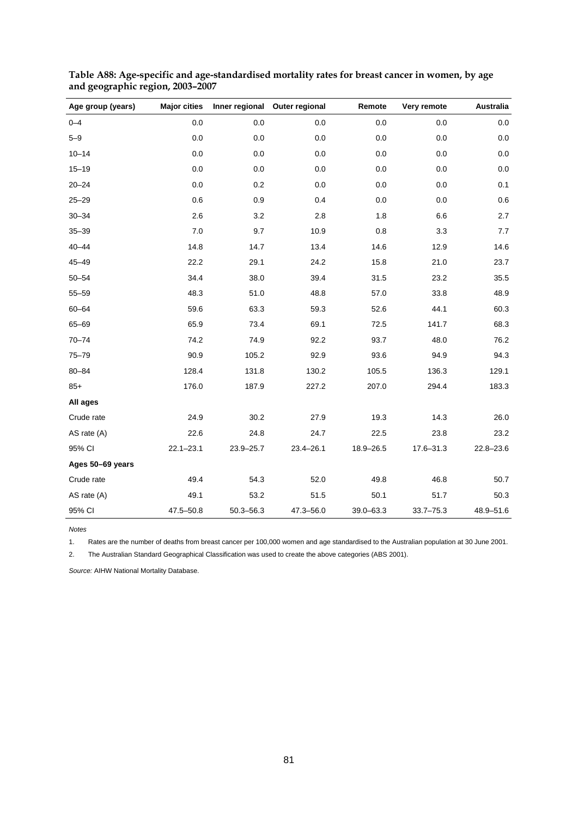| Age group (years) | <b>Major cities</b> |               | Inner regional Outer regional | Remote        | Very remote   | <b>Australia</b> |
|-------------------|---------------------|---------------|-------------------------------|---------------|---------------|------------------|
| $0 - 4$           | 0.0                 | 0.0           | 0.0                           | 0.0           | 0.0           | 0.0              |
| $5 - 9$           | 0.0                 | 0.0           | 0.0                           | 0.0           | 0.0           | 0.0              |
| $10 - 14$         | 0.0                 | 0.0           | 0.0                           | 0.0           | 0.0           | 0.0              |
| $15 - 19$         | 0.0                 | 0.0           | 0.0                           | 0.0           | 0.0           | 0.0              |
| $20 - 24$         | 0.0                 | 0.2           | 0.0                           | 0.0           | 0.0           | 0.1              |
| $25 - 29$         | 0.6                 | 0.9           | 0.4                           | 0.0           | 0.0           | 0.6              |
| $30 - 34$         | 2.6                 | 3.2           | 2.8                           | 1.8           | $6.6\,$       | 2.7              |
| $35 - 39$         | 7.0                 | 9.7           | 10.9                          | 0.8           | 3.3           | 7.7              |
| $40 - 44$         | 14.8                | 14.7          | 13.4                          | 14.6          | 12.9          | 14.6             |
| $45 - 49$         | 22.2                | 29.1          | 24.2                          | 15.8          | 21.0          | 23.7             |
| $50 - 54$         | 34.4                | 38.0          | 39.4                          | 31.5          | 23.2          | 35.5             |
| $55 - 59$         | 48.3                | 51.0          | 48.8                          | 57.0          | 33.8          | 48.9             |
| $60 - 64$         | 59.6                | 63.3          | 59.3                          | 52.6          | 44.1          | 60.3             |
| 65-69             | 65.9                | 73.4          | 69.1                          | 72.5          | 141.7         | 68.3             |
| $70 - 74$         | 74.2                | 74.9          | 92.2                          | 93.7          | 48.0          | 76.2             |
| $75 - 79$         | 90.9                | 105.2         | 92.9                          | 93.6          | 94.9          | 94.3             |
| $80 - 84$         | 128.4               | 131.8         | 130.2                         | 105.5         | 136.3         | 129.1            |
| $85+$             | 176.0               | 187.9         | 227.2                         | 207.0         | 294.4         | 183.3            |
| All ages          |                     |               |                               |               |               |                  |
| Crude rate        | 24.9                | 30.2          | 27.9                          | 19.3          | 14.3          | 26.0             |
| AS rate (A)       | 22.6                | 24.8          | 24.7                          | 22.5          | 23.8          | 23.2             |
| 95% CI            | $22.1 - 23.1$       | $23.9 - 25.7$ | $23.4 - 26.1$                 | 18.9-26.5     | 17.6-31.3     | $22.8 - 23.6$    |
| Ages 50-69 years  |                     |               |                               |               |               |                  |
| Crude rate        | 49.4                | 54.3          | 52.0                          | 49.8          | 46.8          | 50.7             |
| AS rate (A)       | 49.1                | 53.2          | 51.5                          | 50.1          | 51.7          | 50.3             |
| 95% CI            | $47.5 - 50.8$       | $50.3 - 56.3$ | 47.3-56.0                     | $39.0 - 63.3$ | $33.7 - 75.3$ | 48.9-51.6        |

<span id="page-82-0"></span>**Table A88: Age-specific and age-standardised mortality rates for breast cancer in women, by age and geographic region, 2003–2007** 

*Notes* 

1. Rates are the number of deaths from breast cancer per 100,000 women and age standardised to the Australian population at 30 June 2001.

2. The Australian Standard Geographical Classification was used to create the above categories (ABS 2001).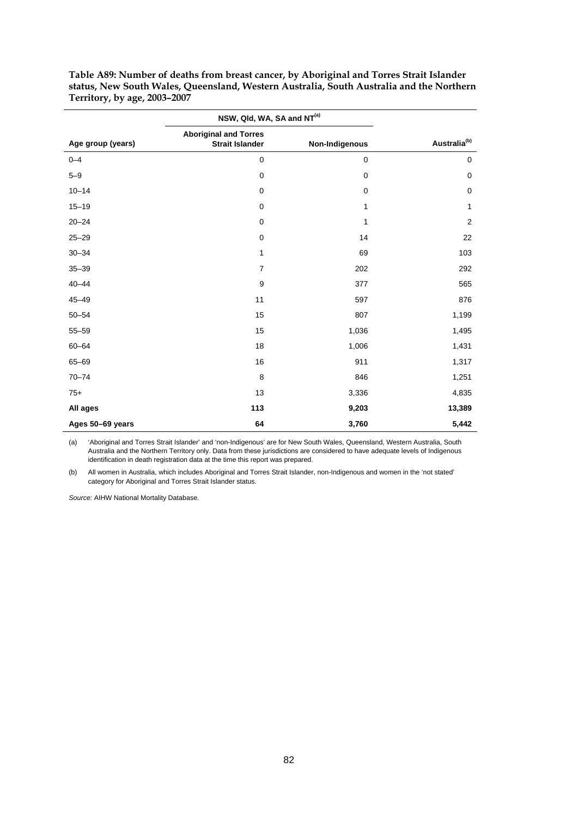|                   | NSW, Qld, WA, SA and NT <sup>(a)</sup>                 |                |                          |
|-------------------|--------------------------------------------------------|----------------|--------------------------|
| Age group (years) | <b>Aboriginal and Torres</b><br><b>Strait Islander</b> | Non-Indigenous | Australia <sup>(b)</sup> |
| $0 - 4$           | $\mathbf 0$                                            | $\mathbf 0$    | $\mathbf 0$              |
| $5 - 9$           | $\mathbf 0$                                            | $\mathbf 0$    | $\pmb{0}$                |
| $10 - 14$         | $\mathbf 0$                                            | $\pmb{0}$      | $\pmb{0}$                |
| $15 - 19$         | $\mathbf 0$                                            | 1              | 1                        |
| $20 - 24$         | $\mathbf 0$                                            | 1              | $\overline{2}$           |
| $25 - 29$         | $\mathbf 0$                                            | 14             | 22                       |
| $30 - 34$         | $\mathbf{1}$                                           | 69             | 103                      |
| $35 - 39$         | $\overline{7}$                                         | 202            | 292                      |
| $40 - 44$         | 9                                                      | 377            | 565                      |
| $45 - 49$         | 11                                                     | 597            | 876                      |
| $50 - 54$         | 15                                                     | 807            | 1,199                    |
| $55 - 59$         | 15                                                     | 1,036          | 1,495                    |
| $60 - 64$         | 18                                                     | 1,006          | 1,431                    |
| 65-69             | 16                                                     | 911            | 1,317                    |
| $70 - 74$         | 8                                                      | 846            | 1,251                    |
| $75+$             | 13                                                     | 3,336          | 4,835                    |
| All ages          | 113                                                    | 9,203          | 13,389                   |
| Ages 50-69 years  | 64                                                     | 3,760          | 5,442                    |

<span id="page-83-0"></span>**Table A89: Number of deaths from breast cancer, by Aboriginal and Torres Strait Islander status, New South Wales, Queensland, Western Australia, South Australia and the Northern Territory, by age, 2003–2007** 

(a) 'Aboriginal and Torres Strait Islander' and 'non-Indigenous' are for New South Wales, Queensland, Western Australia, South Australia and the Northern Territory only. Data from these jurisdictions are considered to have adequate levels of Indigenous identification in death registration data at the time this report was prepared.

(b) All women in Australia, which includes Aboriginal and Torres Strait Islander, non-Indigenous and women in the 'not stated' category for Aboriginal and Torres Strait Islander status.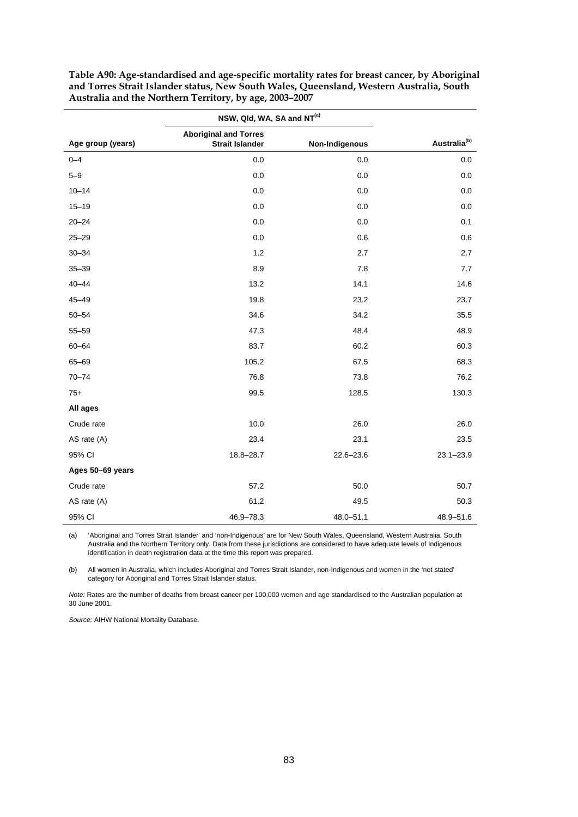|                   | NSW, Qld, WA, SA and NT <sup>(a)</sup>                 |                |                          |
|-------------------|--------------------------------------------------------|----------------|--------------------------|
| Age group (years) | <b>Aboriginal and Torres</b><br><b>Strait Islander</b> | Non-Indigenous | Australia <sup>(b)</sup> |
| $0 - 4$           | 0.0                                                    | 0.0            | 0.0                      |
| $5 - 9$           | 0.0                                                    | 0.0            | 0.0                      |
| $10 - 14$         | 0.0                                                    | 0.0            | 0.0                      |
| $15 - 19$         | 0.0                                                    | 0.0            | 0.0                      |
| $20 - 24$         | 0.0                                                    | 0.0            | 0.1                      |
| $25 - 29$         | 0.0                                                    | 0.6            | 0.6                      |
| $30 - 34$         | 1.2                                                    | 2.7            | 2.7                      |
| $35 - 39$         | 8.9                                                    | 7.8            | 7.7                      |
| $40 - 44$         | 13.2                                                   | 14.1           | 14.6                     |
| $45 - 49$         | 19.8                                                   | 23.2           | 23.7                     |
| $50 - 54$         | 34.6                                                   | 34.2           | 35.5                     |
| $55 - 59$         | 47.3                                                   | 48.4           | 48.9                     |
| $60 - 64$         | 83.7                                                   | 60.2           | 60.3                     |
| 65-69             | 105.2                                                  | 67.5           | 68.3                     |
| $70 - 74$         | 76.8                                                   | 73.8           | 76.2                     |
| $75+$             | 99.5                                                   | 128.5          | 130.3                    |
| All ages          |                                                        |                |                          |
| Crude rate        | 10.0                                                   | 26.0           | 26.0                     |
| AS rate (A)       | 23.4                                                   | 23.1           | 23.5                     |
| 95% CI            | 18.8-28.7                                              | $22.6 - 23.6$  | $23.1 - 23.9$            |
| Ages 50-69 years  |                                                        |                |                          |
| Crude rate        | 57.2                                                   | 50.0           | 50.7                     |
| AS rate (A)       | 61.2                                                   | 49.5           | 50.3                     |
| 95% CI            | 46.9-78.3                                              | $48.0 - 51.1$  | 48.9-51.6                |

<span id="page-84-0"></span>**Table A90: Age-standardised and age-specific mortality rates for breast cancer, by Aboriginal and Torres Strait Islander status, New South Wales, Queensland, Western Australia, South Australia and the Northern Territory, by age, 2003–2007** 

(a) 'Aboriginal and Torres Strait Islander' and 'non-Indigenous' are for New South Wales, Queensland, Western Australia, South Australia and the Northern Territory only. Data from these jurisdictions are considered to have adequate levels of Indigenous identification in death registration data at the time this report was prepared.

(b) All women in Australia, which includes Aboriginal and Torres Strait Islander, non-Indigenous and women in the 'not stated' category for Aboriginal and Torres Strait Islander status.

*Note:* Rates are the number of deaths from breast cancer per 100,000 women and age standardised to the Australian population at 30 June 2001.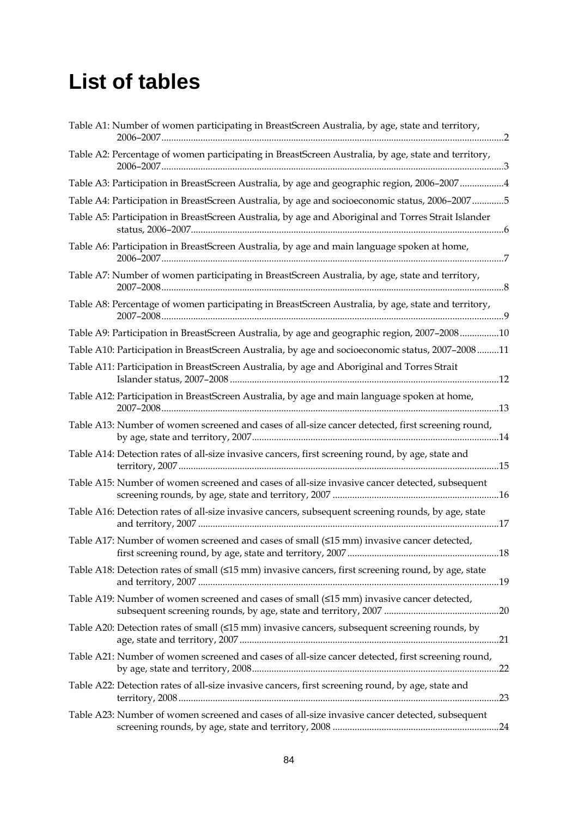## **List of tables**

| Table A1: Number of women participating in BreastScreen Australia, by age, state and territory,     |
|-----------------------------------------------------------------------------------------------------|
| Table A2: Percentage of women participating in BreastScreen Australia, by age, state and territory, |
| Table A3: Participation in BreastScreen Australia, by age and geographic region, 2006-20074         |
| Table A4: Participation in BreastScreen Australia, by age and socioeconomic status, 2006-20075      |
| Table A5: Participation in BreastScreen Australia, by age and Aboriginal and Torres Strait Islander |
| Table A6: Participation in BreastScreen Australia, by age and main language spoken at home,         |
| Table A7: Number of women participating in BreastScreen Australia, by age, state and territory,     |
| Table A8: Percentage of women participating in BreastScreen Australia, by age, state and territory, |
| Table A9: Participation in BreastScreen Australia, by age and geographic region, 2007-200810        |
| Table A10: Participation in BreastScreen Australia, by age and socioeconomic status, 2007-200811    |
| Table A11: Participation in BreastScreen Australia, by age and Aboriginal and Torres Strait         |
| Table A12: Participation in BreastScreen Australia, by age and main language spoken at home,        |
| Table A13: Number of women screened and cases of all-size cancer detected, first screening round,   |
| Table A14: Detection rates of all-size invasive cancers, first screening round, by age, state and   |
| Table A15: Number of women screened and cases of all-size invasive cancer detected, subsequent      |
| Table A16: Detection rates of all-size invasive cancers, subsequent screening rounds, by age, state |
| Table A17: Number of women screened and cases of small (≤15 mm) invasive cancer detected,           |
| Table A18: Detection rates of small (≤15 mm) invasive cancers, first screening round, by age, state |
| Table A19: Number of women screened and cases of small (≤15 mm) invasive cancer detected,           |
| Table A20: Detection rates of small (≤15 mm) invasive cancers, subsequent screening rounds, by      |
| Table A21: Number of women screened and cases of all-size cancer detected, first screening round,   |
| Table A22: Detection rates of all-size invasive cancers, first screening round, by age, state and   |
| Table A23: Number of women screened and cases of all-size invasive cancer detected, subsequent      |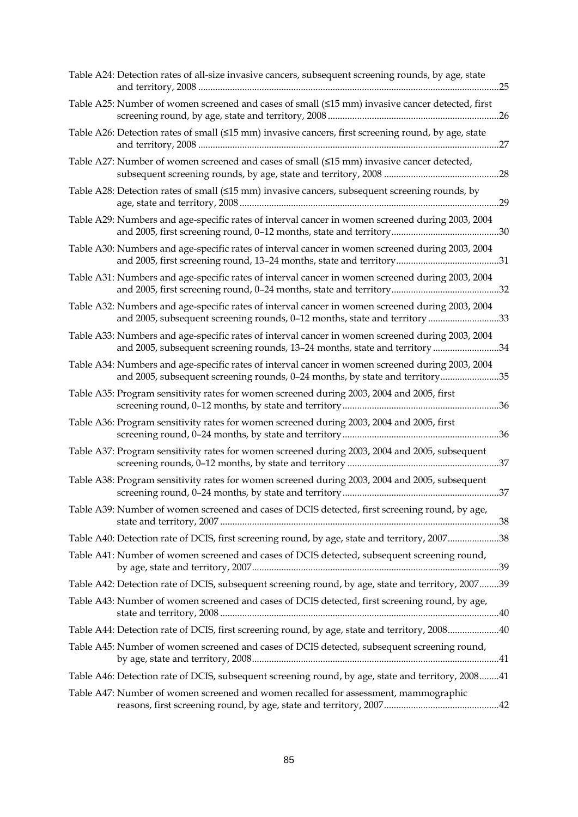| Table A24: Detection rates of all-size invasive cancers, subsequent screening rounds, by age, state                                                                              |
|----------------------------------------------------------------------------------------------------------------------------------------------------------------------------------|
| Table A25: Number of women screened and cases of small (≤15 mm) invasive cancer detected, first                                                                                  |
| Table A26: Detection rates of small (≤15 mm) invasive cancers, first screening round, by age, state                                                                              |
| Table A27: Number of women screened and cases of small (<15 mm) invasive cancer detected,                                                                                        |
| Table A28: Detection rates of small (≤15 mm) invasive cancers, subsequent screening rounds, by                                                                                   |
| Table A29: Numbers and age-specific rates of interval cancer in women screened during 2003, 2004                                                                                 |
| Table A30: Numbers and age-specific rates of interval cancer in women screened during 2003, 2004                                                                                 |
| Table A31: Numbers and age-specific rates of interval cancer in women screened during 2003, 2004                                                                                 |
| Table A32: Numbers and age-specific rates of interval cancer in women screened during 2003, 2004<br>and 2005, subsequent screening rounds, 0-12 months, state and territory33    |
| Table A33: Numbers and age-specific rates of interval cancer in women screened during 2003, 2004<br>and 2005, subsequent screening rounds, 13-24 months, state and territory 34  |
| Table A34: Numbers and age-specific rates of interval cancer in women screened during 2003, 2004<br>and 2005, subsequent screening rounds, 0-24 months, by state and territory35 |
| Table A35: Program sensitivity rates for women screened during 2003, 2004 and 2005, first                                                                                        |
| Table A36: Program sensitivity rates for women screened during 2003, 2004 and 2005, first                                                                                        |
| Table A37: Program sensitivity rates for women screened during 2003, 2004 and 2005, subsequent                                                                                   |
| Table A38: Program sensitivity rates for women screened during 2003, 2004 and 2005, subsequent                                                                                   |
| Table A39: Number of women screened and cases of DCIS detected, first screening round, by age,                                                                                   |
| Table A40: Detection rate of DCIS, first screening round, by age, state and territory, 200738                                                                                    |
| Table A41: Number of women screened and cases of DCIS detected, subsequent screening round,                                                                                      |
| Table A42: Detection rate of DCIS, subsequent screening round, by age, state and territory, 200739                                                                               |
| Table A43: Number of women screened and cases of DCIS detected, first screening round, by age,                                                                                   |
| Table A44: Detection rate of DCIS, first screening round, by age, state and territory, 200840                                                                                    |
| Table A45: Number of women screened and cases of DCIS detected, subsequent screening round,                                                                                      |
| Table A46: Detection rate of DCIS, subsequent screening round, by age, state and territory, 200841                                                                               |
| Table A47: Number of women screened and women recalled for assessment, mammographic                                                                                              |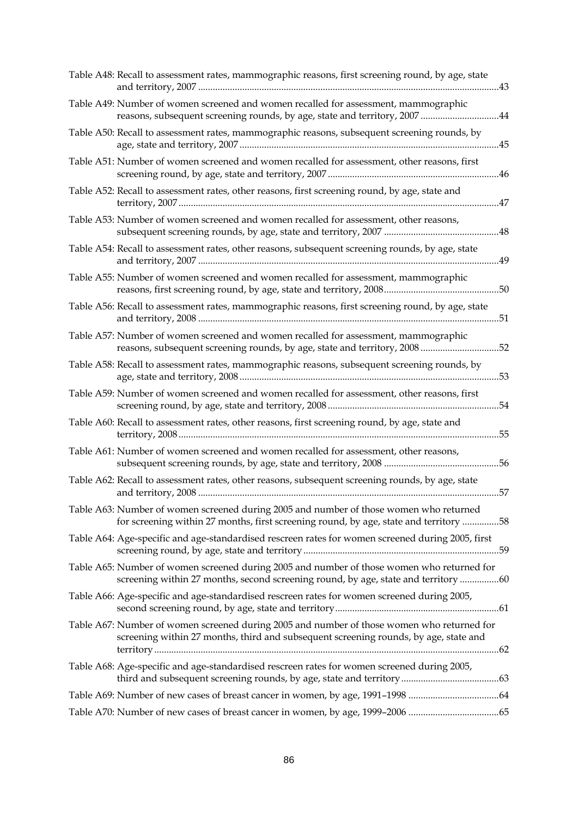| Table A48: Recall to assessment rates, mammographic reasons, first screening round, by age, state                                                                                  |  |
|------------------------------------------------------------------------------------------------------------------------------------------------------------------------------------|--|
| Table A49: Number of women screened and women recalled for assessment, mammographic<br>reasons, subsequent screening rounds, by age, state and territory, 2007 44                  |  |
| Table A50: Recall to assessment rates, mammographic reasons, subsequent screening rounds, by                                                                                       |  |
| Table A51: Number of women screened and women recalled for assessment, other reasons, first                                                                                        |  |
| Table A52: Recall to assessment rates, other reasons, first screening round, by age, state and<br>47                                                                               |  |
| Table A53: Number of women screened and women recalled for assessment, other reasons,                                                                                              |  |
| Table A54: Recall to assessment rates, other reasons, subsequent screening rounds, by age, state<br>49                                                                             |  |
| Table A55: Number of women screened and women recalled for assessment, mammographic                                                                                                |  |
| Table A56: Recall to assessment rates, mammographic reasons, first screening round, by age, state<br>51                                                                            |  |
| Table A57: Number of women screened and women recalled for assessment, mammographic<br>reasons, subsequent screening rounds, by age, state and territory, 2008 52                  |  |
| Table A58: Recall to assessment rates, mammographic reasons, subsequent screening rounds, by<br>53                                                                                 |  |
| Table A59: Number of women screened and women recalled for assessment, other reasons, first                                                                                        |  |
| Table A60: Recall to assessment rates, other reasons, first screening round, by age, state and<br>.55                                                                              |  |
| Table A61: Number of women screened and women recalled for assessment, other reasons,                                                                                              |  |
| Table A62: Recall to assessment rates, other reasons, subsequent screening rounds, by age, state<br>57                                                                             |  |
| Table A63: Number of women screened during 2005 and number of those women who returned<br>for screening within 27 months, first screening round, by age, state and territory 58    |  |
| Table A64: Age-specific and age-standardised rescreen rates for women screened during 2005, first                                                                                  |  |
| Table A65: Number of women screened during 2005 and number of those women who returned for<br>screening within 27 months, second screening round, by age, state and territory 60   |  |
| Table A66: Age-specific and age-standardised rescreen rates for women screened during 2005,                                                                                        |  |
| Table A67: Number of women screened during 2005 and number of those women who returned for<br>screening within 27 months, third and subsequent screening rounds, by age, state and |  |
| Table A68: Age-specific and age-standardised rescreen rates for women screened during 2005,                                                                                        |  |
| Table A69: Number of new cases of breast cancer in women, by age, 1991-1998 64                                                                                                     |  |
| Table A70: Number of new cases of breast cancer in women, by age, 1999-2006 65                                                                                                     |  |